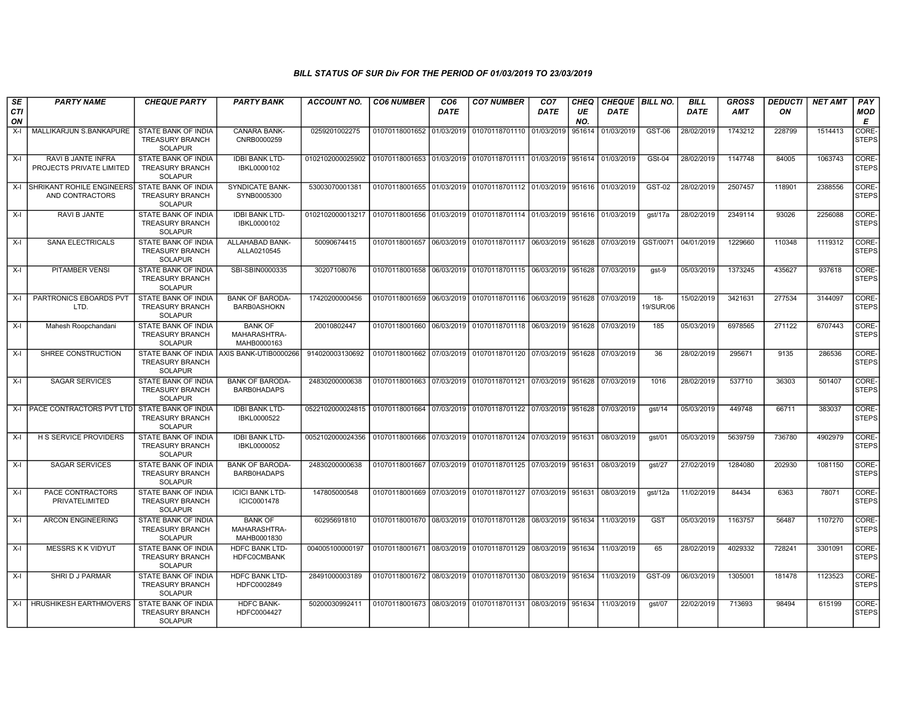| SE<br><b>CTI</b><br>ON | <b>PARTY NAME</b>                                | <b>CHEQUE PARTY</b>                                                    | <b>PARTY BANK</b>                             | <b>ACCOUNT NO.</b>                                                          | <b>CO6 NUMBER</b>         | CO <sub>6</sub><br><b>DATE</b> | <b>CO7 NUMBER</b>                                                     | CO <sub>7</sub><br><b>DATE</b> | CHEQ<br>UE<br>NO. | CHEQUE   BILL NO.<br><b>DATE</b> |                     | <b>BILL</b><br><b>DATE</b> | <b>GROSS</b><br><b>AMT</b> | <b>DEDUCTI</b><br>ON | <b>NET AMT</b> | PAY<br>MOD<br>Е       |
|------------------------|--------------------------------------------------|------------------------------------------------------------------------|-----------------------------------------------|-----------------------------------------------------------------------------|---------------------------|--------------------------------|-----------------------------------------------------------------------|--------------------------------|-------------------|----------------------------------|---------------------|----------------------------|----------------------------|----------------------|----------------|-----------------------|
| $X-I$                  | MALLIKARJUN S.BANKAPURE                          | STATE BANK OF INDIA<br><b>TREASURY BRANCH</b><br>SOLAPUR               | CANARA BANK-<br>CNRB0000259                   | 0259201002275                                                               | 01070118001652 01/03/2019 |                                | 01070118701110 01/03/2019                                             |                                | 951614            | 01/03/2019                       | GST-06              | 28/02/2019                 | 1743212                    | 228799               | 1514413        | CORE-<br><b>STEPS</b> |
| $X-I$                  | RAVI B JANTE INFRA<br>PROJECTS PRIVATE LIMITED   | STATE BANK OF INDIA<br>TREASURY BRANCH<br><b>SOLAPUR</b>               | <b>IDBI BANK LTD-</b><br>IBKL0000102          | 0102102000025902                                                            | 01070118001653 01/03/2019 |                                | 01070118701111 01/03/2019   951614   01/03/2019                       |                                |                   |                                  | <b>GSt-04</b>       | 28/02/2019                 | 1147748                    | 84005                | 1063743        | CORE-<br><b>STEPS</b> |
|                        | X-I SHRIKANT ROHILE ENGINEERS<br>AND CONTRACTORS | STATE BANK OF INDIA<br>TREASURY BRANCH<br><b>SOLAPUR</b>               | <b>SYNDICATE BANK-</b><br>SYNB0005300         | 53003070001381                                                              |                           |                                | 01070118001655 01/03/2019 01070118701112 01/03/2019 951616 01/03/2019 |                                |                   |                                  | GST-02              | 28/02/2019                 | 2507457                    | 118901               | 2388556        | CORE-<br><b>STEPS</b> |
| $X-I$                  | RAVI B JANTE                                     | STATE BANK OF INDIA<br><b>TREASURY BRANCH</b><br><b>SOLAPUR</b>        | <b>IDBI BANK LTD-</b><br>IBKL0000102          | 0102102000013217                                                            | 01070118001656            | 01/03/2019                     | 01070118701114 01/03/2019                                             |                                | 951616            | 01/03/2019                       | gst/17a             | 28/02/2019                 | 2349114                    | 93026                | 2256088        | CORE-<br><b>STEPS</b> |
| $X-I$                  | <b>SANA ELECTRICALS</b>                          | <b>STATE BANK OF INDIA</b><br><b>TREASURY BRANCH</b><br><b>SOLAPUR</b> | ALLAHABAD BANK-<br>ALLA0210545                | 50090674415                                                                 | 01070118001657 06/03/2019 |                                | 01070118701117 06/03/2019 951628 07/03/2019                           |                                |                   |                                  | GST/0071            | 04/01/2019                 | 1229660                    | 110348               | 1119312        | CORE-<br><b>STEPS</b> |
| $X-I$                  | <b>PITAMBER VENSI</b>                            | STATE BANK OF INDIA<br><b>TREASURY BRANCH</b><br><b>SOLAPUR</b>        | SBI-SBIN0000335                               | 30207108076                                                                 | 01070118001658 06/03/2019 |                                | 01070118701115 06/03/2019 951628                                      |                                |                   | 07/03/2019                       | gst-9               | 05/03/2019                 | 1373245                    | 435627               | 937618         | CORE-<br><b>STEPS</b> |
| $X-I$                  | PARTRONICS EBOARDS PVT<br>LTD.                   | STATE BANK OF INDIA<br><b>TREASURY BRANCH</b><br><b>SOLAPUR</b>        | <b>BANK OF BARODA-</b><br><b>BARB0ASHOKN</b>  | 17420200000456                                                              | 01070118001659            | 06/03/2019                     | 01070118701116 06/03/2019                                             |                                |                   | 951628 07/03/2019                | $18 -$<br>19/SUR/06 | 15/02/2019                 | 3421631                    | 277534               | 3144097        | CORE-<br><b>STEPS</b> |
| $X-I$                  | Mahesh Roopchandani                              | STATE BANK OF INDIA<br><b>TREASURY BRANCH</b><br>SOLAPUR               | <b>BANK OF</b><br>MAHARASHTRA-<br>MAHB0000163 | 20010802447                                                                 | 01070118001660            | 06/03/2019                     | 01070118701118 06/03/2019   951628 07/03/2019                         |                                |                   |                                  | 185                 | 05/03/2019                 | 6978565                    | 271122               | 6707443        | CORE-<br><b>STEPS</b> |
| $X-I$                  | SHREE CONSTRUCTION                               | STATE BANK OF INDIA<br><b>TREASURY BRANCH</b><br>SOLAPUR               | AXIS BANK-UTIB0000266                         | 914020003130692                                                             |                           |                                | 01070118001662 07/03/2019 01070118701120 07/03/2019 951628 07/03/2019 |                                |                   |                                  | 36                  | 28/02/2019                 | 295671                     | 9135                 | 286536         | CORE-<br><b>STEPS</b> |
| $X-I$                  | <b>SAGAR SERVICES</b>                            | STATE BANK OF INDIA<br><b>TREASURY BRANCH</b><br>SOLAPUR               | <b>BANK OF BARODA-</b><br><b>BARB0HADAPS</b>  | 24830200000638                                                              |                           |                                | 01070118001663 07/03/2019 01070118701121 07/03/2019 951628            |                                |                   | 07/03/2019                       | 1016                | 28/02/2019                 | 537710                     | 36303                | 501407         | l CORE-<br>STEPS      |
| X-I                    | <b>PACE CONTRACTORS PVT LTD</b>                  | <b>STATE BANK OF INDIA</b><br><b>TREASURY BRANCH</b><br><b>SOLAPUR</b> | <b>IDBI BANK LTD-</b><br>IBKL0000522          | 0522102000024815 01070118001664 07/03/2019 01070118701122 07/03/2019 951628 |                           |                                |                                                                       |                                |                   | 07/03/2019                       | gst/14              | 05/03/2019                 | 449748                     | 66711                | 383037         | CORE-<br><b>STEPS</b> |
| $X-I$                  | <b>H S SERVICE PROVIDERS</b>                     | STATE BANK OF INDIA<br><b>TREASURY BRANCH</b><br><b>SOLAPUR</b>        | <b>IDBI BANK LTD-</b><br>IBKL0000052          | 0052102000024356                                                            | 01070118001666 07/03/2019 |                                | 01070118701124 07/03/2019 951631                                      |                                |                   | 08/03/2019                       | gst/01              | 05/03/2019                 | 5639759                    | 736780               | 4902979        | CORE-<br><b>STEPS</b> |
| $X-I$                  | <b>SAGAR SERVICES</b>                            | STATE BANK OF INDIA<br><b>TREASURY BRANCH</b><br><b>SOLAPUR</b>        | <b>BANK OF BARODA-</b><br><b>BARB0HADAPS</b>  | 24830200000638                                                              | 01070118001667 07/03/2019 |                                | 01070118701125 07/03/2019 951631                                      |                                |                   | 08/03/2019                       | qst/27              | 27/02/2019                 | 1284080                    | 202930               | 1081150        | CORE-<br><b>STEPS</b> |
| $X-I$                  | PACE CONTRACTORS<br>PRIVATELIMITED               | <b>STATE BANK OF INDIA</b><br><b>TREASURY BRANCH</b><br><b>SOLAPUR</b> | <b>ICICI BANK LTD-</b><br>ICIC0001478         | 147805000548                                                                |                           |                                | 01070118001669 07/03/2019 01070118701127 07/03/2019 951631 08/03/2019 |                                |                   |                                  | gst/12a             | 11/02/2019                 | 84434                      | 6363                 | 78071          | CORE-<br><b>STEPS</b> |
| $X-I$                  | <b>ARCON ENGINEERING</b>                         | STATE BANK OF INDIA<br><b>TREASURY BRANCH</b><br>SOLAPUR               | <b>BANK OF</b><br>MAHARASHTRA-<br>MAHB0001830 | 60295691810                                                                 | 01070118001670 08/03/2019 |                                | 01070118701128 08/03/2019 951634                                      |                                |                   | 11/03/2019                       | <b>GST</b>          | 05/03/2019                 | 1163757                    | 56487                | 1107270        | CORE-<br><b>STEPS</b> |
| $X-I$                  | <b>MESSRS K K VIDYUT</b>                         | STATE BANK OF INDIA<br><b>TREASURY BRANCH</b><br><b>SOLAPUR</b>        | <b>HDFC BANK LTD-</b><br><b>HDFC0CMBANK</b>   | 004005100000197                                                             | 01070118001671 08/03/2019 |                                | 01070118701129 08/03/2019 951634                                      |                                |                   | 11/03/2019                       | 65                  | 28/02/2019                 | 4029332                    | 728241               | 3301091        | CORE-<br>STEPS        |
| $X-I$                  | SHRI D J PARMAR                                  | <b>STATE BANK OF INDIA</b><br><b>TREASURY BRANCH</b><br><b>SOLAPUR</b> | <b>HDFC BANK LTD-</b><br>HDFC0002849          | 28491000003189                                                              |                           |                                | 01070118001672 08/03/2019 01070118701130 08/03/2019 951634 11/03/2019 |                                |                   |                                  | <b>GST-09</b>       | 06/03/2019                 | 1305001                    | 181478               | 1123523        | CORE-<br><b>STEPS</b> |
| $X-I$                  | <b>HRUSHIKESH EARTHMOVERS</b>                    | <b>STATE BANK OF INDIA</b><br><b>TREASURY BRANCH</b><br><b>SOLAPUR</b> | <b>HDFC BANK-</b><br>HDFC0004427              | 50200030992411                                                              | 01070118001673 08/03/2019 |                                | 01070118701131 08/03/2019 951634 11/03/2019                           |                                |                   |                                  | gst/07              | 22/02/2019                 | 713693                     | 98494                | 615199         | CORE-<br><b>STEPS</b> |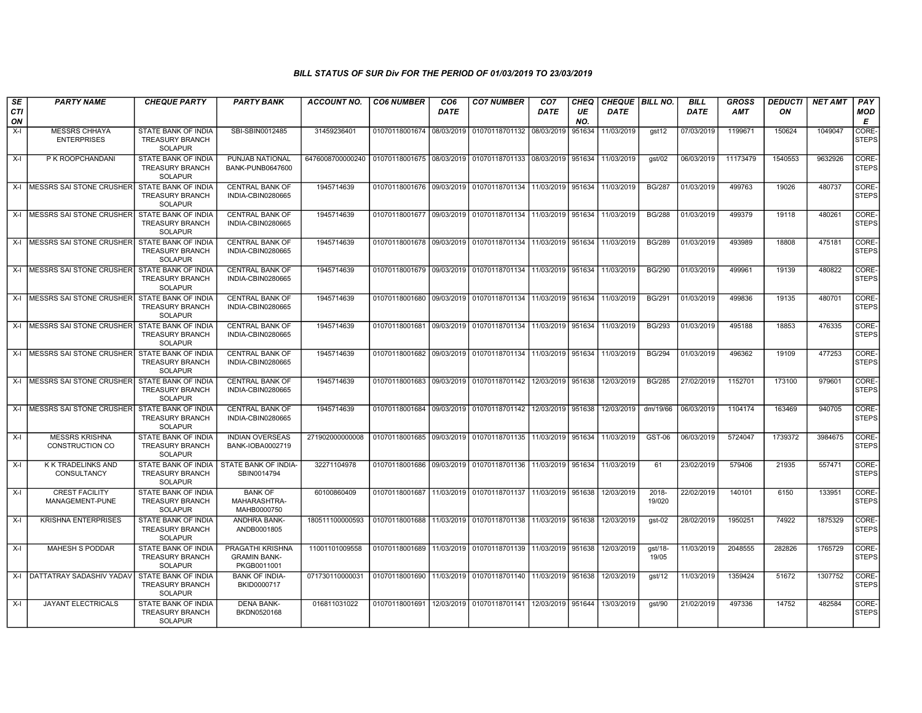| SE               | <b>PARTY NAME</b>                                 | <b>CHEQUE PARTY</b>                                                    | <b>PARTY BANK</b>                                      | <b>ACCOUNT NO.</b> | <b>CO6 NUMBER</b>         | CO <sub>6</sub> | <b>CO7 NUMBER</b>                                                     | CO <sub>7</sub> | CHEQ      | CHEQUE   BILL NO. |                    | <b>BILL</b> | <b>GROSS</b> | <b>DEDUCTI</b> | <b>NET AMT</b> | <b>PAY</b>            |
|------------------|---------------------------------------------------|------------------------------------------------------------------------|--------------------------------------------------------|--------------------|---------------------------|-----------------|-----------------------------------------------------------------------|-----------------|-----------|-------------------|--------------------|-------------|--------------|----------------|----------------|-----------------------|
| <b>CTI</b><br>ON |                                                   |                                                                        |                                                        |                    |                           | <b>DATE</b>     |                                                                       | <b>DATE</b>     | UE<br>NO. | <b>DATE</b>       |                    | <b>DATE</b> | <b>AMT</b>   | ON             |                | <b>MOD</b><br>E       |
| $X-I$            | <b>MESSRS CHHAYA</b><br><b>ENTERPRISES</b>        | STATE BANK OF INDIA<br><b>TREASURY BRANCH</b><br><b>SOLAPUR</b>        | SBI-SBIN0012485                                        | 31459236401        | 01070118001674 08/03/2019 |                 | 01070118701132 08/03/2019 951634                                      |                 |           | 11/03/2019        | gst12              | 07/03/2019  | 1199671      | 150624         | 1049047        | CORE-<br>STEPS        |
| $X-I$            | P K ROOPCHANDANI                                  | STATE BANK OF INDIA<br><b>TREASURY BRANCH</b><br><b>SOLAPUR</b>        | PUNJAB NATIONAL<br>BANK-PUNB0647600                    | 6476008700000240   |                           |                 | 01070118001675 08/03/2019 01070118701133 08/03/2019 351634            |                 |           | 11/03/2019        | gst/02             | 06/03/2019  | 11173479     | 1540553        | 9632926        | CORE-<br><b>STEPS</b> |
|                  | X-I MESSRS SAI STONE CRUSHER STATE BANK OF INDIA  | TREASURY BRANCH<br><b>SOLAPUR</b>                                      | <b>CENTRAL BANK OF</b><br>INDIA-CBIN0280665            | 1945714639         |                           |                 | 01070118001676 09/03/2019 01070118701134 11/03/2019 951634            |                 |           | 11/03/2019        | <b>BG/287</b>      | 01/03/2019  | 499763       | 19026          | 480737         | CORE-<br><b>STEPS</b> |
|                  | X-I IMESSRS SAI STONE CRUSHER STATE BANK OF INDIA | <b>TREASURY BRANCH</b><br><b>SOLAPUR</b>                               | <b>CENTRAL BANK OF</b><br>INDIA-CBIN0280665            | 1945714639         |                           |                 | 01070118001677 09/03/2019 01070118701134 11/03/2019 951634 11/03/2019 |                 |           |                   | <b>BG/288</b>      | 01/03/2019  | 499379       | 19118          | 480261         | CORE-<br><b>STEPS</b> |
|                  | X-I IMESSRS SAI STONE CRUSHER STATE BANK OF INDIA | <b>TREASURY BRANCH</b><br><b>SOLAPUR</b>                               | <b>CENTRAL BANK OF</b><br>INDIA-CBIN0280665            | 1945714639         |                           |                 | 01070118001678 09/03/2019 01070118701134 11/03/2019 951634            |                 |           | 11/03/2019        | <b>BG/289</b>      | 01/03/2019  | 493989       | 18808          | 475181         | CORE-<br>STEPS        |
|                  | X-I   MESSRS SAI STONE CRUSHER                    | STATE BANK OF INDIA<br><b>TREASURY BRANCH</b><br><b>SOLAPUR</b>        | <b>CENTRAL BANK OF</b><br>INDIA-CBIN0280665            | 1945714639         |                           |                 | 01070118001679 09/03/2019 01070118701134 11/03/2019 951634            |                 |           | 11/03/2019        | <b>BG/290</b>      | 01/03/2019  | 499961       | 19139          | 480822         | CORE-<br><b>STEPS</b> |
|                  | X-I MESSRS SAI STONE CRUSHER                      | STATE BANK OF INDIA<br><b>TREASURY BRANCH</b><br><b>SOLAPUR</b>        | <b>CENTRAL BANK OF</b><br>INDIA-CBIN0280665            | 1945714639         |                           |                 | 01070118001680 09/03/2019 01070118701134 11/03/2019 951634            |                 |           | 11/03/2019        | <b>BG/291</b>      | 01/03/2019  | 499836       | 19135          | 480701         | CORE-<br><b>STEPS</b> |
|                  | X-I MESSRS SAI STONE CRUSHER                      | <b>STATE BANK OF INDIA</b><br><b>TREASURY BRANCH</b><br><b>SOLAPUR</b> | <b>CENTRAL BANK OF</b><br>INDIA-CBIN0280665            | 1945714639         |                           |                 | 01070118001681 09/03/2019 01070118701134 11/03/2019 951634 11/03/2019 |                 |           |                   | <b>BG/293</b>      | 01/03/2019  | 495188       | 18853          | 476335         | CORE-<br><b>STEPS</b> |
|                  | X-I   MESSRS SAI STONE CRUSHER                    | STATE BANK OF INDIA<br><b>TREASURY BRANCH</b><br><b>SOLAPUR</b>        | <b>CENTRAL BANK OF</b><br>INDIA-CBIN0280665            | 1945714639         | 01070118001682            |                 | 09/03/2019   01070118701134   11/03/2019   951634                     |                 |           | 11/03/2019        | <b>BG/294</b>      | 01/03/2019  | 496362       | 19109          | 477253         | CORE-<br><b>STEPS</b> |
| X-I              | MESSRS SAI STONE CRUSHER                          | STATE BANK OF INDIA<br><b>TREASURY BRANCH</b><br><b>SOLAPUR</b>        | <b>CENTRAL BANK OF</b><br>INDIA-CBIN0280665            | 1945714639         |                           |                 | 01070118001683 09/03/2019 01070118701142 12/03/2019 951638            |                 |           | 12/03/2019        | <b>BG/285</b>      | 27/02/2019  | 1152701      | 173100         | 979601         | CORE-<br><b>STEPS</b> |
| $X-I$            | MESSRS SAI STONE CRUSHER                          | STATE BANK OF INDIA<br><b>TREASURY BRANCH</b><br><b>SOLAPUR</b>        | <b>CENTRAL BANK OF</b><br>INDIA-CBIN0280665            | 1945714639         |                           |                 | 01070118001684 09/03/2019 01070118701142 12/03/2019 951638            |                 |           | 12/03/2019        | dm/19/66           | 06/03/2019  | 1104174      | 163469         | 940705         | CORE-<br><b>STEPS</b> |
| $X-I$            | <b>MESSRS KRISHNA</b><br>CONSTRUCTION CO          | <b>STATE BANK OF INDIA</b><br><b>TREASURY BRANCH</b><br><b>SOLAPUR</b> | <b>INDIAN OVERSEAS</b><br>BANK-IOBA0002719             | 271902000000008    |                           |                 | 01070118001685 09/03/2019 01070118701135 11/03/2019 951634            |                 |           | 11/03/2019        | GST-06             | 06/03/2019  | 5724047      | 1739372        | 3984675        | CORE-<br><b>STEPS</b> |
| $X-I$            | K K TRADELINKS AND<br>CONSULTANCY                 | STATE BANK OF INDIA<br><b>TREASURY BRANCH</b><br><b>SOLAPUR</b>        | STATE BANK OF INDIA-<br>SBIN0014794                    | 32271104978        |                           |                 | 01070118001686 09/03/2019 01070118701136 11/03/2019 951634            |                 |           | 11/03/2019        | 61                 | 23/02/2019  | 579406       | 21935          | 557471         | CORE-<br><b>STEPS</b> |
| $X-I$            | <b>CREST FACILITY</b><br>MANAGEMENT-PUNE          | STATE BANK OF INDIA<br>TREASURY BRANCH<br><b>SOLAPUR</b>               | <b>BANK OF</b><br>MAHARASHTRA-<br>MAHB0000750          | 60100860409        |                           |                 | 01070118001687   11/03/2019   01070118701137   11/03/2019   951638    |                 |           | 12/03/2019        | $2018 -$<br>19/020 | 22/02/2019  | 140101       | 6150           | 133951         | CORE-<br><b>STEPS</b> |
| $X-I$            | <b>KRISHNA ENTERPRISES</b>                        | <b>STATE BANK OF INDIA</b><br>TREASURY BRANCH<br><b>SOLAPUR</b>        | ANDHRA BANK-<br>ANDB0001805                            | 180511100000593    |                           |                 | 01070118001688 11/03/2019 01070118701138 11/03/2019 951638            |                 |           | 12/03/2019        | $qst-02$           | 28/02/2019  | 1950251      | 74922          | 1875329        | CORE-<br><b>STEPS</b> |
| $X-I$            | <b>MAHESH S PODDAR</b>                            | STATE BANK OF INDIA<br><b>TREASURY BRANCH</b><br><b>SOLAPUR</b>        | PRAGATHI KRISHNA<br><b>GRAMIN BANK-</b><br>PKGB0011001 | 11001101009558     |                           |                 | 01070118001689 11/03/2019 01070118701139 11/03/2019 951638            |                 |           | 12/03/2019        | gst/18-<br>19/05   | 11/03/2019  | 2048555      | 282826         | 1765729        | CORE-<br>STEPS        |
|                  | X-I   DATTATRAY SADASHIV YADAV                    | <b>STATE BANK OF INDIA</b><br><b>TREASURY BRANCH</b><br><b>SOLAPUR</b> | <b>BANK OF INDIA-</b><br>BKID0000717                   | 071730110000031    |                           |                 | 01070118001690 11/03/2019 01070118701140 11/03/2019 951638            |                 |           | 12/03/2019        | gst/12             | 11/03/2019  | 1359424      | 51672          | 1307752        | CORE-<br><b>STEPS</b> |
| $X-I$            | <b>JAYANT ELECTRICALS</b>                         | STATE BANK OF INDIA<br><b>TREASURY BRANCH</b><br><b>SOLAPUR</b>        | <b>DENA BANK-</b><br>BKDN0520168                       | 016811031022       |                           |                 | 01070118001691 12/03/2019 01070118701141 12/03/2019 951644 13/03/2019 |                 |           |                   | qst/90             | 21/02/2019  | 497336       | 14752          | 482584         | CORE-<br><b>STEPS</b> |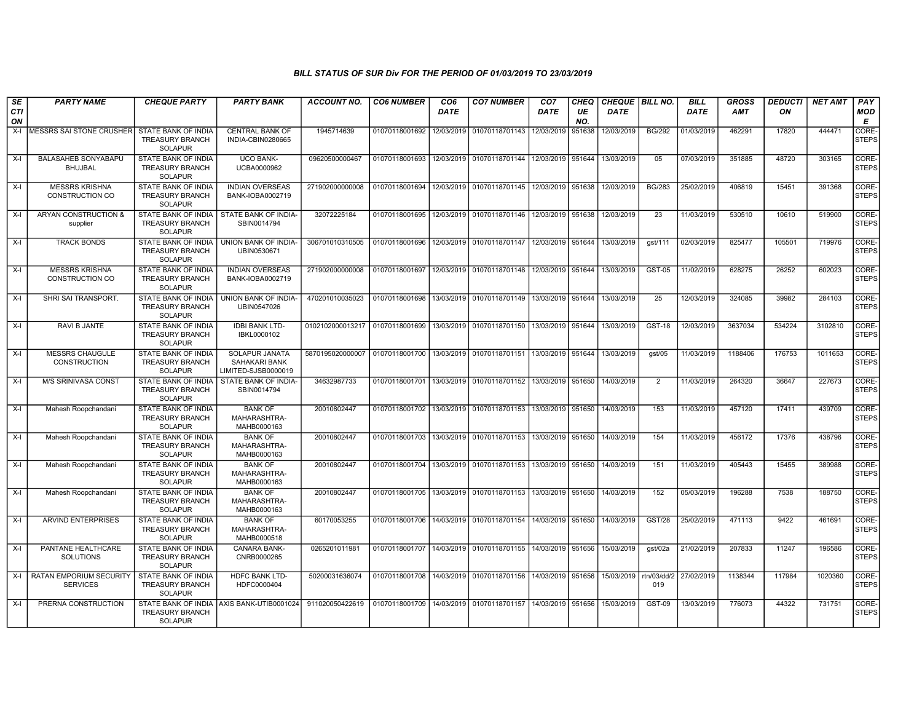| SE               | <b>PARTY NAME</b>                                 | <b>CHEQUE PARTY</b>                                                    | <b>PARTY BANK</b>                                      | <b>ACCOUNT NO.</b>              | <b>CO6 NUMBER</b>         | CO <sub>6</sub> | <b>CO7 NUMBER</b>                                                  | CO <sub>7</sub>   | CHEQ      | CHEQUE   BILL NO. |                    | <b>BILL</b> | <b>GROSS</b> | <i><b>DEDUCTI</b></i> | <b>NET AMT</b> | PAY                         |
|------------------|---------------------------------------------------|------------------------------------------------------------------------|--------------------------------------------------------|---------------------------------|---------------------------|-----------------|--------------------------------------------------------------------|-------------------|-----------|-------------------|--------------------|-------------|--------------|-----------------------|----------------|-----------------------------|
| <b>CTI</b><br>ON |                                                   |                                                                        |                                                        |                                 |                           | <b>DATE</b>     |                                                                    | <b>DATE</b>       | UE<br>NO. | <b>DATE</b>       |                    | <b>DATE</b> | <b>AMT</b>   | ON                    |                | <b>MOD</b><br>E             |
| $X-I$            | MESSRS SAI STONE CRUSHER                          | STATE BANK OF INDIA<br><b>TREASURY BRANCH</b><br><b>SOLAPUR</b>        | <b>CENTRAL BANK OF</b><br>INDIA-CBIN0280665            | 1945714639                      | 01070118001692            | 12/03/2019      | 01070118701143                                                     | 12/03/2019        | 951638    | 12/03/2019        | <b>BG/292</b>      | 01/03/2019  | 462291       | 17820                 | 444471         | <b>CORE</b><br><b>STEPS</b> |
| $X-I$            | <b>BALASAHEB SONYABAPU</b><br><b>BHUJBAL</b>      | <b>STATE BANK OF INDIA</b><br><b>TREASURY BRANCH</b><br><b>SOLAPUR</b> | <b>UCO BANK-</b><br>UCBA0000962                        | 09620500000467                  | 01070118001693            | 12/03/2019      | 01070118701144                                                     | 12/03/2019        | 951644    | 13/03/2019        | 05                 | 07/03/2019  | 351885       | 48720                 | 303165         | CORE-<br><b>STEPS</b>       |
| $X-I$            | <b>MESSRS KRISHNA</b><br>CONSTRUCTION CO          | <b>STATE BANK OF INDIA</b><br><b>TREASURY BRANCH</b><br><b>SOLAPUR</b> | <b>INDIAN OVERSEAS</b><br>BANK-IOBA0002719             | 271902000000008                 | 01070118001694            | 12/03/2019      | 01070118701145   12/03/2019                                        |                   | 951638    | 12/03/2019        | <b>BG/283</b>      | 25/02/2019  | 406819       | 15451                 | 391368         | CORE-<br>STEPS              |
| $X-I$            | ARYAN CONSTRUCTION &<br>supplier                  | STATE BANK OF INDIA<br><b>TREASURY BRANCH</b><br><b>SOLAPUR</b>        | STATE BANK OF INDIA-<br>SBIN0014794                    | 32072225184                     | 01070118001695            |                 | 12/03/2019 01070118701146 12/03/2019 951638                        |                   |           | 12/03/2019        | 23                 | 11/03/2019  | 530510       | 10610                 | 519900         | CORE-<br>STEPS              |
| $X-I$            | <b>TRACK BONDS</b>                                | <b>STATE BANK OF INDIA</b><br><b>TREASURY BRANCH</b><br><b>SOLAPUR</b> | UNION BANK OF INDIA-<br>UBIN0530671                    | 306701010310505                 | 01070118001696            | 12/03/2019      | 01070118701147                                                     | 12/03/2019 951644 |           | 13/03/2019        | qst/111            | 02/03/2019  | 825477       | 105501                | 719976         | CORE-<br><b>STEPS</b>       |
| $X-I$            | <b>MESSRS KRISHNA</b><br>CONSTRUCTION CO          | STATE BANK OF INDIA<br><b>TREASURY BRANCH</b><br>SOLAPUR               | <b>INDIAN OVERSEAS</b><br>BANK-IOBA0002719             | 271902000000008                 | 01070118001697            | 12/03/2019      | 01070118701148 12/03/2019 951644                                   |                   |           | 13/03/2019        | <b>GST-05</b>      | 11/02/2019  | 628275       | 26252                 | 602023         | CORE-<br><b>STEPS</b>       |
| $X-I$            | SHRI SAI TRANSPORT.                               | STATE BANK OF INDIA<br><b>TREASURY BRANCH</b><br>SOLAPUR               | UNION BANK OF INDIA-<br>UBIN0547026                    | 470201010035023                 | 01070118001698            | 13/03/2019      | 01070118701149   13/03/2019   951644                               |                   |           | 13/03/2019        | 25                 | 12/03/2019  | 324085       | 39982                 | 284103         | CORE-<br><b>STEPS</b>       |
| $X-I$            | <b>RAVI B JANTE</b>                               | <b>STATE BANK OF INDIA</b><br><b>TREASURY BRANCH</b><br>SOLAPUR        | <b>IDBI BANK LTD-</b><br>IBKL0000102                   | 0102102000013217                | 01070118001699            | 13/03/2019      | 01070118701150 13/03/2019 951644                                   |                   |           | 13/03/2019        | <b>GST-18</b>      | 12/03/2019  | 3637034      | 534224                | 3102810        | CORE-<br>STEPS              |
| $X-I$            | <b>MESSRS CHAUGULE</b><br>CONSTRUCTION            | STATE BANK OF INDIA<br><b>TREASURY BRANCH</b><br><b>SOLAPUR</b>        | SOLAPUR JANATA<br>SAHAKARI BANK<br>LIMITED-SJSB0000019 | 5870195020000007 01070118001700 |                           |                 | 13/03/2019 01070118701151 13/03/2019 951644 13/03/2019             |                   |           |                   | qst/05             | 11/03/2019  | 1188406      | 176753                | 1011653        | CORE-<br><b>STEPS</b>       |
| $X-I$            | <b>M/S SRINIVASA CONST</b>                        | STATE BANK OF INDIA<br><b>TREASURY BRANCH</b><br><b>SOLAPUR</b>        | STATE BANK OF INDIA-<br>SBIN0014794                    | 34632987733                     | 01070118001701            | 13/03/2019      | 01070118701152 13/03/2019 951650                                   |                   |           | 14/03/2019        | $\overline{2}$     | 11/03/2019  | 264320       | 36647                 | 227673         | CORE-<br><b>STEPS</b>       |
| $X-I$            | Mahesh Roopchandani                               | <b>STATE BANK OF INDIA</b><br><b>TREASURY BRANCH</b><br><b>SOLAPUR</b> | <b>BANK OF</b><br>MAHARASHTRA-<br>MAHB0000163          | 20010802447                     | 01070118001702            |                 | 13/03/2019 01070118701153 13/03/2019 951650                        |                   |           | 14/03/2019        | 153                | 11/03/2019  | 457120       | 17411                 | 439709         | CORE-<br><b>STEPS</b>       |
| $X-I$            | Mahesh Roopchandani                               | STATE BANK OF INDIA<br><b>TREASURY BRANCH</b><br><b>SOLAPUR</b>        | <b>BANK OF</b><br>MAHARASHTRA-<br>MAHB0000163          | 20010802447                     | 01070118001703            |                 | 13/03/2019 01070118701153 13/03/2019 951650                        |                   |           | 14/03/2019        | 154                | 11/03/2019  | 456172       | 17376                 | 438796         | CORE-<br><b>STEPS</b>       |
| $X-I$            | Mahesh Roopchandani                               | <b>STATE BANK OF INDIA</b><br><b>TREASURY BRANCH</b><br>SOLAPUR        | <b>BANK OF</b><br>MAHARASHTRA-<br>MAHB0000163          | 20010802447                     | 01070118001704            | 13/03/2019      | 01070118701153 13/03/2019 951650                                   |                   |           | 14/03/2019        | 151                | 11/03/2019  | 405443       | 15455                 | 389988         | CORE-<br><b>STEPS</b>       |
| $X-I$            | Mahesh Roopchandani                               | STATE BANK OF INDIA<br><b>TREASURY BRANCH</b><br><b>SOLAPUR</b>        | <b>BANK OF</b><br>MAHARASHTRA-<br>MAHB0000163          | 20010802447                     | 01070118001705            |                 | 13/03/2019   01070118701153   13/03/2019   951650                  |                   |           | 14/03/2019        | 152                | 05/03/2019  | 196288       | 7538                  | 188750         | CORE-<br><b>STEPS</b>       |
| $X-I$            | <b>ARVIND ENTERPRISES</b>                         | <b>STATE BANK OF INDIA</b><br><b>TREASURY BRANCH</b><br><b>SOLAPUR</b> | <b>BANK OF</b><br>MAHARASHTRA-<br>MAHB0000518          | 60170053255                     |                           |                 | 01070118001706   14/03/2019   01070118701154   14/03/2019   951650 |                   |           | 14/03/2019        | <b>GST/28</b>      | 25/02/2019  | 471113       | 9422                  | 461691         | CORE-<br>STEPS              |
| $X-I$            | PANTANE HEALTHCARE<br><b>SOLUTIONS</b>            | <b>STATE BANK OF INDIA</b><br><b>TREASURY BRANCH</b><br>SOLAPUR        | <b>CANARA BANK-</b><br>CNRB0000265                     | 0265201011981                   | 01070118001707 14/03/2019 |                 | 01070118701155 14/03/2019 951656                                   |                   |           | 15/03/2019        | gst/02a            | 21/02/2019  | 207833       | 11247                 | 196586         | CORE-<br><b>STEPS</b>       |
| $X-I$            | <b>RATAN EMPORIUM SECURITY</b><br><b>SERVICES</b> | <b>STATE BANK OF INDIA</b><br><b>TREASURY BRANCH</b><br><b>SOLAPUR</b> | <b>HDFC BANK LTD-</b><br>HDFC0000404                   | 50200031636074                  | 01070118001708 14/03/2019 |                 | 01070118701156 14/03/2019 951656                                   |                   |           | 15/03/2019        | rtn/03/dd/2<br>019 | 27/02/2019  | 1138344      | 117984                | 1020360        | CORE-<br><b>STEPS</b>       |
| $X-I$            | PRERNA CONSTRUCTION                               | <b>TREASURY BRANCH</b><br><b>SOLAPUR</b>                               | STATE BANK OF INDIA AXIS BANK-UTIB0001024              | 911020050422619                 | 01070118001709 14/03/2019 |                 | 01070118701157   14/03/2019   951656                               |                   |           | 15/03/2019        | GST-09             | 13/03/2019  | 776073       | 44322                 | 731751         | CORE-<br><b>STEPS</b>       |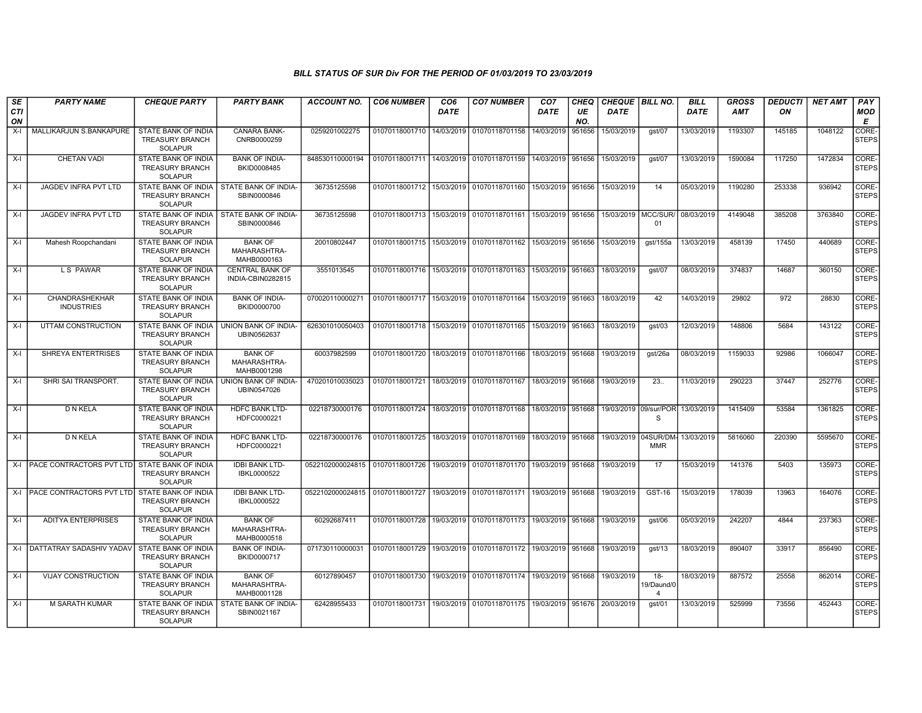| SE<br><b>CTI</b> | <b>PARTY NAME</b>                   | <b>CHEQUE PARTY</b>                                                    | <b>PARTY BANK</b>                             | <b>ACCOUNT NO.</b>                                                           | <b>CO6 NUMBER</b>                        | CO <sub>6</sub><br><b>DATE</b> | <b>CO7 NUMBER</b>                                                     | CO <sub>7</sub><br><b>DATE</b> | CHEQ<br>UE | CHEQUE   BILL NO.<br><b>DATE</b> |                                    | <b>BILL</b><br><b>DATE</b> | <b>GROSS</b><br><b>AMT</b> | <b>DEDUCTI</b><br>ON | <b>NET AMT</b> | PAY<br>MOD            |
|------------------|-------------------------------------|------------------------------------------------------------------------|-----------------------------------------------|------------------------------------------------------------------------------|------------------------------------------|--------------------------------|-----------------------------------------------------------------------|--------------------------------|------------|----------------------------------|------------------------------------|----------------------------|----------------------------|----------------------|----------------|-----------------------|
| ON               |                                     |                                                                        |                                               |                                                                              |                                          |                                |                                                                       |                                | NO.        |                                  |                                    |                            |                            |                      |                | E                     |
| $X-I$            | MALLIKARJUN S.BANKAPURE             | STATE BANK OF INDIA<br><b>TREASURY BRANCH</b><br><b>SOLAPUR</b>        | CANARA BANK-<br>CNRB0000259                   | 0259201002275                                                                | 01070118001710                           | 14/03/2019                     | 01070118701158                                                        | 14/03/2019                     | 951656     | 15/03/2019                       | gst/07                             | 13/03/2019                 | 1193307                    | 145185               | 1048122        | CORE-<br><b>STEPS</b> |
| $X-I$            | <b>CHETAN VADI</b>                  | <b>STATE BANK OF INDIA</b><br><b>TREASURY BRANCH</b><br><b>SOLAPUR</b> | <b>BANK OF INDIA-</b><br>BKID0008485          | 848530110000194                                                              |                                          |                                | 01070118001711 14/03/2019 01070118701159                              | 14/03/2019                     | 951656     | 15/03/2019                       | qst/07                             | 13/03/2019                 | 1590084                    | 117250               | 1472834        | CORE-<br><b>STEPS</b> |
| $X-I$            | JAGDEV INFRA PVT LTD                | STATE BANK OF INDIA<br><b>TREASURY BRANCH</b><br>SOLAPUR               | STATE BANK OF INDIA-<br>SBIN0000846           | 36735125598                                                                  |                                          |                                | 01070118001712 15/03/2019 01070118701160                              | 15/03/2019                     | 951656     | 15/03/2019                       | 14                                 | 05/03/2019                 | 1190280                    | 253338               | 936942         | CORE-<br><b>STEPS</b> |
| $X-I$            | JAGDEV INFRA PVT LTD                | STATE BANK OF INDIA<br><b>TREASURY BRANCH</b><br><b>SOLAPUR</b>        | STATE BANK OF INDIA-<br>SBIN0000846           | 36735125598                                                                  | 01070118001713 15/03/2019 01070118701161 |                                |                                                                       | 15/03/2019                     | 951656     | 15/03/2019   MCC/SUR/            | 01                                 | 08/03/2019                 | 4149048                    | 385208               | 3763840        | CORE-<br><b>STEPS</b> |
| $X-I$            | Mahesh Roopchandani                 | <b>STATE BANK OF INDIA</b><br><b>TREASURY BRANCH</b><br><b>SOLAPUR</b> | <b>BANK OF</b><br>MAHARASHTRA-<br>MAHB0000163 | 20010802447                                                                  |                                          |                                | 01070118001715 15/03/2019 01070118701162                              | 15/03/2019                     | 951656     | 15/03/2019                       | gst/155a                           | 13/03/2019                 | 458139                     | 17450                | 440689         | CORE-<br><b>STEPS</b> |
| X-I              | L S PAWAR                           | STATE BANK OF INDIA<br><b>TREASURY BRANCH</b><br><b>SOLAPUR</b>        | <b>CENTRAL BANK OF</b><br>INDIA-CBIN0282815   | 3551013545                                                                   |                                          |                                | 01070118001716   15/03/2019   01070118701163                          | 15/03/2019                     | 951663     | 18/03/2019                       | gst/07                             | 08/03/2019                 | 374837                     | 14687                | 360150         | CORE-<br><b>STEPS</b> |
| X-I              | CHANDRASHEKHAR<br><b>INDUSTRIES</b> | STATE BANK OF INDIA<br><b>TREASURY BRANCH</b><br><b>SOLAPUR</b>        | <b>BANK OF INDIA-</b><br>BKID0000700          | 070020110000271                                                              | 01070118001717 15/03/2019                |                                | 01070118701164                                                        | 15/03/2019                     | 951663     | 18/03/2019                       | 42                                 | 14/03/2019                 | 29802                      | 972                  | 28830          | CORE-<br><b>STEPS</b> |
| $X-I$            | UTTAM CONSTRUCTION                  | <b>STATE BANK OF INDIA</b><br><b>TREASURY BRANCH</b><br><b>SOLAPUR</b> | <b>UNION BANK OF INDIA-</b><br>UBIN0562637    | 626301010050403                                                              |                                          |                                | 01070118001718 15/03/2019 01070118701165 15/03/2019                   |                                | 951663     | 18/03/2019                       | gst/03                             | 12/03/2019                 | 148806                     | 5684                 | 143122         | CORE-<br><b>STEPS</b> |
| $X-I$            | SHREYA ENTERTRISES                  | STATE BANK OF INDIA<br><b>TREASURY BRANCH</b><br><b>SOLAPUR</b>        | <b>BANK OF</b><br>MAHARASHTRA-<br>MAHB0001298 | 60037982599                                                                  | 01070118001720                           |                                | 18/03/2019 01070118701166                                             | 18/03/2019                     | 951668     | 19/03/2019                       | gst/26a                            | 08/03/2019                 | 1159033                    | 92986                | 1066047        | CORE-<br><b>STEPS</b> |
| X-I              | SHRI SAI TRANSPORT.                 | STATE BANK OF INDIA<br><b>TREASURY BRANCH</b><br><b>SOLAPUR</b>        | UNION BANK OF INDIA-<br>UBIN0547026           | 470201010035023                                                              |                                          |                                | 01070118001721   18/03/2019   01070118701167                          | 18/03/2019                     | 951668     | 19/03/2019                       | 23.                                | 11/03/2019                 | 290223                     | 37447                | 252776         | CORE-<br><b>STEPS</b> |
| X-I              | D N KELA                            | <b>STATE BANK OF INDIA</b><br><b>TREASURY BRANCH</b><br><b>SOLAPUR</b> | <b>HDFC BANK LTD-</b><br>HDFC0000221          | 02218730000176                                                               |                                          |                                | 01070118001724 18/03/2019 01070118701168                              | 18/03/2019                     | 951668     |                                  | 19/03/2019 09/sur/POR<br>S         | 13/03/2019                 | 1415409                    | 53584                | 1361825        | CORE-<br><b>STEPS</b> |
| $X-I$            | D N KELA                            | STATE BANK OF INDIA<br><b>TREASURY BRANCH</b><br><b>SOLAPUR</b>        | HDFC BANK LTD-<br>HDFC0000221                 | 02218730000176                                                               |                                          |                                | 01070118001725   18/03/2019   01070118701169                          | 18/03/2019                     | 951668     |                                  | 19/03/2019 04SUR/DM-<br><b>MMR</b> | 13/03/2019                 | 5816060                    | 220390               | 5595670        | CORE-<br><b>STEPS</b> |
|                  | X-LIPACE CONTRACTORS PVT LTD        | STATE BANK OF INDIA<br><b>TREASURY BRANCH</b><br><b>SOLAPUR</b>        | <b>IDBI BANK LTD-</b><br>IBKL0000522          | 0522102000024815   01070118001726   19/03/2019   01070118701170   19/03/2019 |                                          |                                |                                                                       |                                | 951668     | 19/03/2019                       | 17                                 | 15/03/2019                 | 141376                     | 5403                 | 135973         | CORE-<br><b>STEPS</b> |
|                  | X-I PACE CONTRACTORS PVT LTD        | STATE BANK OF INDIA<br><b>TREASURY BRANCH</b><br><b>SOLAPUR</b>        | <b>IDBI BANK LTD-</b><br>IBKL0000522          | 0522102000024815 01070118001727 19/03/2019 01070118701171 19/03/2019         |                                          |                                |                                                                       |                                | 951668     | 19/03/2019                       | GST-16                             | 15/03/2019                 | 178039                     | 13963                | 164076         | CORE-<br><b>STEPS</b> |
| $X-I$            | <b>ADITYA ENTERPRISES</b>           | <b>STATE BANK OF INDIA</b><br><b>TREASURY BRANCH</b><br><b>SOLAPUR</b> | <b>BANK OF</b><br>MAHARASHTRA-<br>MAHB0000518 | 60292687411                                                                  |                                          |                                | 01070118001728 19/03/2019 01070118701173 19/03/2019 951668            |                                |            | 19/03/2019                       | qst/06                             | 05/03/2019                 | 242207                     | 4844                 | 237363         | CORE-<br><b>STEPS</b> |
|                  | X-I DATTATRAY SADASHIV YADAV        | STATE BANK OF INDIA<br><b>TREASURY BRANCH</b><br><b>SOLAPUR</b>        | <b>BANK OF INDIA-</b><br>BKID0000717          | 071730110000031                                                              | 01070118001729                           |                                | 19/03/2019 01070118701172 19/03/2019                                  |                                | 951668     | 19/03/2019                       | qst/13                             | 18/03/2019                 | 890407                     | 33917                | 856490         | CORE-<br><b>STEPS</b> |
| X-I              | <b>VIJAY CONSTRUCTION</b>           | <b>STATE BANK OF INDIA</b><br><b>TREASURY BRANCH</b><br><b>SOLAPUR</b> | <b>BANK OF</b><br>MAHARASHTRA-<br>MAHB0001128 | 60127890457                                                                  |                                          |                                | 01070118001730 19/03/2019 01070118701174 19/03/2019 951668            |                                |            | 19/03/2019                       | $18 -$<br>19/Daund/0<br>4          | 18/03/2019                 | 887572                     | 25558                | 862014         | CORE-<br><b>STEPS</b> |
| $X-I$            | <b>M SARATH KUMAR</b>               | STATE BANK OF INDIA<br><b>TREASURY BRANCH</b><br><b>SOLAPUR</b>        | STATE BANK OF INDIA-<br>SBIN0021167           | 62428955433                                                                  |                                          |                                | 01070118001731 19/03/2019 01070118701175 19/03/2019 951676 20/03/2019 |                                |            |                                  | gst/01                             | 13/03/2019                 | 525999                     | 73556                | 452443         | CORE-<br><b>STEPS</b> |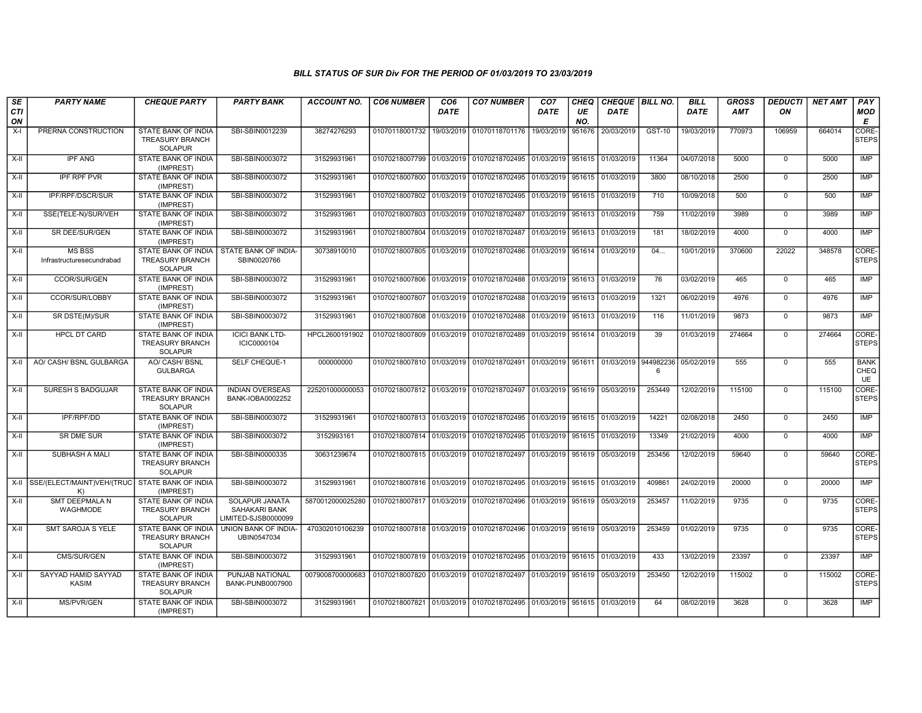| SE<br><b>CTI</b><br>ON | <b>PARTY NAME</b>                          | <b>CHEQUE PARTY</b>                                                    | <b>PARTY BANK</b>                                      | <b>ACCOUNT NO.</b>                                              | <b>CO6 NUMBER</b>                        | CO <sub>6</sub><br><b>DATE</b> | <b>CO7 NUMBER</b>                                                               | CO <sub>7</sub><br>DATE | CHEQ<br>UE<br>NO. | CHEQUE BILL NO.<br><b>DATE</b> |                | <b>BILL</b><br><b>DATE</b> | <b>GROSS</b><br><b>AMT</b> | <b>DEDUCTI</b><br>ON | <b>NET AMT</b> | PAY<br>MOD<br>E           |
|------------------------|--------------------------------------------|------------------------------------------------------------------------|--------------------------------------------------------|-----------------------------------------------------------------|------------------------------------------|--------------------------------|---------------------------------------------------------------------------------|-------------------------|-------------------|--------------------------------|----------------|----------------------------|----------------------------|----------------------|----------------|---------------------------|
| $X-I$                  | PRERNA CONSTRUCTION                        | STATE BANK OF INDIA<br><b>TREASURY BRANCH</b><br><b>SOLAPUR</b>        | SBI-SBIN0012239                                        | 38274276293                                                     | 01070118001732                           |                                | 19/03/2019 01070118701176                                                       | 19/03/2019              | 951676            | 20/03/2019                     | GST-10         | 19/03/2019                 | 770973                     | 106959               | 664014         | CORE-<br><b>STEPS</b>     |
| $X-H$                  | <b>IPF ANG</b>                             | <b>STATE BANK OF INDIA</b><br>(IMPREST)                                | SBI-SBIN0003072                                        | 31529931961                                                     |                                          |                                | 01070218007799 01/03/2019 01070218702495 01/03/2019 951615                      |                         |                   | 01/03/2019                     | 11364          | 04/07/2018                 | 5000                       | $\mathbf 0$          | 5000           | <b>IMP</b>                |
| X-II                   | <b>IPF RPF PVR</b>                         | STATE BANK OF INDIA<br>(IMPREST)                                       | SBI-SBIN0003072                                        | 31529931961                                                     |                                          |                                | 01070218007800 01/03/2019 01070218702495 01/03/2019                             |                         | 951615            | 01/03/2019                     | 3800           | 08/10/2018                 | 2500                       | $\mathbf 0$          | 2500           | IMP                       |
| X-II                   | IPF/RPF/DSCR/SUR                           | STATE BANK OF INDIA<br>(IMPREST)                                       | SBI-SBIN0003072                                        | 31529931961                                                     |                                          |                                | 01070218007802 01/03/2019 01070218702495                                        | 01/03/2019              | 951615            | 01/03/2019                     | 710            | 10/09/2018                 | 500                        | $\Omega$             | 500            | IMP                       |
| X-II                   | SSE(TELE-N)/SUR/VEH                        | STATE BANK OF INDIA<br>(IMPREST)                                       | SBI-SBIN0003072                                        | 31529931961                                                     |                                          |                                | 01070218007803 01/03/2019 01070218702487                                        | 01/03/2019 951613       |                   | 01/03/2019                     | 759            | 11/02/2019                 | 3989                       | $\mathbf 0$          | 3989           | <b>IMP</b>                |
| $X-H$                  | SR DEE/SUR/GEN                             | STATE BANK OF INDIA<br>(IMPREST)                                       | SBI-SBIN0003072                                        | 31529931961                                                     |                                          |                                | 01070218007804 01/03/2019 01070218702487                                        | 01/03/2019 951613       |                   | 01/03/2019                     | 181            | 18/02/2019                 | 4000                       | $\mathbf 0$          | 4000           | <b>IMP</b>                |
| X-II                   | <b>MS BSS</b><br>Infrastructuresecundrabad | STATE BANK OF INDIA<br><b>TREASURY BRANCH</b><br><b>SOLAPUR</b>        | STATE BANK OF INDIA-<br>SBIN0020766                    | 30738910010                                                     |                                          |                                | 01070218007805   01/03/2019   01070218702486   01/03/2019   951614   01/03/2019 |                         |                   |                                | 04             | 10/01/2019                 | 370600                     | 22022                | 348578         | CORE-<br><b>STEPS</b>     |
| $X-H$                  | <b>CCOR/SUR/GEN</b>                        | <b>STATE BANK OF INDIA</b><br>(IMPREST)                                | SBI-SBIN0003072                                        | 31529931961                                                     |                                          |                                | 01070218007806 01/03/2019 01070218702488 01/03/2019 951613                      |                         |                   | 01/03/2019                     | 76             | 03/02/2019                 | 465                        | $\Omega$             | 465            | IMP                       |
| $X-H$                  | CCOR/SUR/LOBBY                             | STATE BANK OF INDIA<br>(IMPREST)                                       | SBI-SBIN0003072                                        | 31529931961                                                     | 01070218007807 01/03/2019 01070218702488 |                                |                                                                                 | 01/03/2019 951613       |                   | 01/03/2019                     | 1321           | 06/02/2019                 | 4976                       | $\Omega$             | 4976           | IMP                       |
| X-II                   | SR DSTE(M)/SUR                             | STATE BANK OF INDIA<br>(IMPREST)                                       | SBI-SBIN0003072                                        | 31529931961                                                     |                                          |                                | 01070218007808 01/03/2019 01070218702488                                        | 01/03/2019              | 951613            | 01/03/2019                     | 116            | 11/01/2019                 | 9873                       | $\mathbf 0$          | 9873           | <b>IMP</b>                |
| X-II                   | <b>HPCL DT CARD</b>                        | STATE BANK OF INDIA<br><b>TREASURY BRANCH</b><br><b>SOLAPUR</b>        | <b>ICICI BANK LTD-</b><br>ICIC0000104                  | HPCL2600191902                                                  |                                          |                                | 01070218007809 01/03/2019 01070218702489                                        | 01/03/2019 951614       |                   | 01/03/2019                     | 39             | 01/03/2019                 | 274664                     | $\Omega$             | 274664         | CORE-<br><b>STEPS</b>     |
| X-II                   | AO/ CASH/ BSNL GULBARGA                    | AO/ CASH/ BSNL<br><b>GULBARGA</b>                                      | SELF CHEQUE-1                                          | 000000000                                                       |                                          |                                | 01070218007810 01/03/2019 01070218702491                                        |                         |                   | 01/03/2019 951611 01/03/2019   | 944982236<br>6 | 05/02/2019                 | 555                        | $\Omega$             | 555            | <b>BANK</b><br>CHEQ<br>UE |
| X-II                   | <b>SURESH S BADGUJAR</b>                   | <b>STATE BANK OF INDIA</b><br><b>TREASURY BRANCH</b><br><b>SOLAPUR</b> | <b>INDIAN OVERSEAS</b><br>BANK-IOBA0002252             | 225201000000053                                                 | 01070218007812 01/03/2019 01070218702497 |                                |                                                                                 | 01/03/2019 951619       |                   | 05/03/2019                     | 253449         | 12/02/2019                 | 115100                     | $\Omega$             | 115100         | CORE-<br><b>STEPS</b>     |
| X-II                   | IPF/RPF/DD                                 | STATE BANK OF INDIA<br>(IMPREST)                                       | SBI-SBIN0003072                                        | 31529931961                                                     |                                          |                                | 01070218007813 01/03/2019 01070218702495 01/03/2019 951615 01/03/2019           |                         |                   |                                | 14221          | 02/08/2018                 | 2450                       | $\mathbf 0$          | 2450           | <b>IMP</b>                |
| X-II                   | <b>SR DME SUR</b>                          | STATE BANK OF INDIA<br>(IMPREST)                                       | SBI-SBIN0003072                                        | 3152993161                                                      |                                          |                                | 01070218007814 01/03/2019 01070218702495                                        | 01/03/2019 951615       |                   | 01/03/2019                     | 13349          | 21/02/2019                 | 4000                       | $\mathbf 0$          | 4000           | <b>IMP</b>                |
| $\overline{X}$ -II     | SUBHASH A MALI                             | <b>STATE BANK OF INDIA</b><br><b>TREASURY BRANCH</b><br><b>SOLAPUR</b> | SBI-SBIN0000335                                        | 30631239674                                                     |                                          |                                | 01070218007815 01/03/2019 01070218702497 01/03/2019 951619 05/03/2019           |                         |                   |                                | 253456         | 12/02/2019                 | 59640                      | $\Omega$             | 59640          | CORE-<br><b>STEPS</b>     |
|                        | X-II SSE/(ELECT/MAINT)VEH/(TRUC<br>K)      | STATE BANK OF INDIA<br>(IMPREST)                                       | SBI-SBIN0003072                                        | 31529931961                                                     |                                          |                                | 01070218007816 01/03/2019 01070218702495 01/03/2019 951615 01/03/2019           |                         |                   |                                | 409861         | 24/02/2019                 | 20000                      | $\Omega$             | 20000          | IMP                       |
| X-II                   | <b>SMT DEEPMALA N</b><br>WAGHMODE          | <b>STATE BANK OF INDIA</b><br><b>TREASURY BRANCH</b><br><b>SOLAPUR</b> | SOLAPUR JANATA<br>SAHAKARI BANK<br>LIMITED-SJSB0000099 | 5870012000025280                                                |                                          |                                | 01070218007817 01/03/2019 01070218702496 01/03/2019 951619 05/03/2019           |                         |                   |                                | 253457         | 11/02/2019                 | 9735                       | $\mathbf 0$          | 9735           | CORE-<br><b>STEPS</b>     |
| $X-II$                 | <b>SMT SAROJA S YELE</b>                   | STATE BANK OF INDIA<br><b>TREASURY BRANCH</b><br><b>SOLAPUR</b>        | UNION BANK OF INDIA-<br>UBIN0547034                    | 470302010106239                                                 |                                          |                                | 01070218007818 01/03/2019 01070218702496                                        | 01/03/2019 951619       |                   | 05/03/2019                     | 253459         | 01/02/2019                 | 9735                       | $\mathbf 0$          | 9735           | CORE-<br><b>STEPS</b>     |
| X-II                   | CMS/SUR/GEN                                | STATE BANK OF INDIA<br>(IMPREST)                                       | SBI-SBIN0003072                                        | 31529931961                                                     |                                          |                                | 01070218007819 01/03/2019 01070218702495 01/03/2019 951615 01/03/2019           |                         |                   |                                | 433            | 13/02/2019                 | 23397                      | $\mathbf 0$          | 23397          | <b>IMP</b>                |
| X-II                   | SAYYAD HAMID SAYYAD<br>KASIM               | STATE BANK OF INDIA<br><b>TREASURY BRANCH</b><br><b>SOLAPUR</b>        | PUNJAB NATIONAL<br>BANK-PUNB0007900                    | 0079008700000683   01070218007820   01/03/2019   01070218702497 |                                          |                                |                                                                                 | 01/03/2019 951619       |                   | 05/03/2019                     | 253450         | 12/02/2019                 | 115002                     | $\mathbf 0$          | 115002         | CORE-<br><b>STEPS</b>     |
| X-II                   | MS/PVR/GEN                                 | STATE BANK OF INDIA<br>(IMPREST)                                       | SBI-SBIN0003072                                        | 31529931961                                                     |                                          |                                | 01070218007821 01/03/2019 01070218702495 01/03/2019 951615 01/03/2019           |                         |                   |                                | 64             | 08/02/2019                 | 3628                       | $\mathbf 0$          | 3628           | IMP                       |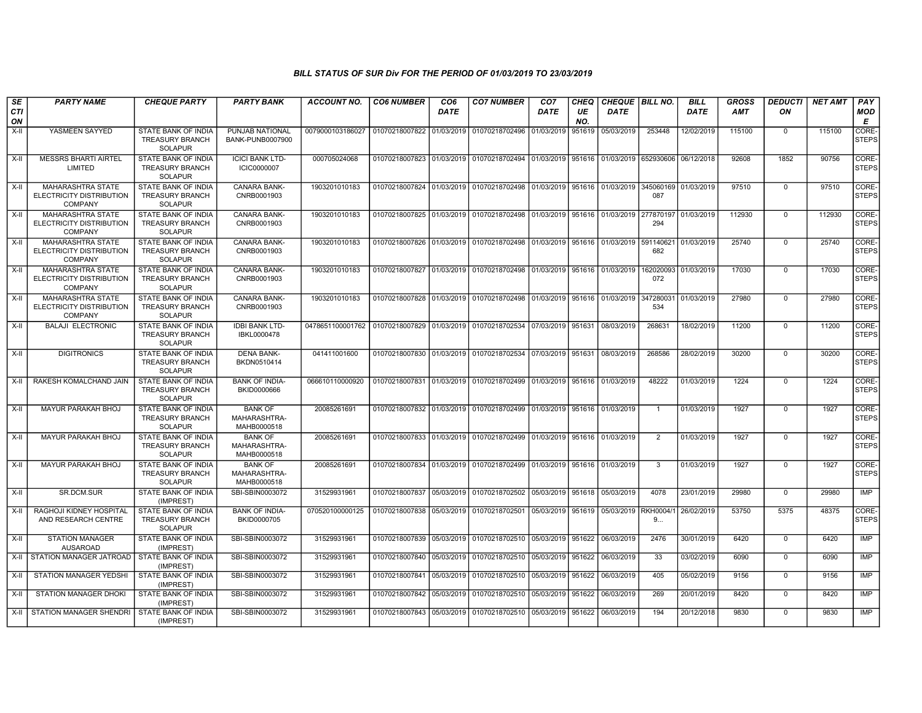| <b>SE</b><br><b>CTI</b><br>ON | <b>PARTY NAME</b>                                                      | <b>CHEQUE PARTY</b>                                                    | <b>PARTY BANK</b>                             | ACCOUNT NO.                                               | <b>CO6 NUMBER</b>                        | CO <sub>6</sub><br><b>DATE</b> | <b>CO7 NUMBER</b>                                                               | CO <sub>7</sub><br><b>DATE</b> | <b>CHEQ</b><br>UE<br>NO. | CHEQUE   BILL NO.<br><b>DATE</b>                          |                             | <b>BILL</b><br><b>DATE</b> | <b>GROSS</b><br>AMT | <b>DEDUCTI</b><br>ON | <b>NET AMT</b> | PAY<br><b>MOD</b><br>E      |
|-------------------------------|------------------------------------------------------------------------|------------------------------------------------------------------------|-----------------------------------------------|-----------------------------------------------------------|------------------------------------------|--------------------------------|---------------------------------------------------------------------------------|--------------------------------|--------------------------|-----------------------------------------------------------|-----------------------------|----------------------------|---------------------|----------------------|----------------|-----------------------------|
| X-II                          | YASMEEN SAYYED                                                         | <b>STATE BANK OF INDIA</b><br><b>TREASURY BRANCH</b><br><b>SOLAPUR</b> | PUNJAB NATIONAL<br>BANK-PUNB0007900           | 0079000103186027                                          | 01070218007822 01/03/2019 01070218702496 |                                |                                                                                 | 01/03/2019                     | 951619                   | 05/03/2019                                                | 253448                      | 12/02/2019                 | 115100              | $\mathbf 0$          | 115100         | CORE-<br><b>STEPS</b>       |
| X-II                          | <b>MESSRS BHARTI AIRTEL</b><br>LIMITED                                 | STATE BANK OF INDIA<br>TREASURY BRANCH<br><b>SOLAPUR</b>               | <b>ICICI BANK LTD-</b><br><b>ICIC0000007</b>  | 000705024068                                              |                                          |                                | 01070218007823 01/03/2019 01070218702494                                        |                                |                          | 01/03/2019   951616   01/03/2019   652930606   06/12/2018 |                             |                            | 92608               | 1852                 | 90756          | CORE-<br><b>STEPS</b>       |
| $X-II$                        | MAHARASHTRA STATE<br>ELECTRICITY DISTRIBUTION<br><b>COMPANY</b>        | <b>STATE BANK OF INDIA</b><br>TREASURY BRANCH<br><b>SOLAPUR</b>        | <b>CANARA BANK-</b><br>CNRB0001903            | 1903201010183                                             |                                          |                                | 01070218007824 01/03/2019 01070218702498 01/03/2019 951616 01/03/2019           |                                |                          |                                                           | 345060169 01/03/2019<br>087 |                            | 97510               | $\Omega$             | 97510          | CORE-<br><b>STEPS</b>       |
| X-II                          | <b>MAHARASHTRA STATE</b><br>ELECTRICITY DISTRIBUTION<br><b>COMPANY</b> | <b>STATE BANK OF INDIA</b><br><b>TREASURY BRANCH</b><br><b>SOLAPUR</b> | <b>CANARA BANK-</b><br>CNRB0001903            | 1903201010183                                             |                                          |                                | 01070218007825 01/03/2019 01070218702498 01/03/2019 951616 01/03/2019 277870197 |                                |                          |                                                           | 294                         | 01/03/2019                 | 112930              | $\mathbf 0$          | 112930         | CORE-<br><b>STEPS</b>       |
| $X-H$                         | <b>MAHARASHTRA STATE</b><br>ELECTRICITY DISTRIBUTION<br><b>COMPANY</b> | <b>STATE BANK OF INDIA</b><br><b>TREASURY BRANCH</b><br><b>SOLAPUR</b> | CANARA BANK-<br>CNRB0001903                   | 1903201010183                                             |                                          |                                | 01070218007826 01/03/2019 01070218702498 01/03/2019 951616 01/03/2019 591140621 |                                |                          |                                                           | 682                         | 01/03/2019                 | 25740               | $\overline{0}$       | 25740          | CORE-<br><b>STEPS</b>       |
| X-II                          | MAHARASHTRA STATE<br><b>ELECTRICITY DISTRIBUTION</b><br><b>COMPANY</b> | STATE BANK OF INDIA<br><b>TREASURY BRANCH</b><br><b>SOLAPUR</b>        | CANARA BANK-<br>CNRB0001903                   | 1903201010183                                             |                                          |                                | 01070218007827 01/03/2019 01070218702498 01/03/2019 951616 01/03/2019           |                                |                          |                                                           | 162020093<br>072            | 01/03/2019                 | 17030               | $\mathbf 0$          | 17030          | CORE-<br><b>STEPS</b>       |
| X-II                          | <b>MAHARASHTRA STATE</b><br>ELECTRICITY DISTRIBUTION<br>COMPANY        | <b>STATE BANK OF INDIA</b><br><b>TREASURY BRANCH</b><br><b>SOLAPUR</b> | <b>CANARA BANK-</b><br>CNRB0001903            | 1903201010183                                             |                                          |                                | 01070218007828 01/03/2019 01070218702498 01/03/2019 951616 01/03/2019           |                                |                          |                                                           | 34728003<br>534             | 01/03/2019                 | 27980               | $\Omega$             | 27980          | CORE-<br><b>STEPS</b>       |
| X-II                          | <b>BALAJI ELECTRONIC</b>                                               | STATE BANK OF INDIA<br><b>TREASURY BRANCH</b><br><b>SOLAPUR</b>        | <b>IDBI BANK LTD-</b><br>IBKL0000478          | 0478651100001762 01070218007829 01/03/2019 01070218702534 |                                          |                                |                                                                                 | 07/03/2019 951631              |                          | 08/03/2019                                                | 268631                      | 18/02/2019                 | 11200               | $\Omega$             | 11200          | CORE-<br><b>STEPS</b>       |
| $X-H$                         | <b>DIGITRONICS</b>                                                     | STATE BANK OF INDIA<br><b>TREASURY BRANCH</b><br><b>SOLAPUR</b>        | <b>DENA BANK-</b><br>BKDN0510414              | 041411001600                                              |                                          |                                | 01070218007830 01/03/2019 01070218702534 07/03/2019 951631 08/03/2019           |                                |                          |                                                           | 268586                      | 28/02/2019                 | 30200               | $\Omega$             | 30200          | CORE-<br><b>STEPS</b>       |
| $X-II$                        | RAKESH KOMALCHAND JAIN                                                 | STATE BANK OF INDIA<br><b>TREASURY BRANCH</b><br><b>SOLAPUR</b>        | <b>BANK OF INDIA-</b><br>BKID0000666          | 066610110000920                                           |                                          |                                | 01070218007831 01/03/2019 01070218702499 01/03/2019 951616 01/03/2019           |                                |                          |                                                           | 48222                       | 01/03/2019                 | 1224                | $\mathbf 0$          | 1224           | CORE-<br><b>STEPS</b>       |
| $X-H$                         | <b>MAYUR PARAKAH BHOJ</b>                                              | <b>STATE BANK OF INDIA</b><br><b>TREASURY BRANCH</b><br>SOLAPUR        | <b>BANK OF</b><br>MAHARASHTRA-<br>MAHB0000518 | 20085261691                                               |                                          |                                | 01070218007832 01/03/2019 01070218702499 01/03/2019 951616 01/03/2019           |                                |                          |                                                           |                             | 01/03/2019                 | 1927                | $\Omega$             | 1927           | CORE-<br><b>STEPS</b>       |
| $X-II$                        | MAYUR PARAKAH BHOJ                                                     | STATE BANK OF INDIA<br><b>TREASURY BRANCH</b><br><b>SOLAPUR</b>        | <b>BANK OF</b><br>MAHARASHTRA-<br>MAHB0000518 | 20085261691                                               |                                          |                                | 01070218007833 01/03/2019 01070218702499 01/03/2019 951616 01/03/2019           |                                |                          |                                                           | $\overline{2}$              | 01/03/2019                 | 1927                | $\Omega$             | 1927           | CORE-<br><b>STEPS</b>       |
| X-II                          | MAYUR PARAKAH BHOJ                                                     | STATE BANK OF INDIA<br><b>TREASURY BRANCH</b><br><b>SOLAPUR</b>        | <b>BANK OF</b><br>MAHARASHTRA-<br>MAHB0000518 | 20085261691                                               |                                          |                                | 01070218007834 01/03/2019 01070218702499                                        | 01/03/2019 951616 01/03/2019   |                          |                                                           | 3                           | 01/03/2019                 | 1927                | $\Omega$             | 1927           | CORE-<br><b>STEPS</b>       |
| X-II                          | SR.DCM.SUR                                                             | <b>STATE BANK OF INDIA</b><br>(IMPREST)                                | SBI-SBIN0003072                               | 31529931961                                               |                                          |                                | 01070218007837 05/03/2019 01070218702502 05/03/2019 951618 05/03/2019           |                                |                          |                                                           | 4078                        | 23/01/2019                 | 29980               | $\mathbf 0$          | 29980          | IMP                         |
| $X-II$                        | RAGHOJI KIDNEY HOSPITAL<br>AND RESEARCH CENTRE                         | STATE BANK OF INDIA<br><b>TREASURY BRANCH</b><br><b>SOLAPUR</b>        | <b>BANK OF INDIA-</b><br>BKID0000705          | 070520100000125                                           | 01070218007838                           |                                | 05/03/2019 01070218702501                                                       | 05/03/2019 951619              |                          | 05/03/2019                                                | RKH0004/<br>9               | 26/02/2019                 | 53750               | 5375                 | 48375          | <b>CORE</b><br><b>STEPS</b> |
| X-II                          | <b>STATION MANAGER</b><br><b>AUSAROAD</b>                              | STATE BANK OF INDIA<br>(IMPREST)                                       | SBI-SBIN0003072                               | 31529931961                                               |                                          |                                | 01070218007839 05/03/2019 01070218702510 05/03/2019 951622                      |                                |                          | 06/03/2019                                                | 2476                        | 30/01/2019                 | 6420                | $\Omega$             | 6420           | IMP                         |
| X-II                          | STATION MANAGER JATROAD                                                | STATE BANK OF INDIA<br>(IMPREST)                                       | SBI-SBIN0003072                               | 31529931961                                               |                                          |                                | 01070218007840 05/03/2019 01070218702510                                        | 05/03/2019                     | 951622                   | 06/03/2019                                                | 33                          | 03/02/2019                 | 6090                | $\Omega$             | 6090           | <b>IMP</b>                  |
| $X-H$                         | <b>STATION MANAGER YEDSHI</b>                                          | STATE BANK OF INDIA<br>(IMPREST)                                       | SBI-SBIN0003072                               | 31529931961                                               | 01070218007841 05/03/2019                |                                | 01070218702510 05/03/2019 951622                                                |                                |                          | 06/03/2019                                                | 405                         | 05/02/2019                 | 9156                | $\Omega$             | 9156           | IMP                         |
| X-II                          | STATION MANAGER DHOKI                                                  | STATE BANK OF INDIA<br>(IMPREST)                                       | SBI-SBIN0003072                               | 31529931961                                               |                                          |                                | 01070218007842 05/03/2019 01070218702510 05/03/2019 951622                      |                                |                          | 06/03/2019                                                | 269                         | 20/01/2019                 | 8420                | $\mathbf 0$          | 8420           | <b>IMP</b>                  |
| X-II                          | STATION MANAGER SHENDRI                                                | STATE BANK OF INDIA<br>(IMPREST)                                       | SBI-SBIN0003072                               | 31529931961                                               |                                          |                                | 01070218007843 05/03/2019 01070218702510 05/03/2019 951622                      |                                |                          | 06/03/2019                                                | 194                         | 20/12/2018                 | 9830                | $\mathbf 0$          | 9830           | IMP                         |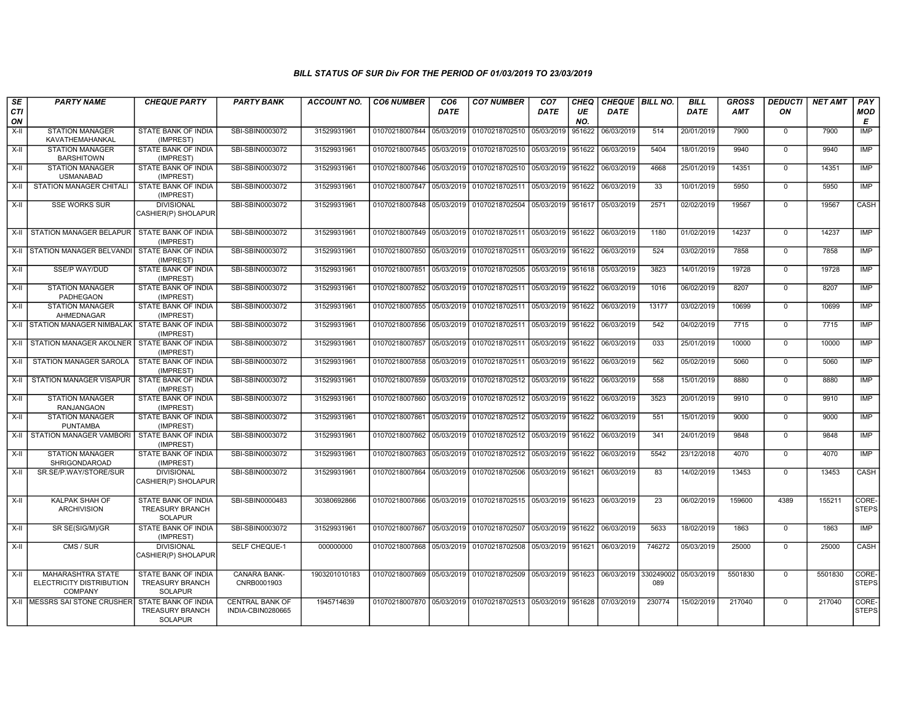| SE<br>CTI<br>ON | <b>PARTY NAME</b>                                                             | <b>CHEQUE PARTY</b>                                                    | <b>PARTY BANK</b>                           | <b>ACCOUNT NO.</b> | <b>CO6 NUMBER</b>         | CO <sub>6</sub><br><b>DATE</b> | <b>CO7 NUMBER</b>                                          | CO <sub>7</sub><br><b>DATE</b> | CHEQ<br>UE<br>NO. | CHEQUE   BILL NO.<br><b>DATE</b> |                  | <b>BILL</b><br><b>DATE</b> | <b>GROSS</b><br><b>AMT</b> | <b>DEDUCTI</b><br>ON | <b>NET AMT</b> | PAY<br><b>MOD</b><br>E |
|-----------------|-------------------------------------------------------------------------------|------------------------------------------------------------------------|---------------------------------------------|--------------------|---------------------------|--------------------------------|------------------------------------------------------------|--------------------------------|-------------------|----------------------------------|------------------|----------------------------|----------------------------|----------------------|----------------|------------------------|
| X-II            | <b>STATION MANAGER</b><br>KAVATHEMAHANKAL                                     | STATE BANK OF INDIA<br>(IMPREST)                                       | SBI-SBIN0003072                             | 31529931961        | 01070218007844            | 05/03/2019                     | 01070218702510                                             | 05/03/2019                     | 951622            | 06/03/2019                       | 514              | 20/01/2019                 | 7900                       | $\mathbf 0$          | 7900           | IMP                    |
| X-II            | <b>STATION MANAGER</b><br><b>BARSHITOWN</b>                                   | STATE BANK OF INDIA<br>(IMPREST)                                       | SBI-SBIN0003072                             | 31529931961        | 01070218007845 05/03/2019 |                                | 01070218702510 05/03/2019                                  |                                | 951622            | 06/03/2019                       | 5404             | 18/01/2019                 | 9940                       | $\mathbf 0$          | 9940           | <b>IMP</b>             |
| $X-H$           | <b>STATION MANAGER</b><br><b>USMANABAD</b>                                    | STATE BANK OF INDIA<br>(IMPREST)                                       | SBI-SBIN0003072                             | 31529931961        | 01070218007846 05/03/2019 |                                | 01070218702510 05/03/2019 951622                           |                                |                   | 06/03/2019                       | 4668             | 25/01/2019                 | 14351                      | $\Omega$             | 14351          | <b>IMP</b>             |
| X-II            | STATION MANAGER CHITALI                                                       | STATE BANK OF INDIA<br>(IMPREST)                                       | SBI-SBIN0003072                             | 31529931961        | 01070218007847            | 05/03/2019                     | 01070218702511 05/03/2019                                  |                                | 951622            | 06/03/2019                       | 33               | 10/01/2019                 | 5950                       | $\mathbf 0$          | 5950           | IMP                    |
| $X-H$           | <b>SSE WORKS SUR</b>                                                          | <b>DIVISIONAL</b><br>CASHIER(P) SHOLAPUR                               | SBI-SBIN0003072                             | 31529931961        | 01070218007848            | 05/03/2019                     | 01070218702504 05/03/2019 951617                           |                                |                   | 05/03/2019                       | 2571             | 02/02/2019                 | 19567                      | $\Omega$             | 19567          | CASH                   |
|                 | X-II STATION MANAGER BELAPUR                                                  | <b>STATE BANK OF INDIA</b><br>(IMPREST)                                | SBI-SBIN0003072                             | 31529931961        | 01070218007849            | 05/03/2019                     | 01070218702511 05/03/2019 951622                           |                                |                   | 06/03/2019                       | 1180             | 01/02/2019                 | 14237                      | $\mathbf 0$          | 14237          | IMP                    |
|                 | X-II STATION MANAGER BELVANDI                                                 | <b>STATE BANK OF INDIA</b><br>(IMPREST)                                | SBI-SBIN0003072                             | 31529931961        | 01070218007850 05/03/2019 |                                | 01070218702511 05/03/2019 951622                           |                                |                   | 06/03/2019                       | 524              | 03/02/2019                 | 7858                       | $\mathbf 0$          | 7858           | <b>IMP</b>             |
| X-II            | <b>SSE/P WAY/DUD</b>                                                          | STATE BANK OF INDIA<br>(IMPREST)                                       | SBI-SBIN0003072                             | 31529931961        | 01070218007851            | 05/03/2019                     | 01070218702505 05/03/2019                                  |                                | 951618            | 05/03/2019                       | 3823             | 14/01/2019                 | 19728                      | $\mathbf 0$          | 19728          | <b>IMP</b>             |
| X-II            | <b>STATION MANAGER</b><br><b>PADHEGAON</b>                                    | STATE BANK OF INDIA<br>(IMPREST)                                       | SBI-SBIN0003072                             | 31529931961        | 01070218007852            | 05/03/2019                     | 01070218702511 05/03/2019 951622                           |                                |                   | 06/03/2019                       | 1016             | 06/02/2019                 | 8207                       | $\mathbf 0$          | 8207           | IMP                    |
| $X-H$           | <b>STATION MANAGER</b><br>AHMEDNAGAR                                          | STATE BANK OF INDIA<br>(IMPREST)                                       | SBI-SBIN0003072                             | 31529931961        | 01070218007855            | 05/03/2019                     | 01070218702511 05/03/2019 951622                           |                                |                   | 06/03/2019                       | 13177            | 03/02/2019                 | 10699                      | $\mathbf 0$          | 10699          | <b>IMP</b>             |
|                 | X-II STATION MANAGER NIMBALAK                                                 | <b>STATE BANK OF INDIA</b><br>(IMPREST)                                | SBI-SBIN0003072                             | 31529931961        | 01070218007856            | 05/03/2019                     | 01070218702511 05/03/2019 951622                           |                                |                   | 06/03/2019                       | 542              | 04/02/2019                 | 7715                       | $\overline{0}$       | 7715           | IMP                    |
| X-II            | STATION MANAGER AKOLNER                                                       | STATE BANK OF INDIA<br>(IMPREST)                                       | SBI-SBIN0003072                             | 31529931961        | 01070218007857            | 05/03/2019                     | 01070218702511 05/03/2019 951622                           |                                |                   | 06/03/2019                       | 033              | 25/01/2019                 | 10000                      | $\mathbf 0$          | 10000          | <b>IMP</b>             |
| X-II            | STATION MANAGER SAROLA                                                        | STATE BANK OF INDIA<br>(IMPREST)                                       | SBI-SBIN0003072                             | 31529931961        | 01070218007858            | 05/03/2019                     | 01070218702511 05/03/2019                                  |                                | 951622            | 06/03/2019                       | 562              | 05/02/2019                 | 5060                       | $\overline{0}$       | 5060           | <b>IMP</b>             |
| X-II            | STATION MANAGER VISAPUR                                                       | STATE BANK OF INDIA<br>(IMPREST)                                       | SBI-SBIN0003072                             | 31529931961        | 01070218007859            | 05/03/2019                     | 01070218702512 05/03/2019 951622                           |                                |                   | 06/03/2019                       | 558              | 15/01/2019                 | 8880                       | $\mathbf 0$          | 8880           | <b>IMP</b>             |
| $X-H$           | <b>STATION MANAGER</b><br><b>RANJANGAON</b>                                   | STATE BANK OF INDIA<br>(IMPREST)                                       | SBI-SBIN0003072                             | 31529931961        | 01070218007860            | 05/03/2019                     | 01070218702512 05/03/2019 951622                           |                                |                   | 06/03/2019                       | 3523             | 20/01/2019                 | 9910                       | $\overline{0}$       | 9910           | <b>IMP</b>             |
| X-II            | <b>STATION MANAGER</b><br><b>PUNTAMBA</b>                                     | STATE BANK OF INDIA<br>(IMPREST)                                       | SBI-SBIN0003072                             | 31529931961        | 01070218007861            | 05/03/2019                     | 01070218702512 05/03/2019                                  |                                | 951622            | 06/03/2019                       | 551              | 15/01/2019                 | 9000                       | $\mathbf 0$          | 9000           | <b>IMP</b>             |
| X-II            | STATION MANAGER VAMBORI                                                       | STATE BANK OF INDIA<br>(IMPREST)                                       | SBI-SBIN0003072                             | 31529931961        | 01070218007862            | 05/03/2019                     | 01070218702512 05/03/2019 951622                           |                                |                   | 06/03/2019                       | 341              | 24/01/2019                 | 9848                       | $\Omega$             | 9848           | IMP                    |
| X-II            | <b>STATION MANAGER</b><br>SHRIGONDAROAD                                       | STATE BANK OF INDIA<br>(IMPREST)                                       | SBI-SBIN0003072                             | 31529931961        | 01070218007863            | 05/03/2019                     | 01070218702512 05/03/2019 951622                           |                                |                   | 06/03/2019                       | 5542             | 23/12/2018                 | 4070                       | $\mathbf 0$          | 4070           | IMP                    |
| $X-H$           | SR.SE/P.WAY/STORE/SUR                                                         | <b>DIVISIONAL</b><br>CASHIER(P) SHOLAPUR                               | SBI-SBIN0003072                             | 31529931961        | 01070218007864            | 05/03/2019                     | 01070218702506 05/03/2019 951621                           |                                |                   | 06/03/2019                       | 83               | 14/02/2019                 | 13453                      | $\Omega$             | 13453          | CASH                   |
| X-II            | KALPAK SHAH OF<br><b>ARCHIVISION</b>                                          | <b>STATE BANK OF INDIA</b><br><b>TREASURY BRANCH</b><br><b>SOLAPUR</b> | SBI-SBIN0000483                             | 30380692866        | 01070218007866            | 05/03/2019                     | 01070218702515 05/03/2019 951623                           |                                |                   | 06/03/2019                       | 23               | 06/02/2019                 | 159600                     | 4389                 | 155211         | CORE-<br><b>STEPS</b>  |
| X-II            | SR SE(SIG/M)/GR                                                               | STATE BANK OF INDIA<br>(IMPREST)                                       | SBI-SBIN0003072                             | 31529931961        | 01070218007867            | 05/03/2019                     | 01070218702507 05/03/2019 951622                           |                                |                   | 06/03/2019                       | 5633             | 18/02/2019                 | 1863                       | $\mathbf 0$          | 1863           | IMP                    |
| $X-H$           | CMS / SUR                                                                     | <b>DIVISIONAL</b><br>CASHIER(P) SHOLAPUR                               | SELF CHEQUE-1                               | 000000000          |                           |                                | 01070218007868 05/03/2019 01070218702508 05/03/2019 951621 |                                |                   | 06/03/2019                       | 746272           | 05/03/2019                 | 25000                      | $\mathbf 0$          | 25000          | CASH                   |
| X-II            | <b>MAHARASHTRA STATE</b><br><b>ELECTRICITY DISTRIBUTION</b><br><b>COMPANY</b> | <b>STATE BANK OF INDIA</b><br><b>TREASURY BRANCH</b><br><b>SOLAPUR</b> | <b>CANARA BANK-</b><br>CNRB0001903          | 1903201010183      | 01070218007869 05/03/2019 |                                | 01070218702509 05/03/2019 951623                           |                                |                   | 06/03/2019                       | 330249002<br>089 | 05/03/2019                 | 5501830                    | $\mathbf 0$          | 5501830        | CORE-<br><b>STEPS</b>  |
|                 | X-II MESSRS SAI STONE CRUSHER                                                 | <b>STATE BANK OF INDIA</b><br><b>TREASURY BRANCH</b><br><b>SOLAPUR</b> | <b>CENTRAL BANK OF</b><br>INDIA-CBIN0280665 | 1945714639         |                           |                                | 01070218007870 05/03/2019 01070218702513 05/03/2019 951628 |                                |                   | 07/03/2019                       | 230774           | 15/02/2019                 | 217040                     | $\mathbf 0$          | 217040         | CORE-<br><b>STEPS</b>  |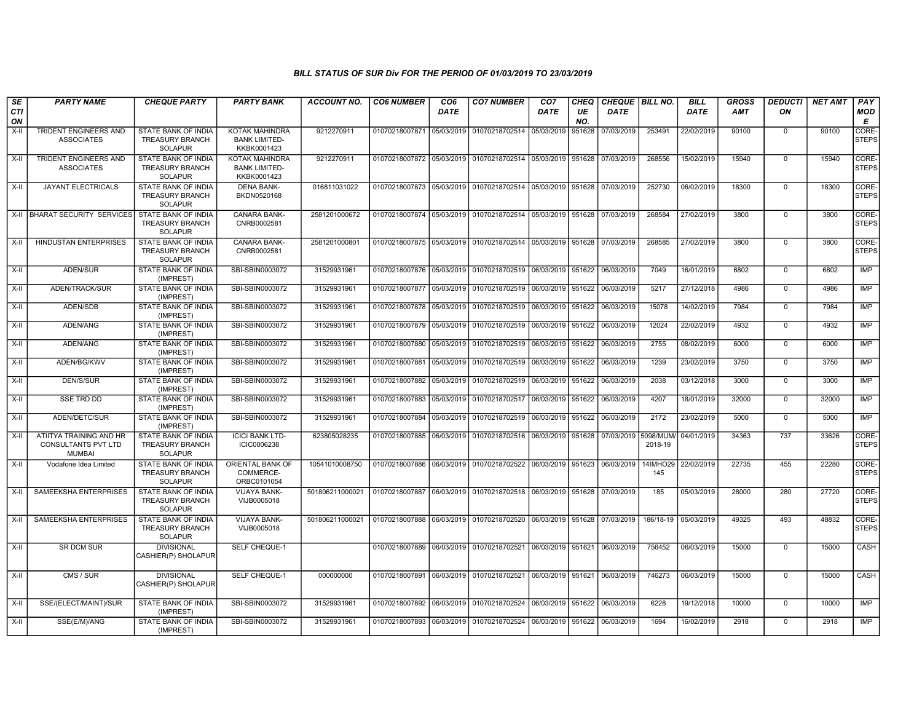| SE               | <b>PARTY NAME</b>                                               | <b>CHEQUE PARTY</b>                                                    | <b>PARTY BANK</b>                                            | <b>ACCOUNT NO.</b> | <b>CO6 NUMBER</b>                        | CO <sub>6</sub> | <b>CO7 NUMBER</b>                                                               | CO <sub>7</sub>   | <b>CHEQ</b> | CHEQUE   BILL NO. |                      | <b>BILL</b>          | <b>GROSS</b> | <b>DEDUCTI</b> | <b>NET AMT</b> | <b>PAY</b>            |
|------------------|-----------------------------------------------------------------|------------------------------------------------------------------------|--------------------------------------------------------------|--------------------|------------------------------------------|-----------------|---------------------------------------------------------------------------------|-------------------|-------------|-------------------|----------------------|----------------------|--------------|----------------|----------------|-----------------------|
| <b>CTI</b><br>ON |                                                                 |                                                                        |                                                              |                    |                                          | DATE            |                                                                                 | DATE              | UE<br>NO.   | <b>DATE</b>       |                      | <b>DATE</b>          | <b>AMT</b>   | ΟN             |                | <b>MOD</b><br>Е       |
| X-II             | <b>TRIDENT ENGINEERS AND</b><br><b>ASSOCIATES</b>               | STATE BANK OF INDIA<br><b>TREASURY BRANCH</b><br><b>SOLAPUR</b>        | <b>KOTAK MAHINDRA</b><br><b>BANK LIMITED-</b><br>KKBK0001423 | 9212270911         | 01070218007871 05/03/2019                |                 | 01070218702514                                                                  | 05/03/2019        | 951628      | 07/03/2019        | 253491               | 22/02/2019           | 90100        | $\mathbf 0$    | 90100          | CORE-<br><b>STEPS</b> |
| X-II             | <b>TRIDENT ENGINEERS AND</b><br><b>ASSOCIATES</b>               | <b>STATE BANK OF INDIA</b><br>TREASURY BRANCH<br><b>SOLAPUR</b>        | <b>KOTAK MAHINDRA</b><br><b>BANK LIMITED-</b><br>KKBK0001423 | 9212270911         |                                          |                 | 01070218007872 05/03/2019 01070218702514 05/03/2019 951628                      |                   |             | 07/03/2019        | 268556               | 15/02/2019           | 15940        | $\mathbf 0$    | 15940          | CORE-<br><b>STEPS</b> |
| $X-II$           | <b>JAYANT ELECTRICALS</b>                                       | <b>STATE BANK OF INDIA</b><br><b>TREASURY BRANCH</b><br><b>SOLAPUR</b> | <b>DENA BANK-</b><br>BKDN0520168                             | 016811031022       |                                          |                 | 01070218007873 05/03/2019 01070218702514 05/03/2019 951628                      |                   |             | 07/03/2019        | 252730               | 06/02/2019           | 18300        | $\Omega$       | 18300          | CORE-<br>STEPS        |
|                  | X-II BHARAT SECURITY SERVICES                                   | STATE BANK OF INDIA<br>TREASURY BRANCH<br><b>SOLAPUR</b>               | CANARA BANK-<br>CNRB0002581                                  | 2581201000672      | 01070218007874 05/03/2019                |                 | 01070218702514 05/03/2019 951628                                                |                   |             | 07/03/2019        | 268584               | 27/02/2019           | 3800         | $\mathsf 0$    | 3800           | CORE-<br><b>STEPS</b> |
| X-II             | <b>HINDUSTAN ENTERPRISES</b>                                    | STATE BANK OF INDIA<br><b>TREASURY BRANCH</b><br><b>SOLAPUR</b>        | CANARA BANK-<br>CNRB0002581                                  | 2581201000801      |                                          |                 | 01070218007875 05/03/2019 01070218702514 05/03/2019 951628 07/03/2019           |                   |             |                   | 268585               | 27/02/2019           | 3800         | $\mathbf 0$    | 3800           | CORE-<br><b>STEPS</b> |
| $X-H$            | ADEN/SUR                                                        | STATE BANK OF INDIA<br>(IMPREST)                                       | SBI-SBIN0003072                                              | 31529931961        |                                          |                 | 01070218007876 05/03/2019 01070218702519 06/03/2019 951622                      |                   |             | 06/03/2019        | 7049                 | 16/01/2019           | 6802         | $\overline{0}$ | 6802           | <b>IMP</b>            |
| X-II             | ADEN/TRACK/SUR                                                  | STATE BANK OF INDIA<br>(IMPREST)                                       | SBI-SBIN0003072                                              | 31529931961        |                                          |                 | 01070218007877 05/03/2019 01070218702519 06/03/2019 951622                      |                   |             | 06/03/2019        | 5217                 | 27/12/2018           | 4986         | $\mathbf 0$    | 4986           | IMP                   |
| X-II             | ADEN/SDB                                                        | <b>STATE BANK OF INDIA</b><br>(IMPREST)                                | SBI-SBIN0003072                                              | 31529931961        |                                          |                 | 01070218007878 05/03/2019 01070218702519 06/03/2019 951622                      |                   |             | 06/03/2019        | 15078                | 14/02/2019           | 7984         | $\mathbf 0$    | 7984           | IMP                   |
| X-II             | ADEN/ANG                                                        | STATE BANK OF INDIA<br>(IMPREST)                                       | SBI-SBIN0003072                                              | 31529931961        |                                          |                 | 01070218007879 05/03/2019 01070218702519 06/03/2019 951622                      |                   |             | 06/03/2019        | 12024                | 22/02/2019           | 4932         | $\mathbf 0$    | 4932           | IMP                   |
| X-II             | ADEN/ANG                                                        | STATE BANK OF INDIA<br>(IMPREST)                                       | SBI-SBIN0003072                                              | 31529931961        | 01070218007880 05/03/2019                |                 | 01070218702519 06/03/2019 951622                                                |                   |             | 06/03/2019        | 2755                 | 08/02/2019           | 6000         | $\Omega$       | 6000           | IMP                   |
| X-II             | ADEN/BG/KWV                                                     | STATE BANK OF INDIA<br>(IMPREST)                                       | SBI-SBIN0003072                                              | 31529931961        | 01070218007881 05/03/2019 01070218702519 |                 |                                                                                 | 06/03/2019 951622 |             | 06/03/2019        | 1239                 | 23/02/2019           | 3750         | $\mathbf 0$    | 3750           | <b>IMP</b>            |
| $X-H$            | <b>DEN/S/SUR</b>                                                | <b>STATE BANK OF INDIA</b><br>(IMPREST)                                | SBI-SBIN0003072                                              | 31529931961        | 01070218007882 05/03/2019                |                 | 01070218702519 06/03/2019 951622                                                |                   |             | 06/03/2019        | 2038                 | 03/12/2018           | 3000         | $\overline{0}$ | 3000           | <b>IMP</b>            |
| X-II             | <b>SSE TRD DD</b>                                               | <b>STATE BANK OF INDIA</b><br>(IMPREST)                                | SBI-SBIN0003072                                              | 31529931961        |                                          |                 | 01070218007883 05/03/2019 01070218702517                                        | 06/03/2019 951622 |             | 06/03/2019        | 4207                 | 18/01/2019           | 32000        | $\Omega$       | 32000          | <b>IMP</b>            |
| $X-II$           | ADEN/DETC/SUR                                                   | <b>STATE BANK OF INDIA</b><br>(IMPREST)                                | SBI-SBIN0003072                                              | 31529931961        | 01070218007884 05/03/2019                |                 | 01070218702519 06/03/2019 951622                                                |                   |             | 06/03/2019        | 2172                 | 23/02/2019           | 5000         | $\Omega$       | 5000           | <b>IMP</b>            |
| $X-H$            | ATIITYA TRAINING AND HR<br>CONSULTANTS PVT LTD<br><b>MUMBAI</b> | <b>STATE BANK OF INDIA</b><br><b>TREASURY BRANCH</b><br><b>SOLAPUR</b> | <b>ICICI BANK LTD-</b><br>ICIC0006238                        | 623805028235       |                                          |                 | 01070218007885 06/03/2019 01070218702516 06/03/2019 951628                      |                   |             | 07/03/2019        | 5098/MUM/<br>2018-19 | 04/01/2019           | 34363        | 737            | 33626          | CORE-<br><b>STEPS</b> |
| $X-I$            | Vodafone Idea Limited                                           | <b>STATE BANK OF INDIA</b><br>TREASURY BRANCH<br><b>SOLAPUR</b>        | ORIENTAL BANK OF<br>COMMERCE-<br>ORBC0101054                 | 10541010008750     |                                          |                 | 01070218007886 06/03/2019 01070218702522 06/03/2019 951623                      |                   |             | 06/03/2019        | 14IMHO29<br>145      | 22/02/2019           | 22735        | 455            | 22280          | CORE-<br><b>STEPS</b> |
| X-II             | SAMEEKSHA ENTERPRISES                                           | STATE BANK OF INDIA<br><b>TREASURY BRANCH</b><br><b>SOLAPUR</b>        | <b>VIJAYA BANK-</b><br>VIJB0005018                           | 501806211000021    |                                          |                 | 01070218007887   06/03/2019   01070218702518   06/03/2019   951628   07/03/2019 |                   |             |                   | 185                  | 05/03/2019           | 28000        | 280            | 27720          | CORE-<br><b>STEPS</b> |
| X-II             | SAMEEKSHA ENTERPRISES                                           | <b>STATE BANK OF INDIA</b><br>TREASURY BRANCH<br><b>SOLAPUR</b>        | VIJAYA BANK-<br>VIJB0005018                                  | 501806211000021    |                                          |                 | 01070218007888 06/03/2019 01070218702520 06/03/2019 951628 07/03/2019           |                   |             |                   |                      | 186/18-19 05/03/2019 | 49325        | 493            | 48832          | CORE-<br><b>STEPS</b> |
| $X-H$            | SR DCM SUR                                                      | <b>DIVISIONAL</b><br>CASHIER(P) SHOLAPUR                               | SELF CHEQUE-1                                                |                    |                                          |                 | 01070218007889 06/03/2019 01070218702521                                        | 06/03/2019 951621 |             | 06/03/2019        | 756452               | 06/03/2019           | 15000        | $\mathbf 0$    | 15000          | CASH                  |
| X-II             | CMS / SUR                                                       | <b>DIVISIONAL</b><br>CASHIER(P) SHOLAPUR                               | SELF CHEQUE-1                                                | 000000000          | 01070218007891                           |                 | 06/03/2019 01070218702521                                                       | 06/03/2019 951621 |             | 06/03/2019        | 746273               | 06/03/2019           | 15000        | $\mathbf 0$    | 15000          | CASH                  |
| X-II             | SSE/(ELECT/MAINT)/SUR                                           | <b>STATE BANK OF INDIA</b><br>(IMPREST)                                | SBI-SBIN0003072                                              | 31529931961        |                                          |                 | 01070218007892 06/03/2019 01070218702524 06/03/2019 951622                      |                   |             | 06/03/2019        | 6228                 | 19/12/2018           | 10000        | $\mathbf 0$    | 10000          | IMP                   |
| X-II             | SSE(E/M)/ANG                                                    | STATE BANK OF INDIA<br>(IMPREST)                                       | SBI-SBIN0003072                                              | 31529931961        |                                          |                 | 01070218007893 06/03/2019 01070218702524 06/03/2019 951622                      |                   |             | 06/03/2019        | 1694                 | 16/02/2019           | 2918         | $\mathbf 0$    | 2918           | IMP                   |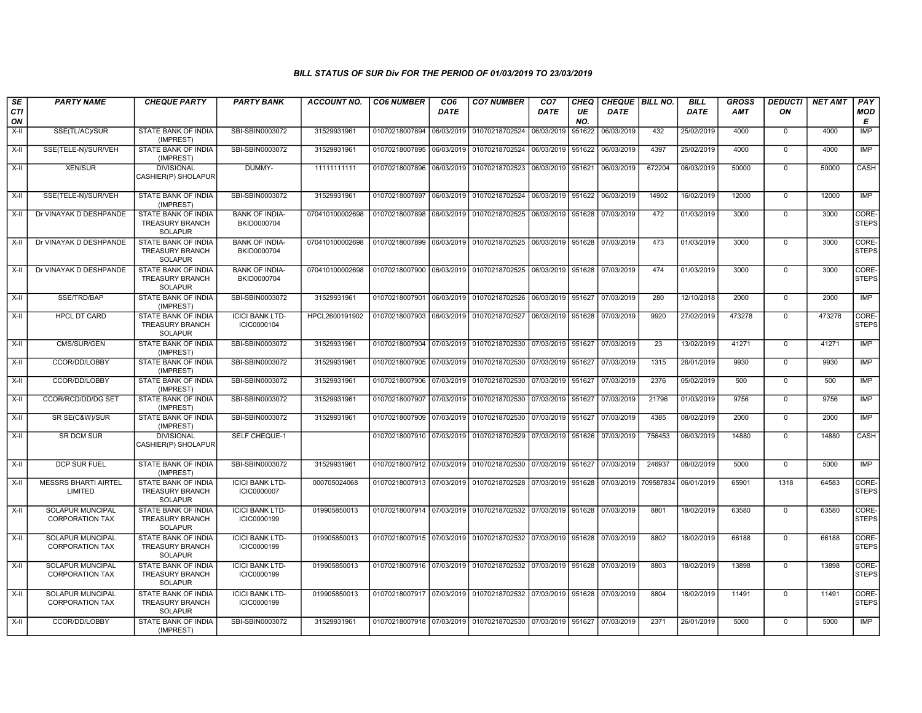| SE<br>CTI<br>ON | <b>PARTY NAME</b>                                 | <b>CHEQUE PARTY</b>                                             | <b>PARTY BANK</b>                            | <b>ACCOUNT NO.</b> | <b>CO6 NUMBER</b>         | CO <sub>6</sub><br><b>DATE</b> | <b>CO7 NUMBER</b>                                                     | CO <sub>7</sub><br><b>DATE</b> | CHEQ<br>UE<br>NO. | CHEQUE BILL NO.<br>DATE |           | <b>BILL</b><br><b>DATE</b> | <b>GROSS</b><br>AMT | <b>DEDUCTI</b><br>ON | <b>NET AMT</b> | PAY<br>MOD<br>Е       |
|-----------------|---------------------------------------------------|-----------------------------------------------------------------|----------------------------------------------|--------------------|---------------------------|--------------------------------|-----------------------------------------------------------------------|--------------------------------|-------------------|-------------------------|-----------|----------------------------|---------------------|----------------------|----------------|-----------------------|
| X-II            | SSE(TL/AC)/SUR                                    | STATE BANK OF INDIA<br>(IMPREST)                                | SBI-SBIN0003072                              | 31529931961        | 01070218007894            | 06/03/2019                     | 01070218702524                                                        | 06/03/2019                     | 951622            | 06/03/2019              | 432       | 25/02/2019                 | 4000                | $\mathbf 0$          | 4000           | <b>IMP</b>            |
| X-II            | SSE(TELE-N)/SUR/VEH                               | STATE BANK OF INDIA<br>(IMPREST)                                | SBI-SBIN0003072                              | 31529931961        | 01070218007895            | 06/03/2019                     | 01070218702524 06/03/2019                                             |                                | 951622            | 06/03/2019              | 4397      | 25/02/2019                 | 4000                | $\mathbf 0$          | 4000           | IMP                   |
| X-II            | <b>XEN/SUR</b>                                    | <b>DIVISIONAL</b><br>CASHIER(P) SHOLAPUR                        | DUMMY-                                       | 11111111111        | 01070218007896 06/03/2019 |                                | 01070218702523 06/03/2019 951621                                      |                                |                   | 06/03/2019              | 672204    | 06/03/2019                 | 50000               | $\Omega$             | 50000          | CASH                  |
| $X-H$           | SSE(TELE-N)/SUR/VEH                               | STATE BANK OF INDIA<br>(IMPREST)                                | SBI-SBIN0003072                              | 31529931961        | 01070218007897 06/03/2019 |                                | 01070218702524 06/03/2019 951622                                      |                                |                   | 06/03/2019              | 14902     | 16/02/2019                 | 12000               | $\mathbf 0$          | 12000          | <b>IMP</b>            |
| $X-II$          | Dr VINAYAK D DESHPANDE                            | STATE BANK OF INDIA<br><b>TREASURY BRANCH</b><br><b>SOLAPUR</b> | <b>BANK OF INDIA-</b><br>BKID0000704         | 070410100002698    | 01070218007898            | 06/03/2019                     | 01070218702525 06/03/2019 951628 07/03/2019                           |                                |                   |                         | 472       | 01/03/2019                 | 3000                | $\overline{0}$       | 3000           | CORE-<br><b>STEPS</b> |
| $X-I$           | Dr VINAYAK D DESHPANDE                            | STATE BANK OF INDIA<br><b>TREASURY BRANCH</b><br><b>SOLAPUR</b> | <b>BANK OF INDIA-</b><br>BKID0000704         | 070410100002698    | 01070218007899            |                                | 06/03/2019 01070218702525 06/03/2019 951628 07/03/2019                |                                |                   |                         | 473       | 01/03/2019                 | 3000                | $\mathbf 0$          | 3000           | CORE-<br><b>STEPS</b> |
| X-II            | Dr VINAYAK D DESHPANDE                            | STATE BANK OF INDIA<br>TREASURY BRANCH<br><b>SOLAPUR</b>        | <b>BANK OF INDIA-</b><br>BKID0000704         | 070410100002698    | 01070218007900 06/03/2019 |                                | 01070218702525 06/03/2019 951628                                      |                                |                   | 07/03/2019              | 474       | 01/03/2019                 | 3000                | $\mathbf 0$          | 3000           | CORE-<br><b>STEPS</b> |
| X-II            | SSE/TRD/BAP                                       | STATE BANK OF INDIA<br>(IMPREST)                                | SBI-SBIN0003072                              | 31529931961        | 01070218007901 06/03/2019 |                                | 01070218702526 06/03/2019 951627                                      |                                |                   | 07/03/2019              | 280       | 12/10/2018                 | 2000                | $\mathbf 0$          | 2000           | <b>IMP</b>            |
| X-II            | <b>HPCL DT CARD</b>                               | STATE BANK OF INDIA<br><b>TREASURY BRANCH</b><br><b>SOLAPUR</b> | <b>ICICI BANK LTD-</b><br>ICIC0000104        | HPCL2600191902     | 01070218007903 06/03/2019 |                                | 01070218702527 06/03/2019 951628                                      |                                |                   | 07/03/2019              | 9920      | 27/02/2019                 | 473278              | $\Omega$             | 473278         | CORE-<br><b>STEPS</b> |
| $X-H$           | CMS/SUR/GEN                                       | STATE BANK OF INDIA<br>(IMPREST)                                | SBI-SBIN0003072                              | 31529931961        | 01070218007904            | 07/03/2019                     | 01070218702530 07/03/2019 951627                                      |                                |                   | 07/03/2019              | 23        | 13/02/2019                 | 41271               | $\overline{0}$       | 41271          | <b>IMP</b>            |
| $X-H$           | CCOR/DD/LOBBY                                     | STATE BANK OF INDIA<br>(IMPREST)                                | SBI-SBIN0003072                              | 31529931961        | 01070218007905 07/03/2019 |                                | 01070218702530 07/03/2019 951627                                      |                                |                   | 07/03/2019              | 1315      | 26/01/2019                 | 9930                | $\mathbf 0$          | 9930           | <b>IMP</b>            |
| X-II            | CCOR/DD/LOBBY                                     | <b>STATE BANK OF INDIA</b><br>(IMPREST)                         | SBI-SBIN0003072                              | 31529931961        | 01070218007906 07/03/2019 |                                | 01070218702530 07/03/2019 951627                                      |                                |                   | 07/03/2019              | 2376      | 05/02/2019                 | 500                 | $\mathbf 0$          | 500            | IMP                   |
| $X-II$          | CCOR/RCD/DD/DG SET                                | STATE BANK OF INDIA<br>(IMPREST)                                | SBI-SBIN0003072                              | 31529931961        | 01070218007907 07/03/2019 |                                | 01070218702530 07/03/2019 951627                                      |                                |                   | 07/03/2019              | 21796     | 01/03/2019                 | 9756                | $\Omega$             | 9756           | <b>IMP</b>            |
| X-II            | SR SE(C&W)/SUR                                    | STATE BANK OF INDIA<br>(IMPREST)                                | SBI-SBIN0003072                              | 31529931961        | 01070218007909 07/03/2019 |                                | 01070218702530 07/03/2019                                             |                                | 951627            | 07/03/2019              | 4385      | 08/02/2019                 | 2000                | $\mathbf 0$          | 2000           | <b>IMP</b>            |
| X-II            | <b>SR DCM SUR</b>                                 | <b>DIVISIONAL</b><br>CASHIER(P) SHOLAPUR                        | <b>SELF CHEQUE-1</b>                         |                    | 01070218007910 07/03/2019 |                                | 01070218702529 07/03/2019 951626                                      |                                |                   | 07/03/2019              | 756453    | 06/03/2019                 | 14880               | $\mathbf 0$          | 14880          | CASH                  |
| X-II            | <b>DCP SUR FUEL</b>                               | STATE BANK OF INDIA<br>(IMPREST)                                | SBI-SBIN0003072                              | 31529931961        | 01070218007912 07/03/2019 |                                | 01070218702530 07/03/2019 951627                                      |                                |                   | 07/03/2019              | 246937    | 08/02/2019                 | 5000                | $\mathbf 0$          | 5000           | <b>IMP</b>            |
| $X-II$          | <b>MESSRS BHARTI AIRTEL</b><br>LIMITED            | STATE BANK OF INDIA<br><b>TREASURY BRANCH</b><br><b>SOLAPUR</b> | <b>ICICI BANK LTD-</b><br><b>ICIC0000007</b> | 000705024068       | 01070218007913 07/03/2019 |                                | 01070218702528 07/03/2019 951628                                      |                                |                   | 07/03/2019              | 709587834 | 06/01/2019                 | 65901               | 1318                 | 64583          | CORE-<br><b>STEPS</b> |
| $X-H$           | SOLAPUR MUNCIPAL<br><b>CORPORATION TAX</b>        | STATE BANK OF INDIA<br><b>TREASURY BRANCH</b><br><b>SOLAPUR</b> | <b>ICICI BANK LTD-</b><br>ICIC0000199        | 019905850013       | 01070218007914 07/03/2019 |                                | 01070218702532 07/03/2019 951628                                      |                                |                   | 07/03/2019              | 8801      | 18/02/2019                 | 63580               | $\mathbf 0$          | 63580          | CORE-<br><b>STEPS</b> |
| X-II            | <b>SOLAPUR MUNCIPAL</b><br><b>CORPORATION TAX</b> | STATE BANK OF INDIA<br><b>TREASURY BRANCH</b><br><b>SOLAPUR</b> | <b>ICICI BANK LTD-</b><br>ICIC0000199        | 019905850013       |                           |                                | 01070218007915 07/03/2019 01070218702532 07/03/2019 951628 07/03/2019 |                                |                   |                         | 8802      | 18/02/2019                 | 66188               | $\Omega$             | 66188          | CORE-<br><b>STEPS</b> |
| X-II            | <b>SOLAPUR MUNCIPAL</b><br><b>CORPORATION TAX</b> | STATE BANK OF INDIA<br><b>TREASURY BRANCH</b><br><b>SOLAPUR</b> | <b>ICICI BANK LTD-</b><br>ICIC0000199        | 019905850013       |                           |                                | 01070218007916 07/03/2019 01070218702532 07/03/2019 951628            |                                |                   | 07/03/2019              | 8803      | 18/02/2019                 | 13898               | $\Omega$             | 13898          | CORE-<br><b>STEPS</b> |
| X-II            | SOLAPUR MUNCIPAL<br><b>CORPORATION TAX</b>        | STATE BANK OF INDIA<br><b>TREASURY BRANCH</b><br><b>SOLAPUR</b> | <b>ICICI BANK LTD-</b><br>ICIC0000199        | 019905850013       |                           |                                | 01070218007917 07/03/2019 01070218702532 07/03/2019 951628            |                                |                   | 07/03/2019              | 8804      | 18/02/2019                 | 11491               | $\mathbf 0$          | 11491          | CORE-<br><b>STEPS</b> |
| X-II            | CCOR/DD/LOBBY                                     | STATE BANK OF INDIA<br>(IMPREST)                                | SBI-SBIN0003072                              | 31529931961        |                           |                                | 01070218007918 07/03/2019 01070218702530 07/03/2019 951627 07/03/2019 |                                |                   |                         | 2371      | 26/01/2019                 | 5000                | $\mathbf 0$          | 5000           | <b>IMP</b>            |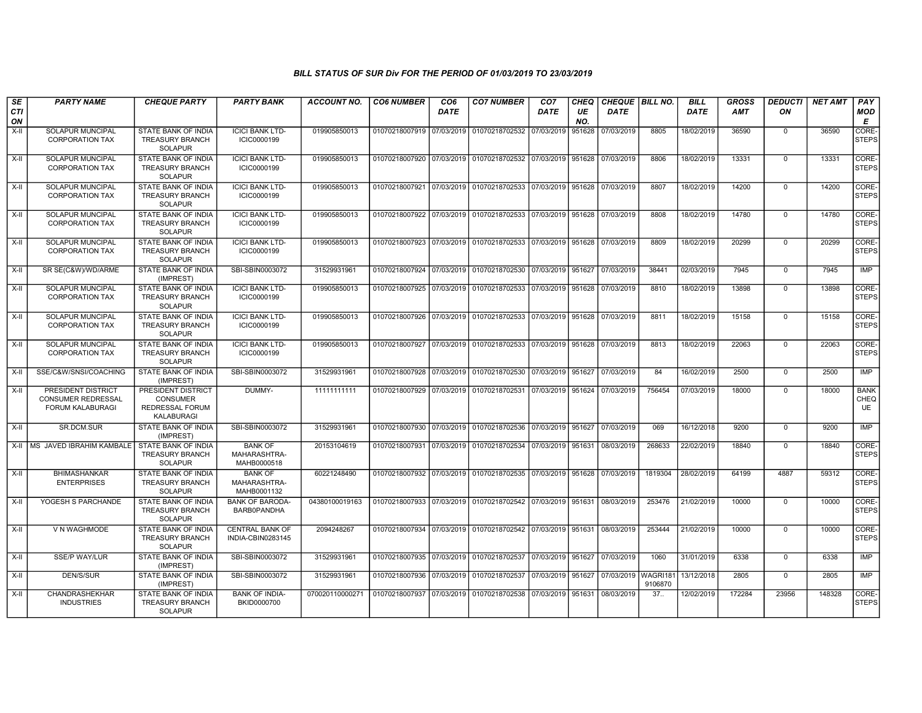| SE<br><b>CTI</b><br>ON | <b>PARTY NAME</b>                                                   | <b>CHEQUE PARTY</b>                                                    | <b>PARTY BANK</b>                             | <b>ACCOUNT NO.</b> | <b>CO6 NUMBER</b>         | CO <sub>6</sub><br><b>DATE</b> | <b>CO7 NUMBER</b>                                                     | CO <sub>7</sub><br>DATE | <b>CHEQ</b><br>UE<br>NO. | CHEQUE BILL NO.<br><b>DATE</b> |         | <b>BILL</b><br><b>DATE</b> | <b>GROSS</b><br><b>AMT</b> | <b>DEDUCTI</b><br>ON | <b>NET AMT</b> | PAY<br><b>MOD</b><br>E    |
|------------------------|---------------------------------------------------------------------|------------------------------------------------------------------------|-----------------------------------------------|--------------------|---------------------------|--------------------------------|-----------------------------------------------------------------------|-------------------------|--------------------------|--------------------------------|---------|----------------------------|----------------------------|----------------------|----------------|---------------------------|
| $X-H$                  | <b>SOLAPUR MUNCIPAL</b><br><b>CORPORATION TAX</b>                   | <b>STATE BANK OF INDIA</b><br><b>TREASURY BRANCH</b><br><b>SOLAPUR</b> | <b>ICICI BANK LTD-</b><br>ICIC0000199         | 019905850013       | 01070218007919            | 07/03/2019                     | 01070218702532                                                        | 07/03/2019              | 951628                   | 07/03/2019                     | 8805    | 18/02/2019                 | 36590                      | $\Omega$             | 36590          | CORE-<br><b>STEPS</b>     |
| $X-H$                  | <b>SOLAPUR MUNCIPAL</b><br>CORPORATION TAX                          | <b>STATE BANK OF INDIA</b><br><b>TREASURY BRANCH</b><br><b>SOLAPUR</b> | <b>ICICI BANK LTD-</b><br>ICIC0000199         | 019905850013       |                           |                                | 01070218007920 07/03/2019 01070218702532 07/03/2019 951628            |                         |                          | 07/03/2019                     | 8806    | 18/02/2019                 | 13331                      | $\overline{0}$       | 13331          | CORE-<br><b>STEPS</b>     |
| $X-II$                 | <b>SOLAPUR MUNCIPAL</b><br>CORPORATION TAX                          | STATE BANK OF INDIA<br><b>TREASURY BRANCH</b><br><b>SOLAPUR</b>        | <b>ICICI BANK LTD-</b><br>ICIC0000199         | 019905850013       |                           |                                | 01070218007921 07/03/2019 01070218702533 07/03/2019 951628            |                         |                          | 07/03/2019                     | 8807    | 18/02/2019                 | 14200                      | $\Omega$             | 14200          | CORE-<br><b>STEPS</b>     |
| X-II                   | <b>SOLAPUR MUNCIPAL</b><br><b>CORPORATION TAX</b>                   | <b>STATE BANK OF INDIA</b><br><b>TREASURY BRANCH</b><br><b>SOLAPUR</b> | <b>ICICI BANK LTD-</b><br>ICIC0000199         | 019905850013       |                           |                                | 01070218007922 07/03/2019 01070218702533 07/03/2019 951628            |                         |                          | 07/03/2019                     | 8808    | 18/02/2019                 | 14780                      | $\Omega$             | 14780          | CORE-<br><b>STEPS</b>     |
| $X-H$                  | <b>SOLAPUR MUNCIPAL</b><br><b>CORPORATION TAX</b>                   | <b>STATE BANK OF INDIA</b><br><b>TREASURY BRANCH</b><br><b>SOLAPUR</b> | <b>ICICI BANK LTD-</b><br>ICIC0000199         | 019905850013       |                           |                                | 01070218007923 07/03/2019 01070218702533 07/03/2019 951628            |                         |                          | 07/03/2019                     | 8809    | 18/02/2019                 | 20299                      | $\overline{0}$       | 20299          | CORE-<br><b>STEPS</b>     |
| $X-II$                 | SR SE(C&W)/WD/ARME                                                  | STATE BANK OF INDIA<br>(IMPREST)                                       | SBI-SBIN0003072                               | 31529931961        |                           |                                | 01070218007924 07/03/2019 01070218702530 07/03/2019 951627            |                         |                          | 07/03/2019                     | 38441   | 02/03/2019                 | 7945                       | $\overline{0}$       | 7945           | <b>IMP</b>                |
| $X-H$                  | <b>SOLAPUR MUNCIPAL</b><br><b>CORPORATION TAX</b>                   | <b>STATE BANK OF INDIA</b><br><b>TREASURY BRANCH</b><br><b>SOLAPUR</b> | <b>ICICI BANK LTD-</b><br>ICIC0000199         | 019905850013       |                           |                                | 01070218007925 07/03/2019 01070218702533 07/03/2019 951628            |                         |                          | 07/03/2019                     | 8810    | 18/02/2019                 | 13898                      | $\mathbf 0$          | 13898          | CORE-<br><b>STEPS</b>     |
| $X-II$                 | <b>SOLAPUR MUNCIPAL</b><br><b>CORPORATION TAX</b>                   | <b>STATE BANK OF INDIA</b><br><b>TREASURY BRANCH</b><br><b>SOLAPUR</b> | <b>ICICI BANK LTD-</b><br>ICIC0000199         | 019905850013       |                           |                                | 01070218007926 07/03/2019 01070218702533 07/03/2019 951628 07/03/2019 |                         |                          |                                | 8811    | 18/02/2019                 | 15158                      | $\overline{0}$       | 15158          | CORE-<br><b>STEPS</b>     |
| X-II                   | <b>SOLAPUR MUNCIPAL</b><br><b>CORPORATION TAX</b>                   | STATE BANK OF INDIA<br><b>TREASURY BRANCH</b><br><b>SOLAPUR</b>        | <b>ICICI BANK LTD-</b><br>ICIC0000199         | 019905850013       |                           |                                | 01070218007927 07/03/2019 01070218702533 07/03/2019 951628 07/03/2019 |                         |                          |                                | 8813    | 18/02/2019                 | 22063                      | $\mathbf 0$          | 22063          | CORE-<br><b>STEPS</b>     |
| $X-H$                  | SSE/C&W/SNSI/COACHING                                               | <b>STATE BANK OF INDIA</b><br>(IMPREST)                                | SBI-SBIN0003072                               | 31529931961        |                           |                                | 01070218007928 07/03/2019 01070218702530 07/03/2019 951627            |                         |                          | 07/03/2019                     | 84      | 16/02/2019                 | 2500                       | $\overline{0}$       | 2500           | <b>IMP</b>                |
| X-II                   | PRESIDENT DISTRICT<br><b>CONSUMER REDRESSAL</b><br>FORUM KALABURAGI | PRESIDENT DISTRICT<br><b>CONSUMER</b><br>REDRESSAL FORUM<br>KALABURAGI | DUMMY-                                        | 11111111111        |                           |                                | 01070218007929 07/03/2019 01070218702531 07/03/2019 951624 07/03/2019 |                         |                          |                                | 756454  | 07/03/2019                 | 18000                      | $\Omega$             | 18000          | <b>BANK</b><br>CHEQ<br>UE |
| $X-H$                  | SR.DCM.SUR                                                          | <b>STATE BANK OF INDIA</b><br>(IMPREST)                                | SBI-SBIN0003072                               | 31529931961        |                           |                                | 01070218007930 07/03/2019 01070218702536 07/03/2019 951627            |                         |                          | 07/03/2019                     | 069     | 16/12/2018                 | 9200                       | $\mathbf 0$          | 9200           | <b>IMP</b>                |
| $X-H$                  | MS JAVED IBRAHIM KAMBALE                                            | STATE BANK OF INDIA<br><b>TREASURY BRANCH</b><br><b>SOLAPUR</b>        | <b>BANK OF</b><br>MAHARASHTRA-<br>MAHB0000518 | 20153104619        |                           |                                | 01070218007931 07/03/2019 01070218702534 07/03/2019 951631 08/03/2019 |                         |                          |                                | 268633  | 22/02/2019                 | 18840                      | $\Omega$             | 18840          | CORE-<br><b>STEPS</b>     |
| X-II                   | <b>BHIMASHANKAR</b><br><b>ENTERPRISES</b>                           | <b>STATE BANK OF INDIA</b><br><b>TREASURY BRANCH</b><br><b>SOLAPUR</b> | <b>BANK OF</b><br>MAHARASHTRA-<br>MAHB0001132 | 60221248490        |                           |                                | 01070218007932 07/03/2019 01070218702535 07/03/2019 951628 07/03/2019 |                         |                          |                                | 1819304 | 28/02/2019                 | 64199                      | 4887                 | 59312          | CORE-<br><b>STEPS</b>     |
| $X-II$                 | YOGESH S PARCHANDE                                                  | <b>STATE BANK OF INDIA</b><br><b>TREASURY BRANCH</b><br><b>SOLAPUR</b> | <b>BANK OF BARODA-</b><br><b>BARB0PANDHA</b>  | 04380100019163     |                           |                                | 01070218007933 07/03/2019 01070218702542 07/03/2019 951631            |                         |                          | 08/03/2019                     | 253476  | 21/02/2019                 | 10000                      | $\Omega$             | 10000          | CORE-<br><b>STEPS</b>     |
| X-II                   | V N WAGHMODE                                                        | STATE BANK OF INDIA<br><b>TREASURY BRANCH</b><br><b>SOLAPUR</b>        | <b>CENTRAL BANK OF</b><br>INDIA-CBIN0283145   | 2094248267         |                           |                                | 01070218007934 07/03/2019 01070218702542 07/03/2019 951631            |                         |                          | 08/03/2019                     | 253444  | 21/02/2019                 | 10000                      | $\mathbf 0$          | 10000          | CORE-<br><b>STEPS</b>     |
| $X-H$                  | <b>SSE/P WAY/LUR</b>                                                | STATE BANK OF INDIA<br>(IMPREST)                                       | SBI-SBIN0003072                               | 31529931961        |                           |                                | 01070218007935 07/03/2019 01070218702537 07/03/2019 951627            |                         |                          | 07/03/2019                     | 1060    | 31/01/2019                 | 6338                       | $\mathbf 0$          | 6338           | <b>IMP</b>                |
| X-II                   | DEN/S/SUR                                                           | STATE BANK OF INDIA<br>(IMPREST)                                       | SBI-SBIN0003072                               | 31529931961        |                           |                                | 01070218007936 07/03/2019 01070218702537 07/03/2019 951627            |                         |                          | 07/03/2019 WAGRI181            | 9106870 | 13/12/2018                 | 2805                       | $\mathbf 0$          | 2805           | IMP                       |
| X-II                   | CHANDRASHEKHAR<br><b>INDUSTRIES</b>                                 | STATE BANK OF INDIA<br><b>TREASURY BRANCH</b><br><b>SOLAPUR</b>        | <b>BANK OF INDIA-</b><br>BKID0000700          | 070020110000271    | 01070218007937 07/03/2019 |                                | 01070218702538 07/03/2019 951631                                      |                         |                          | 08/03/2019                     | 37.     | 12/02/2019                 | 172284                     | 23956                | 148328         | CORE-<br><b>STEPS</b>     |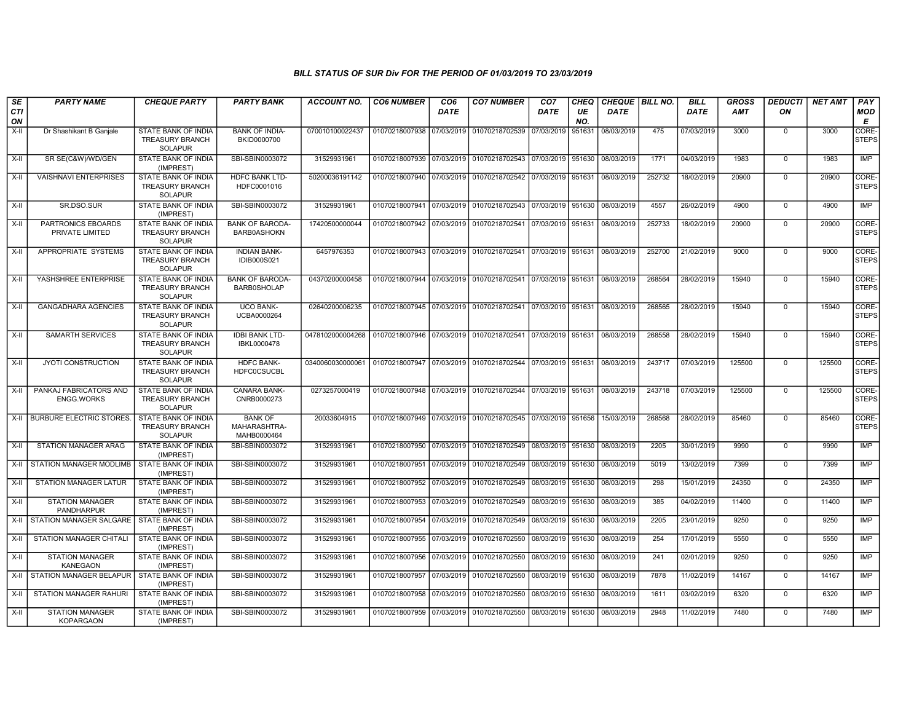| SE               | <b>PARTY NAME</b>                             | <b>CHEQUE PARTY</b>                                                    | <b>PARTY BANK</b>                             | <b>ACCOUNT NO.</b>                                                                    | <b>CO6 NUMBER</b>                        | CO <sub>6</sub> | <b>CO7 NUMBER</b>                                          | CO <sub>7</sub>   | <b>CHEQ</b> | CHEQUE   BILL NO. |        | <b>BILL</b> | <b>GROSS</b> | <b>DEDUCTI</b> | <b>NET AMT</b> | <b>PAY</b>            |
|------------------|-----------------------------------------------|------------------------------------------------------------------------|-----------------------------------------------|---------------------------------------------------------------------------------------|------------------------------------------|-----------------|------------------------------------------------------------|-------------------|-------------|-------------------|--------|-------------|--------------|----------------|----------------|-----------------------|
| <b>CTI</b><br>ON |                                               |                                                                        |                                               |                                                                                       |                                          | <b>DATE</b>     |                                                            | <b>DATE</b>       | UE<br>NO.   | <b>DATE</b>       |        | <b>DATE</b> | AMT          | ON             |                | <b>MOD</b><br>Е       |
| X-II             | Dr Shashikant B Ganjale                       | STATE BANK OF INDIA<br><b>TREASURY BRANCH</b><br><b>SOLAPUR</b>        | <b>BANK OF INDIA-</b><br>BKID0000700          | 070010100022437                                                                       | 01070218007938                           | 07/03/2019      | 01070218702539                                             | 07/03/2019        | 951631      | 08/03/2019        | 475    | 07/03/2019  | 3000         | $\Omega$       | 3000           | CORE-<br><b>STEPS</b> |
| X-II             | SR SE(C&W)/WD/GEN                             | STATE BANK OF INDIA<br>(IMPREST)                                       | SBI-SBIN0003072                               | 31529931961                                                                           |                                          |                 | 01070218007939 07/03/2019 01070218702543                   | 07/03/2019        | 951630      | 08/03/2019        | 1771   | 04/03/2019  | 1983         | $\Omega$       | 1983           | IMP                   |
| $X-H$            | <b>VAISHNAVI ENTERPRISES</b>                  | <b>STATE BANK OF INDIA</b><br><b>TREASURY BRANCH</b><br><b>SOLAPUR</b> | <b>HDFC BANK LTD-</b><br>HDFC0001016          | 50200036191142                                                                        |                                          |                 | 01070218007940 07/03/2019 01070218702542 07/03/2019 951631 |                   |             | 08/03/2019        | 252732 | 18/02/2019  | 20900        | $\Omega$       | 20900          | CORE-<br><b>STEPS</b> |
| $X-H$            | SR.DSO.SUR                                    | <b>STATE BANK OF INDIA</b><br>(IMPREST)                                | SBI-SBIN0003072                               | 31529931961                                                                           |                                          |                 | 01070218007941 07/03/2019 01070218702543 07/03/2019 951630 |                   |             | 08/03/2019        | 4557   | 26/02/2019  | 4900         | $\Omega$       | 4900           | <b>IMP</b>            |
| X-II             | PARTRONICS EBOARDS<br>PRIVATE LIMITED         | <b>STATE BANK OF INDIA</b><br><b>TREASURY BRANCH</b><br><b>SOLAPUR</b> | <b>BANK OF BARODA-</b><br><b>BARB0ASHOKN</b>  | 17420500000044                                                                        |                                          |                 | 01070218007942 07/03/2019 01070218702541 07/03/2019 951631 |                   |             | 08/03/2019        | 252733 | 18/02/2019  | 20900        | $\Omega$       | 20900          | CORE-<br><b>STEPS</b> |
| X-II             | APPROPRIATE SYSTEMS                           | STATE BANK OF INDIA<br><b>TREASURY BRANCH</b><br><b>SOLAPUR</b>        | <b>INDIAN BANK-</b><br><b>IDIB000S021</b>     | 6457976353                                                                            |                                          |                 | 01070218007943 07/03/2019 01070218702541 07/03/2019 951631 |                   |             | 08/03/2019        | 252700 | 21/02/2019  | 9000         | $\Omega$       | 9000           | CORE-<br><b>STEPS</b> |
| X-II             | YASHSHREE ENTERPRISE                          | <b>STATE BANK OF INDIA</b><br><b>TREASURY BRANCH</b><br><b>SOLAPUR</b> | <b>BANK OF BARODA-</b><br><b>BARB0SHOLAP</b>  | 04370200000458                                                                        |                                          |                 | 01070218007944 07/03/2019 01070218702541 07/03/2019 951631 |                   |             | 08/03/2019        | 268564 | 28/02/2019  | 15940        | $\Omega$       | 15940          | CORE-<br><b>STEPS</b> |
| X-II             | <b>GANGADHARA AGENCIES</b>                    | STATE BANK OF INDIA<br><b>TREASURY BRANCH</b><br><b>SOLAPUR</b>        | <b>UCO BANK-</b><br>UCBA0000264               | 02640200006235                                                                        |                                          |                 | 01070218007945 07/03/2019 01070218702541 07/03/2019 951631 |                   |             | 08/03/2019        | 268565 | 28/02/2019  | 15940        | $\mathbf 0$    | 15940          | CORE-<br><b>STEPS</b> |
| $X-H$            | <b>SAMARTH SERVICES</b>                       | STATE BANK OF INDIA<br><b>TREASURY BRANCH</b><br>SOLAPUR               | <b>IDBI BANK LTD-</b><br>IBKL0000478          | 0478102000004268 01070218007946 07/03/2019 01070218702541 07/03/2019 951631           |                                          |                 |                                                            |                   |             | 08/03/2019        | 268558 | 28/02/2019  | 15940        | $\mathbf 0$    | 15940          | CORE-<br><b>STEPS</b> |
| X-II             | <b>JYOTI CONSTRUCTION</b>                     | STATE BANK OF INDIA<br><b>TREASURY BRANCH</b><br><b>SOLAPUR</b>        | <b>HDFC BANK-</b><br><b>HDFC0CSUCBL</b>       | 0340060030000061   01070218007947   07/03/2019   01070218702544   07/03/2019   951631 |                                          |                 |                                                            |                   |             | 08/03/2019        | 243717 | 07/03/2019  | 125500       | $\Omega$       | 125500         | CORE-<br><b>STEPS</b> |
| X-II             | PANKAJ FABRICATORS AND<br><b>ENGG.WORKS</b>   | STATE BANK OF INDIA<br><b>TREASURY BRANCH</b><br><b>SOLAPUR</b>        | <b>CANARA BANK-</b><br>CNRB0000273            | 0273257000419                                                                         |                                          |                 | 01070218007948 07/03/2019 01070218702544 07/03/2019 951631 |                   |             | 08/03/2019        | 243718 | 07/03/2019  | 125500       | $\Omega$       | 125500         | CORE-<br><b>STEPS</b> |
|                  | X-II   BURBURE ELECTRIC STORES                | STATE BANK OF INDIA<br><b>TREASURY BRANCH</b><br><b>SOLAPUR</b>        | <b>BANK OF</b><br>MAHARASHTRA-<br>MAHB0000464 | 20033604915                                                                           |                                          |                 | 01070218007949 07/03/2019 01070218702545 07/03/2019 951656 |                   |             | 15/03/2019        | 268568 | 28/02/2019  | 85460        | $\Omega$       | 85460          | CORE-<br><b>STEPS</b> |
| X-II             | <b>STATION MANAGER ARAG</b>                   | STATE BANK OF INDIA<br>(IMPREST)                                       | SBI-SBIN0003072                               | 31529931961                                                                           |                                          |                 | 01070218007950 07/03/2019 01070218702549 08/03/2019 951630 |                   |             | 08/03/2019        | 2205   | 30/01/2019  | 9990         | $\Omega$       | 9990           | IMP                   |
| X-II             | STATION MANAGER MODLIMB                       | STATE BANK OF INDIA<br>(IMPREST)                                       | SBI-SBIN0003072                               | 31529931961                                                                           |                                          |                 | 01070218007951 07/03/2019 01070218702549                   | 08/03/2019 951630 |             | 08/03/2019        | 5019   | 13/02/2019  | 7399         | $\mathbf 0$    | 7399           | IMP                   |
| $X-H$            | <b>STATION MANAGER LATUR</b>                  | <b>STATE BANK OF INDIA</b><br>(IMPREST)                                | SBI-SBIN0003072                               | 31529931961                                                                           |                                          |                 | 01070218007952 07/03/2019 01070218702549 08/03/2019 951630 |                   |             | 08/03/2019        | 298    | 15/01/2019  | 24350        | $\mathbf 0$    | 24350          | IMP                   |
| X-II             | <b>STATION MANAGER</b><br><b>PANDHARPUR</b>   | STATE BANK OF INDIA<br>(IMPREST)                                       | SBI-SBIN0003072                               | 31529931961                                                                           |                                          |                 | 01070218007953 07/03/2019 01070218702549                   | 08/03/2019        | 951630      | 08/03/2019        | 385    | 04/02/2019  | 11400        | $\mathbf 0$    | 11400          | IMP                   |
| X-II             | STATION MANAGER SALGARE I STATE BANK OF INDIA | (IMPREST)                                                              | SBI-SBIN0003072                               | 31529931961                                                                           |                                          |                 | 01070218007954 07/03/2019 01070218702549 08/03/2019        |                   | 951630      | 08/03/2019        | 2205   | 23/01/2019  | 9250         | $\Omega$       | 9250           | IMP                   |
| $X-H$            | <b>STATION MANAGER CHITALI</b>                | <b>STATE BANK OF INDIA</b><br>(IMPREST)                                | SBI-SBIN0003072                               | 31529931961                                                                           |                                          |                 | 01070218007955 07/03/2019 01070218702550 08/03/2019 951630 |                   |             | 08/03/2019        | 254    | 17/01/2019  | 5550         | $\Omega$       | 5550           | IMP                   |
| X-II             | <b>STATION MANAGER</b><br><b>KANEGAON</b>     | STATE BANK OF INDIA<br>(IMPREST)                                       | SBI-SBIN0003072                               | 31529931961                                                                           | 01070218007956 07/03/2019 01070218702550 |                 |                                                            | 08/03/2019        | 951630      | 08/03/2019        | 241    | 02/01/2019  | 9250         | $\mathbf{0}$   | 9250           | IMP                   |
| X-II             | STATION MANAGER BELAPUR                       | STATE BANK OF INDIA<br>(IMPREST)                                       | SBI-SBIN0003072                               | 31529931961                                                                           | 01070218007957 07/03/2019                |                 | 01070218702550                                             | 08/03/2019 951630 |             | 08/03/2019        | 7878   | 11/02/2019  | 14167        | $\mathbf{0}$   | 14167          | IMP                   |
| X-II             | STATION MANAGER RAHURI                        | <b>STATE BANK OF INDIA</b><br>(IMPREST)                                | SBI-SBIN0003072                               | 31529931961                                                                           |                                          |                 | 01070218007958 07/03/2019 01070218702550                   | 08/03/2019 951630 |             | 08/03/2019        | 1611   | 03/02/2019  | 6320         | $\mathbf{0}$   | 6320           | <b>IMP</b>            |
| X-II             | <b>STATION MANAGER</b><br><b>KOPARGAON</b>    | STATE BANK OF INDIA<br>(IMPREST)                                       | SBI-SBIN0003072                               | 31529931961                                                                           |                                          |                 | 01070218007959 07/03/2019 01070218702550 08/03/2019        |                   | 951630      | 08/03/2019        | 2948   | 11/02/2019  | 7480         | $\Omega$       | 7480           | IMP                   |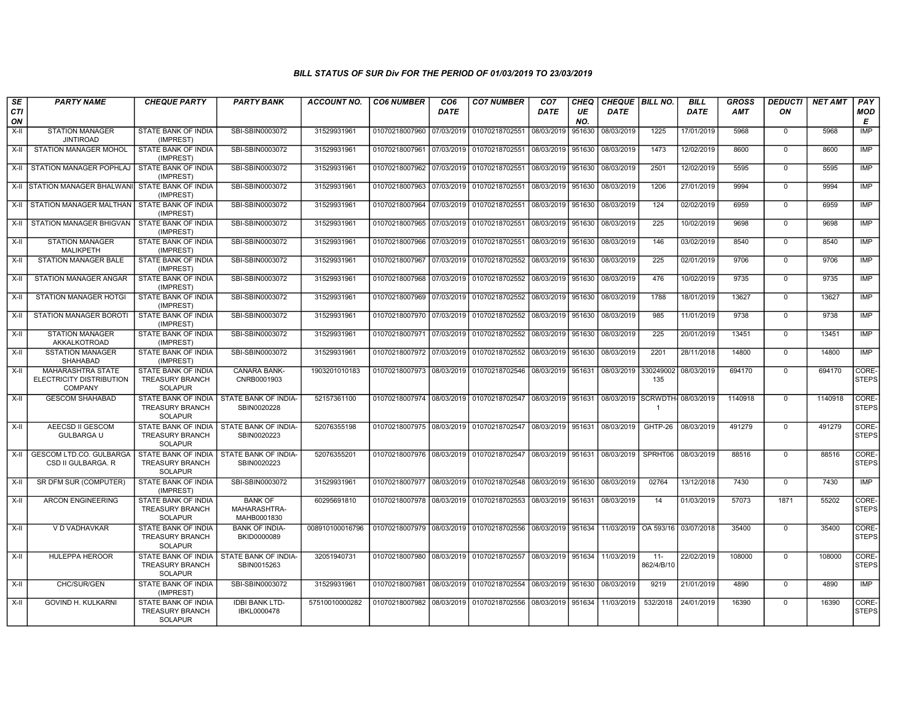| SE<br><b>CTI</b><br>ON | <b>PARTY NAME</b>                                                      | <b>CHEQUE PARTY</b>                                                    | <b>PARTY BANK</b>                                         | <b>ACCOUNT NO.</b> | <b>CO6 NUMBER</b>                        | CO <sub>6</sub><br><b>DATE</b> | <b>CO7 NUMBER</b>                                          | CO <sub>7</sub><br><b>DATE</b> | CHEQ<br>UE<br>NO. | CHEQUE   BILL NO.<br><b>DATE</b> |                      | <b>BILL</b><br><b>DATE</b> | <b>GROSS</b><br><b>AMT</b> | <b>DEDUCTI</b><br>ON | <b>NET AMT</b> | PAY<br><b>MOD</b><br>E |
|------------------------|------------------------------------------------------------------------|------------------------------------------------------------------------|-----------------------------------------------------------|--------------------|------------------------------------------|--------------------------------|------------------------------------------------------------|--------------------------------|-------------------|----------------------------------|----------------------|----------------------------|----------------------------|----------------------|----------------|------------------------|
| X-II                   | <b>STATION MANAGER</b><br><b>JINTIROAD</b>                             | STATE BANK OF INDIA<br>(IMPREST)                                       | SBI-SBIN0003072                                           | 31529931961        | 01070218007960 07/03/2019                |                                | 01070218702551                                             | 08/03/2019                     | 951630            | 08/03/2019                       | 1225                 | 17/01/2019                 | 5968                       | $\mathbf{0}$         | 5968           | <b>IMP</b>             |
| X-II                   | <b>STATION MANAGER MOHOL</b>                                           | STATE BANK OF INDIA<br>(IMPREST)                                       | SBI-SBIN0003072                                           | 31529931961        | 01070218007961 07/03/2019 01070218702551 |                                |                                                            | 08/03/2019                     | 951630            | 08/03/2019                       | 1473                 | 12/02/2019                 | 8600                       | $\mathbf 0$          | 8600           | <b>IMP</b>             |
| X-II                   | STATION MANAGER POPHLAJ                                                | STATE BANK OF INDIA<br>(IMPREST)                                       | SBI-SBIN0003072                                           | 31529931961        | 01070218007962 07/03/2019 01070218702551 |                                |                                                            | 08/03/2019                     | 951630            | 08/03/2019                       | 2501                 | 12/02/2019                 | 5595                       | $\Omega$             | 5595           | <b>IMP</b>             |
|                        | X-II STATION MANAGER BHALWANI                                          | <b>STATE BANK OF INDIA</b><br>(IMPREST)                                | SBI-SBIN0003072                                           | 31529931961        | 01070218007963 07/03/2019 01070218702551 |                                |                                                            | 08/03/2019                     | 951630            | 08/03/2019                       | 1206                 | 27/01/2019                 | 9994                       | $\Omega$             | 9994           | <b>IMP</b>             |
|                        | X-II STATION MANAGER MALTHAN                                           | STATE BANK OF INDIA<br>(IMPREST)                                       | SBI-SBIN0003072                                           | 31529931961        | 01070218007964 07/03/2019 01070218702551 |                                |                                                            | 08/03/2019                     | 951630            | 08/03/2019                       | 124                  | 02/02/2019                 | 6959                       | $\Omega$             | 6959           | <b>IMP</b>             |
| $X-H$                  | STATION MANAGER BHIGVAN                                                | <b>STATE BANK OF INDIA</b><br>(IMPREST)                                | SBI-SBIN0003072                                           | 31529931961        | 01070218007965 07/03/2019 01070218702551 |                                |                                                            | 08/03/2019 951630              |                   | 08/03/2019                       | 225                  | 10/02/2019                 | 9698                       | $\mathbf{0}$         | 9698           | <b>IMP</b>             |
| $X-H$                  | <b>STATION MANAGER</b><br><b>MALIKPETH</b>                             | STATE BANK OF INDIA<br>(IMPREST)                                       | SBI-SBIN0003072                                           | 31529931961        | 01070218007966 07/03/2019 01070218702551 |                                |                                                            | 08/03/2019                     | 951630            | 08/03/2019                       | 146                  | 03/02/2019                 | 8540                       | $\Omega$             | 8540           | <b>IMP</b>             |
| X-II                   | <b>STATION MANAGER BALE</b>                                            | STATE BANK OF INDIA<br>(IMPREST)                                       | SBI-SBIN0003072                                           | 31529931961        |                                          |                                | 01070218007967 07/03/2019 01070218702552                   | 08/03/2019                     | 951630            | 08/03/2019                       | 225                  | 02/01/2019                 | 9706                       | $\mathbf{0}$         | 9706           | IMP                    |
| X-II                   | <b>STATION MANAGER ANGAR</b>                                           | <b>STATE BANK OF INDIA</b><br>(IMPREST)                                | SBI-SBIN0003072                                           | 31529931961        | 01070218007968 07/03/2019 01070218702552 |                                |                                                            | 08/03/2019                     | 951630            | 08/03/2019                       | 476                  | 10/02/2019                 | 9735                       | $\Omega$             | 9735           | IMP                    |
| $X-II$                 | <b>STATION MANAGER HOTGI</b>                                           | STATE BANK OF INDIA<br>(IMPREST)                                       | SBI-SBIN0003072                                           | 31529931961        |                                          |                                | 01070218007969 07/03/2019 01070218702552                   | 08/03/2019                     | 951630            | 08/03/2019                       | 1788                 | 18/01/2019                 | 13627                      | $\mathbf 0$          | 13627          | <b>IMP</b>             |
| $X-H$                  | STATION MANAGER BOROTI                                                 | <b>STATE BANK OF INDIA</b><br>(IMPREST)                                | SBI-SBIN0003072                                           | 31529931961        |                                          |                                | 01070218007970 07/03/2019 01070218702552                   | 08/03/2019 951630              |                   | 08/03/2019                       | 985                  | 11/01/2019                 | 9738                       | $\mathbf 0$          | 9738           | <b>IMP</b>             |
| $X-H$                  | <b>STATION MANAGER</b><br>AKKALKOTROAD                                 | STATE BANK OF INDIA<br>(IMPREST)                                       | SBI-SBIN0003072                                           | 31529931961        |                                          |                                | 01070218007971 07/03/2019 01070218702552                   | 08/03/2019                     | 951630            | 08/03/2019                       | $\overline{225}$     | 20/01/2019                 | 13451                      | $\mathbf 0$          | 13451          | <b>IMP</b>             |
| X-II                   | <b>SSTATION MANAGER</b><br><b>SHAHABAD</b>                             | STATE BANK OF INDIA<br>(IMPREST)                                       | SBI-SBIN0003072                                           | 31529931961        |                                          |                                | 01070218007972 07/03/2019 01070218702552 08/03/2019 951630 |                                |                   | 08/03/2019                       | 2201                 | 28/11/2018                 | 14800                      | $\mathbf{0}$         | 14800          | IMP                    |
| $X-II$                 | <b>MAHARASHTRA STATE</b><br>ELECTRICITY DISTRIBUTION<br><b>COMPANY</b> | STATE BANK OF INDIA<br><b>TREASURY BRANCH</b><br><b>SOLAPUR</b>        | <b>CANARA BANK-</b><br>CNRB0001903                        | 1903201010183      | 01070218007973 08/03/2019 01070218702546 |                                |                                                            | 08/03/2019                     | 951631            | 08/03/2019                       | 330249002<br>135     | 08/03/2019                 | 694170                     | $\Omega$             | 694170         | CORE-<br><b>STEPS</b>  |
| X-II                   | <b>GESCOM SHAHABAD</b>                                                 | <b>TREASURY BRANCH</b><br><b>SOLAPUR</b>                               | STATE BANK OF INDIA I STATE BANK OF INDIA-<br>SBIN0020228 | 52157361100        |                                          |                                | 01070218007974 08/03/2019 01070218702547                   | 08/03/2019 951631              |                   | 08/03/2019 SCRWDTH-              |                      | 08/03/2019                 | 1140918                    | $\Omega$             | 1140918        | CORE-<br><b>STEPS</b>  |
| $X-II$                 | AEECSD II GESCOM<br><b>GULBARGA U</b>                                  | STATE BANK OF INDIA<br><b>TREASURY BRANCH</b><br><b>SOLAPUR</b>        | <b>STATE BANK OF INDIA-</b><br>SBIN0020223                | 52076355198        |                                          |                                | 01070218007975 08/03/2019 01070218702547                   | 08/03/2019 951631              |                   | 08/03/2019                       | GHTP-26              | 08/03/2019                 | 491279                     | $\Omega$             | 491279         | CORE-<br><b>STEPS</b>  |
| X-II                   | GESCOM LTD.CO. GULBARGA<br>CSD II GULBARGA. R                          | STATE BANK OF INDIA<br><b>TREASURY BRANCH</b><br><b>SOLAPUR</b>        | STATE BANK OF INDIA-<br>SBIN0020223                       | 52076355201        | 01070218007976 08/03/2019 01070218702547 |                                |                                                            | 08/03/2019 951631              |                   | 08/03/2019                       | SPRHT06              | 08/03/2019                 | 88516                      | $\mathbf 0$          | 88516          | CORE-<br><b>STEPS</b>  |
| $X-H$                  | SR DFM SUR (COMPUTER)                                                  | <b>STATE BANK OF INDIA</b><br>(IMPREST)                                | SBI-SBIN0003072                                           | 31529931961        |                                          |                                | 01070218007977 08/03/2019 01070218702548 08/03/2019 951630 |                                |                   | 08/03/2019                       | 02764                | 13/12/2018                 | 7430                       | $\Omega$             | 7430           | <b>IMP</b>             |
| $X-I$                  | <b>ARCON ENGINEERING</b>                                               | STATE BANK OF INDIA<br><b>TREASURY BRANCH</b><br><b>SOLAPUR</b>        | <b>BANK OF</b><br>MAHARASHTRA-<br>MAHB0001830             | 60295691810        |                                          |                                | 01070218007978 08/03/2019 01070218702553                   | 08/03/2019 951631              |                   | 08/03/2019                       | 14                   | 01/03/2019                 | 57073                      | 1871                 | 55202          | CORE-<br><b>STEPS</b>  |
| $X-H$                  | V D VADHAVKAR                                                          | <b>STATE BANK OF INDIA</b><br><b>TREASURY BRANCH</b><br><b>SOLAPUR</b> | <b>BANK OF INDIA-</b><br>BKID0000089                      | 008910100016796    | 01070218007979 08/03/2019 01070218702556 |                                |                                                            | 08/03/2019 951634              |                   | 11/03/2019   OA 593/16           |                      | 03/07/2018                 | 35400                      | $\Omega$             | 35400          | CORE-<br><b>STEPS</b>  |
| $X-H$                  | <b>HULEPPA HEROOR</b>                                                  | <b>TREASURY BRANCH</b><br><b>SOLAPUR</b>                               | STATE BANK OF INDIA STATE BANK OF INDIA-<br>SBIN0015263   | 32051940731        | 01070218007980 08/03/2019 01070218702557 |                                |                                                            | 08/03/2019 951634              |                   | 11/03/2019                       | $11 -$<br>862/4/B/10 | 22/02/2019                 | 108000                     | $\Omega$             | 108000         | CORE-<br><b>STEPS</b>  |
| $X-II$                 | CHC/SUR/GEN                                                            | STATE BANK OF INDIA<br>(IMPREST)                                       | SBI-SBIN0003072                                           | 31529931961        | 01070218007981                           |                                | 08/03/2019 01070218702554                                  | 08/03/2019 951630              |                   | 08/03/2019                       | 9219                 | 21/01/2019                 | 4890                       | $\Omega$             | 4890           | <b>IMP</b>             |
| $X-H$                  | GOVIND H. KULKARNI                                                     | STATE BANK OF INDIA<br><b>TREASURY BRANCH</b><br><b>SOLAPUR</b>        | <b>IDBI BANK LTD-</b><br>IBKL0000478                      | 57510010000282     |                                          |                                | 01070218007982 08/03/2019 01070218702556                   | 08/03/2019 951634              |                   | 11/03/2019                       | 532/2018             | 24/01/2019                 | 16390                      | $\Omega$             | 16390          | CORE-<br><b>STEPS</b>  |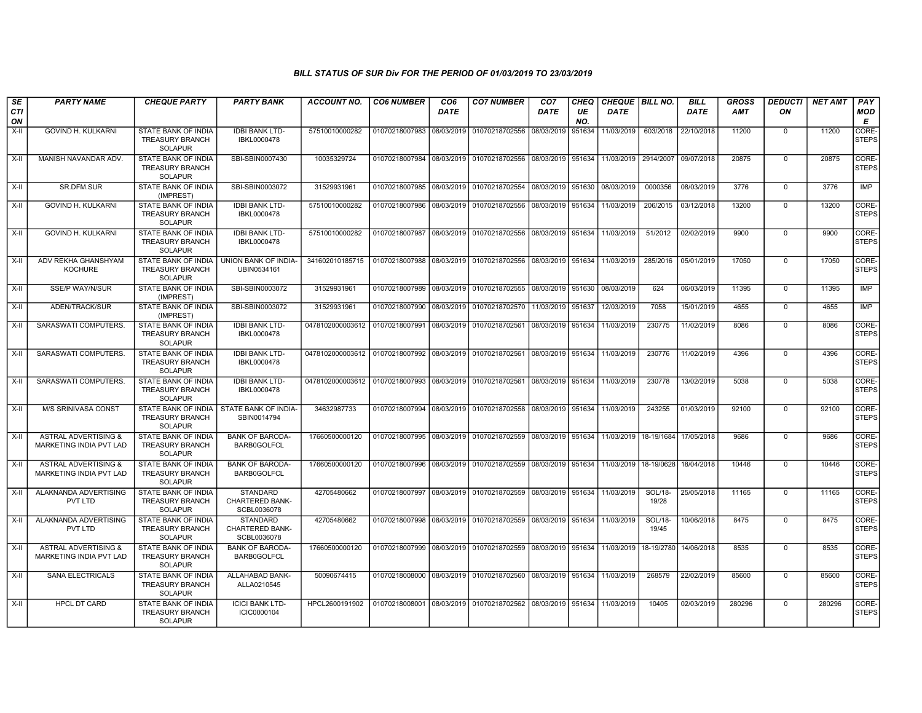| SE<br><b>CTI</b> | <b>PARTY NAME</b>                                                 | <b>CHEQUE PARTY</b>                                                    | <b>PARTY BANK</b>                                 | ACCOUNT NO.                                                                 | <b>CO6 NUMBER</b>         | CO <sub>6</sub><br><b>DATE</b> | <b>CO7 NUMBER</b>                                          | CO <sub>7</sub><br><b>DATE</b> | CHEQ<br>UE    | <b>CHEQUE   BILL NO.</b><br><b>DATE</b> |                       | <b>BILL</b><br><b>DATE</b> | <b>GROSS</b><br><b>AMT</b> | <b>DEDUCTI</b><br>ON | <b>NET AMT</b> | PAY<br>MOD                 |
|------------------|-------------------------------------------------------------------|------------------------------------------------------------------------|---------------------------------------------------|-----------------------------------------------------------------------------|---------------------------|--------------------------------|------------------------------------------------------------|--------------------------------|---------------|-----------------------------------------|-----------------------|----------------------------|----------------------------|----------------------|----------------|----------------------------|
| ON<br>X-II       | GOVIND H. KULKARNI                                                | STATE BANK OF INDIA<br><b>TREASURY BRANCH</b><br><b>SOLAPUR</b>        | <b>IDBI BANK LTD-</b><br>IBKL0000478              | 57510010000282                                                              | 01070218007983            | 08/03/2019                     | 01070218702556                                             | 08/03/2019                     | NO.<br>951634 | 11/03/2019                              | 603/2018              | 22/10/2018                 | 11200                      | $\mathbf 0$          | 11200          | Е<br>CORE-<br><b>STEPS</b> |
| $X-H$            | MANISH NAVANDAR ADV.                                              | <b>STATE BANK OF INDIA</b><br><b>TREASURY BRANCH</b><br>SOLAPUR        | SBI-SBIN0007430                                   | 10035329724                                                                 | 01070218007984            |                                | 08/03/2019 01070218702556                                  | 08/03/2019                     | 951634        | 11/03/2019                              | 2914/2007             | 09/07/2018                 | 20875                      | $\mathbf{0}$         | 20875          | CORE-<br><b>STEPS</b>      |
| $X-II$           | SR.DFM.SUR                                                        | STATE BANK OF INDIA<br>(IMPREST)                                       | SBI-SBIN0003072                                   | 31529931961                                                                 |                           |                                | 01070218007985 08/03/2019 01070218702554                   | 08/03/2019                     | 951630        | 08/03/2019                              | 0000356               | 08/03/2019                 | 3776                       | $\mathbf 0$          | 3776           | <b>IMP</b>                 |
| $X-H$            | <b>GOVIND H. KULKARNI</b>                                         | STATE BANK OF INDIA<br><b>TREASURY BRANCH</b><br><b>SOLAPUR</b>        | <b>IDBI BANK LTD-</b><br>IBKL0000478              | 57510010000282                                                              | 01070218007986 08/03/2019 |                                | 01070218702556                                             | 08/03/2019                     | 951634        | 11/03/2019                              | 206/2015              | 03/12/2018                 | 13200                      | $\mathbf 0$          | 13200          | CORE-<br><b>STEPS</b>      |
| $X-II$           | GOVIND H. KULKARNI                                                | STATE BANK OF INDIA<br><b>TREASURY BRANCH</b><br>SOLAPUR               | <b>IDBI BANK LTD-</b><br>IBKL0000478              | 57510010000282                                                              |                           |                                | 01070218007987 08/03/2019 01070218702556                   | 08/03/2019                     | 951634        | 11/03/2019                              | 51/2012               | 02/02/2019                 | 9900                       | $\mathbf 0$          | 9900           | CORE-<br><b>STEPS</b>      |
| X-II             | ADV REKHA GHANSHYAM<br><b>KOCHURE</b>                             | STATE BANK OF INDIA<br><b>TREASURY BRANCH</b><br><b>SOLAPUR</b>        | UNION BANK OF INDIA-<br>UBIN0534161               | 341602010185715                                                             |                           |                                | 01070218007988 08/03/2019 01070218702556 08/03/2019 951634 |                                |               | 11/03/2019                              | 285/2016              | 05/01/2019                 | 17050                      | $\mathbf 0$          | 17050          | CORE-<br><b>STEPS</b>      |
| $X-H$            | <b>SSE/P WAY/N/SUR</b>                                            | STATE BANK OF INDIA<br>(IMPREST)                                       | SBI-SBIN0003072                                   | 31529931961                                                                 |                           |                                | 01070218007989 08/03/2019 01070218702555                   | 08/03/2019                     | 951630        | 08/03/2019                              | 624                   | 06/03/2019                 | 11395                      | $\mathbf{0}$         | 11395          | <b>IMP</b>                 |
| X-II             | ADEN/TRACK/SUR                                                    | STATE BANK OF INDIA<br>(IMPREST)                                       | SBI-SBIN0003072                                   | 31529931961                                                                 |                           |                                | 01070218007990 08/03/2019 01070218702570 11/03/2019        |                                | 951637        | 12/03/2019                              | 7058                  | 15/01/2019                 | 4655                       | $\mathbf 0$          | 4655           | IMP                        |
| X-II             | SARASWATI COMPUTERS.                                              | STATE BANK OF INDIA<br><b>TREASURY BRANCH</b><br><b>SOLAPUR</b>        | <b>IDBI BANK LTD-</b><br>IBKL0000478              | 0478102000003612                                                            | 01070218007991            | 08/03/2019                     | 01070218702561                                             | 08/03/2019                     | 951634        | 11/03/2019                              | 230775                | 11/02/2019                 | 8086                       | 0                    | 8086           | CORE-<br><b>STEPS</b>      |
| $X-H$            | SARASWATI COMPUTERS.                                              | STATE BANK OF INDIA<br><b>TREASURY BRANCH</b><br>SOLAPUR               | <b>IDBI BANK LTD-</b><br>IBKL0000478              | 0478102000003612 01070218007992 08/03/2019 01070218702561 08/03/2019 951634 |                           |                                |                                                            |                                |               | 11/03/2019                              | 230776                | 11/02/2019                 | 4396                       | $\mathbf{0}$         | 4396           | CORE-<br><b>STEPS</b>      |
| X-II             | SARASWATI COMPUTERS.                                              | STATE BANK OF INDIA<br><b>TREASURY BRANCH</b><br>SOLAPUR               | <b>IDBI BANK LTD-</b><br>IBKL0000478              | 0478102000003612 01070218007993 08/03/2019 01070218702561                   |                           |                                |                                                            | 08/03/2019                     | 951634        | 11/03/2019                              | 230778                | 13/02/2019                 | 5038                       | $\mathbf{0}$         | 5038           | CORE-<br><b>STEPS</b>      |
| X-II             | M/S SRINIVASA CONST                                               | STATE BANK OF INDIA<br><b>TREASURY BRANCH</b><br>SOLAPUR               | STATE BANK OF INDIA-<br>SBIN0014794               | 34632987733                                                                 |                           |                                | 01070218007994 08/03/2019 01070218702558                   | 08/03/2019                     | 951634        | 11/03/2019                              | 243255                | 01/03/2019                 | 92100                      | $\mathbf{0}$         | 92100          | CORE-<br><b>STEPS</b>      |
| X-II             | <b>ASTRAL ADVERTISING &amp;</b><br><b>MARKETING INDIA PVT LAD</b> | STATE BANK OF INDIA<br><b>TREASURY BRANCH</b><br><b>SOLAPUR</b>        | <b>BANK OF BARODA-</b><br><b>BARB0GOLFCL</b>      | 17660500000120                                                              |                           |                                | 01070218007995 08/03/2019 01070218702559 08/03/2019 951634 |                                |               | 11/03/2019   18-19/1684   17/05/2018    |                       |                            | 9686                       | $\mathbf{0}$         | 9686           | CORE-<br><b>STEPS</b>      |
| $X-II$           | ASTRAL ADVERTISING &<br>MARKETING INDIA PVT LAD                   | STATE BANK OF INDIA<br><b>TREASURY BRANCH</b><br><b>SOLAPUR</b>        | <b>BANK OF BARODA-</b><br><b>BARB0GOLFCL</b>      | 17660500000120                                                              |                           |                                | 01070218007996 08/03/2019 01070218702559 08/03/2019 951634 |                                |               | 11/03/2019 18-19/0628 18/04/2018        |                       |                            | 10446                      | $\mathbf{0}$         | 10446          | CORE-<br><b>STEPS</b>      |
| X-II             | ALAKNANDA ADVERTISING<br>PVT LTD                                  | <b>STATE BANK OF INDIA</b><br><b>TREASURY BRANCH</b><br><b>SOLAPUR</b> | <b>STANDARD</b><br>CHARTERED BANK-<br>SCBL0036078 | 42705480662                                                                 |                           |                                | 01070218007997 08/03/2019 01070218702559                   | 08/03/2019                     | 951634        | 11/03/2019                              | SOL/18-<br>19/28      | 25/05/2018                 | 11165                      | $\mathbf 0$          | 11165          | CORE-<br><b>STEPS</b>      |
| $X-H$            | ALAKNANDA ADVERTISING<br>PVT LTD                                  | STATE BANK OF INDIA<br><b>TREASURY BRANCH</b><br><b>SOLAPUR</b>        | <b>STANDARD</b><br>CHARTERED BANK-<br>SCBL0036078 | 42705480662                                                                 |                           |                                | 01070218007998 08/03/2019 01070218702559 08/03/2019 951634 |                                |               | 11/03/2019                              | SOL/18-<br>19/45      | 10/06/2018                 | 8475                       | $\mathbf 0$          | 8475           | CORE-<br><b>STEPS</b>      |
| $X-H$            | <b>ASTRAL ADVERTISING &amp;</b><br>MARKETING INDIA PVT LAD        | STATE BANK OF INDIA<br><b>TREASURY BRANCH</b><br>SOLAPUR               | <b>BANK OF BARODA</b><br><b>BARB0GOLFCL</b>       | 17660500000120                                                              |                           |                                | 01070218007999 08/03/2019 01070218702559 08/03/2019        |                                | 951634        | 11/03/2019                              | 18-19/2780 14/06/2018 |                            | 8535                       | $\Omega$             | 8535           | CORE-<br><b>STEPS</b>      |
| X-II             | <b>SANA ELECTRICALS</b>                                           | STATE BANK OF INDIA<br><b>TREASURY BRANCH</b><br><b>SOLAPUR</b>        | ALLAHABAD BANK-<br>ALLA0210545                    | 50090674415                                                                 |                           |                                | 01070218008000 08/03/2019 01070218702560 08/03/2019 951634 |                                |               | 11/03/2019                              | 268579                | 22/02/2019                 | 85600                      | $\overline{0}$       | 85600          | CORE-<br><b>STEPS</b>      |
| $X-H$            | <b>HPCL DT CARD</b>                                               | STATE BANK OF INDIA<br><b>TREASURY BRANCH</b><br><b>SOLAPUR</b>        | <b>ICICI BANK LTD-</b><br>ICIC0000104             | HPCL2600191902                                                              |                           |                                | 01070218008001 08/03/2019 01070218702562 08/03/2019 951634 |                                |               | 11/03/2019                              | 10405                 | 02/03/2019                 | 280296                     | $\mathbf 0$          | 280296         | CORE-<br><b>STEPS</b>      |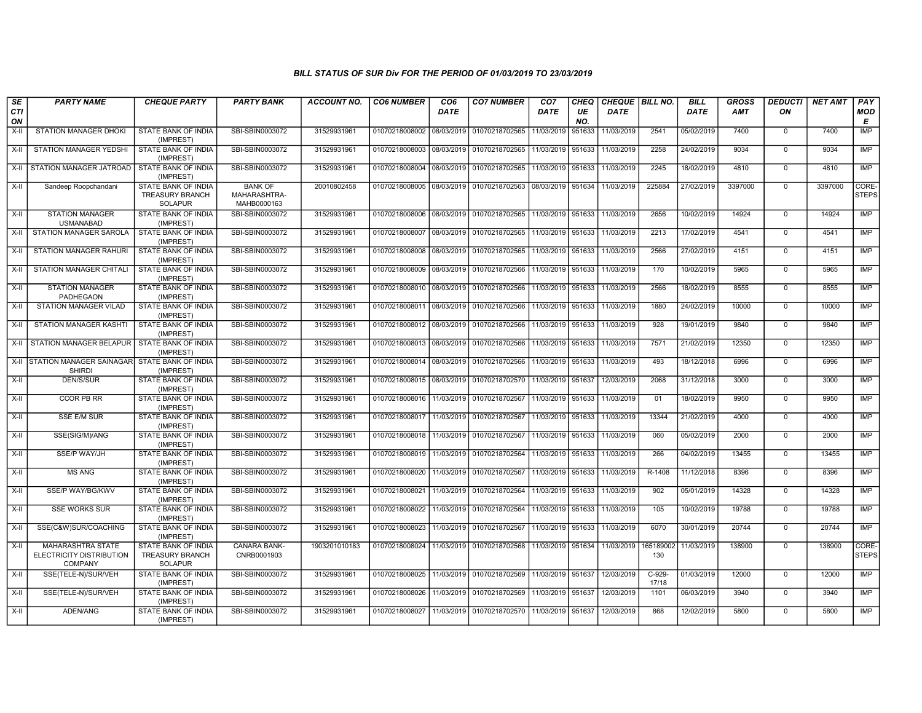| SE<br>CTI<br>ON | <b>PARTY NAME</b>                                                      | <b>CHEQUE PARTY</b>                                                    | <b>PARTY BANK</b>                             | <b>ACCOUNT NO.</b> | <b>CO6 NUMBER</b>         | CO <sub>6</sub><br><b>DATE</b> | <b>CO7 NUMBER</b>                        | CO <sub>7</sub><br><b>DATE</b> | CHEQ<br>UE<br>NO. | CHEQUE   BILL NO.<br><b>DATE</b> |                   | <b>BILL</b><br><b>DATE</b> | <b>GROSS</b><br>AMT | <b>DEDUCTI</b><br>ON | <b>NET AMT</b> | PAY<br>MOD<br>E       |
|-----------------|------------------------------------------------------------------------|------------------------------------------------------------------------|-----------------------------------------------|--------------------|---------------------------|--------------------------------|------------------------------------------|--------------------------------|-------------------|----------------------------------|-------------------|----------------------------|---------------------|----------------------|----------------|-----------------------|
| X-II            | STATION MANAGER DHOKI                                                  | STATE BANK OF INDIA<br>(IMPREST)                                       | SBI-SBIN0003072                               | 31529931961        | 01070218008002 08/03/2019 |                                | 01070218702565                           | 11/03/2019                     | 951633            | 11/03/2019                       | 2541              | 05/02/2019                 | 7400                | $\mathbf 0$          | 7400           | IMP                   |
| X-II            | STATION MANAGER YEDSHI                                                 | STATE BANK OF INDIA<br>(IMPREST)                                       | SBI-SBIN0003072                               | 31529931961        | 01070218008003 08/03/2019 |                                | 01070218702565                           | 11/03/2019                     | 951633            | 11/03/2019                       | 2258              | 24/02/2019                 | 9034                | $\mathbf 0$          | 9034           | <b>IMP</b>            |
| X-II            | STATION MANAGER JATROAD                                                | STATE BANK OF INDIA<br>(IMPREST)                                       | SBI-SBIN0003072                               | 31529931961        |                           |                                | 01070218008004 08/03/2019 01070218702565 | 11/03/2019                     | 951633            | 11/03/2019                       | 2245              | 18/02/2019                 | 4810                | $\Omega$             | 4810           | <b>IMP</b>            |
| $X-H$           | Sandeep Roopchandani                                                   | <b>STATE BANK OF INDIA</b><br><b>TREASURY BRANCH</b><br><b>SOLAPUR</b> | <b>BANK OF</b><br>MAHARASHTRA-<br>MAHB0000163 | 20010802458        |                           |                                | 01070218008005 08/03/2019 01070218702563 | 08/03/2019                     | 951634            | 11/03/2019                       | 225884            | 27/02/2019                 | 3397000             | $\mathbf 0$          | 3397000        | CORE-<br><b>STEPS</b> |
| X-II            | <b>STATION MANAGER</b><br><b>USMANABAD</b>                             | STATE BANK OF INDIA<br>(IMPREST)                                       | SBI-SBIN0003072                               | 31529931961        |                           |                                | 01070218008006 08/03/2019 01070218702565 | 11/03/2019                     | 951633            | 11/03/2019                       | 2656              | 10/02/2019                 | 14924               | $\Omega$             | 14924          | <b>IMP</b>            |
| X-II            | STATION MANAGER SAROLA                                                 | <b>STATE BANK OF INDIA</b><br>(IMPREST)                                | SBI-SBIN0003072                               | 31529931961        | 01070218008007            | 08/03/2019                     | 01070218702565                           | 11/03/2019                     | 951633            | 11/03/2019                       | 2213              | 17/02/2019                 | 4541                | $\Omega$             | 4541           | <b>IMP</b>            |
| X-II            | <b>STATION MANAGER RAHURI</b>                                          | <b>STATE BANK OF INDIA</b><br>(IMPREST)                                | SBI-SBIN0003072                               | 31529931961        |                           |                                | 01070218008008 08/03/2019 01070218702565 | 11/03/2019 951633              |                   | 11/03/2019                       | 2566              | 27/02/2019                 | 4151                | $\mathbf 0$          | 4151           | IMP                   |
| X-II            | STATION MANAGER CHITAL                                                 | STATE BANK OF INDIA<br>(IMPREST)                                       | SBI-SBIN0003072                               | 31529931961        | 01070218008009 08/03/2019 |                                | 01070218702566                           | 11/03/2019                     | 951633            | 11/03/2019                       | 170               | 10/02/2019                 | 5965                | $\mathbf 0$          | 5965           | IMP                   |
| X-II            | <b>STATION MANAGER</b><br><b>PADHEGAON</b>                             | <b>STATE BANK OF INDIA</b><br>(IMPREST)                                | SBI-SBIN0003072                               | 31529931961        |                           |                                | 01070218008010 08/03/2019 01070218702566 | 11/03/2019                     | 951633            | 11/03/2019                       | 2566              | 18/02/2019                 | 8555                | $\mathbf 0$          | 8555           | <b>IMP</b>            |
| $X-II$          | <b>STATION MANAGER VILAD</b>                                           | <b>STATE BANK OF INDIA</b><br>(IMPREST)                                | SBI-SBIN0003072                               | 31529931961        | 01070218008011 08/03/2019 |                                | 01070218702566                           | 11/03/2019                     | 951633            | 11/03/2019                       | 1880              | 24/02/2019                 | 10000               | $\mathbf 0$          | 10000          | <b>IMP</b>            |
| X-II            | STATION MANAGER KASHTI                                                 | <b>STATE BANK OF INDIA</b><br>(IMPREST)                                | SBI-SBIN0003072                               | 31529931961        |                           |                                | 01070218008012 08/03/2019 01070218702566 | 11/03/2019 951633              |                   | 11/03/2019                       | 928               | 19/01/2019                 | 9840                | $\mathbf 0$          | 9840           | IMP                   |
| X-II            | STATION MANAGER BELAPUR                                                | STATE BANK OF INDIA<br>(IMPREST)                                       | SBI-SBIN0003072                               | 31529931961        |                           |                                | 01070218008013 08/03/2019 01070218702566 | 11/03/2019 951633              |                   | 11/03/2019                       | 7571              | 21/02/2019                 | 12350               | $\mathbf 0$          | 12350          | IMP                   |
|                 | X-II STATION MANAGER SAINAGAR STATE BANK OF INDIA<br><b>SHIRDI</b>     | (IMPREST)                                                              | SBI-SBIN0003072                               | 31529931961        | 01070218008014 08/03/2019 |                                | 01070218702566                           | 11/03/2019                     | 951633            | 11/03/2019                       | 493               | 18/12/2018                 | 6996                | $\mathbf 0$          | 6996           | <b>IMP</b>            |
| X-II            | <b>DEN/S/SUR</b>                                                       | STATE BANK OF INDIA<br>(IMPREST)                                       | SBI-SBIN0003072                               | 31529931961        |                           |                                | 01070218008015 08/03/2019 01070218702570 | 11/03/2019                     | 951637            | 12/03/2019                       | 2068              | 31/12/2018                 | 3000                | $\Omega$             | 3000           | <b>IMP</b>            |
| $X-H$           | <b>CCOR PB RR</b>                                                      | STATE BANK OF INDIA<br>(IMPREST)                                       | SBI-SBIN0003072                               | 31529931961        | 01070218008016 11/03/2019 |                                | 01070218702567                           | 11/03/2019                     | 951633            | 11/03/2019                       | 01                | 18/02/2019                 | 9950                | $\mathbf 0$          | 9950           | IMP                   |
| X-II            | <b>SSE E/M SUR</b>                                                     | STATE BANK OF INDIA<br>(IMPREST)                                       | SBI-SBIN0003072                               | 31529931961        | 01070218008017            | 11/03/2019                     | 01070218702567                           | 11/03/2019                     | 951633            | 11/03/2019                       | 13344             | 21/02/2019                 | 4000                | $\mathbf 0$          | 4000           | <b>IMP</b>            |
| X-II            | SSE(SIG/M)/ANG                                                         | STATE BANK OF INDIA<br>(IMPREST)                                       | SBI-SBIN0003072                               | 31529931961        |                           |                                | 01070218008018 11/03/2019 01070218702567 | 11/03/2019 951633              |                   | 11/03/2019                       | 060               | 05/02/2019                 | 2000                | $\Omega$             | 2000           | IMP                   |
| X-II            | <b>SSE/P WAY/JH</b>                                                    | STATE BANK OF INDIA<br>(IMPREST)                                       | SBI-SBIN0003072                               | 31529931961        | 01070218008019            | 11/03/2019                     | 01070218702564                           | 11/03/2019                     | 951633            | 11/03/2019                       | 266               | 04/02/2019                 | 13455               | $\mathbf 0$          | 13455          | <b>IMP</b>            |
| X-II            | <b>MS ANG</b>                                                          | STATE BANK OF INDIA<br>(IMPREST)                                       | SBI-SBIN0003072                               | 31529931961        | 01070218008020            |                                | 11/03/2019 01070218702567                | 11/03/2019                     | 951633            | 11/03/2019                       | R-1408            | 11/12/2018                 | 8396                | $\Omega$             | 8396           | IMP                   |
| X-II            | SSE/P WAY/BG/KWV                                                       | STATE BANK OF INDIA<br>(IMPREST)                                       | SBI-SBIN0003072                               | 31529931961        | 01070218008021            | 11/03/2019                     | 01070218702564                           | 11/03/2019                     | 951633            | 11/03/2019                       | 902               | 05/01/2019                 | 14328               | $^{\circ}$           | 14328          | IMP                   |
| X-II            | <b>SSE WORKS SUR</b>                                                   | <b>STATE BANK OF INDIA</b><br>(IMPREST)                                | SBI-SBIN0003072                               | 31529931961        | 01070218008022            | 11/03/2019                     | 01070218702564                           | 11/03/2019                     | 951633            | 11/03/2019                       | 105               | 10/02/2019                 | 19788               | $\mathbf 0$          | 19788          | <b>IMP</b>            |
| $X-II$          | SSE(C&W)SUR/COACHING                                                   | STATE BANK OF INDIA<br>(IMPREST)                                       | SBI-SBIN0003072                               | 31529931961        | 01070218008023            |                                | 11/03/2019 01070218702567                | 11/03/2019                     | 951633            | 11/03/2019                       | 6070              | 30/01/2019                 | 20744               | $\mathbf 0$          | 20744          | <b>IMP</b>            |
| X-II            | <b>MAHARASHTRA STATE</b><br>ELECTRICITY DISTRIBUTION<br><b>COMPANY</b> | <b>STATE BANK OF INDIA</b><br><b>TREASURY BRANCH</b><br>SOLAPUR        | <b>CANARA BANK-</b><br>CNRB0001903            | 1903201010183      | 01070218008024            |                                | 11/03/2019 01070218702568                | 11/03/2019                     | 951634            | 11/03/2019                       | 165189002<br>130  | 11/03/2019                 | 138900              | $\Omega$             | 138900         | CORE-<br><b>STEPS</b> |
| X-II            | SSE(TELE-N)/SUR/VEH                                                    | STATE BANK OF INDIA<br>(IMPREST)                                       | SBI-SBIN0003072                               | 31529931961        |                           |                                | 01070218008025 11/03/2019 01070218702569 | 11/03/2019                     | 951637            | 12/03/2019                       | $C-929-$<br>17/18 | 01/03/2019                 | 12000               | $\mathbf 0$          | 12000          | <b>IMP</b>            |
| X-II            | SSE(TELE-N)/SUR/VEH                                                    | STATE BANK OF INDIA<br>(IMPREST)                                       | SBI-SBIN0003072                               | 31529931961        | 01070218008026            |                                | 11/03/2019 01070218702569                | 11/03/2019                     | 951637            | 12/03/2019                       | 1101              | 06/03/2019                 | 3940                | $\mathbf 0$          | 3940           | <b>IMP</b>            |
| X-II            | ADEN/ANG                                                               | STATE BANK OF INDIA<br>(IMPREST)                                       | SBI-SBIN0003072                               | 31529931961        | 01070218008027            |                                | 11/03/2019 01070218702570                | 11/03/2019                     | 951637            | 12/03/2019                       | 868               | 12/02/2019                 | 5800                | $\Omega$             | 5800           | <b>IMP</b>            |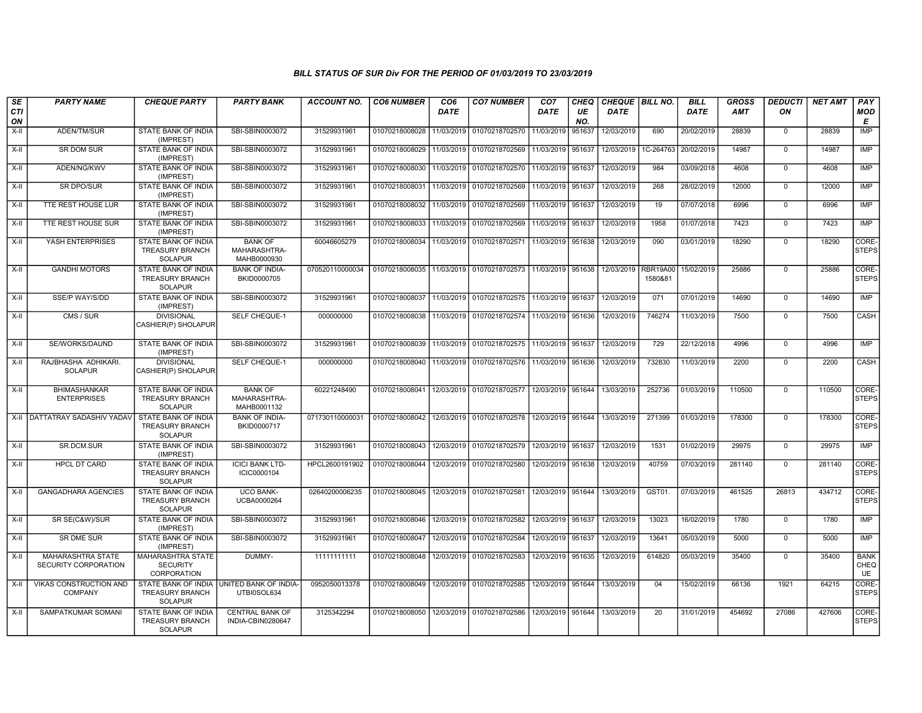| <b>SE</b><br>CTI<br>ON | <b>PARTY NAME</b>                         | <b>CHEQUE PARTY</b>                                                    | <b>PARTY BANK</b>                             | <b>ACCOUNT NO.</b> | <b>CO6 NUMBER</b>         | CO <sub>6</sub><br><b>DATE</b> | <b>CO7 NUMBER</b>                                                  | CO <sub>7</sub><br><b>DATE</b> | <b>CHEQ</b><br>UE<br>NO. | CHEQUE   BILL NO.<br><b>DATE</b> |                     | <b>BILL</b><br><b>DATE</b> | <b>GROSS</b><br><b>AMT</b> | <b>DEDUCTI</b><br>ON | <b>NET AMT</b> | PAY<br><b>MOD</b><br>Е           |
|------------------------|-------------------------------------------|------------------------------------------------------------------------|-----------------------------------------------|--------------------|---------------------------|--------------------------------|--------------------------------------------------------------------|--------------------------------|--------------------------|----------------------------------|---------------------|----------------------------|----------------------------|----------------------|----------------|----------------------------------|
| $X-H$                  | ADEN/TM/SUR                               | STATE BANK OF INDIA<br>(IMPREST)                                       | SBI-SBIN0003072                               | 31529931961        | 01070218008028            | 11/03/2019                     | 01070218702570                                                     | 11/03/2019                     | 951637                   | 12/03/2019                       | 690                 | 20/02/2019                 | 28839                      | $\mathbf 0$          | 28839          | <b>IMP</b>                       |
| X-II                   | SR DOM SUR                                | STATE BANK OF INDIA<br>(IMPREST)                                       | SBI-SBIN0003072                               | 31529931961        | 01070218008029 11/03/2019 |                                | 01070218702569 11/03/2019 951637                                   |                                |                          | 12/03/2019                       | 1C-264763           | 20/02/2019                 | 14987                      | $\mathbf 0$          | 14987          | IMP                              |
| X-II                   | ADEN/NG/KWV                               | STATE BANK OF INDIA<br>(IMPREST)                                       | SBI-SBIN0003072                               | 31529931961        |                           |                                | 01070218008030 11/03/2019 01070218702570                           | 11/03/2019 951637              |                          | 12/03/2019                       | 984                 | 03/09/2018                 | 4608                       | $\mathbf 0$          | 4608           | IMP                              |
| $X-H$                  | <b>SR DPO/SUR</b>                         | STATE BANK OF INDIA<br>(IMPREST)                                       | SBI-SBIN0003072                               | 31529931961        | 01070218008031            | 11/03/2019                     | 01070218702569                                                     | 11/03/2019 951637              |                          | 12/03/2019                       | 268                 | 28/02/2019                 | 12000                      | $\mathbf 0$          | 12000          | <b>IMP</b>                       |
| X-II                   | TTE REST HOUSE LUR                        | STATE BANK OF INDIA<br>(IMPREST)                                       | SBI-SBIN0003072                               | 31529931961        | 01070218008032            |                                | 11/03/2019 01070218702569                                          | 11/03/2019                     | 951637                   | 12/03/2019                       | 19                  | 07/07/2018                 | 6996                       | $\mathbf 0$          | 6996           | IMP                              |
| X-II                   | <b>TTE REST HOUSE SUR</b>                 | <b>STATE BANK OF INDIA</b><br>(IMPREST)                                | SBI-SBIN0003072                               | 31529931961        | 01070218008033            |                                | 11/03/2019 01070218702569                                          | 11/03/2019                     | 951637                   | 12/03/2019                       | 1958                | 01/07/2018                 | 7423                       | $\mathbf 0$          | 7423           | IMP                              |
| X-II                   | YASH ENTERPRISES                          | STATE BANK OF INDIA<br><b>TREASURY BRANCH</b><br><b>SOLAPUR</b>        | <b>BANK OF</b><br>MAHARASHTRA-<br>MAHB0000930 | 60046605279        |                           |                                | 01070218008034 11/03/2019 01070218702571                           | 11/03/2019 951638              |                          | 12/03/2019                       | 090                 | 03/01/2019                 | 18290                      | $\Omega$             | 18290          | CORE-<br><b>STEPS</b>            |
| X-II                   | <b>GANDHI MOTORS</b>                      | <b>STATE BANK OF INDIA</b><br>TREASURY BRANCH<br><b>SOLAPUR</b>        | <b>BANK OF INDIA-</b><br>BKID0000705          | 070520110000034    |                           |                                | 01070218008035 11/03/2019 01070218702573                           | 11/03/2019 951638              |                          | 12/03/2019                       | RBR19A00<br>1580&81 | 15/02/2019                 | 25886                      | $\mathbf 0$          | 25886          | CORE-<br><b>STEPS</b>            |
| $X-H$                  | <b>SSE/P WAY/S/DD</b>                     | <b>STATE BANK OF INDIA</b><br>(IMPREST)                                | SBI-SBIN0003072                               | 31529931961        |                           |                                | 01070218008037 11/03/2019 01070218702575 11/03/2019 951637         |                                |                          | 12/03/2019                       | 071                 | 07/01/2019                 | 14690                      | $\mathbf 0$          | 14690          | IMP                              |
| X-II                   | CMS / SUR                                 | <b>DIVISIONAL</b><br>CASHIER(P) SHOLAPUR                               | SELF CHEQUE-1                                 | 000000000          |                           |                                | 01070218008038 11/03/2019 01070218702574 11/03/2019 951636         |                                |                          | 12/03/2019                       | 746274              | 11/03/2019                 | 7500                       | $\mathbf 0$          | 7500           | CASH                             |
| $X-H$                  | SE/WORKS/DAUND                            | <b>STATE BANK OF INDIA</b><br>(IMPREST)                                | SBI-SBIN0003072                               | 31529931961        |                           |                                | 01070218008039 11/03/2019 01070218702575 11/03/2019 951637         |                                |                          | 12/03/2019                       | 729                 | 22/12/2018                 | 4996                       | $\mathbf 0$          | 4996           | <b>IMP</b>                       |
| $X-II$                 | RAJBHASHA ADHIKARI.<br><b>SOLAPUR</b>     | <b>DIVISIONAL</b><br>CASHIER(P) SHOLAPUR                               | <b>SELF CHEQUE-1</b>                          | 000000000          |                           |                                | 01070218008040 11/03/2019 01070218702576                           | 11/03/2019 951636              |                          | 12/03/2019                       | 732830              | 11/03/2019                 | 2200                       | $\mathbf 0$          | 2200           | CASH                             |
| $X-H$                  | <b>BHIMASHANKAR</b><br><b>ENTERPRISES</b> | <b>STATE BANK OF INDIA</b><br><b>TREASURY BRANCH</b><br><b>SOLAPUR</b> | <b>BANK OF</b><br>MAHARASHTRA-<br>MAHB0001132 | 60221248490        |                           |                                | 01070218008041 12/03/2019 01070218702577                           |                                |                          | 12/03/2019 951644 13/03/2019     | 252736              | 01/03/2019                 | 110500                     | $\overline{0}$       | 110500         | CORE-<br><b>STEPS</b>            |
|                        | X-II   DATTATRAY SADASHIV YADAV           | STATE BANK OF INDIA<br>TREASURY BRANCH<br><b>SOLAPUR</b>               | <b>BANK OF INDIA-</b><br>BKID0000717          | 071730110000031    | 01070218008042            |                                | 12/03/2019 01070218702578                                          | 12/03/2019 951644              |                          | 13/03/2019                       | 271399              | 01/03/2019                 | 178300                     | $\overline{0}$       | 178300         | CORE-<br><b>STEPS</b>            |
| $X-II$                 | SR.DCM.SUR                                | <b>STATE BANK OF INDIA</b><br>(IMPREST)                                | SBI-SBIN0003072                               | 31529931961        | 01070218008043            |                                | 12/03/2019 01070218702579                                          | 12/03/2019 951637              |                          | 12/03/2019                       | 1531                | 01/02/2019                 | 29975                      | $\mathbf 0$          | 29975          | IMP                              |
| X-II                   | <b>HPCL DT CARD</b>                       | STATE BANK OF INDIA<br><b>TREASURY BRANCH</b><br><b>SOLAPUR</b>        | <b>ICICI BANK LTD-</b><br>ICIC0000104         | HPCL2600191902     |                           |                                | 01070218008044 12/03/2019 01070218702580                           | 12/03/2019 951638              |                          | 12/03/2019                       | 40759               | 07/03/2019                 | 281140                     | $\Omega$             | 281140         | CORE-<br><b>STEPS</b>            |
| $X-H$                  | <b>GANGADHARA AGENCIES</b>                | <b>STATE BANK OF INDIA</b><br><b>TREASURY BRANCH</b><br><b>SOLAPUR</b> | <b>UCO BANK-</b><br>UCBA0000264               | 02640200006235     |                           |                                | 01070218008045   12/03/2019   01070218702581                       | 12/03/2019 951644              |                          | 13/03/2019                       | GST01.              | 07/03/2019                 | 461525                     | 26813                | 434712         | CORE-<br><b>STEPS</b>            |
| X-II                   | SR SE(C&W)/SUR                            | STATE BANK OF INDIA<br>(IMPREST)                                       | SBI-SBIN0003072                               | 31529931961        |                           |                                | 01070218008046 12/03/2019 01070218702582                           | 12/03/2019 951637              |                          | 12/03/2019                       | 13023               | 16/02/2019                 | 1780                       | $\mathbf 0$          | 1780           | <b>IMP</b>                       |
| $X-H$                  | <b>SR DME SUR</b>                         | <b>STATE BANK OF INDIA</b><br>(IMPREST)                                | SBI-SBIN0003072                               | 31529931961        | 01070218008047            | 12/03/2019                     | 01070218702584                                                     | 12/03/2019 951637              |                          | 12/03/2019                       | 13641               | 05/03/2019                 | 5000                       | $\Omega$             | 5000           | <b>IMP</b>                       |
| $X-II$                 | MAHARASHTRA STATE<br>SECURITY CORPORATION | MAHARASHTRA STATE<br><b>SECURITY</b><br>CORPORATION                    | DUMMY-                                        | 11111111111        | 01070218008048            |                                | 12/03/2019 01070218702583                                          | 12/03/2019 951635              |                          | 12/03/2019                       | 614820              | 05/03/2019                 | 35400                      | $\Omega$             | 35400          | <b>BANK</b><br>CHEQ<br><b>UE</b> |
| X-II                   | VIKAS CONSTRUCTION AND<br><b>COMPANY</b>  | <b>STATE BANK OF INDIA</b><br><b>TREASURY BRANCH</b><br><b>SOLAPUR</b> | UNITED BANK OF INDIA-<br>UTBI0SOL634          | 0952050013378      |                           |                                | 01070218008049   12/03/2019   01070218702585   12/03/2019   951644 |                                |                          | 13/03/2019                       | 04                  | 15/02/2019                 | 66136                      | 1921                 | 64215          | CORE-<br><b>STEPS</b>            |
| X-II                   | SAMPATKUMAR SOMANI                        | STATE BANK OF INDIA<br><b>TREASURY BRANCH</b><br><b>SOLAPUR</b>        | <b>CENTRAL BANK OF</b><br>INDIA-CBIN0280647   | 3125342294         |                           |                                | 01070218008050   12/03/2019   01070218702586                       | 12/03/2019 951644              |                          | 13/03/2019                       | 20                  | 31/01/2019                 | 454692                     | 27086                | 427606         | CORE-<br><b>STEPS</b>            |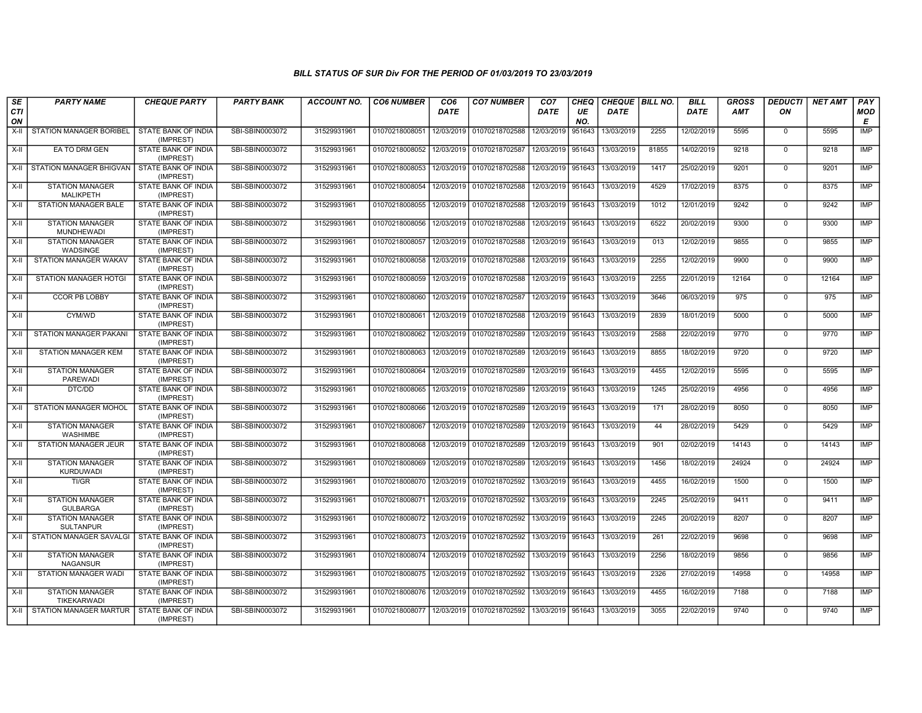| SE<br>CTI<br>ON | <b>PARTY NAME</b>                                   | <b>CHEQUE PARTY</b>                     | <b>PARTY BANK</b> | <b>ACCOUNT NO.</b> | <b>CO6 NUMBER</b> | CO <sub>6</sub><br><b>DATE</b> | <b>CO7 NUMBER</b> | CO <sub>7</sub><br><b>DATE</b> | <b>CHEQ</b><br>UE<br>NO. | CHEQUE   BILL NO.<br><b>DATE</b> |       | <b>BILL</b><br><b>DATE</b> | <b>GROSS</b><br>AMT | <b>DEDUCTI</b><br>ON | <b>NET AMT</b> | PAY<br>MOD<br>E          |
|-----------------|-----------------------------------------------------|-----------------------------------------|-------------------|--------------------|-------------------|--------------------------------|-------------------|--------------------------------|--------------------------|----------------------------------|-------|----------------------------|---------------------|----------------------|----------------|--------------------------|
| X-II            | STATION MANAGER BORIBEL                             | STATE BANK OF INDIA<br>(IMPREST)        | SBI-SBIN0003072   | 31529931961        | 01070218008051    | 12/03/2019                     | 01070218702588    | 12/03/2019                     | 951643                   | 13/03/2019                       | 2255  | 12/02/2019                 | 5595                | $\mathbf 0$          | 5595           | IMP                      |
| X-II            | EA TO DRM GEN                                       | STATE BANK OF INDIA<br>(IMPREST)        | SBI-SBIN0003072   | 31529931961        | 01070218008052    | 12/03/2019                     | 01070218702587    | 12/03/2019                     | 951643                   | 13/03/2019                       | 81855 | 14/02/2019                 | 9218                | $\mathbf 0$          | 9218           | <b>IMP</b>               |
|                 | X-II STATION MANAGER BHIGVAN                        | STATE BANK OF INDIA<br>(IMPREST)        | SBI-SBIN0003072   | 31529931961        | 01070218008053    | 12/03/2019                     | 01070218702588    | 12/03/2019                     | 951643                   | 13/03/2019                       | 1417  | 25/02/2019                 | 9201                | $\Omega$             | 9201           | <b>IMP</b>               |
| X-II            | <b>STATION MANAGER</b><br><b>MALIKPETH</b>          | <b>STATE BANK OF INDIA</b><br>(IMPREST) | SBI-SBIN0003072   | 31529931961        | 01070218008054    | 12/03/2019                     | 01070218702588    | 12/03/2019 951643              |                          | 13/03/2019                       | 4529  | 17/02/2019                 | 8375                | $\Omega$             | 8375           | IMP                      |
| $X-II$          | <b>STATION MANAGER BALE</b>                         | STATE BANK OF INDIA<br>(IMPREST)        | SBI-SBIN0003072   | 31529931961        | 01070218008055    | 12/03/2019                     | 01070218702588    | 12/03/2019                     | 951643                   | 13/03/2019                       | 1012  | 12/01/2019                 | 9242                | $\mathbf 0$          | 9242           | <b>IMP</b>               |
| X-II            | <b>STATION MANAGER</b><br>MUNDHEWADI                | STATE BANK OF INDIA<br>(IMPREST)        | SBI-SBIN0003072   | 31529931961        | 01070218008056    | 12/03/2019                     | 01070218702588    | 12/03/2019 951643              |                          | 13/03/2019                       | 6522  | 20/02/2019                 | 9300                | $\Omega$             | 9300           | <b>IMP</b>               |
| X-II            | <b>STATION MANAGER</b><br><b>WADSINGE</b>           | STATE BANK OF INDIA<br>(IMPREST)        | SBI-SBIN0003072   | 31529931961        | 01070218008057    | 12/03/2019                     | 01070218702588    | 12/03/2019                     | 951643                   | 13/03/2019                       | 013   | 12/02/2019                 | 9855                | $\mathbf 0$          | 9855           | <b>IMP</b>               |
| X-II            | STATION MANAGER WAKAV                               | STATE BANK OF INDIA<br>(IMPREST)        | SBI-SBIN0003072   | 31529931961        | 01070218008058    | 12/03/2019                     | 01070218702588    | 12/03/2019                     | 951643                   | 13/03/2019                       | 2255  | 12/02/2019                 | 9900                | $\mathbf 0$          | 9900           | <b>IMP</b>               |
| X-II            | STATION MANAGER HOTGI                               | STATE BANK OF INDIA<br>(IMPREST)        | SBI-SBIN0003072   | 31529931961        | 01070218008059    | 12/03/2019                     | 01070218702588    | 12/03/2019                     | 951643                   | 13/03/2019                       | 2255  | 22/01/2019                 | 12164               | $\Omega$             | 12164          | <b>IMP</b>               |
| X-II            | <b>CCOR PB LOBBY</b>                                | STATE BANK OF INDIA<br>(IMPREST)        | SBI-SBIN0003072   | 31529931961        | 01070218008060    | 12/03/2019                     | 01070218702587    | 12/03/2019                     | 951643                   | 13/03/2019                       | 3646  | 06/03/2019                 | 975                 | $\mathbf 0$          | 975            | <b>IMP</b>               |
| X-II            | CYM/WD                                              | STATE BANK OF INDIA<br>(IMPREST)        | SBI-SBIN0003072   | 31529931961        | 01070218008061    | 12/03/2019                     | 01070218702588    | 12/03/2019 951643              |                          | 13/03/2019                       | 2839  | 18/01/2019                 | 5000                | $\Omega$             | 5000           | <b>IMP</b>               |
| X-II            | STATION MANAGER PAKANI                              | STATE BANK OF INDIA<br>(IMPREST)        | SBI-SBIN0003072   | 31529931961        | 01070218008062    | 12/03/2019                     | 01070218702589    | 12/03/2019                     | 951643                   | 13/03/2019                       | 2588  | 22/02/2019                 | 9770                | $\mathbf 0$          | 9770           | IMP                      |
| $X-H$           | <b>STATION MANAGER KEM</b>                          | STATE BANK OF INDIA<br>(IMPREST)        | SBI-SBIN0003072   | 31529931961        | 01070218008063    | 12/03/2019                     | 01070218702589    | 12/03/2019 951643              |                          | 13/03/2019                       | 8855  | 18/02/2019                 | 9720                | $\Omega$             | 9720           | IMP                      |
| X-II            | <b>STATION MANAGER</b><br><b>PAREWADI</b>           | STATE BANK OF INDIA<br>(IMPREST)        | SBI-SBIN0003072   | 31529931961        | 01070218008064    | 12/03/2019                     | 01070218702589    | 12/03/2019                     | 951643                   | 13/03/2019                       | 4455  | 12/02/2019                 | 5595                | $\mathbf 0$          | 5595           | <b>IMP</b>               |
| $X-H$           | DTC/DD                                              | STATE BANK OF INDIA<br>(IMPREST)        | SBI-SBIN0003072   | 31529931961        | 01070218008065    | 12/03/2019                     | 01070218702589    | 12/03/2019                     | 951643                   | 13/03/2019                       | 1245  | 25/02/2019                 | 4956                | $\Omega$             | 4956           | <b>IMP</b>               |
| X-II            | STATION MANAGER MOHOL                               | STATE BANK OF INDIA<br>(IMPREST)        | SBI-SBIN0003072   | 31529931961        | 01070218008066    | 12/03/2019                     | 01070218702589    | 12/03/2019 951643              |                          | 13/03/2019                       | 171   | 28/02/2019                 | 8050                | $\mathbf 0$          | 8050           | <b>IMP</b>               |
| X-II            | <b>STATION MANAGER</b><br>WASHIMBE                  | STATE BANK OF INDIA<br>(IMPREST)        | SBI-SBIN0003072   | 31529931961        | 01070218008067    | 12/03/2019                     | 01070218702589    | 12/03/2019                     | 951643                   | 13/03/2019                       | 44    | 28/02/2019                 | 5429                | $\mathbf 0$          | 5429           | <b>IMP</b>               |
| X-II            | STATION MANAGER JEUR                                | STATE BANK OF INDIA<br>(IMPREST)        | SBI-SBIN0003072   | 31529931961        | 01070218008068    | 12/03/2019                     | 01070218702589    | 12/03/2019 951643              |                          | 13/03/2019                       | 901   | 02/02/2019                 | 14143               | $\Omega$             | 14143          | <b>IMP</b>               |
| $X-II$          | <b>STATION MANAGER</b><br><b>KURDUWADI</b><br>TI/GR | STATE BANK OF INDIA<br>(IMPREST)        | SBI-SBIN0003072   | 31529931961        | 01070218008069    | 12/03/2019                     | 01070218702589    | 12/03/2019                     | 951643                   | 13/03/2019                       | 1456  | 18/02/2019                 | 24924               | $^{\circ}$           | 24924          | <b>IMP</b><br><b>IMP</b> |
| X-II            |                                                     | STATE BANK OF INDIA<br>(IMPREST)        | SBI-SBIN0003072   | 31529931961        | 01070218008070    | 12/03/2019                     | 01070218702592    | 13/03/2019 951643              |                          | 13/03/2019                       | 4455  | 16/02/2019                 | 1500                | $\mathbf 0$          | 1500           |                          |
| X-II            | <b>STATION MANAGER</b><br><b>GULBARGA</b>           | STATE BANK OF INDIA<br>(IMPREST)        | SBI-SBIN0003072   | 31529931961        | 01070218008071    | 12/03/2019                     | 01070218702592    | 13/03/2019                     | 951643                   | 13/03/2019                       | 2245  | 25/02/2019                 | 9411                | $\mathbf 0$          | 9411           | IMP                      |
| X-II            | <b>STATION MANAGER</b><br><b>SULTANPUR</b>          | STATE BANK OF INDIA<br>(IMPREST)        | SBI-SBIN0003072   | 31529931961        | 01070218008072    | 12/03/2019                     | 01070218702592    | 13/03/2019                     | 951643                   | 13/03/2019                       | 2245  | 20/02/2019                 | 8207                | $\Omega$             | 8207           | <b>IMP</b>               |
| X-II            | STATION MANAGER SAVALGI                             | STATE BANK OF INDIA<br>(IMPREST)        | SBI-SBIN0003072   | 31529931961        | 01070218008073    | 12/03/2019                     | 01070218702592    | 13/03/2019                     | 951643                   | 13/03/2019                       | 261   | 22/02/2019                 | 9698                | $\Omega$             | 9698           | <b>IMP</b>               |
| $X-H$           | <b>STATION MANAGER</b><br><b>NAGANSUR</b>           | STATE BANK OF INDIA<br>(IMPREST)        | SBI-SBIN0003072   | 31529931961        | 01070218008074    | 12/03/2019                     | 01070218702592    | 13/03/2019                     | 951643                   | 13/03/2019                       | 2256  | 18/02/2019                 | 9856                | $\Omega$             | 9856           | <b>IMP</b>               |
| X-II            | <b>STATION MANAGER WADI</b>                         | STATE BANK OF INDIA<br>(IMPREST)        | SBI-SBIN0003072   | 31529931961        | 01070218008075    | 12/03/2019                     | 01070218702592    | 13/03/2019 951643              |                          | 13/03/2019                       | 2326  | 27/02/2019                 | 14958               | $\Omega$             | 14958          | IMP                      |
| X-II            | <b>STATION MANAGER</b><br>TIKEKARWADI               | STATE BANK OF INDIA<br>(IMPREST)        | SBI-SBIN0003072   | 31529931961        | 01070218008076    | 12/03/2019                     | 01070218702592    | 13/03/2019                     | 951643                   | 13/03/2019                       | 4455  | 16/02/2019                 | 7188                | $\mathbf 0$          | 7188           | IMP                      |
|                 | X-II STATION MANAGER MARTUR                         | STATE BANK OF INDIA<br>(IMPREST)        | SBI-SBIN0003072   | 31529931961        | 01070218008077    | 12/03/2019                     | 01070218702592    | 13/03/2019                     | 951643                   | 13/03/2019                       | 3055  | 22/02/2019                 | 9740                | $\Omega$             | 9740           | <b>IMP</b>               |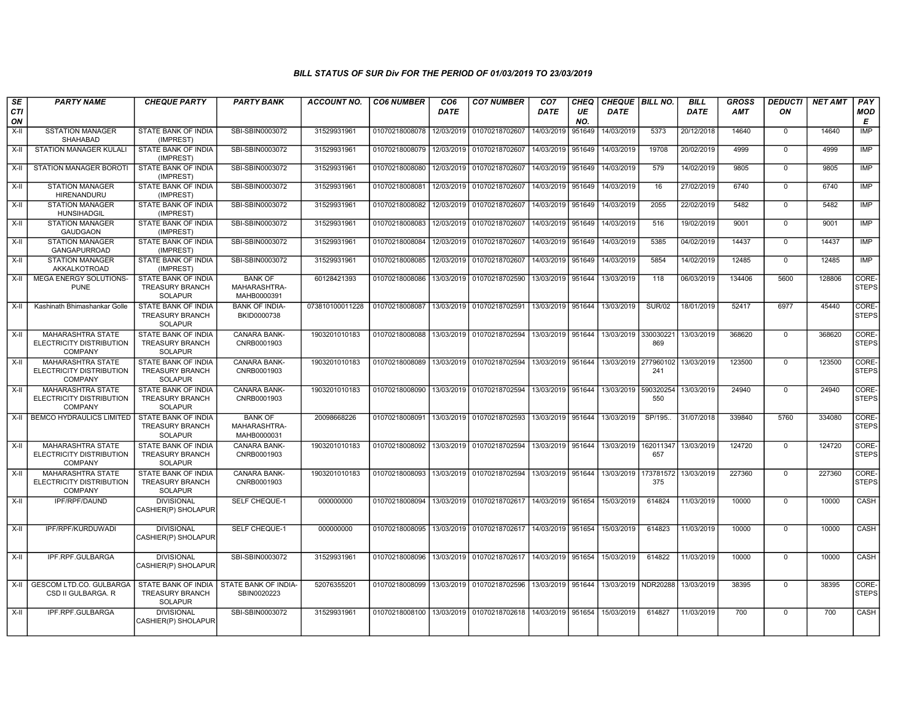| <b>SE</b><br>CTI<br>ON | <b>PARTY NAME</b>                                                      | <b>CHEQUE PARTY</b>                                                    | <b>PARTY BANK</b>                             | <b>ACCOUNT NO.</b> | <b>CO6 NUMBER</b> | CO <sub>6</sub><br><b>DATE</b> | <b>CO7 NUMBER</b>                           | CO <sub>7</sub><br>DATE | CHEQ<br>UE<br>NO. | CHEQUE   BILL NO.<br><b>DATE</b> |                     | <b>BILL</b><br><b>DATE</b> | <b>GROSS</b><br><b>AMT</b> | <b>DEDUCTI</b><br>ON | <b>NET AMT</b> | PAY<br><b>MOD</b><br>Е |
|------------------------|------------------------------------------------------------------------|------------------------------------------------------------------------|-----------------------------------------------|--------------------|-------------------|--------------------------------|---------------------------------------------|-------------------------|-------------------|----------------------------------|---------------------|----------------------------|----------------------------|----------------------|----------------|------------------------|
| $X-II$                 | <b>SSTATION MANAGER</b><br>SHAHABAD                                    | STATE BANK OF INDIA<br>(IMPREST)                                       | SBI-SBIN0003072                               | 31529931961        | 01070218008078    | 12/03/2019                     | 01070218702607                              | 14/03/2019              | 951649            | 14/03/2019                       | 5373                | 20/12/2018                 | 14640                      | $\mathbf 0$          | 14640          | <b>IMP</b>             |
| $X-H$                  | <b>STATION MANAGER KULALI</b>                                          | STATE BANK OF INDIA<br>(IMPREST)                                       | SBI-SBIN0003072                               | 31529931961        | 01070218008079    | 12/03/2019                     | 01070218702607                              | 14/03/2019 951649       |                   | 14/03/2019                       | 19708               | 20/02/2019                 | 4999                       | $\Omega$             | 4999           | <b>IMP</b>             |
| $X-II$                 | STATION MANAGER BOROTI                                                 | STATE BANK OF INDIA<br>(IMPREST)                                       | SBI-SBIN0003072                               | 31529931961        | 01070218008080    | 12/03/2019                     | 01070218702607                              | 14/03/2019 951649       |                   | 14/03/2019                       | 579                 | 14/02/2019                 | 9805                       | $\Omega$             | 9805           | <b>IMP</b>             |
| X-II                   | <b>STATION MANAGER</b><br>HIRENANDURU                                  | STATE BANK OF INDIA<br>(IMPREST)                                       | SBI-SBIN0003072                               | 31529931961        | 01070218008081    | 12/03/2019                     | 01070218702607                              | 14/03/2019 951649       |                   | 14/03/2019                       | 16                  | 27/02/2019                 | 6740                       | $\mathbf 0$          | 6740           | IMP                    |
| X-II                   | <b>STATION MANAGER</b><br>HUNSIHADGIL                                  | STATE BANK OF INDIA<br>(IMPREST)                                       | SBI-SBIN0003072                               | 31529931961        | 01070218008082    | 12/03/2019                     | 01070218702607                              | 14/03/2019 951649       |                   | 14/03/2019                       | 2055                | 22/02/2019                 | 5482                       | $\mathbf 0$          | 5482           | <b>IMP</b>             |
| $X-H$                  | <b>STATION MANAGER</b><br><b>GAUDGAON</b>                              | STATE BANK OF INDIA<br>(IMPREST)                                       | SBI-SBIN0003072                               | 31529931961        | 01070218008083    | 12/03/2019                     | 01070218702607                              | 14/03/2019              | 951649            | 14/03/2019                       | 516                 | 19/02/2019                 | 9001                       | $\Omega$             | 9001           | IMP                    |
| $X-II$                 | <b>STATION MANAGER</b><br><b>GANGAPURROAD</b>                          | STATE BANK OF INDIA<br>(IMPREST)                                       | SBI-SBIN0003072                               | 31529931961        | 01070218008084    | 12/03/2019                     | 01070218702607                              | 14/03/2019 951649       |                   | 14/03/2019                       | 5385                | 04/02/2019                 | 14437                      | $\Omega$             | 14437          | <b>IMP</b>             |
| $X-H$                  | <b>STATION MANAGER</b><br>AKKALKOTROAD                                 | STATE BANK OF INDIA<br>(IMPREST)                                       | SBI-SBIN0003072                               | 31529931961        | 01070218008085    | 12/03/2019                     | 01070218702607                              | 14/03/2019 951649       |                   | 14/03/2019                       | 5854                | 14/02/2019                 | 12485                      | $\mathbf 0$          | 12485          | IMP                    |
| X-II                   | MEGA ENERGY SOLUTIONS-<br><b>PUNE</b>                                  | <b>STATE BANK OF INDIA</b><br>TREASURY BRANCH<br>SOLAPUR               | <b>BANK OF</b><br>MAHARASHTRA-<br>MAHB0000391 | 60128421393        | 01070218008086    | 13/03/2019                     | 01070218702590 13/03/2019 951644            |                         |                   | 13/03/2019                       | 118                 | 06/03/2019                 | 134406                     | 5600                 | 128806         | CORE-<br><b>STEPS</b>  |
| $X-II$                 | Kashinath Bhimashankar Golle                                           | <b>STATE BANK OF INDIA</b><br><b>TREASURY BRANCH</b><br><b>SOLAPUR</b> | <b>BANK OF INDIA-</b><br>BKID0000738          | 073810100011228    | 01070218008087    |                                | 13/03/2019 01070218702591                   | 13/03/2019 951644       |                   | 13/03/2019                       | <b>SUR/02</b>       | 18/01/2019                 | 52417                      | 6977                 | 45440          | CORE-<br><b>STEPS</b>  |
| X-II                   | <b>MAHARASHTRA STATE</b><br>ELECTRICITY DISTRIBUTION<br><b>COMPANY</b> | STATE BANK OF INDIA<br><b>TREASURY BRANCH</b><br><b>SOLAPUR</b>        | CANARA BANK-<br>CNRB0001903                   | 1903201010183      | 01070218008088    | 13/03/2019                     | 01070218702594                              | 13/03/2019 951644       |                   | 13/03/2019                       | 330030221<br>869    | 13/03/2019                 | 368620                     | $\mathbf 0$          | 368620         | CORE-<br><b>STEPS</b>  |
| X-II                   | <b>MAHARASHTRA STATE</b><br>ELECTRICITY DISTRIBUTION<br><b>COMPANY</b> | STATE BANK OF INDIA<br><b>TREASURY BRANCH</b><br><b>SOLAPUR</b>        | <b>CANARA BANK-</b><br>CNRB0001903            | 1903201010183      | 01070218008089    |                                | 13/03/2019 01070218702594                   | 13/03/2019 951644       |                   | 13/03/2019 277960102             | 241                 | 13/03/2019                 | 123500                     | $\Omega$             | 123500         | CORE-<br><b>STEPS</b>  |
| $X-H$                  | <b>MAHARASHTRA STATE</b><br>ELECTRICITY DISTRIBUTION<br><b>COMPANY</b> | STATE BANK OF INDIA<br><b>TREASURY BRANCH</b><br><b>SOLAPUR</b>        | <b>CANARA BANK-</b><br>CNRB0001903            | 1903201010183      | 01070218008090    |                                | 13/03/2019 01070218702594                   | 13/03/2019 951644       |                   | 13/03/2019                       | 590320254<br>550    | 13/03/2019                 | 24940                      | $\overline{0}$       | 24940          | CORE-<br><b>STEPS</b>  |
| $X-H$                  | <b>BEMCO HYDRAULICS LIMITED</b>                                        | <b>STATE BANK OF INDIA</b><br><b>TREASURY BRANCH</b><br>SOLAPUR        | <b>BANK OF</b><br>MAHARASHTRA-<br>MAHB0000031 | 20098668226        | 01070218008091    | 13/03/2019                     | 01070218702593                              | 13/03/2019 951644       |                   | 13/03/2019                       | SP/195.             | 31/07/2018                 | 339840                     | 5760                 | 334080         | CORE-<br><b>STEPS</b>  |
| $X-H$                  | MAHARASHTRA STATE<br>ELECTRICITY DISTRIBUTION<br><b>COMPANY</b>        | STATE BANK OF INDIA<br><b>TREASURY BRANCH</b><br><b>SOLAPUR</b>        | CANARA BANK-<br>CNRB0001903                   | 1903201010183      | 01070218008092    | 13/03/2019                     | 01070218702594                              | 13/03/2019 951644       |                   | 13/03/2019                       | 162011347<br>657    | 13/03/2019                 | 124720                     | $\mathbf 0$          | 124720         | CORE-<br><b>STEPS</b>  |
| $X-H$                  | <b>MAHARASHTRA STATE</b><br>ELECTRICITY DISTRIBUTION<br><b>COMPANY</b> | <b>STATE BANK OF INDIA</b><br><b>TREASURY BRANCH</b><br><b>SOLAPUR</b> | <b>CANARA BANK-</b><br>CNRB0001903            | 1903201010183      | 01070218008093    |                                | 13/03/2019 01070218702594                   | 13/03/2019 951644       |                   | 13/03/2019                       | 173781572<br>375    | 13/03/2019                 | 227360                     | $\Omega$             | 227360         | CORE-<br><b>STEPS</b>  |
| X-II                   | IPF/RPF/DAUND                                                          | <b>DIVISIONAL</b><br>CASHIER(P) SHOLAPUR                               | SELF CHEQUE-1                                 | 000000000          | 01070218008094    |                                | 13/03/2019 01070218702617 14/03/2019 951654 |                         |                   | 15/03/2019                       | 614824              | 11/03/2019                 | 10000                      | $\Omega$             | 10000          | CASH                   |
| X-II                   | IPF/RPF/KURDUWADI                                                      | <b>DIVISIONAL</b><br>CASHIER(P) SHOLAPUR                               | SELF CHEQUE-1                                 | 000000000          | 01070218008095    |                                | 13/03/2019 01070218702617                   | 14/03/2019 951654       |                   | 15/03/2019                       | 614823              | 11/03/2019                 | 10000                      | $\Omega$             | 10000          | CASH                   |
| X-II                   | IPF.RPF.GULBARGA                                                       | <b>DIVISIONAL</b><br>CASHIER(P) SHOLAPUR                               | SBI-SBIN0003072                               | 31529931961        | 01070218008096    |                                | 13/03/2019 01070218702617                   | 14/03/2019   951654     |                   | 15/03/2019                       | 614822              | 11/03/2019                 | 10000                      | $\Omega$             | 10000          | CASH                   |
| $X-H$                  | <b>GESCOM LTD.CO. GULBARGA</b><br>CSD II GULBARGA. R                   | STATE BANK OF INDIA<br>TREASURY BRANCH<br><b>SOLAPUR</b>               | STATE BANK OF INDIA-<br>SBIN0020223           | 52076355201        | 01070218008099    | 13/03/2019                     | 01070218702596                              | 13/03/2019 951644       |                   |                                  | 13/03/2019 NDR20288 | 13/03/2019                 | 38395                      | $\Omega$             | 38395          | CORE-<br><b>STEPS</b>  |
| X-II                   | IPF.RPF.GULBARGA                                                       | <b>DIVISIONAL</b><br>CASHIER(P) SHOLAPUR                               | SBI-SBIN0003072                               | 31529931961        | 01070218008100    |                                | 13/03/2019 01070218702618                   | 14/03/2019 951654       |                   | 15/03/2019                       | 614827              | 11/03/2019                 | 700                        | $\Omega$             | 700            | CASH                   |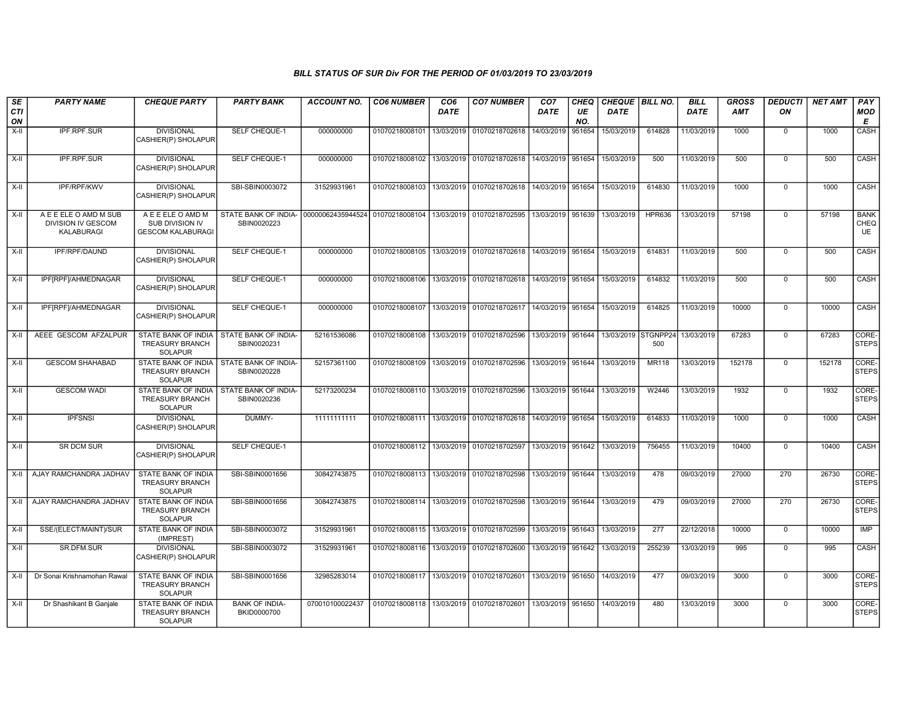| SE<br><b>CTI</b> | <b>PARTY NAME</b>                                                | <b>CHEQUE PARTY</b>                                                    | <b>PARTY BANK</b>                                                                                                | <b>ACCOUNT NO.</b> | <b>CO6 NUMBER</b>                        | CO <sub>6</sub><br><b>DATE</b> | <b>CO7 NUMBER</b>                                                     | CO <sub>7</sub><br><b>DATE</b> | CHEQ<br>UE | CHEQUE   BILL NO.<br><b>DATE</b> |               | <b>BILL</b><br><b>DATE</b> | <b>GROSS</b><br><b>AMT</b> | <b>DEDUCTI</b><br>ON | <b>NET AMT</b> | PAY<br><b>MOD</b>                |
|------------------|------------------------------------------------------------------|------------------------------------------------------------------------|------------------------------------------------------------------------------------------------------------------|--------------------|------------------------------------------|--------------------------------|-----------------------------------------------------------------------|--------------------------------|------------|----------------------------------|---------------|----------------------------|----------------------------|----------------------|----------------|----------------------------------|
| ON               |                                                                  |                                                                        |                                                                                                                  |                    |                                          |                                |                                                                       |                                | NO.        |                                  |               |                            |                            |                      |                | E                                |
| $X-II$           | IPF.RPF.SUR                                                      | <b>DIVISIONAL</b><br>CASHIER(P) SHOLAPUR                               | SELF CHEQUE-1                                                                                                    | 000000000          | 01070218008101                           | 13/03/2019                     | 01070218702618                                                        | 14/03/2019                     | 951654     | 15/03/2019                       | 614828        | 11/03/2019                 | 1000                       | $\Omega$             | 1000           | CASH                             |
| $X-H$            | <b>IPF.RPF.SUR</b>                                               | <b>DIVISIONAL</b><br>CASHIER(P) SHOLAPUR                               | <b>SELF CHEQUE-1</b>                                                                                             | 000000000          | 01070218008102                           |                                | 13/03/2019 01070218702618 14/03/2019 951654                           |                                |            | 15/03/2019                       | 500           | 11/03/2019                 | 500                        | $\mathbf 0$          | 500            | <b>CASH</b>                      |
| $X-II$           | IPF/RPF/KWV                                                      | <b>DIVISIONAL</b><br>CASHIER(P) SHOLAPUR                               | SBI-SBIN0003072                                                                                                  | 31529931961        | 01070218008103                           |                                | 13/03/2019 01070218702618                                             | 14/03/2019 951654              |            | 15/03/2019                       | 614830        | 11/03/2019                 | 1000                       | $\mathbf 0$          | 1000           | CASH                             |
| X-II             | A E E ELE O AMD M SUB<br><b>DIVISION IV GESCOM</b><br>KALABURAGI | A E E ELE O AMD M<br>SUB DIVISION IV<br><b>GESCOM KALABURAGI</b>       | STATE BANK OF INDIA- 00000062435944524 01070218008104 13/03/2019 01070218702595 13/03/2019 951639<br>SBIN0020223 |                    |                                          |                                |                                                                       |                                |            | 13/03/2019                       | <b>HPR636</b> | 13/03/2019                 | 57198                      | $\mathbf 0$          | 57198          | <b>BANK</b><br>CHEQ<br><b>UE</b> |
| $X-H$            | IPF/RPF/DAUND                                                    | <b>DIVISIONAL</b><br>CASHIER(P) SHOLAPUR                               | <b>SELF CHEQUE-1</b>                                                                                             | 000000000          |                                          |                                | 01070218008105 13/03/2019 01070218702618 14/03/2019 951654 15/03/2019 |                                |            |                                  | 614831        | 11/03/2019                 | 500                        | $\mathbf 0$          | 500            | CASH                             |
| $X-H$            | IPF[RPF]/AHMEDNAGAR                                              | <b>DIVISIONAL</b><br>CASHIER(P) SHOLAPUR                               | SELF CHEQUE-1                                                                                                    | 000000000          | 01070218008106                           |                                | 13/03/2019 01070218702618 14/03/2019 951654                           |                                |            | 15/03/2019                       | 614832        | 11/03/2019                 | 500                        | $\mathbf 0$          | 500            | CASH                             |
| $X-II$           | IPF RPF /AHMEDNAGAR                                              | <b>DIVISIONAL</b><br>CASHIER(P) SHOLAPUR                               | <b>SELF CHEQUE-1</b>                                                                                             | 000000000          | 01070218008107                           |                                | 13/03/2019 01070218702617 14/03/2019 951654                           |                                |            | 15/03/2019                       | 614825        | 11/03/2019                 | 10000                      | $\mathbf 0$          | 10000          | CASH                             |
| X-II             | AEEE GESCOM AFZALPUR                                             | <b>STATE BANK OF INDIA</b><br><b>TREASURY BRANCH</b><br><b>SOLAPUR</b> | STATE BANK OF INDIA-<br>SBIN0020231                                                                              | 52161536086        |                                          |                                | 01070218008108 13/03/2019 01070218702596                              | 13/03/2019 951644              |            | 13/03/2019 STGNPP24              | 500           | 13/03/2019                 | 67283                      | $\mathbf 0$          | 67283          | CORE-<br><b>STEPS</b>            |
| $X-H$            | <b>GESCOM SHAHABAD</b>                                           | STATE BANK OF INDIA<br><b>TREASURY BRANCH</b><br><b>SOLAPUR</b>        | STATE BANK OF INDIA-<br>SBIN0020228                                                                              | 52157361100        |                                          |                                | 01070218008109 13/03/2019 01070218702596 13/03/2019 951644            |                                |            | 13/03/2019                       | <b>MR118</b>  | 13/03/2019                 | 152178                     | $\overline{0}$       | 152178         | CORE-<br><b>STEPS</b>            |
| X-II             | <b>GESCOM WADI</b>                                               | STATE BANK OF INDIA<br><b>TREASURY BRANCH</b><br><b>SOLAPUR</b>        | STATE BANK OF INDIA-<br>SBIN0020236                                                                              | 52173200234        |                                          |                                | 01070218008110 13/03/2019 01070218702596                              | 13/03/2019 951644              |            | 13/03/2019                       | W2446         | 13/03/2019                 | 1932                       | $\overline{0}$       | 1932           | CORE-<br><b>STEPS</b>            |
| $X-H$            | <b>IPFSNSI</b>                                                   | <b>DIVISIONAL</b><br>CASHIER(P) SHOLAPUR                               | DUMMY-                                                                                                           | 11111111111        |                                          |                                | 01070218008111 13/03/2019 01070218702618 14/03/2019 951654 15/03/2019 |                                |            |                                  | 614833        | 11/03/2019                 | 1000                       | $\mathbf 0$          | 1000           | CASH                             |
| $X-H$            | <b>SR DCM SUR</b>                                                | <b>DIVISIONAL</b><br>CASHIER(P) SHOLAPUR                               | <b>SELF CHEQUE-1</b>                                                                                             |                    |                                          |                                | 01070218008112 13/03/2019 01070218702597 13/03/2019 951642 13/03/2019 |                                |            |                                  | 756455        | 11/03/2019                 | 10400                      | $\mathbf 0$          | 10400          | CASH                             |
| X-II             | AJAY RAMCHANDRA JADHAV                                           | STATE BANK OF INDIA<br>TREASURY BRANCH<br><b>SOLAPUR</b>               | SBI-SBIN0001656                                                                                                  | 30842743875        | 01070218008113                           |                                | 13/03/2019 01070218702598                                             | 13/03/2019 951644              |            | 13/03/2019                       | 478           | 09/03/2019                 | 27000                      | 270                  | 26730          | CORE-<br><b>STEPS</b>            |
| $X-H$            | AJAY RAMCHANDRA JADHAV                                           | STATE BANK OF INDIA<br><b>TREASURY BRANCH</b><br><b>SOLAPUR</b>        | SBI-SBIN0001656                                                                                                  | 30842743875        | 01070218008114                           |                                | 13/03/2019 01070218702598                                             | 13/03/2019 951644              |            | 13/03/2019                       | 479           | 09/03/2019                 | 27000                      | 270                  | 26730          | CORE-<br><b>STEPS</b>            |
| $X-H$            | SSE/(ELECT/MAINT)/SUR                                            | STATE BANK OF INDIA<br>(IMPREST)                                       | SBI-SBIN0003072                                                                                                  | 31529931961        |                                          |                                | 01070218008115 13/03/2019 01070218702599                              | 13/03/2019 951643              |            | 13/03/2019                       | 277           | 22/12/2018                 | 10000                      | $\mathbf 0$          | 10000          | <b>IMP</b>                       |
| X-II             | SR.DFM.SUR                                                       | <b>DIVISIONAL</b><br>CASHIER(P) SHOLAPUR                               | SBI-SBIN0003072                                                                                                  | 31529931961        |                                          |                                | 01070218008116   13/03/2019   01070218702600                          | 13/03/2019 951642              |            | 13/03/2019                       | 255239        | 13/03/2019                 | 995                        | $\mathbf 0$          | 995            | CASH                             |
| $X-H$            | Dr Sonai Krishnamohan Rawal                                      | <b>STATE BANK OF INDIA</b><br><b>TREASURY BRANCH</b><br><b>SOLAPUR</b> | SBI-SBIN0001656                                                                                                  | 32985283014        |                                          |                                | 01070218008117 13/03/2019 01070218702601                              | 13/03/2019 951650              |            | 14/03/2019                       | 477           | 09/03/2019                 | 3000                       | $\overline{0}$       | 3000           | CORE-<br><b>STEPS</b>            |
| $X-II$           | Dr Shashikant B Ganjale                                          | STATE BANK OF INDIA<br><b>TREASURY BRANCH</b><br><b>SOLAPUR</b>        | <b>BANK OF INDIA-</b><br>BKID0000700                                                                             | 070010100022437    | 01070218008118 13/03/2019 01070218702601 |                                |                                                                       | 13/03/2019 951650              |            | 14/03/2019                       | 480           | 13/03/2019                 | 3000                       | $\overline{0}$       | 3000           | CORE-<br><b>STEPS</b>            |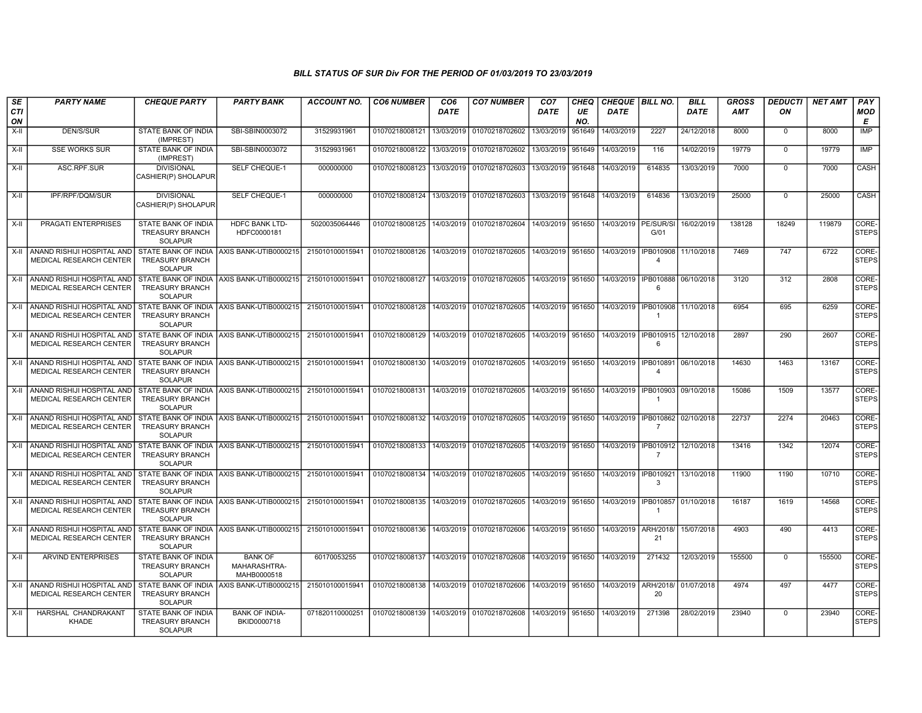| SE        | <b>PARTY NAME</b>                                                 | <b>CHEQUE PARTY</b>                                             | <b>PARTY BANK</b>                             | ACCOUNT NO.     | <b>CO6 NUMBER</b> | CO <sub>6</sub> | <b>CO7 NUMBER</b>                                 | CO <sub>7</sub>   | CHEQ      | CHEQUE   BILL NO.    |                                        | <b>BILL</b> | <b>GROSS</b> | <b>DEDUCTI</b> | <b>NET AMT</b> | <b>PAY</b>            |
|-----------|-------------------------------------------------------------------|-----------------------------------------------------------------|-----------------------------------------------|-----------------|-------------------|-----------------|---------------------------------------------------|-------------------|-----------|----------------------|----------------------------------------|-------------|--------------|----------------|----------------|-----------------------|
| CTI<br>ON |                                                                   |                                                                 |                                               |                 |                   | <b>DATE</b>     |                                                   | <b>DATE</b>       | UE<br>NO. | <b>DATE</b>          |                                        | <b>DATE</b> | <b>AMT</b>   | ON             |                | <b>MOD</b><br>Е       |
| $X-II$    | DEN/S/SUR                                                         | STATE BANK OF INDIA<br>(IMPREST)                                | SBI-SBIN0003072                               | 31529931961     | 01070218008121    | 13/03/2019      | 01070218702602                                    | 13/03/2019        | 951649    | 14/03/2019           | 2227                                   | 24/12/2018  | 8000         | $\mathbf 0$    | 8000           | <b>IMP</b>            |
| $X-II$    | <b>SSE WORKS SUR</b>                                              | STATE BANK OF INDIA<br>(IMPREST)                                | SBI-SBIN0003072                               | 31529931961     | 01070218008122    | 13/03/2019      | 01070218702602                                    | 13/03/2019        | 951649    | 14/03/2019           | 116                                    | 14/02/2019  | 19779        | $\Omega$       | 19779          | <b>IMP</b>            |
| X-II      | ASC.RPF.SUR                                                       | <b>DIVISIONAL</b><br>CASHIER(P) SHOLAPUR                        | SELF CHEQUE-1                                 | 000000000       | 01070218008123    | 13/03/2019      | 01070218702603                                    | 13/03/2019 951648 |           | 14/03/2019           | 614835                                 | 13/03/2019  | 7000         | $\mathbf 0$    | 7000           | CASH                  |
| X-II      | IPF/RPF/DQM/SUR                                                   | <b>DIVISIONAL</b><br>CASHIER(P) SHOLAPUR                        | SELF CHEQUE-1                                 | 000000000       | 01070218008124    | 13/03/2019      | 01070218702603                                    | 13/03/2019 951648 |           | 14/03/2019           | 614836                                 | 13/03/2019  | 25000        | $\mathbf 0$    | 25000          | CASH                  |
| X-II      | <b>PRAGATI ENTERPRISES</b>                                        | STATE BANK OF INDIA<br><b>TREASURY BRANCH</b><br><b>SOLAPUR</b> | <b>HDFC BANK LTD-</b><br>HDFC0000181          | 5020035064446   | 01070218008125    | 14/03/2019      | 01070218702604 14/03/2019 951650                  |                   |           | 14/03/2019 PE/SUR/SI | G/01                                   | 16/02/2019  | 138128       | 18249          | 119879         | CORE-<br><b>STEPS</b> |
| X-II      | I ANAND RISHIJI HOSPITAL AND<br><b>MEDICAL RESEARCH CENTER</b>    | <b>TREASURY BRANCH</b><br><b>SOLAPUR</b>                        | STATE BANK OF INDIA AXIS BANK-UTIB0000215     | 215010100015941 | 01070218008126    | 14/03/2019      | 01070218702605                                    | 14/03/2019 951650 |           | 14/03/2019           | <b>IPB010908</b><br>$\overline{4}$     | 11/10/2018  | 7469         | 747            | 6722           | CORE-<br>STEPS        |
| X-II      | <b>ANAND RISHIJI HOSPITAL AND</b><br>MEDICAL RESEARCH CENTER      | TREASURY BRANCH<br><b>SOLAPUR</b>                               | STATE BANK OF INDIA AXIS BANK-UTIB0000215     | 215010100015941 | 01070218008127    | 14/03/2019      | 01070218702605                                    | 14/03/2019 951650 |           | 14/03/2019           | IPB010888<br>-6                        | 06/10/2018  | 3120         | 312            | 2808           | CORE-<br><b>STEPS</b> |
|           | X-II ANAND RISHIJI HOSPITAL AND<br><b>MEDICAL RESEARCH CENTER</b> | <b>TREASURY BRANCH</b><br><b>SOLAPUR</b>                        | STATE BANK OF INDIA LAXIS BANK-UTIB0000215    | 215010100015941 | 01070218008128    |                 | 14/03/2019 01070218702605                         | 14/03/2019 951650 |           | 14/03/2019           | IPB010908                              | 11/10/2018  | 6954         | 695            | 6259           | CORE-<br><b>STEPS</b> |
|           | X-II ANAND RISHIJI HOSPITAL AND<br>MEDICAL RESEARCH CENTER        | TREASURY BRANCH<br><b>SOLAPUR</b>                               | STATE BANK OF INDIA LAXIS BANK-UTIB0000215    | 215010100015941 | 01070218008129    | 14/03/2019      | 01070218702605                                    | 14/03/2019 951650 |           | 14/03/2019           | IPB010915<br>6                         | 12/10/2018  | 2897         | 290            | 2607           | CORE-<br><b>STEPS</b> |
| X-II      | I ANAND RISHIJI HOSPITAL AND<br>MEDICAL RESEARCH CENTER           | <b>TREASURY BRANCH</b><br><b>SOLAPUR</b>                        | STATE BANK OF INDIA LAXIS BANK-UTIB0000215    | 215010100015941 | 01070218008130    | 14/03/2019      | 01070218702605                                    | 14/03/2019 951650 |           | 14/03/2019           | I IPB010891<br>$\boldsymbol{\Lambda}$  | 06/10/2018  | 14630        | 1463           | 13167          | CORE-<br><b>STEPS</b> |
| X-II      | ANAND RISHIJI HOSPITAL AND<br>MEDICAL RESEARCH CENTER             | <b>TREASURY BRANCH</b><br>SOLAPUR                               | STATE BANK OF INDIA AXIS BANK-UTIB0000215     | 215010100015941 | 01070218008131    | 14/03/2019      | 01070218702605                                    | 14/03/2019 951650 |           | 14/03/2019           | IPB010903<br>$\overline{1}$            | 09/10/2018  | 15086        | 1509           | 13577          | CORE-<br><b>STEPS</b> |
|           | X-II ANAND RISHIJI HOSPITAL AND<br><b>MEDICAL RESEARCH CENTER</b> | <b>TREASURY BRANCH</b><br><b>SOLAPUR</b>                        | STATE BANK OF INDIA AXIS BANK-UTIB0000215     | 215010100015941 | 01070218008132    | 14/03/2019      | 01070218702605                                    | 14/03/2019 951650 |           | 14/03/2019           | IPB010862 02/10/2018<br>$\overline{7}$ |             | 22737        | 2274           | 20463          | CORE-<br><b>STEPS</b> |
| X-II      | ANAND RISHIJI HOSPITAL AND<br>MEDICAL RESEARCH CENTER             | <b>TREASURY BRANCH</b><br><b>SOLAPUR</b>                        | STATE BANK OF INDIA AXIS BANK-UTIB0000215     | 215010100015941 | 01070218008133    | 14/03/2019      | 01070218702605                                    | 14/03/2019 951650 |           | 14/03/2019           | IPB010912<br>$\overline{7}$            | 12/10/2018  | 13416        | 1342           | 12074          | CORE-<br><b>STEPS</b> |
| X-II      | ANAND RISHIJI HOSPITAL AND<br>MEDICAL RESEARCH CENTER             | <b>TREASURY BRANCH</b><br><b>SOLAPUR</b>                        | STATE BANK OF INDIA AXIS BANK-UTIB0000215     | 215010100015941 | 01070218008134    | 14/03/2019      | 01070218702605                                    | 14/03/2019 951650 |           | 14/03/2019           | IPB010921<br>3                         | 13/10/2018  | 11900        | 1190           | 10710          | CORE-<br><b>STEPS</b> |
|           | X-II ANAND RISHIJI HOSPITAL AND<br>MEDICAL RESEARCH CENTER        | <b>TREASURY BRANCH</b><br><b>SOLAPUR</b>                        | STATE BANK OF INDIA AXIS BANK-UTIB0000215     | 215010100015941 | 01070218008135    |                 | 14/03/2019 01070218702605                         | 14/03/2019 951650 |           | 14/03/2019           | <b>IPB010857</b><br>$\overline{1}$     | 01/10/2018  | 16187        | 1619           | 14568          | CORE-<br><b>STEPS</b> |
| X-II      | Í ANAND RISHIJI HOSPITAL AND<br>MEDICAL RESEARCH CENTER           | <b>TREASURY BRANCH</b><br><b>SOLAPUR</b>                        | STATE BANK OF INDIA AXIS BANK-UTIB0000215     | 215010100015941 | 01070218008136    | 14/03/2019      | 01070218702606                                    | 14/03/2019 951650 |           | 14/03/2019           | ARH/2018<br>21                         | 15/07/2018  | 4903         | 490            | 4413           | CORE-<br><b>STEPS</b> |
| X-II      | <b>ARVIND ENTERPRISES</b>                                         | STATE BANK OF INDIA<br><b>TREASURY BRANCH</b><br><b>SOLAPUR</b> | <b>BANK OF</b><br>MAHARASHTRA-<br>MAHB0000518 | 60170053255     | 01070218008137    | 14/03/2019      | 01070218702608                                    | 14/03/2019 951650 |           | 14/03/2019           | 271432                                 | 12/03/2019  | 155500       | $\Omega$       | 155500         | CORE-<br><b>STEPS</b> |
| X-II      | ANAND RISHIJI HOSPITAL AND<br>MEDICAL RESEARCH CENTER             | TREASURY BRANCH<br><b>SOLAPUR</b>                               | STATE BANK OF INDIA AXIS BANK-UTIB0000215     | 215010100015941 | 01070218008138    | 14/03/2019      | 01070218702606                                    | 14/03/2019 951650 |           | 14/03/2019 ARH/2018/ | 20                                     | 01/07/2018  | 4974         | 497            | 4477           | CORE-<br><b>STEPS</b> |
| X-II      | HARSHAL CHANDRAKANT<br>KHADE                                      | STATE BANK OF INDIA<br><b>TREASURY BRANCH</b><br><b>SOLAPUR</b> | <b>BANK OF INDIA-</b><br>BKID0000718          | 071820110000251 | 01070218008139    |                 | 14/03/2019   01070218702608   14/03/2019   951650 |                   |           | 14/03/2019           | 271398                                 | 28/02/2019  | 23940        | $\Omega$       | 23940          | CORE-<br><b>STEPS</b> |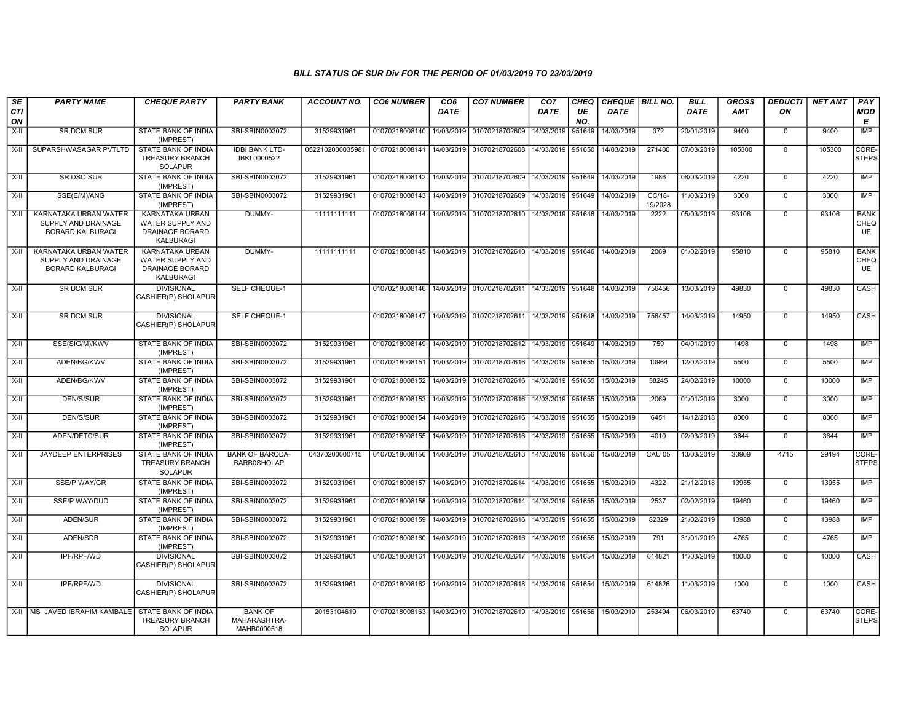| SE<br><b>CTI</b> | <b>PARTY NAME</b>                                                       | <b>CHEQUE PARTY</b>                                                               | <b>PARTY BANK</b>                             | <b>ACCOUNT NO.</b> | <b>CO6 NUMBER</b> | CO <sub>6</sub><br><b>DATE</b> | <b>CO7 NUMBER</b>                                                  | CO <sub>7</sub><br>DATE | CHEQ<br>UE | CHEQUE BILL NO.<br><b>DATE</b> |                   | <b>BILL</b><br>DATE | <b>GROSS</b><br><b>AMT</b> | <b>DEDUCTI</b><br>ON | <b>NET AMT</b> | PAY<br><b>MOD</b>                |
|------------------|-------------------------------------------------------------------------|-----------------------------------------------------------------------------------|-----------------------------------------------|--------------------|-------------------|--------------------------------|--------------------------------------------------------------------|-------------------------|------------|--------------------------------|-------------------|---------------------|----------------------------|----------------------|----------------|----------------------------------|
| ON               |                                                                         |                                                                                   |                                               |                    |                   |                                |                                                                    |                         | NO.        |                                |                   |                     |                            |                      |                | Е                                |
| X-II             | SR.DCM.SUR                                                              | STATE BANK OF INDIA<br>(IMPREST)                                                  | SBI-SBIN0003072                               | 31529931961        | 01070218008140    | 14/03/2019                     | 01070218702609                                                     | 14/03/2019              | 951649     | 14/03/2019                     | 072               | 20/01/2019          | 9400                       | $\mathbf 0$          | 9400           | <b>IMP</b>                       |
| $X-H$            | SUPARSHWASAGAR PVTLTD                                                   | STATE BANK OF INDIA<br><b>TREASURY BRANCH</b><br><b>SOLAPUR</b>                   | <b>IDBI BANK LTD-</b><br>IBKL0000522          | 0522102000035981   | 01070218008141    | 14/03/2019                     | 01070218702608                                                     | 14/03/2019 951650       |            | 14/03/2019                     | 271400            | 07/03/2019          | 105300                     | $\Omega$             | 105300         | CORE-<br><b>STEPS</b>            |
| $X-H$            | SR.DSO.SUR                                                              | <b>STATE BANK OF INDIA</b><br>(IMPREST)                                           | SBI-SBIN0003072                               | 31529931961        | 01070218008142    |                                | 14/03/2019 01070218702609 14/03/2019 951649 14/03/2019             |                         |            |                                | 1986              | 08/03/2019          | 4220                       | $\overline{0}$       | 4220           | IMP                              |
| X-II             | SSE(E/M)/ANG                                                            | STATE BANK OF INDIA<br>(IMPREST)                                                  | SBI-SBIN0003072                               | 31529931961        | 01070218008143    | 14/03/2019                     | 01070218702609                                                     | 14/03/2019 951649       |            | 14/03/2019                     | CC/18-<br>19/2028 | 11/03/2019          | 3000                       | $\mathbf 0$          | 3000           | <b>IMP</b>                       |
| $X-II$           | KARNATAKA URBAN WATER<br>SUPPLY AND DRAINAGE<br><b>BORARD KALBURAGI</b> | KARNATAKA URBAN<br><b>WATER SUPPLY AND</b><br><b>DRAINAGE BORARD</b><br>KALBURAGI | DUMMY-                                        | 11111111111        | 01070218008144    | 14/03/2019                     | 01070218702610                                                     | 14/03/2019 951646       |            | 14/03/2019                     | 2222              | 05/03/2019          | 93106                      | $\overline{0}$       | 93106          | <b>BANK</b><br>CHEQ<br><b>UE</b> |
| $X-II$           | KARNATAKA URBAN WATER<br>SUPPLY AND DRAINAGE<br><b>BORARD KALBURAGI</b> | KARNATAKA URBAN<br><b>WATER SUPPLY AND</b><br>DRAINAGE BORARD<br><b>KALBURAGI</b> | DUMMY-                                        | 11111111111        |                   |                                | 01070218008145   14/03/2019   01070218702610   14/03/2019   951646 |                         |            | 14/03/2019                     | 2069              | 01/02/2019          | 95810                      | $\mathbf{0}$         | 95810          | <b>BANK</b><br>CHEQ<br>UE        |
| X-II             | SR DCM SUR                                                              | <b>DIVISIONAL</b><br>CASHIER(P) SHOLAPUR                                          | SELF CHEQUE-1                                 |                    | 01070218008146    |                                | 14/03/2019   01070218702611   14/03/2019   951648                  |                         |            | 14/03/2019                     | 756456            | 13/03/2019          | 49830                      | $\mathbf 0$          | 49830          | CASH                             |
| $X-H$            | <b>SR DCM SUR</b>                                                       | <b>DIVISIONAL</b><br>CASHIER(P) SHOLAPUR                                          | <b>SELF CHEQUE-1</b>                          |                    | 01070218008147    |                                | 14/03/2019 01070218702611 14/03/2019 951648                        |                         |            | 14/03/2019                     | 756457            | 14/03/2019          | 14950                      | $\overline{0}$       | 14950          | CASH                             |
| $X-H$            | SSE(SIG/M)/KWV                                                          | STATE BANK OF INDIA<br>(IMPREST)                                                  | SBI-SBIN0003072                               | 31529931961        | 01070218008149    | 14/03/2019                     | 01070218702612 14/03/2019 951649                                   |                         |            | 14/03/2019                     | 759               | 04/01/2019          | 1498                       | $\overline{0}$       | 1498           | <b>IMP</b>                       |
| X-II             | ADEN/BG/KWV                                                             | STATE BANK OF INDIA<br>(IMPREST)                                                  | SBI-SBIN0003072                               | 31529931961        | 01070218008151    | 14/03/2019                     | 01070218702616                                                     | 14/03/2019 951655       |            | 15/03/2019                     | 10964             | 12/02/2019          | 5500                       | $\mathbf 0$          | 5500           | <b>IMP</b>                       |
| $X-H$            | ADEN/BG/KWV                                                             | <b>STATE BANK OF INDIA</b><br>(IMPREST)                                           | SBI-SBIN0003072                               | 31529931961        | 01070218008152    | 14/03/2019                     | 01070218702616 14/03/2019 951655                                   |                         |            | 15/03/2019                     | 38245             | 24/02/2019          | 10000                      | $\overline{0}$       | 10000          | IMP                              |
| X-II             | DEN/S/SUR                                                               | STATE BANK OF INDIA<br>(IMPREST)                                                  | SBI-SBIN0003072                               | 31529931961        | 01070218008153    | 14/03/2019                     | 01070218702616   14/03/2019   951655                               |                         |            | 15/03/2019                     | 2069              | 01/01/2019          | 3000                       | $\mathbf 0$          | 3000           | IMP                              |
| X-II             | DEN/S/SUR                                                               | STATE BANK OF INDIA<br>(IMPREST)                                                  | SBI-SBIN0003072                               | 31529931961        | 01070218008154    | 14/03/2019                     | 01070218702616                                                     | 14/03/2019 951655       |            | 15/03/2019                     | 6451              | 14/12/2018          | 8000                       | $\mathbf 0$          | 8000           | <b>IMP</b>                       |
| X-II             | ADEN/DETC/SUR                                                           | STATE BANK OF INDIA<br>(IMPREST)                                                  | SBI-SBIN0003072                               | 31529931961        | 01070218008155    | 14/03/2019                     | 01070218702616                                                     | 14/03/2019 951655       |            | 15/03/2019                     | 4010              | 02/03/2019          | 3644                       | $\mathbf 0$          | 3644           | IMP                              |
| $X-H$            | <b>JAYDEEP ENTERPRISES</b>                                              | <b>STATE BANK OF INDIA</b><br><b>TREASURY BRANCH</b><br><b>SOLAPUR</b>            | <b>BANK OF BARODA-</b><br><b>BARB0SHOLAP</b>  | 04370200000715     | 01070218008156    | 14/03/2019                     | 01070218702613 14/03/2019 951656                                   |                         |            | 15/03/2019                     | CAU 05            | 13/03/2019          | 33909                      | 4715                 | 29194          | CORE-<br>STEPS                   |
| $X-H$            | <b>SSE/P WAY/GR</b>                                                     | STATE BANK OF INDIA<br>(IMPREST)                                                  | SBI-SBIN0003072                               | 31529931961        | 01070218008157    |                                | 14/03/2019 01070218702614 14/03/2019 951655                        |                         |            | 15/03/2019                     | 4322              | 21/12/2018          | 13955                      | $\mathbf 0$          | 13955          | <b>IMP</b>                       |
| $X-H$            | <b>SSE/P WAY/DUD</b>                                                    | <b>STATE BANK OF INDIA</b><br>(IMPREST)                                           | SBI-SBIN0003072                               | 31529931961        | 01070218008158    | 14/03/2019                     | 01070218702614   14/03/2019   951655                               |                         |            | 15/03/2019                     | 2537              | 02/02/2019          | 19460                      | $\mathbf 0$          | 19460          | IMP                              |
| X-II             | ADEN/SUR                                                                | STATE BANK OF INDIA<br>(IMPREST)                                                  | SBI-SBIN0003072                               | 31529931961        | 01070218008159    | 14/03/2019                     | 01070218702616                                                     | 14/03/2019 951655       |            | 15/03/2019                     | 82329             | 21/02/2019          | 13988                      | $\mathbf 0$          | 13988          | IMP                              |
| X-II             | ADEN/SDB                                                                | STATE BANK OF INDIA<br>(IMPREST)                                                  | SBI-SBIN0003072                               | 31529931961        | 01070218008160    | 14/03/2019                     | 01070218702616 14/03/2019 951655                                   |                         |            | 15/03/2019                     | 791               | 31/01/2019          | 4765                       | $\mathbf 0$          | 4765           | <b>IMP</b>                       |
| X-II             | IPF/RPF/WD                                                              | <b>DIVISIONAL</b><br>CASHIER(P) SHOLAPUR                                          | SBI-SBIN0003072                               | 31529931961        | 01070218008161    | 14/03/2019                     | 01070218702617   14/03/2019   951654                               |                         |            | 15/03/2019                     | 614821            | 11/03/2019          | 10000                      | $\mathbf 0$          | 10000          | CASH                             |
| X-II             | IPF/RPF/WD                                                              | <b>DIVISIONAL</b><br>CASHIER(P) SHOLAPUR                                          | SBI-SBIN0003072                               | 31529931961        | 01070218008162    |                                | 14/03/2019   01070218702618   14/03/2019   951654                  |                         |            | 15/03/2019                     | 614826            | 11/03/2019          | 1000                       | $\mathbf 0$          | 1000           | CASH                             |
|                  | X-II   MS JAVED IBRAHIM KAMBALE                                         | STATE BANK OF INDIA<br><b>TREASURY BRANCH</b><br><b>SOLAPUR</b>                   | <b>BANK OF</b><br>MAHARASHTRA-<br>MAHB0000518 | 20153104619        | 01070218008163    |                                | 14/03/2019   01070218702619   14/03/2019   951656                  |                         |            | 15/03/2019                     | 253494            | 06/03/2019          | 63740                      | $\mathbf 0$          | 63740          | CORE-<br><b>STEPS</b>            |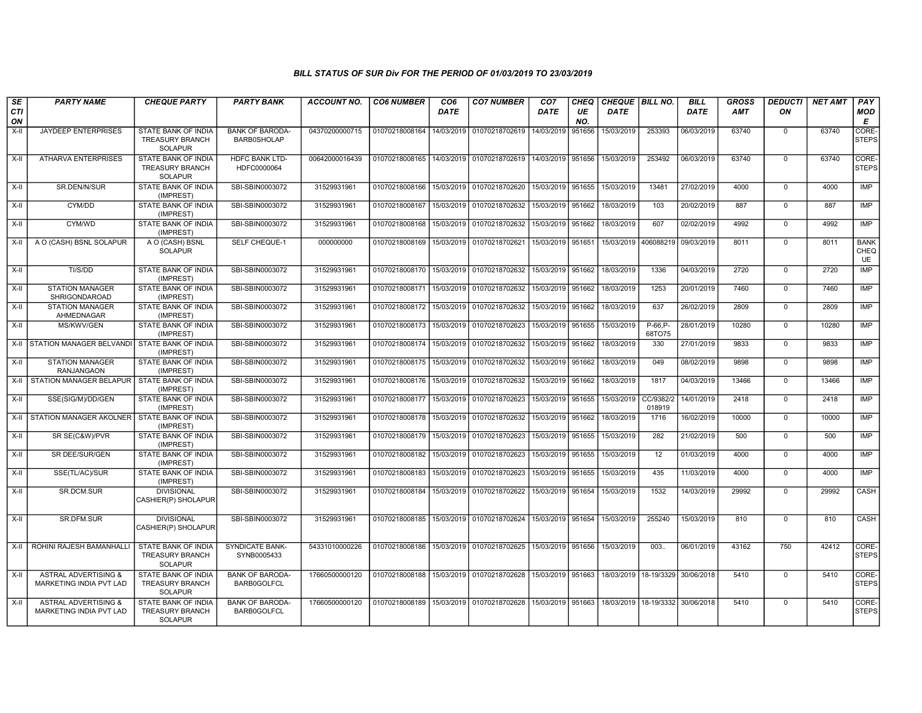| SE<br><b>CTI</b> | <b>PARTY NAME</b>                                          | <b>CHEQUE PARTY</b>                                                    | <b>PARTY BANK</b>                            | <b>ACCOUNT NO.</b> | <b>CO6 NUMBER</b>                        | CO <sub>6</sub><br><b>DATE</b> | <b>CO7 NUMBER</b>                                          | CO <sub>7</sub><br><b>DATE</b> | <b>CHEQ</b><br>UE | CHEQUE   BILL NO.<br><b>DATE</b> |                                      | <b>BILL</b><br><b>DATE</b> | GROSS<br><b>AMT</b> | <b>DEDUCTI</b><br>ON | <b>NET AMT</b> | PAY<br><b>MOD</b>                |
|------------------|------------------------------------------------------------|------------------------------------------------------------------------|----------------------------------------------|--------------------|------------------------------------------|--------------------------------|------------------------------------------------------------|--------------------------------|-------------------|----------------------------------|--------------------------------------|----------------------------|---------------------|----------------------|----------------|----------------------------------|
| ON               |                                                            |                                                                        |                                              |                    |                                          |                                |                                                            |                                | NO.               |                                  |                                      |                            |                     |                      |                | E                                |
| X-II             | JAYDEEP ENTERPRISES                                        | STATE BANK OF INDIA<br><b>TREASURY BRANCH</b><br><b>SOLAPUR</b>        | <b>BANK OF BARODA-</b><br><b>BARB0SHOLAP</b> | 04370200000715     | 01070218008164                           | 14/03/2019                     | 01070218702619                                             | 14/03/2019                     | 951656            | 15/03/2019                       | 253393                               | 06/03/2019                 | 63740               | $\mathbf 0$          | 63740          | CORE-<br><b>STEPS</b>            |
| $X-H$            | <b>ATHARVA ENTERPRISES</b>                                 | <b>STATE BANK OF INDIA</b><br>TREASURY BRANCH<br><b>SOLAPUR</b>        | <b>HDFC BANK LTD-</b><br>HDFC0000064         | 00642000016439     |                                          |                                | 01070218008165 14/03/2019 01070218702619                   | 14/03/2019 951656              |                   | 15/03/2019                       | 253492                               | 06/03/2019                 | 63740               | $\mathbf 0$          | 63740          | CORE-<br><b>STEPS</b>            |
| X-II             | SR.DEN/N/SUR                                               | STATE BANK OF INDIA<br>(IMPREST)                                       | SBI-SBIN0003072                              | 31529931961        | 01070218008166                           |                                | 15/03/2019 01070218702620                                  | 15/03/2019                     | 951655            | 15/03/2019                       | 13481                                | 27/02/2019                 | 4000                | $\mathbf 0$          | 4000           | <b>IMP</b>                       |
| $X-I$            | CYM/DD                                                     | STATE BANK OF INDIA<br>(IMPREST)                                       | SBI-SBIN0003072                              | 31529931961        | 01070218008167   15/03/2019              |                                | 01070218702632                                             | 15/03/2019 951662              |                   | 18/03/2019                       | 103                                  | 20/02/2019                 | 887                 | $\mathbf 0$          | 887            | IMP                              |
| X-II             | CYM/WD                                                     | <b>STATE BANK OF INDIA</b><br>(IMPREST)                                | SBI-SBIN0003072                              | 31529931961        | 01070218008168                           |                                | 15/03/2019 01070218702632                                  | 15/03/2019 951662              |                   | 18/03/2019                       | 607                                  | 02/02/2019                 | 4992                | $\Omega$             | 4992           | IMP                              |
| X-II             | A O (CASH) BSNL SOLAPUR                                    | A O (CASH) BSNL<br><b>SOLAPUR</b>                                      | <b>SELF CHEQUE-1</b>                         | 000000000          | 01070218008169                           |                                | 15/03/2019 01070218702621                                  | 15/03/2019                     | 951651            | 15/03/2019                       | 406088219                            | 09/03/2019                 | 8011                | $\mathbf 0$          | 8011           | <b>BANK</b><br>CHEQ<br><b>UE</b> |
| $X-H$            | TI/S/DD                                                    | <b>STATE BANK OF INDIA</b><br>(IMPREST)                                | SBI-SBIN0003072                              | 31529931961        |                                          |                                | 01070218008170 15/03/2019 01070218702632                   | 15/03/2019 951662              |                   | 18/03/2019                       | 1336                                 | 04/03/2019                 | 2720                | $\overline{0}$       | 2720           | <b>IMP</b>                       |
| X-II             | <b>STATION MANAGER</b><br>SHRIGONDAROAD                    | STATE BANK OF INDIA<br>(IMPREST)                                       | SBI-SBIN0003072                              | 31529931961        | 01070218008171                           | 15/03/2019                     | 01070218702632                                             | 15/03/2019                     | 951662            | 18/03/2019                       | 1253                                 | 20/01/2019                 | 7460                | $\mathbf 0$          | 7460           | IMP                              |
| X-II             | <b>STATION MANAGER</b><br>AHMEDNAGAR                       | STATE BANK OF INDIA<br>(IMPREST)                                       | SBI-SBIN0003072                              | 31529931961        | 01070218008172                           | 15/03/2019                     | 01070218702632                                             | 15/03/2019                     | 951662            | 18/03/2019                       | 637                                  | 26/02/2019                 | 2809                | $\mathsf 0$          | 2809           | IMP                              |
| $X-II$           | MS/KWV/GEN                                                 | STATE BANK OF INDIA<br>(IMPREST)                                       | SBI-SBIN0003072                              | 31529931961        | 01070218008173                           | 15/03/2019                     | 01070218702623                                             | 15/03/2019 951655              |                   | 15/03/2019                       | $P-66.P-$<br>68TO75                  | 28/01/2019                 | 10280               | $\overline{0}$       | 10280          | <b>IMP</b>                       |
|                  | X-II STATION MANAGER BELVANDI STATE BANK OF INDIA          | (IMPREST)                                                              | SBI-SBIN0003072                              | 31529931961        |                                          |                                | 01070218008174 15/03/2019 01070218702632                   | 15/03/2019 951662              |                   | 18/03/2019                       | 330                                  | 27/01/2019                 | 9833                | $\overline{0}$       | 9833           | IMP                              |
| X-II             | <b>STATION MANAGER</b><br><b>RANJANGAON</b>                | STATE BANK OF INDIA<br>(IMPREST)                                       | SBI-SBIN0003072                              | 31529931961        | 01070218008175                           | 15/03/2019                     | 01070218702632                                             | 15/03/2019                     | 951662            | 18/03/2019                       | 049                                  | 08/02/2019                 | 9898                | $\mathbf 0$          | 9898           | <b>IMP</b>                       |
|                  | X-II STATION MANAGER BELAPUR                               | STATE BANK OF INDIA<br>(IMPREST)                                       | SBI-SBIN0003072                              | 31529931961        |                                          |                                | 01070218008176 15/03/2019 01070218702632                   | 15/03/2019 951662              |                   | 18/03/2019                       | 1817                                 | 04/03/2019                 | 13466               | $\mathbf 0$          | 13466          | IMP                              |
| $X-II$           | SSE(SIG/M)/DD/GEN                                          | <b>STATE BANK OF INDIA</b><br>(IMPREST)                                | SBI-SBIN0003072                              | 31529931961        | 01070218008177                           | 15/03/2019                     | 01070218702623                                             | 15/03/2019                     | 951655            | 15/03/2019                       | CC/9382/2<br>018919                  | 14/01/2019                 | 2418                | $\mathbf 0$          | 2418           | <b>IMP</b>                       |
|                  | X-II STATION MANAGER AKOLNER STATE BANK OF INDIA           | (IMPREST)                                                              | SBI-SBIN0003072                              | 31529931961        | 01070218008178 15/03/2019                |                                | 01070218702632                                             | 15/03/2019 951662              |                   | 18/03/2019                       | 1716                                 | 16/02/2019                 | 10000               | $\overline{0}$       | 10000          | IMP                              |
| $X-H$            | SR SE(C&W)/PVR                                             | <b>STATE BANK OF INDIA</b><br>(IMPREST)                                | SBI-SBIN0003072                              | 31529931961        |                                          |                                | 01070218008179 15/03/2019 01070218702623                   | 15/03/2019 951655              |                   | 15/03/2019                       | 282                                  | 21/02/2019                 | 500                 | $\mathbf 0$          | 500            | IMP                              |
| X-II             | SR DEE/SUR/GEN                                             | STATE BANK OF INDIA<br>(IMPREST)                                       | SBI-SBIN0003072                              | 31529931961        | 01070218008182                           | 15/03/2019                     | 01070218702623                                             | 15/03/2019                     | 951655            | 15/03/2019                       | 12                                   | 01/03/2019                 | 4000                | $\mathbf 0$          | 4000           | IMP                              |
| $X-H$            | SSE(TL/AC)/SUR                                             | STATE BANK OF INDIA<br>(IMPREST)                                       | SBI-SBIN0003072                              | 31529931961        | 01070218008183                           | 15/03/2019                     | 01070218702623                                             | 15/03/2019 951655              |                   | 15/03/2019                       | 435                                  | 11/03/2019                 | 4000                | $\overline{0}$       | 4000           | <b>IMP</b>                       |
| X-II             | SR.DCM.SUR                                                 | <b>DIVISIONAL</b><br>CASHIER(P) SHOLAPUR                               | SBI-SBIN0003072                              | 31529931961        | 01070218008184                           |                                | 15/03/2019 01070218702622                                  | 15/03/2019 951654              |                   | 15/03/2019                       | 1532                                 | 14/03/2019                 | 29992               | $\mathbf 0$          | 29992          | CASH                             |
| $X-H$            | SR.DFM.SUR                                                 | <b>DIVISIONAL</b><br>CASHIER(P) SHOLAPUR                               | SBI-SBIN0003072                              | 31529931961        | 01070218008185 15/03/2019 01070218702624 |                                |                                                            | 15/03/2019 951654              |                   | 15/03/2019                       | 255240                               | 15/03/2019                 | 810                 | $\mathbf 0$          | 810            | CASH                             |
| X-II             | ROHINI RAJESH BAMANHALLI                                   | STATE BANK OF INDIA<br>TREASURY BRANCH<br><b>SOLAPUR</b>               | <b>SYNDICATE BANK-</b><br>SYNB0005433        | 54331010000226     |                                          |                                | 01070218008186 15/03/2019 01070218702625 15/03/2019 951656 |                                |                   | 15/03/2019                       | 003.                                 | 06/01/2019                 | 43162               | 750                  | 42412          | CORE-<br><b>STEPS</b>            |
| $X-H$            | <b>ASTRAL ADVERTISING &amp;</b><br>MARKETING INDIA PVT LAD | <b>STATE BANK OF INDIA</b><br><b>TREASURY BRANCH</b><br><b>SOLAPUR</b> | <b>BANK OF BARODA-</b><br><b>BARB0GOLFCL</b> | 17660500000120     |                                          |                                | 01070218008188 15/03/2019 01070218702628 15/03/2019 951663 |                                |                   | 18/03/2019 18-19/3329 30/06/2018 |                                      |                            | 5410                | $\mathbf 0$          | 5410           | CORE-<br><b>STEPS</b>            |
| $X-H$            | <b>ASTRAL ADVERTISING &amp;</b><br>MARKETING INDIA PVT LAD | STATE BANK OF INDIA<br>TREASURY BRANCH<br><b>SOLAPUR</b>               | <b>BANK OF BARODA-</b><br><b>BARB0GOLFCL</b> | 17660500000120     |                                          |                                | 01070218008189 15/03/2019 01070218702628                   | 15/03/2019 951663              |                   |                                  | 18/03/2019   18-19/3332   30/06/2018 |                            | 5410                | $\mathbf 0$          | 5410           | CORE-<br><b>STEPS</b>            |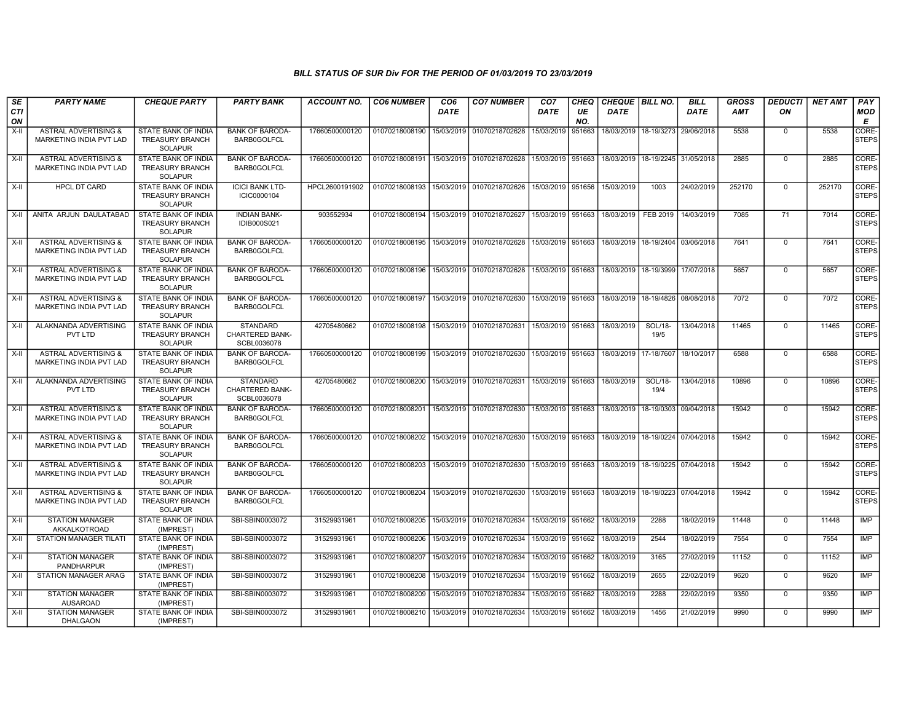| SE<br>CTI<br>ON | <b>PARTY NAME</b>                                          | <b>CHEQUE PARTY</b>                                                    | <b>PARTY BANK</b>                                        | ACCOUNT NO.    | <b>CO6 NUMBER</b> | CO <sub>6</sub><br><b>DATE</b> | <b>CO7 NUMBER</b>                                      | CO <sub>7</sub><br>DATE | CHEQ<br>UE<br>NO. | CHEQUE   BILL NO.<br><b>DATE</b>     |                                      | <b>BILL</b><br><b>DATE</b> | <b>GROSS</b><br>AMT | <b>DEDUCTI</b><br>ON | <b>NET AMT</b> | PAY<br>MOD<br>E       |
|-----------------|------------------------------------------------------------|------------------------------------------------------------------------|----------------------------------------------------------|----------------|-------------------|--------------------------------|--------------------------------------------------------|-------------------------|-------------------|--------------------------------------|--------------------------------------|----------------------------|---------------------|----------------------|----------------|-----------------------|
| X-II            | ASTRAL ADVERTISING &<br><b>MARKETING INDIA PVT LAD</b>     | <b>STATE BANK OF INDIA</b><br><b>TREASURY BRANCH</b><br><b>SOLAPUR</b> | <b>BANK OF BARODA-</b><br><b>BARB0GOLFCL</b>             | 17660500000120 | 01070218008190    | 15/03/2019                     | 01070218702628                                         | 15/03/2019              | 951663            |                                      | 18/03/2019 18-19/3273                | 29/06/2018                 | 5538                | $\mathbf 0$          | 5538           | CORE-<br><b>STEPS</b> |
| X-II            | <b>ASTRAL ADVERTISING &amp;</b><br>MARKETING INDIA PVT LAD | STATE BANK OF INDIA<br><b>TREASURY BRANCH</b><br><b>SOLAPUR</b>        | <b>BANK OF BARODA-</b><br><b>BARB0GOLFCL</b>             | 17660500000120 | 01070218008191    | 15/03/2019                     | 01070218702628                                         | 15/03/2019 951663       |                   | 18/03/2019                           | 18-19/2245                           | 31/05/2018                 | 2885                | $\mathbf 0$          | 2885           | CORE-<br><b>STEPS</b> |
| X-II            | <b>HPCL DT CARD</b>                                        | <b>STATE BANK OF INDIA</b><br><b>TREASURY BRANCH</b><br><b>SOLAPUR</b> | <b>ICICI BANK LTD-</b><br>ICIC0000104                    | HPCL2600191902 | 01070218008193    | 15/03/2019                     | 01070218702626                                         | 15/03/2019 951656       |                   | 15/03/2019                           | 1003                                 | 24/02/2019                 | 252170              | $\mathbf 0$          | 252170         | CORE-<br><b>STEPS</b> |
| X-II            | ANITA ARJUN DAULATABAD                                     | <b>STATE BANK OF INDIA</b><br><b>TREASURY BRANCH</b><br><b>SOLAPUR</b> | <b>INDIAN BANK-</b><br><b>IDIB000S021</b>                | 903552934      | 01070218008194    | 15/03/2019                     | 01070218702627                                         | 15/03/2019 951663       |                   | 18/03/2019                           | FEB 2019                             | 14/03/2019                 | 7085                | 71                   | 7014           | CORE-<br>STEPS        |
| X-II            | <b>ASTRAL ADVERTISING &amp;</b><br>MARKETING INDIA PVT LAD | <b>STATE BANK OF INDIA</b><br><b>TREASURY BRANCH</b><br><b>SOLAPUR</b> | <b>BANK OF BARODA-</b><br><b>BARB0GOLFCL</b>             | 17660500000120 | 01070218008195    | 15/03/2019                     | 01070218702628 15/03/2019 951663                       |                         |                   |                                      | 18/03/2019   18-19/2404   03/06/2018 |                            | 7641                | $\overline{0}$       | 7641           | CORE-<br><b>STEPS</b> |
| X-II            | <b>ASTRAL ADVERTISING &amp;</b><br>MARKETING INDIA PVT LAD | STATE BANK OF INDIA<br><b>TREASURY BRANCH</b><br><b>SOLAPUR</b>        | <b>BANK OF BARODA-</b><br><b>BARB0GOLFCL</b>             | 17660500000120 | 01070218008196    | 15/03/2019                     | 01070218702628                                         | 15/03/2019 951663       |                   | 18/03/2019 18-19/3999                |                                      | 17/07/2018                 | 5657                | $\mathbf 0$          | 5657           | CORE-<br><b>STEPS</b> |
| X-II            | <b>ASTRAL ADVERTISING &amp;</b><br>MARKETING INDIA PVT LAD | <b>STATE BANK OF INDIA</b><br><b>TREASURY BRANCH</b><br><b>SOLAPUR</b> | <b>BANK OF BARODA-</b><br><b>BARB0GOLFCL</b>             | 17660500000120 | 01070218008197    | 15/03/2019                     | 01070218702630                                         | 15/03/2019 951663       |                   | 18/03/2019 18-19/4826                |                                      | 08/08/2018                 | 7072                | $\mathbf 0$          | 7072           | CORE-<br><b>STEPS</b> |
| $X-I$           | ALAKNANDA ADVERTISING<br>PVT LTD                           | STATE BANK OF INDIA<br><b>TREASURY BRANCH</b><br><b>SOLAPUR</b>        | <b>STANDARD</b><br><b>CHARTERED BANK-</b><br>SCBL0036078 | 42705480662    | 01070218008198    | 15/03/2019                     | 01070218702631                                         | 15/03/2019 951663       |                   | 18/03/2019                           | SOL/18-<br>19/5                      | 13/04/2018                 | 11465               | $\Omega$             | 11465          | CORE-<br><b>STEPS</b> |
| X-II            | <b>ASTRAL ADVERTISING &amp;</b><br>MARKETING INDIA PVT LAD | <b>STATE BANK OF INDIA</b><br><b>TREASURY BRANCH</b><br><b>SOLAPUR</b> | <b>BANK OF BARODA</b><br><b>BARB0GOLFCL</b>              | 17660500000120 | 01070218008199    |                                | 15/03/2019 01070218702630 15/03/2019 951663 18/03/2019 |                         |                   |                                      | 17-18/7607                           | 18/10/2017                 | 6588                | $\Omega$             | 6588           | CORE-<br><b>STEPS</b> |
| X-II            | ALAKNANDA ADVERTISING<br><b>PVT LTD</b>                    | <b>STATE BANK OF INDIA</b><br><b>TREASURY BRANCH</b><br><b>SOLAPUR</b> | <b>STANDARD</b><br>CHARTERED BANK-<br>SCBL0036078        | 42705480662    | 01070218008200    |                                | 15/03/2019 01070218702631                              | 15/03/2019 951663       |                   | 18/03/2019                           | SOL/18-<br>19/4                      | 13/04/2018                 | 10896               | $\Omega$             | 10896          | CORE-<br><b>STEPS</b> |
| X-II            | <b>ASTRAL ADVERTISING &amp;</b><br>MARKETING INDIA PVT LAD | <b>STATE BANK OF INDIA</b><br><b>TREASURY BRANCH</b><br>SOLAPUR        | <b>BANK OF BARODA-</b><br><b>BARB0GOLFCL</b>             | 17660500000120 | 01070218008201    |                                | 15/03/2019 01070218702630                              | 15/03/2019 951663       |                   | 18/03/2019   18-19/0303   09/04/2018 |                                      |                            | 15942               | $\mathbf 0$          | 15942          | CORE-<br><b>STEPS</b> |
| X-II            | <b>ASTRAL ADVERTISING &amp;</b><br>MARKETING INDIA PVT LAD | STATE BANK OF INDIA<br><b>TREASURY BRANCH</b><br><b>SOLAPUR</b>        | <b>BANK OF BARODA-</b><br><b>BARB0GOLFCL</b>             | 17660500000120 | 01070218008202    |                                | 15/03/2019 01070218702630 15/03/2019 951663            |                         |                   | 18/03/2019   18-19/0224   07/04/2018 |                                      |                            | 15942               | $\mathbf 0$          | 15942          | CORE-<br><b>STEPS</b> |
| X-II            | ASTRAL ADVERTISING &<br>MARKETING INDIA PVT LAD            | STATE BANK OF INDIA<br><b>TREASURY BRANCH</b><br><b>SOLAPUR</b>        | <b>BANK OF BARODA-</b><br><b>BARB0GOLFCL</b>             | 17660500000120 | 01070218008203    | 15/03/2019                     | 01070218702630                                         | 15/03/2019 951663       |                   |                                      | 18/03/2019   18-19/0225   07/04/2018 |                            | 15942               | $\mathbf 0$          | 15942          | CORE-<br><b>STEPS</b> |
| X-II            | <b>ASTRAL ADVERTISING &amp;</b><br>MARKETING INDIA PVT LAD | STATE BANK OF INDIA<br><b>TREASURY BRANCH</b><br><b>SOLAPUR</b>        | <b>BANK OF BARODA-</b><br><b>BARB0GOLFCL</b>             | 17660500000120 | 01070218008204    |                                | 15/03/2019 01070218702630 15/03/2019 951663            |                         |                   | 18/03/2019   18-19/0223   07/04/2018 |                                      |                            | 15942               | $\mathbf 0$          | 15942          | CORE-<br><b>STEPS</b> |
| X-II            | <b>STATION MANAGER</b><br>AKKALKOTROAD                     | STATE BANK OF INDIA<br>(IMPREST)                                       | SBI-SBIN0003072                                          | 31529931961    | 01070218008205    | 15/03/2019                     | 01070218702634                                         | 15/03/2019 951662       |                   | 18/03/2019                           | 2288                                 | 18/02/2019                 | 11448               | $\mathbf 0$          | 11448          | IMP                   |
| X-II            | <b>STATION MANAGER TILATI</b>                              | STATE BANK OF INDIA<br>(IMPREST)                                       | SBI-SBIN0003072                                          | 31529931961    | 01070218008206    | 15/03/2019                     | 01070218702634                                         | 15/03/2019              | 951662            | 18/03/2019                           | 2544                                 | 18/02/2019                 | 7554                | $\Omega$             | 7554           | IMP                   |
| $X-H$           | <b>STATION MANAGER</b><br><b>PANDHARPUR</b>                | STATE BANK OF INDIA<br>(IMPREST)                                       | SBI-SBIN0003072                                          | 31529931961    | 01070218008207    | 15/03/2019                     | 01070218702634                                         | 15/03/2019              | 951662            | 18/03/2019                           | 3165                                 | 27/02/2019                 | 11152               | $\mathbf 0$          | 11152          | IMP                   |
| $X-H$           | <b>STATION MANAGER ARAG</b>                                | <b>STATE BANK OF INDIA</b><br>(IMPREST)                                | SBI-SBIN0003072                                          | 31529931961    | 01070218008208    | 15/03/2019                     | 01070218702634                                         | 15/03/2019              | 951662            | 18/03/2019                           | 2655                                 | 22/02/2019                 | 9620                | $\mathbf 0$          | 9620           | <b>IMP</b>            |
| X-II            | <b>STATION MANAGER</b><br><b>AUSAROAD</b>                  | STATE BANK OF INDIA<br>(IMPREST)                                       | SBI-SBIN0003072                                          | 31529931961    | 01070218008209    | 15/03/2019                     | 01070218702634                                         | 15/03/2019 951662       |                   | 18/03/2019                           | 2288                                 | 22/02/2019                 | 9350                | $\Omega$             | 9350           | <b>IMP</b>            |
| X-II            | <b>STATION MANAGER</b><br><b>DHALGAON</b>                  | STATE BANK OF INDIA<br>(IMPREST)                                       | SBI-SBIN0003072                                          | 31529931961    | 01070218008210    | 15/03/2019                     | 01070218702634                                         | 15/03/2019              | 951662            | 18/03/2019                           | 1456                                 | 21/02/2019                 | 9990                | $\mathbf 0$          | 9990           | IMP                   |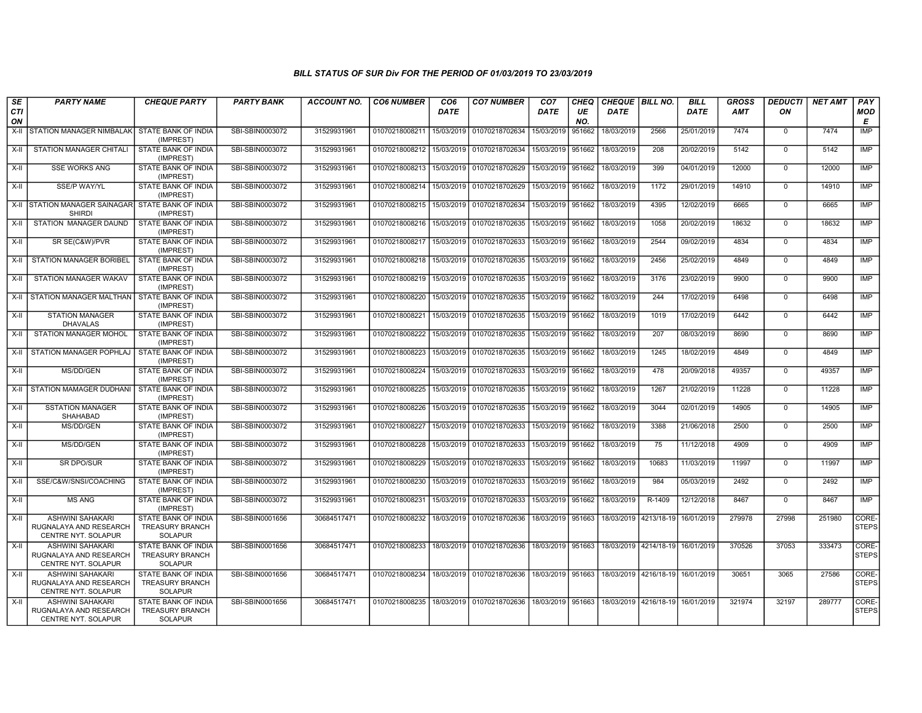| SE<br><b>CTI</b> | <b>PARTY NAME</b>                                                        | <b>CHEQUE PARTY</b>                                                    | <b>PARTY BANK</b> | <b>ACCOUNT NO.</b> | <b>CO6 NUMBER</b>                        | CO <sub>6</sub><br><b>DATE</b> | <b>CO7 NUMBER</b>         | CO <sub>7</sub><br><b>DATE</b> | CHEQ<br>UE | CHEQUE   BILL NO.<br><b>DATE</b>                   |                                  | <b>BILL</b><br><b>DATE</b> | <b>GROSS</b><br><b>AMT</b> | <b>DEDUCTI</b><br>ON | <b>NET AMT</b> | PAY<br><b>MOD</b>     |
|------------------|--------------------------------------------------------------------------|------------------------------------------------------------------------|-------------------|--------------------|------------------------------------------|--------------------------------|---------------------------|--------------------------------|------------|----------------------------------------------------|----------------------------------|----------------------------|----------------------------|----------------------|----------------|-----------------------|
| ON               |                                                                          |                                                                        |                   |                    |                                          |                                |                           |                                | NO.        |                                                    |                                  |                            |                            |                      |                | E                     |
| X-II             | STATION MANAGER NIMBALAK                                                 | STATE BANK OF INDIA<br>(IMPREST)                                       | SBI-SBIN0003072   | 31529931961        | 01070218008211                           | 15/03/2019                     | 01070218702634            | 15/03/2019                     | 951662     | 18/03/2019                                         | 2566                             | 25/01/2019                 | 7474                       | $\mathbf 0$          | 7474           | <b>IMP</b>            |
| $X-II$           | <b>STATION MANAGER CHITALI</b>                                           | STATE BANK OF INDIA<br>(IMPREST)                                       | SBI-SBIN0003072   | 31529931961        | 01070218008212                           | 15/03/2019                     | 01070218702634            | 15/03/2019 951662              |            | 18/03/2019                                         | 208                              | 20/02/2019                 | 5142                       | $\mathbf 0$          | 5142           | <b>IMP</b>            |
| $X-II$           | <b>SSE WORKS ANG</b>                                                     | STATE BANK OF INDIA<br>(IMPREST)                                       | SBI-SBIN0003072   | 31529931961        | 01070218008213                           | 15/03/2019                     | 01070218702629            | 15/03/2019 951662              |            | 18/03/2019                                         | 399                              | 04/01/2019                 | 12000                      | $\mathbf 0$          | 12000          | <b>IMP</b>            |
| $X-H$            | SSE/P WAY/YL                                                             | <b>STATE BANK OF INDIA</b><br>(IMPREST)                                | SBI-SBIN0003072   | 31529931961        | 01070218008214                           | 15/03/2019                     | 01070218702629            | 15/03/2019 951662              |            | 18/03/2019                                         | 1172                             | 29/01/2019                 | 14910                      | $\mathbf 0$          | 14910          | IMP                   |
|                  | X-II STATION MANAGER SAINAGAR STATE BANK OF INDIA<br><b>SHIRDI</b>       | (IMPREST)                                                              | SBI-SBIN0003072   | 31529931961        | 01070218008215                           | 15/03/2019                     | 01070218702634            | 15/03/2019 951662              |            | 18/03/2019                                         | 4395                             | 12/02/2019                 | 6665                       | $\mathbf 0$          | 6665           | <b>IMP</b>            |
| X-II             | STATION MANAGER DAUND                                                    | STATE BANK OF INDIA<br>(IMPREST)                                       | SBI-SBIN0003072   | 31529931961        | 01070218008216                           | 15/03/2019                     | 01070218702635            | 15/03/2019 951662              |            | 18/03/2019                                         | 1058                             | 20/02/2019                 | 18632                      | $\Omega$             | 18632          | <b>IMP</b>            |
| X-II             | SR SE(C&W)/PVR                                                           | STATE BANK OF INDIA<br>(IMPREST)                                       | SBI-SBIN0003072   | 31529931961        | 01070218008217                           | 15/03/2019                     | 01070218702633            | 15/03/2019 951662              |            | 18/03/2019                                         | 2544                             | 09/02/2019                 | 4834                       | $\mathbf 0$          | 4834           | <b>IMP</b>            |
| $X-H$            | <b>STATION MANAGER BORIBEL</b>                                           | <b>STATE BANK OF INDIA</b><br>(IMPREST)                                | SBI-SBIN0003072   | 31529931961        | 01070218008218                           | 15/03/2019                     | 01070218702635            | 15/03/2019 951662              |            | 18/03/2019                                         | 2456                             | 25/02/2019                 | 4849                       | $\mathbf 0$          | 4849           | IMP                   |
| X-II             | STATION MANAGER WAKAV                                                    | STATE BANK OF INDIA<br>(IMPREST)                                       | SBI-SBIN0003072   | 31529931961        | 01070218008219                           | 15/03/2019                     | 01070218702635            | 15/03/2019 951662              |            | 18/03/2019                                         | 3176                             | 23/02/2019                 | 9900                       | $\mathbf 0$          | 9900           | <b>IMP</b>            |
| X-II             | STATION MANAGER MALTHAN STATE BANK OF INDIA                              | (IMPREST)                                                              | SBI-SBIN0003072   | 31529931961        | 01070218008220                           | 15/03/2019                     | 01070218702635            | 15/03/2019 951662              |            | 18/03/2019                                         | 244                              | 17/02/2019                 | 6498                       | $\mathbf 0$          | 6498           | <b>IMP</b>            |
| X-II             | <b>STATION MANAGER</b><br><b>DHAVALAS</b>                                | STATE BANK OF INDIA<br>(IMPREST)                                       | SBI-SBIN0003072   | 31529931961        | 01070218008221                           | 15/03/2019                     | 01070218702635            | 15/03/2019 951662              |            | 18/03/2019                                         | 1019                             | 17/02/2019                 | 6442                       | $\mathbf 0$          | 6442           | IMP                   |
| $X-H$            | <b>STATION MANAGER MOHOL</b>                                             | STATE BANK OF INDIA<br>(IMPREST)                                       | SBI-SBIN0003072   | 31529931961        | 01070218008222                           | 15/03/2019                     | 01070218702635            | 15/03/2019 951662              |            | 18/03/2019                                         | 207                              | 08/03/2019                 | 8690                       | $\mathbf 0$          | 8690           | IMP                   |
| X-II             | STATION MANAGER POPHLAJ                                                  | STATE BANK OF INDIA<br>(IMPREST)                                       | SBI-SBIN0003072   | 31529931961        | 01070218008223                           | 15/03/2019                     | 01070218702635            | 15/03/2019 951662              |            | 18/03/2019                                         | 1245                             | 18/02/2019                 | 4849                       | $\mathbf 0$          | 4849           | IMP                   |
| $X-II$           | MS/DD/GEN                                                                | STATE BANK OF INDIA<br>(IMPREST)                                       | SBI-SBIN0003072   | 31529931961        | 01070218008224                           | 15/03/2019                     | 01070218702633            | 15/03/2019 951662              |            | 18/03/2019                                         | 478                              | 20/09/2018                 | 49357                      | $\Omega$             | 49357          | <b>IMP</b>            |
| X-II             | STATION MAMAGER DUDHANI                                                  | STATE BANK OF INDIA<br>(IMPREST)                                       | SBI-SBIN0003072   | 31529931961        | 01070218008225                           | 15/03/2019                     | 01070218702635            | 15/03/2019 951662              |            | 18/03/2019                                         | 1267                             | 21/02/2019                 | 11228                      | $\mathbf 0$          | 11228          | <b>IMP</b>            |
| $X-H$            | <b>SSTATION MANAGER</b><br>SHAHABAD                                      | <b>STATE BANK OF INDIA</b><br>(IMPREST)                                | SBI-SBIN0003072   | 31529931961        | 01070218008226                           | 15/03/2019                     | 01070218702635            | 15/03/2019 951662              |            | 18/03/2019                                         | 3044                             | 02/01/2019                 | 14905                      | $\mathbf 0$          | 14905          | IMP                   |
| X-II             | MS/DD/GEN                                                                | STATE BANK OF INDIA<br>(IMPREST)                                       | SBI-SBIN0003072   | 31529931961        | 01070218008227                           | 15/03/2019                     | 01070218702633            | 15/03/2019 951662              |            | 18/03/2019                                         | 3388                             | 21/06/2018                 | 2500                       | $\mathbf 0$          | 2500           | IMP                   |
| $X-H$            | MS/DD/GEN                                                                | STATE BANK OF INDIA<br>(IMPREST)                                       | SBI-SBIN0003072   | 31529931961        | 01070218008228                           | 15/03/2019                     | 01070218702633            | 15/03/2019 951662              |            | 18/03/2019                                         | 75                               | 11/12/2018                 | 4909                       | $\Omega$             | 4909           | <b>IMP</b>            |
| X-II             | SR DPO/SUR                                                               | STATE BANK OF INDIA<br>(IMPREST)                                       | SBI-SBIN0003072   | 31529931961        | 01070218008229                           | 15/03/2019                     | 01070218702633            | 15/03/2019 951662              |            | 18/03/2019                                         | 10683                            | 11/03/2019                 | 11997                      | $\mathbf 0$          | 11997          | <b>IMP</b>            |
| $X-II$           | SSE/C&W/SNSI/COACHING                                                    | STATE BANK OF INDIA<br>(IMPREST)                                       | SBI-SBIN0003072   | 31529931961        | 01070218008230                           | 15/03/2019                     | 01070218702633            | 15/03/2019 951662              |            | 18/03/2019                                         | 984                              | 05/03/2019                 | 2492                       | $\overline{0}$       | 2492           | <b>IMP</b>            |
| X-II             | <b>MS ANG</b>                                                            | STATE BANK OF INDIA<br>(IMPREST)                                       | SBI-SBIN0003072   | 31529931961        | 01070218008231                           | 15/03/2019                     | 01070218702633            | 15/03/2019 951662              |            | 18/03/2019                                         | R-1409                           | 12/12/2018                 | 8467                       | $\mathbf 0$          | 8467           | IMP                   |
| X-II             | <b>ASHWINI SAHAKARI</b><br>RUGNALAYA AND RESEARCH<br>CENTRE NYT. SOLAPUR | STATE BANK OF INDIA<br><b>TREASURY BRANCH</b><br><b>SOLAPUR</b>        | SBI-SBIN0001656   | 30684517471        | 01070218008232                           | 18/03/2019                     | 01070218702636            | 18/03/2019 951663              |            |                                                    | 18/03/2019 4213/18-19            | 16/01/2019                 | 279978                     | 27998                | 251980         | CORE-<br>STEPS        |
| $X-H$            | <b>ASHWINI SAHAKARI</b><br>RUGNALAYA AND RESEARCH<br>CENTRE NYT. SOLAPUR | STATE BANK OF INDIA<br>TREASURY BRANCH<br><b>SOLAPUR</b>               | SBI-SBIN0001656   | 30684517471        | 01070218008233 18/03/2019 01070218702636 |                                |                           |                                |            | 18/03/2019 951663 18/03/2019 4214/18-19 16/01/2019 |                                  |                            | 370526                     | 37053                | 333473         | CORE-<br><b>STEPS</b> |
| $X-H$            | ASHWINI SAHAKARI<br>RUGNALAYA AND RESEARCH<br>CENTRE NYT. SOLAPUR        | <b>STATE BANK OF INDIA</b><br><b>TREASURY BRANCH</b><br><b>SOLAPUR</b> | SBI-SBIN0001656   | 30684517471        | 01070218008234                           |                                | 18/03/2019 01070218702636 | 18/03/2019 951663              |            | 18/03/2019 4216/18-19 16/01/2019                   |                                  |                            | 30651                      | 3065                 | 27586          | CORE-<br><b>STEPS</b> |
| X-II             | ASHWINI SAHAKARI<br>RUGNALAYA AND RESEARCH<br>CENTRE NYT. SOLAPUR        | STATE BANK OF INDIA<br><b>TREASURY BRANCH</b><br><b>SOLAPUR</b>        | SBI-SBIN0001656   | 30684517471        | 01070218008235                           |                                | 18/03/2019 01070218702636 | 18/03/2019 951663              |            |                                                    | 18/03/2019 4216/18-19 16/01/2019 |                            | 321974                     | 32197                | 289777         | CORE-<br><b>STEPS</b> |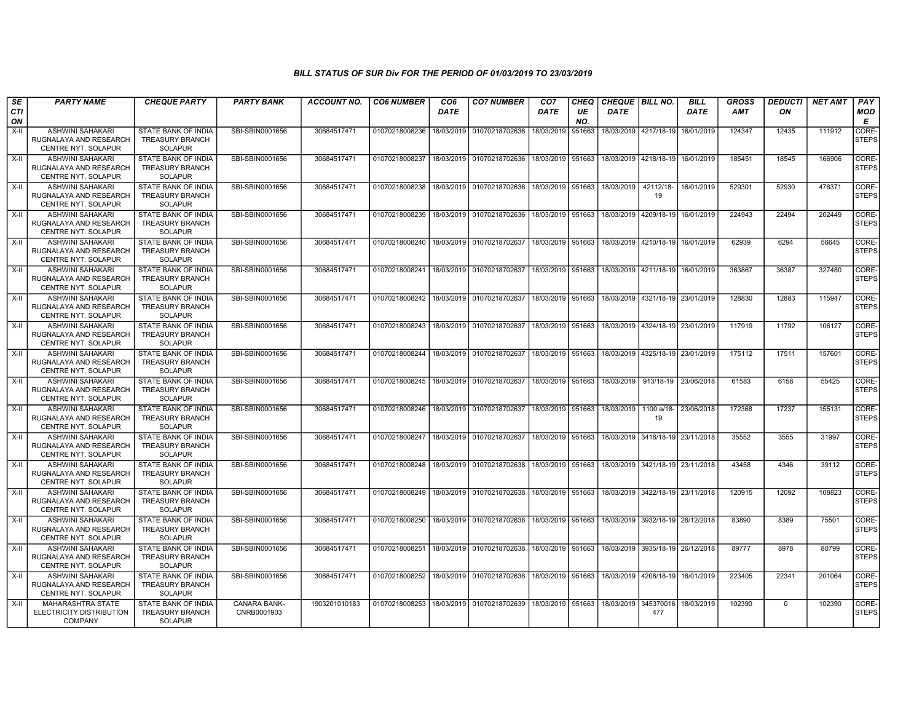| SE<br><b>CTI</b><br>ON | <b>PARTY NAME</b>                                                               | <b>CHEQUE PARTY</b>                                                    | <b>PARTY BANK</b>           | <b>ACCOUNT NO.</b> | <b>CO6 NUMBER</b>         | CO6<br><b>DATE</b> | <b>CO7 NUMBER</b>                            | CO <sub>7</sub><br><b>DATE</b> | <b>CHEQ</b><br>UE<br>NO. | <b>CHEQUE   BILL NO.</b><br><b>DATE</b> |                                      | <b>BILL</b><br><b>DATE</b> | <b>GROSS</b><br><b>AMT</b> | <b>DEDUCTI</b><br>ON | <b>NET AMT</b> | PAY<br>MOD<br>Е       |
|------------------------|---------------------------------------------------------------------------------|------------------------------------------------------------------------|-----------------------------|--------------------|---------------------------|--------------------|----------------------------------------------|--------------------------------|--------------------------|-----------------------------------------|--------------------------------------|----------------------------|----------------------------|----------------------|----------------|-----------------------|
| X-II                   | ASHWINI SAHAKARI<br>RUGNALAYA AND RESEARCH<br>CENTRE NYT. SOLAPUR               | STATE BANK OF INDIA<br><b>TREASURY BRANCH</b><br><b>SOLAPUR</b>        | SBI-SBIN0001656             | 30684517471        | 01070218008236            | 18/03/2019         | 01070218702636                               | 18/03/2019                     | 951663                   |                                         | 18/03/2019 4217/18-19                | 16/01/2019                 | 124347                     | 12435                | 111912         | CORE-<br><b>STEPS</b> |
| $X-H$                  | ASHWINI SAHAKARI<br>RUGNALAYA AND RESEARCH<br>CENTRE NYT, SOLAPUR               | STATE BANK OF INDIA<br><b>TREASURY BRANCH</b><br><b>SOLAPUR</b>        | SBI-SBIN0001656             | 30684517471        | 01070218008237            |                    | 18/03/2019 01070218702636                    | 18/03/2019 951663              |                          |                                         | 18/03/2019 4218/18-19 16/01/2019     |                            | 185451                     | 18545                | 166906         | CORE-<br><b>STEPS</b> |
| X-II                   | <b>ASHWINI SAHAKARI</b><br>RUGNALAYA AND RESEARCH<br>CENTRE NYT. SOLAPUR        | STATE BANK OF INDIA<br><b>TREASURY BRANCH</b><br><b>SOLAPUR</b>        | SBI-SBIN0001656             | 30684517471        | 01070218008238            | 18/03/2019         | 01070218702636                               | 18/03/2019                     | 951663                   | 18/03/2019                              | 42112/18-<br>19                      | 16/01/2019                 | 529301                     | 52930                | 476371         | CORE-<br><b>STEPS</b> |
| X-II                   | <b>ASHWINI SAHAKARI</b><br>RUGNALAYA AND RESEARCH<br><b>CENTRE NYT, SOLAPUR</b> | <b>STATE BANK OF INDIA</b><br><b>TREASURY BRANCH</b><br><b>SOLAPUR</b> | SBI-SBIN0001656             | 30684517471        | 01070218008239            | 18/03/2019         | 01070218702636                               | 18/03/2019 951663              |                          |                                         | 18/03/2019   4209/18-19   16/01/2019 |                            | 224943                     | 22494                | 202449         | CORE-<br><b>STEPS</b> |
| X-II                   | <b>ASHWINI SAHAKARI</b><br>RUGNALAYA AND RESEARCH<br>CENTRE NYT. SOLAPUR        | <b>STATE BANK OF INDIA</b><br><b>TREASURY BRANCH</b><br>SOLAPUR        | SBI-SBIN0001656             | 30684517471        | 01070218008240            | 18/03/2019         | 01070218702637                               | 18/03/2019                     | 951663                   |                                         | 18/03/2019 4210/18-19 16/01/2019     |                            | 62939                      | 6294                 | 56645          | CORE-<br><b>STEPS</b> |
| $X-H$                  | <b>ASHWINI SAHAKARI</b><br>RUGNALAYA AND RESEARCH<br>CENTRE NYT. SOLAPUR        | STATE BANK OF INDIA<br><b>TREASURY BRANCH</b><br><b>SOLAPUR</b>        | SBI-SBIN0001656             | 30684517471        | 01070218008241            | 18/03/2019         | 01070218702637                               | 18/03/2019                     | 951663                   |                                         | 18/03/2019 4211/18-19 16/01/2019     |                            | 363867                     | 36387                | 327480         | CORE-<br><b>STEPS</b> |
| $X-I$                  | <b>ASHWINI SAHAKARI</b><br>RUGNALAYA AND RESEARCH<br>CENTRE NYT. SOLAPUR        | STATE BANK OF INDIA<br><b>TREASURY BRANCH</b><br><b>SOLAPUR</b>        | SBI-SBIN0001656             | 30684517471        | 01070218008242            | 18/03/2019         | 01070218702637                               | 18/03/2019 951663              |                          |                                         | 18/03/2019 4321/18-19 23/01/2019     |                            | 128830                     | 12883                | 115947         | CORE-<br><b>STEPS</b> |
| $X-H$                  | <b>ASHWINI SAHAKARI</b><br>RUGNALAYA AND RESEARCH<br>CENTRE NYT. SOLAPUR        | STATE BANK OF INDIA<br><b>TREASURY BRANCH</b><br><b>SOLAPUR</b>        | SBI-SBIN0001656             | 30684517471        | 01070218008243            | 18/03/2019         | 01070218702637                               | 18/03/2019                     | 951663                   | 18/03/2019 4324/18-19 23/01/2019        |                                      |                            | 117919                     | 11792                | 106127         | CORE-<br><b>STEPS</b> |
| X-II                   | <b>ASHWINI SAHAKARI</b><br>RUGNALAYA AND RESEARCH<br>CENTRE NYT. SOLAPUR        | <b>STATE BANK OF INDIA</b><br><b>TREASURY BRANCH</b><br><b>SOLAPUR</b> | SBI-SBIN0001656             | 30684517471        | 01070218008244            |                    | 18/03/2019 01070218702637                    | 18/03/2019 951663              |                          |                                         | 18/03/2019 4325/18-19 23/01/2019     |                            | 175112                     | 17511                | 157601         | CORE-<br><b>STEPS</b> |
| X-II                   | <b>ASHWINI SAHAKARI</b><br>RUGNALAYA AND RESEARCH<br>CENTRE NYT. SOLAPUR        | <b>STATE BANK OF INDIA</b><br><b>TREASURY BRANCH</b><br><b>SOLAPUR</b> | SBI-SBIN0001656             | 30684517471        | 01070218008245            | 18/03/2019         | 01070218702637                               | 18/03/2019 951663              |                          | 18/03/2019                              | 913/18-19                            | 23/06/2018                 | 61583                      | 6158                 | 55425          | CORE-<br><b>STEPS</b> |
| $X-H$                  | <b>ASHWINI SAHAKARI</b><br>RUGNALAYA AND RESEARCH<br>CENTRE NYT. SOLAPUR        | <b>STATE BANK OF INDIA</b><br><b>TREASURY BRANCH</b><br><b>SOLAPUR</b> | SBI-SBIN0001656             | 30684517471        |                           |                    | 01070218008246 18/03/2019 01070218702637     | 18/03/2019 951663              |                          | 18/03/2019                              | 1100 a/18-<br>19                     | 23/06/2018                 | 172368                     | 17237                | 155131         | CORE-<br><b>STEPS</b> |
| X-II                   | <b>ASHWINI SAHAKARI</b><br>RUGNALAYA AND RESEARCH<br>CENTRE NYT. SOLAPUR        | <b>STATE BANK OF INDIA</b><br><b>TREASURY BRANCH</b><br><b>SOLAPUR</b> | SBI-SBIN0001656             | 30684517471        |                           |                    | 01070218008247   18/03/2019   01070218702637 | 18/03/2019 951663              |                          | 18/03/2019 3416/18-19 23/11/2018        |                                      |                            | 35552                      | 3555                 | 31997          | CORE-<br><b>STEPS</b> |
| $X-II$                 | <b>ASHWINI SAHAKARI</b><br>RUGNALAYA AND RESEARCH<br>CENTRE NYT. SOLAPUR        | <b>STATE BANK OF INDIA</b><br><b>TREASURY BRANCH</b><br><b>SOLAPUR</b> | SBI-SBIN0001656             | 30684517471        | 01070218008248            | 18/03/2019         | 01070218702638                               | 18/03/2019 951663              |                          |                                         | 18/03/2019 3421/18-19 23/11/2018     |                            | 43458                      | 4346                 | 39112          | CORE-<br><b>STEPS</b> |
| X-II                   | <b>ASHWINI SAHAKARI</b><br>RUGNALAYA AND RESEARCH<br>CENTRE NYT. SOLAPUR        | STATE BANK OF INDIA<br><b>TREASURY BRANCH</b><br><b>SOLAPUR</b>        | SBI-SBIN0001656             | 30684517471        | 01070218008249            |                    | 18/03/2019 01070218702638                    | 18/03/2019 951663              |                          |                                         | 18/03/2019 3422/18-19 23/11/2018     |                            | 120915                     | 12092                | 108823         | CORE-<br><b>STEPS</b> |
| X-II                   | <b>ASHWINI SAHAKARI</b><br>RUGNALAYA AND RESEARCH<br>CENTRE NYT. SOLAPUR        | STATE BANK OF INDIA<br><b>TREASURY BRANCH</b><br><b>SOLAPUR</b>        | SBI-SBIN0001656             | 30684517471        | 01070218008250            | 18/03/2019         | 01070218702638                               | 18/03/2019 951663              |                          |                                         | 18/03/2019 3932/18-19 26/12/2018     |                            | 83890                      | 8389                 | 75501          | CORE-<br><b>STEPS</b> |
| X-II                   | <b>ASHWINI SAHAKARI</b><br>RUGNALAYA AND RESEARCH<br>CENTRE NYT. SOLAPUR        | <b>STATE BANK OF INDIA</b><br><b>TREASURY BRANCH</b><br><b>SOLAPUR</b> | SBI-SBIN0001656             | 30684517471        | 01070218008251            | 18/03/2019         | 01070218702638                               | 18/03/2019   951663            |                          |                                         | 18/03/2019 3935/18-19 26/12/2018     |                            | 89777                      | 8978                 | 80799          | CORE-<br><b>STEPS</b> |
| $\overline{X}$ -II     | <b>ASHWINI SAHAKARI</b><br>RUGNALAYA AND RESEARCH<br>CENTRE NYT. SOLAPUR        | <b>STATE BANK OF INDIA</b><br><b>TREASURY BRANCH</b><br><b>SOLAPUR</b> | SBI-SBIN0001656             | 30684517471        | 01070218008252 18/03/2019 |                    | 01070218702638                               | 18/03/2019   951663            |                          |                                         | 18/03/2019 4208/18-19 16/01/2019     |                            | 223405                     | 22341                | 201064         | CORE-<br><b>STEPS</b> |
| $X-H$                  | <b>MAHARASHTRA STATE</b><br>ELECTRICITY DISTRIBUTION<br><b>COMPANY</b>          | <b>STATE BANK OF INDIA</b><br><b>TREASURY BRANCH</b><br>SOLAPUR        | CANARA BANK-<br>CNRB0001903 | 1903201010183      | 01070218008253            | 18/03/2019         | 01070218702639                               | 18/03/2019 951663              |                          | 18/03/2019                              | 345370016<br>477                     | 18/03/2019                 | 102390                     | $\Omega$             | 102390         | CORE-<br><b>STEPS</b> |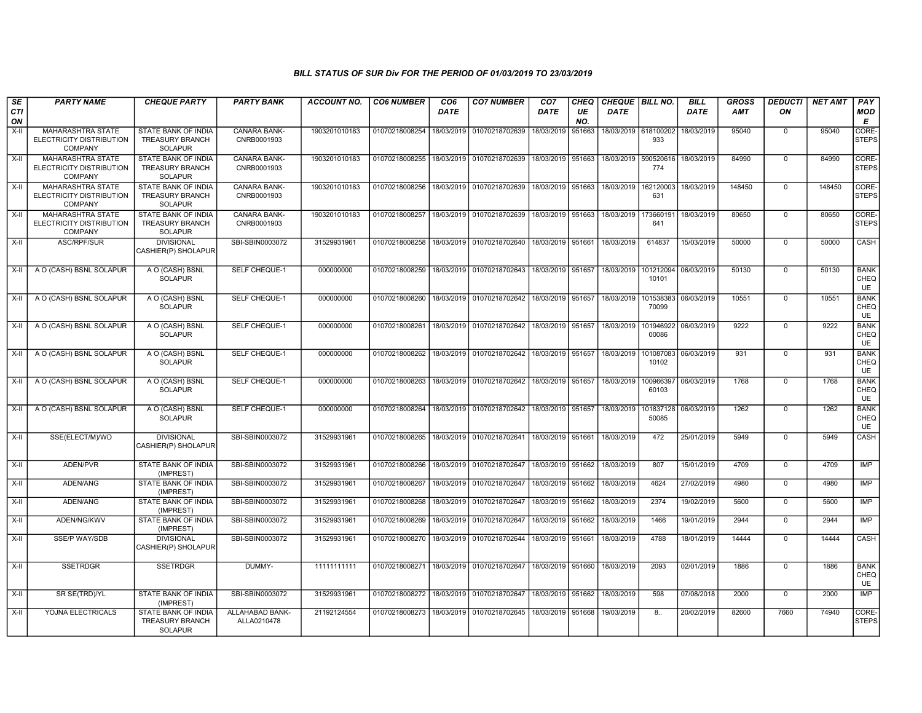| SE<br><b>CTI</b> | <b>PARTY NAME</b>                                                      | <b>CHEQUE PARTY</b>                                                    | <b>PARTY BANK</b>                  | <b>ACCOUNT NO.</b> | <b>CO6 NUMBER</b> | CO <sub>6</sub><br><b>DATE</b> | <b>CO7 NUMBER</b>                           | CO <sub>7</sub><br><b>DATE</b> | <b>CHEQ</b><br>UE | CHEQUE BILL NO.<br>DATE |                    | <b>BILL</b><br>DATE | GROSS<br>AMT | <b>DEDUCTI</b><br>ON | <b>NET AMT</b> | PAY<br><b>MOD</b>                |
|------------------|------------------------------------------------------------------------|------------------------------------------------------------------------|------------------------------------|--------------------|-------------------|--------------------------------|---------------------------------------------|--------------------------------|-------------------|-------------------------|--------------------|---------------------|--------------|----------------------|----------------|----------------------------------|
| ON               |                                                                        |                                                                        |                                    |                    |                   |                                |                                             |                                | NO.               |                         |                    |                     |              |                      |                | Е                                |
| $X-II$           | <b>MAHARASHTRA STATE</b><br>ELECTRICITY DISTRIBUTION<br><b>COMPANY</b> | STATE BANK OF INDIA<br><b>TREASURY BRANCH</b><br><b>SOLAPUR</b>        | <b>CANARA BANK-</b><br>CNRB0001903 | 1903201010183      | 01070218008254    | 18/03/2019                     | 01070218702639                              | 18/03/2019                     | 951663            | 18/03/2019 618100202    | 933                | 18/03/2019          | 95040        | $\mathbf 0$          | 95040          | CORE-<br>STEPS                   |
| $X-H$            | <b>MAHARASHTRA STATE</b><br>ELECTRICITY DISTRIBUTION<br><b>COMPANY</b> | STATE BANK OF INDIA<br><b>TREASURY BRANCH</b><br><b>SOLAPUR</b>        | <b>CANARA BANK-</b><br>CNRB0001903 | 1903201010183      | 01070218008255    |                                | 18/03/2019 01070218702639                   | 18/03/2019 951663              |                   | 18/03/2019              | 590520616<br>774   | 18/03/2019          | 84990        | $\Omega$             | 84990          | CORE-<br><b>STEPS</b>            |
| $X-H$            | MAHARASHTRA STATE<br>ELECTRICITY DISTRIBUTION<br><b>COMPANY</b>        | STATE BANK OF INDIA<br><b>TREASURY BRANCH</b><br><b>SOLAPUR</b>        | <b>CANARA BANK-</b><br>CNRB0001903 | 1903201010183      | 01070218008256    | 18/03/2019                     | 01070218702639                              | 18/03/2019 951663              |                   | 18/03/2019              | 162120003<br>631   | 18/03/2019          | 148450       | $\overline{0}$       | 148450         | CORE-<br><b>STEPS</b>            |
| $X-H$            | MAHARASHTRA STATE<br>ELECTRICITY DISTRIBUTION<br>COMPANY               | STATE BANK OF INDIA<br><b>TREASURY BRANCH</b><br><b>SOLAPUR</b>        | CANARA BANK-<br>CNRB0001903        | 1903201010183      | 01070218008257    | 18/03/2019                     | 01070218702639                              | 18/03/2019 951663              |                   | 18/03/2019              | 173660191<br>641   | 18/03/2019          | 80650        | $\mathbf 0$          | 80650          | CORE-<br><b>STEPS</b>            |
| $X-H$            | ASC/RPF/SUR                                                            | <b>DIVISIONAL</b><br>CASHIER(P) SHOLAPUR                               | SBI-SBIN0003072                    | 31529931961        | 01070218008258    |                                | 18/03/2019 01070218702640                   | 18/03/2019 951661              |                   | 18/03/2019              | 614837             | 15/03/2019          | 50000        | $\Omega$             | 50000          | CASH                             |
| $X-II$           | A O (CASH) BSNL SOLAPUR                                                | A O (CASH) BSNL<br><b>SOLAPUR</b>                                      | <b>SELF CHEQUE-1</b>               | 000000000          | 01070218008259    |                                | 18/03/2019 01070218702643                   | 18/03/2019 951657              |                   | 18/03/2019              | 101212094<br>10101 | 06/03/2019          | 50130        | $\overline{0}$       | 50130          | <b>BANK</b><br>CHEQ<br>UE        |
| X-II             | A O (CASH) BSNL SOLAPUR                                                | A O (CASH) BSNL<br><b>SOLAPUR</b>                                      | SELF CHEQUE-1                      | 000000000          | 01070218008260    |                                | 18/03/2019 01070218702642                   | 18/03/2019 951657              |                   | 18/03/2019              | 101538383<br>70099 | 06/03/2019          | 10551        | $\Omega$             | 10551          | <b>BANK</b><br>CHEQ<br><b>UE</b> |
| $X-H$            | A O (CASH) BSNL SOLAPUR                                                | A O (CASH) BSNL<br><b>SOLAPUR</b>                                      | <b>SELF CHEQUE-1</b>               | 000000000          | 01070218008261    |                                | 18/03/2019 01070218702642                   | 18/03/2019 951657              |                   | 18/03/2019              | 101946922<br>00086 | 06/03/2019          | 9222         | $\mathbf 0$          | 9222           | <b>BANK</b><br>CHEQ<br><b>UE</b> |
| $X-II$           | A O (CASH) BSNL SOLAPUR                                                | A O (CASH) BSNL<br><b>SOLAPUR</b>                                      | SELF CHEQUE-1                      | 000000000          | 01070218008262    |                                | 18/03/2019 01070218702642 18/03/2019 951657 |                                |                   | 18/03/2019              | 101087083<br>10102 | 06/03/2019          | 931          | $\mathbf 0$          | 931            | <b>BANK</b><br>CHEQ<br>UE        |
| X-II             | A O (CASH) BSNL SOLAPUR                                                | A O (CASH) BSNL<br><b>SOLAPUR</b>                                      | <b>SELF CHEQUE-1</b>               | 000000000          | 01070218008263    |                                | 18/03/2019 01070218702642                   | 18/03/2019 951657              |                   | 18/03/2019              | 100966397<br>60103 | 06/03/2019          | 1768         | $\Omega$             | 1768           | <b>BANK</b><br>CHEQ<br>UE        |
| $X-H$            | A O (CASH) BSNL SOLAPUR                                                | A O (CASH) BSNL<br><b>SOLAPUR</b>                                      | <b>SELF CHEQUE-1</b>               | 000000000          | 01070218008264    |                                | 18/03/2019 01070218702642 18/03/2019 951657 |                                |                   | 18/03/2019              | 101837128<br>50085 | 06/03/2019          | 1262         | $\overline{0}$       | 1262           | <b>BANK</b><br>CHEQ<br><b>UE</b> |
| X-II             | SSE(ELECT/M)/WD                                                        | <b>DIVISIONAL</b><br>CASHIER(P) SHOLAPUR                               | SBI-SBIN0003072                    | 31529931961        | 01070218008265    |                                | 18/03/2019 01070218702641 18/03/2019 951661 |                                |                   | 18/03/2019              | 472                | 25/01/2019          | 5949         | $\Omega$             | 5949           | CASH                             |
| X-II             | ADEN/PVR                                                               | STATE BANK OF INDIA<br>(IMPREST)                                       | SBI-SBIN0003072                    | 31529931961        | 01070218008266    | 18/03/2019                     | 01070218702647                              | 18/03/2019 951662              |                   | 18/03/2019              | 807                | 15/01/2019          | 4709         | $\mathbf 0$          | 4709           | <b>IMP</b>                       |
| $X-H$            | ADEN/ANG                                                               | STATE BANK OF INDIA<br>(IMPREST)                                       | SBI-SBIN0003072                    | 31529931961        | 01070218008267    | 18/03/2019                     | 01070218702647                              | 18/03/2019 951662              |                   | 18/03/2019              | 4624               | 27/02/2019          | 4980         | $\overline{0}$       | 4980           | <b>IMP</b>                       |
| X-II             | ADEN/ANG                                                               | <b>STATE BANK OF INDIA</b><br>(IMPREST)                                | SBI-SBIN0003072                    | 31529931961        | 01070218008268    |                                | 18/03/2019 01070218702647 18/03/2019 951662 |                                |                   | 18/03/2019              | 2374               | 19/02/2019          | 5600         | $\mathbf 0$          | 5600           | <b>IMP</b>                       |
| X-II             | ADEN/NG/KWV                                                            | STATE BANK OF INDIA<br>(IMPREST)                                       | SBI-SBIN0003072                    | 31529931961        | 01070218008269    | 18/03/2019                     | 01070218702647                              | 18/03/2019 951662              |                   | 18/03/2019              | 1466               | 19/01/2019          | 2944         | $\mathbf 0$          | 2944           | IMP                              |
| $X-II$           | <b>SSE/P WAY/SDB</b>                                                   | <b>DIVISIONAL</b><br>CASHIER(P) SHOLAPUR                               | SBI-SBIN0003072                    | 31529931961        | 01070218008270    | 18/03/2019                     | 01070218702644                              | 18/03/2019 951661              |                   | 18/03/2019              | 4788               | 18/01/2019          | 14444        | $\Omega$             | 14444          | CASH                             |
| $X-H$            | <b>SSETRDGR</b>                                                        | <b>SSETRDGR</b>                                                        | DUMMY-                             | 11111111111        | 01070218008271    |                                | 18/03/2019 01070218702647                   | 18/03/2019 951660              |                   | 18/03/2019              | 2093               | 02/01/2019          | 1886         | $\Omega$             | 1886           | <b>BANK</b><br>CHEQ<br>UE        |
| $X-II$           | SR SE(TRD)/YL                                                          | <b>STATE BANK OF INDIA</b><br>(IMPREST)                                | SBI-SBIN0003072                    | 31529931961        | 01070218008272    |                                | 18/03/2019 01070218702647                   | 18/03/2019 951662              |                   | 18/03/2019              | 598                | 07/08/2018          | 2000         | $\overline{0}$       | 2000           | <b>IMP</b>                       |
| $X-H$            | YOJNA ELECTRICALS                                                      | <b>STATE BANK OF INDIA</b><br><b>TREASURY BRANCH</b><br><b>SOLAPUR</b> | ALLAHABAD BANK-<br>ALLA0210478     | 21192124554        | 01070218008273    | 18/03/2019                     | 01070218702645                              | 18/03/2019 951668              |                   | 19/03/2019              | 8.                 | 20/02/2019          | 82600        | 7660                 | 74940          | CORE-<br><b>STEPS</b>            |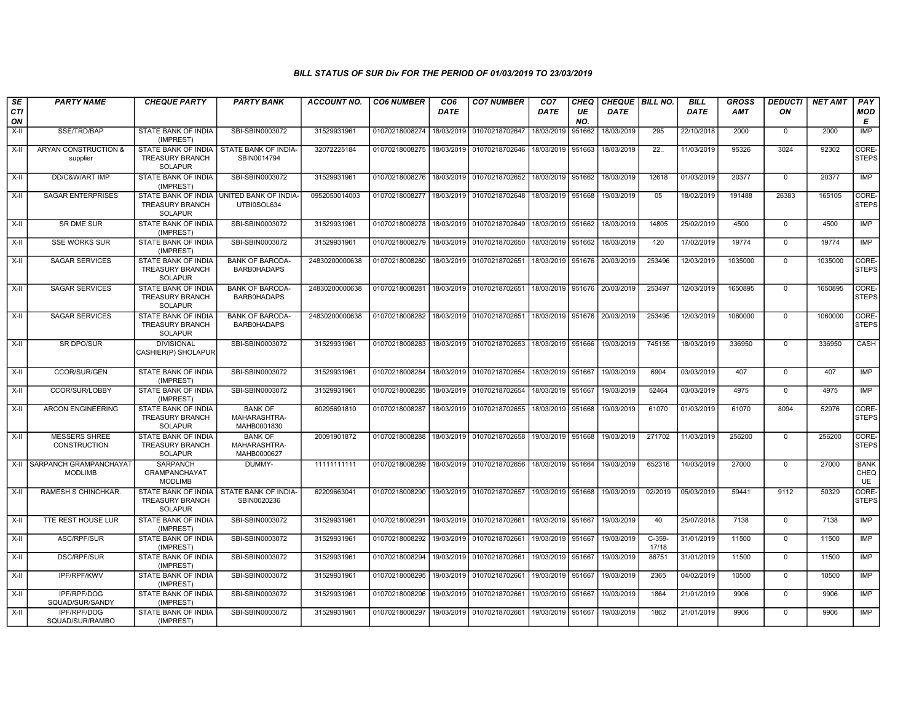| SE        | <b>PARTY NAME</b>                               | <b>CHEQUE PARTY</b>                                                    | <b>PARTY BANK</b>                             | <b>ACCOUNT NO.</b> | <b>CO6 NUMBER</b>                            | CO <sub>6</sub> | <b>CO7 NUMBER</b>                        | CO <sub>7</sub>   | <b>CHEQ</b> | CHEQUE   BILL NO.                |                   | <b>BILL</b> | <b>GROSS</b> | <b>DEDUCTI</b> | <b>NET AMT</b> | <b>PAY</b>                |
|-----------|-------------------------------------------------|------------------------------------------------------------------------|-----------------------------------------------|--------------------|----------------------------------------------|-----------------|------------------------------------------|-------------------|-------------|----------------------------------|-------------------|-------------|--------------|----------------|----------------|---------------------------|
| CTI<br>ON |                                                 |                                                                        |                                               |                    |                                              | <b>DATE</b>     |                                          | <b>DATE</b>       | UE<br>NO.   | <b>DATE</b>                      |                   | <b>DATE</b> | AMT          | ON             |                | <b>MOD</b><br>Е           |
| $X-H$     | SSE/TRD/BAP                                     | STATE BANK OF INDIA<br>(IMPREST)                                       | SBI-SBIN0003072                               | 31529931961        | 01070218008274                               | 18/03/2019      | 01070218702647                           | 18/03/2019        | 951662      | 18/03/2019                       | 295               | 22/10/2018  | 2000         | $\Omega$       | 2000           | <b>IMP</b>                |
| X-II      | <b>ARYAN CONSTRUCTION &amp;</b><br>supplier     | STATE BANK OF INDIA<br><b>TREASURY BRANCH</b><br><b>SOLAPUR</b>        | STATE BANK OF INDIA-<br>SBIN0014794           | 32072225184        |                                              |                 | 01070218008275 18/03/2019 01070218702646 | 18/03/2019 951663 |             | 18/03/2019                       | 22.               | 11/03/2019  | 95326        | 3024           | 92302          | CORE-<br><b>STEPS</b>     |
| $X-H$     | DD/C&W/ART IMP                                  | <b>STATE BANK OF INDIA</b><br>(IMPREST)                                | SBI-SBIN0003072                               | 31529931961        | 01070218008276                               |                 | 18/03/2019 01070218702652                | 18/03/2019 951662 |             | 18/03/2019                       | 12618             | 01/03/2019  | 20377        | $\Omega$       | 20377          | <b>IMP</b>                |
| X-II      | <b>SAGAR ENTERPRISES</b>                        | STATE BANK OF INDIA<br><b>TREASURY BRANCH</b><br><b>SOLAPUR</b>        | UNITED BANK OF INDIA-<br>UTBI0SOL634          | 0952050014003      | 01070218008277                               |                 | 18/03/2019 01070218702648                | 18/03/2019 951668 |             | 19/03/2019                       | 05                | 18/02/2019  | 191488       | 26383          | 165105         | CORE-<br><b>STEPS</b>     |
| $X-H$     | SR DME SUR                                      | STATE BANK OF INDIA<br>(IMPREST)                                       | SBI-SBIN0003072                               | 31529931961        |                                              |                 | 01070218008278 18/03/2019 01070218702649 | 18/03/2019 951662 |             | 18/03/2019                       | 14805             | 25/02/2019  | 4500         | $\mathbf 0$    | 4500           | IMP                       |
| X-II      | <b>SSE WORKS SUR</b>                            | STATE BANK OF INDIA<br>(IMPREST)                                       | SBI-SBIN0003072                               | 31529931961        | 01070218008279                               | 18/03/2019      | 01070218702650                           | 18/03/2019 951662 |             | 18/03/2019                       | 120               | 17/02/2019  | 19774        | $\mathbf 0$    | 19774          | IMP                       |
| $X-II$    | <b>SAGAR SERVICES</b>                           | STATE BANK OF INDIA<br><b>TREASURY BRANCH</b><br><b>SOLAPUR</b>        | <b>BANK OF BARODA-</b><br><b>BARB0HADAPS</b>  | 24830200000638     | 01070218008280                               |                 | 18/03/2019 01070218702651                | 18/03/2019        | 951676      | 20/03/2019                       | 253496            | 12/03/2019  | 1035000      | $\Omega$       | 1035000        | CORE-<br><b>STEPS</b>     |
| X-II      | <b>SAGAR SERVICES</b>                           | <b>STATE BANK OF INDIA</b><br><b>TREASURY BRANCH</b><br><b>SOLAPUR</b> | <b>BANK OF BARODA-</b><br><b>BARB0HADAPS</b>  | 24830200000638     | 01070218008281                               |                 | 18/03/2019 01070218702651                | 18/03/2019        | 951676      | 20/03/2019                       | 253497            | 12/03/2019  | 1650895      | $\Omega$       | 1650895        | CORE-<br><b>STEPS</b>     |
| $X-H$     | <b>SAGAR SERVICES</b>                           | <b>STATE BANK OF INDIA</b><br><b>TREASURY BRANCH</b><br><b>SOLAPUR</b> | <b>BANK OF BARODA-</b><br>BARB0HADAPS         | 24830200000638     | 01070218008282 18/03/2019 01070218702651     |                 |                                          |                   |             | 18/03/2019 951676 20/03/2019     | 253495            | 12/03/2019  | 1060000      | $\Omega$       | 1060000        | CORE-<br><b>STEPS</b>     |
| $X-H$     | <b>SR DPO/SUR</b>                               | <b>DIVISIONAL</b><br>CASHIER(P) SHOLAPUR                               | SBI-SBIN0003072                               | 31529931961        | 01070218008283                               |                 | 18/03/2019 01070218702653                | 18/03/2019 951666 |             | 19/03/2019                       | 745155            | 18/03/2019  | 336950       | $\Omega$       | 336950         | CASH                      |
| X-II      | <b>CCOR/SUR/GEN</b>                             | STATE BANK OF INDIA<br>(IMPREST)                                       | SBI-SBIN0003072                               | 31529931961        | 01070218008284                               |                 | 18/03/2019 01070218702654                | 18/03/2019        | 951667      | 19/03/2019                       | 6904              | 03/03/2019  | 407          | $\Omega$       | 407            | <b>IMP</b>                |
| $X-H$     | CCOR/SUR/LOBBY                                  | STATE BANK OF INDIA<br>(IMPREST)                                       | SBI-SBIN0003072                               | 31529931961        | 01070218008285                               | 18/03/2019      | 01070218702654                           | 18/03/2019 951667 |             | 19/03/2019                       | 52464             | 03/03/2019  | 4975         | $\Omega$       | 4975           | IMP                       |
| X-II      | ARCON ENGINEERING                               | STATE BANK OF INDIA<br><b>TREASURY BRANCH</b><br><b>SOLAPUR</b>        | <b>BANK OF</b><br>MAHARASHTRA-<br>MAHB0001830 | 60295691810        | 01070218008287                               |                 | 18/03/2019 01070218702655                | 18/03/2019 951668 |             | 19/03/2019                       | 61070             | 01/03/2019  | 61070        | 8094           | 52976          | CORE-<br><b>STEPS</b>     |
| X-II      | <b>MESSERS SHREE</b><br><b>CONSTRUCTION</b>     | <b>STATE BANK OF INDIA</b><br><b>TREASURY BRANCH</b><br><b>SOLAPUR</b> | <b>BANK OF</b><br>MAHARASHTRA-<br>MAHB0000627 | 20091901872        | 01070218008288 18/03/2019 01070218702658     |                 |                                          | 19/03/2019 951668 |             | 19/03/2019                       | 271702            | 11/03/2019  | 256200       | $\mathbf{0}$   | 256200         | CORE-<br><b>STEPS</b>     |
| X-II      | <b>SARPANCH GRAMPANCHAYAT</b><br><b>MODLIMB</b> | <b>SARPANCH</b><br><b>GRAMPANCHAYAT</b><br><b>MODLIMB</b>              | DUMMY-                                        | 11111111111        | 01070218008289   18/03/2019   01070218702656 |                 |                                          | 18/03/2019 951664 |             | 19/03/2019                       | 652316            | 14/03/2019  | 27000        | $\Omega$       | 27000          | <b>BANK</b><br>CHEQ<br>UE |
| X-II      | <b>RAMESH S CHINCHKAR.</b>                      | STATE BANK OF INDIA<br><b>TREASURY BRANCH</b><br><b>SOLAPUR</b>        | STATE BANK OF INDIA-<br>SBIN0020236           | 62209663041        |                                              |                 | 01070218008290 19/03/2019 01070218702657 |                   |             | 19/03/2019   951668   19/03/2019 | 02/2019           | 05/03/2019  | 59441        | 9112           | 50329          | CORE-<br><b>STEPS</b>     |
| X-II      | TTE REST HOUSE LUR                              | STATE BANK OF INDIA<br>(IMPREST)                                       | SBI-SBIN0003072                               | 31529931961        | 01070218008291                               |                 | 19/03/2019 01070218702661                | 19/03/2019 951667 |             | 19/03/2019                       | 40                | 25/07/2018  | 7138         | $\mathbf{0}$   | 7138           | IMP                       |
| $X-II$    | ASC/RPF/SUR                                     | STATE BANK OF INDIA<br>(IMPREST)                                       | SBI-SBIN0003072                               | 31529931961        | 01070218008292                               |                 | 19/03/2019 01070218702661                | 19/03/2019 951667 |             | 19/03/2019                       | $C-359-$<br>17/18 | 31/01/2019  | 11500        | $\Omega$       | 11500          | <b>IMP</b>                |
| X-II      | DSC/RPF/SUR                                     | <b>STATE BANK OF INDIA</b><br>(IMPREST)                                | SBI-SBIN0003072                               | 31529931961        | 01070218008294                               |                 | 19/03/2019 01070218702661                | 19/03/2019        | 951667      | 19/03/2019                       | 86751             | 31/01/2019  | 11500        | $\mathbf{0}$   | 11500          | <b>IMP</b>                |
| X-II      | IPF/RPF/KWV                                     | STATE BANK OF INDIA<br>(IMPREST)                                       | SBI-SBIN0003072                               | 31529931961        | 01070218008295                               | 19/03/2019      | 01070218702661                           | 19/03/2019 951667 |             | 19/03/2019                       | 2365              | 04/02/2019  | 10500        | $\mathbf{0}$   | 10500          | IMP                       |
| X-II      | IPF/RPF/DOG<br>SQUAD/SUR/SANDY                  | STATE BANK OF INDIA<br>(IMPREST)                                       | SBI-SBIN0003072                               | 31529931961        | 01070218008296                               |                 | 19/03/2019 01070218702661                | 19/03/2019 951667 |             | 19/03/2019                       | 1864              | 21/01/2019  | 9906         | $\mathbf{0}$   | 9906           | <b>IMP</b>                |
| X-II      | IPF/RPF/DOG<br>SQUAD/SUR/RAMBO                  | STATE BANK OF INDIA<br>(IMPREST)                                       | SBI-SBIN0003072                               | 31529931961        | 01070218008297                               |                 | 19/03/2019 01070218702661                | 19/03/2019        | 951667      | 19/03/2019                       | 1862              | 21/01/2019  | 9906         | $\mathbf{0}$   | 9906           | IMP                       |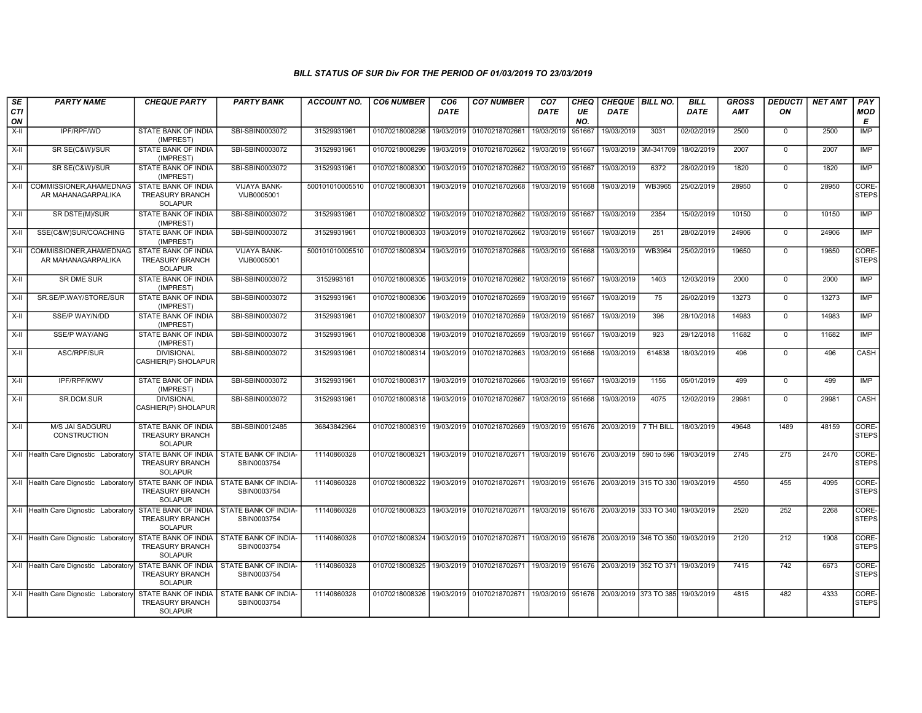| SE               | <b>PARTY NAME</b>                             | <b>CHEQUE PARTY</b>                                                    | <b>PARTY BANK</b>                          | <b>ACCOUNT NO.</b> | <b>CO6 NUMBER</b> | CO <sub>6</sub> | <b>CO7 NUMBER</b>                                                            | CO <sub>7</sub>   | <b>CHEQ</b> | CHEQUE   BILL NO.                             |               | <b>BILL</b> | <b>GROSS</b> | <b>DEDUCTI</b>   | <b>NET AMT</b> | PAY                   |
|------------------|-----------------------------------------------|------------------------------------------------------------------------|--------------------------------------------|--------------------|-------------------|-----------------|------------------------------------------------------------------------------|-------------------|-------------|-----------------------------------------------|---------------|-------------|--------------|------------------|----------------|-----------------------|
| <b>CTI</b><br>ON |                                               |                                                                        |                                            |                    |                   | DATE            |                                                                              | <b>DATE</b>       | UE<br>NO.   | DATE                                          |               | <b>DATE</b> | <b>AMT</b>   | ΟN               |                | <b>MOD</b><br>Е       |
| X-II             | IPF/RPF/WD                                    | STATE BANK OF INDIA<br>(IMPREST)                                       | SBI-SBIN0003072                            | 31529931961        | 01070218008298    | 19/03/2019      | 01070218702661                                                               | 19/03/2019        | 951667      | 19/03/2019                                    | 3031          | 02/02/2019  | 2500         | $\mathbf 0$      | 2500           | IMP                   |
| $X-II$           | SR SE(C&W)/SUR                                | STATE BANK OF INDIA<br>(IMPREST)                                       | SBI-SBIN0003072                            | 31529931961        | 01070218008299    | 19/03/2019      | 01070218702662                                                               | 19/03/2019 951667 |             | 19/03/2019                                    | 3M-341709     | 18/02/2019  | 2007         | $\Omega$         | 2007           | IMP                   |
| $X-H$            | SR SE(C&W)/SUR                                | STATE BANK OF INDIA<br>(IMPREST)                                       | SBI-SBIN0003072                            | 31529931961        | 01070218008300    | 19/03/2019      | 01070218702662                                                               | 19/03/2019 951667 |             | 19/03/2019                                    | 6372          | 28/02/2019  | 1820         | $\mathbf 0$      | 1820           | IMP                   |
| $X-H$            | COMMISSIONER, AHAMEDNAG<br>AR MAHANAGARPALIKA | <b>STATE BANK OF INDIA</b><br><b>TREASURY BRANCH</b><br><b>SOLAPUR</b> | VIJAYA BANK-<br>VIJB0005001                | 500101010005510    | 01070218008301    | 19/03/2019      | 01070218702668                                                               | 19/03/2019 951668 |             | 19/03/2019                                    | <b>WB3965</b> | 25/02/2019  | 28950        | $\mathbf 0$      | 28950          | CORE-<br><b>STEPS</b> |
| $X-I$            | SR DSTE(M)/SUR                                | STATE BANK OF INDIA<br>(IMPREST)                                       | SBI-SBIN0003072                            | 31529931961        | 01070218008302    | 19/03/2019      | 01070218702662                                                               | 19/03/2019 951667 |             | 19/03/2019                                    | 2354          | 15/02/2019  | 10150        | $\mathbf 0$      | 10150          | IMP                   |
| X-II             | SSE(C&W)SUR/COACHING                          | <b>STATE BANK OF INDIA</b><br>(IMPREST)                                | SBI-SBIN0003072                            | 31529931961        | 01070218008303    | 19/03/2019      | 01070218702662                                                               | 19/03/2019 951667 |             | 19/03/2019                                    | 251           | 28/02/2019  | 24906        | $\mathbf 0$      | 24906          | <b>IMP</b>            |
| X-II             | COMMISSIONER, AHAMEDNAG<br>AR MAHANAGARPALIKA | <b>STATE BANK OF INDIA</b><br><b>TREASURY BRANCH</b><br><b>SOLAPUR</b> | VIJAYA BANK-<br>VIJB0005001                | 500101010005510    | 01070218008304    | 19/03/2019      | 01070218702668                                                               | 19/03/2019 951668 |             | 19/03/2019                                    | <b>WB3964</b> | 25/02/2019  | 19650        | 0                | 19650          | CORE-<br><b>STEPS</b> |
| $X-H$            | <b>SR DME SUR</b>                             | <b>STATE BANK OF INDIA</b><br>(IMPREST)                                | SBI-SBIN0003072                            | 3152993161         | 01070218008305    |                 | 19/03/2019 01070218702662                                                    | 19/03/2019 951667 |             | 19/03/2019                                    | 1403          | 12/03/2019  | 2000         | $\Omega$         | 2000           | <b>IMP</b>            |
| X-II             | SR.SE/P.WAY/STORE/SUR                         | <b>STATE BANK OF INDIA</b><br>(IMPREST)                                | SBI-SBIN0003072                            | 31529931961        | 01070218008306    | 19/03/2019      | 01070218702659                                                               | 19/03/2019 951667 |             | 19/03/2019                                    | 75            | 26/02/2019  | 13273        | $\mathbf 0$      | 13273          | IMP                   |
| X-II             | SSE/P WAY/N/DD                                | STATE BANK OF INDIA<br>(IMPREST)                                       | SBI-SBIN0003072                            | 31529931961        | 01070218008307    | 19/03/2019      | 01070218702659                                                               | 19/03/2019 951667 |             | 19/03/2019                                    | 396           | 28/10/2018  | 14983        | $\mathbf 0$      | 14983          | IMP                   |
| $X-H$            | <b>SSE/P WAY/ANG</b>                          | STATE BANK OF INDIA<br>(IMPREST)                                       | SBI-SBIN0003072                            | 31529931961        | 01070218008308    | 19/03/2019      | 01070218702659                                                               | 19/03/2019 951667 |             | 19/03/2019                                    | 923           | 29/12/2018  | 11682        | $\overline{0}$   | 11682          | IMP                   |
| $X-H$            | ASC/RPF/SUR                                   | <b>DIVISIONAL</b><br>CASHIER(P) SHOLAPUR                               | SBI-SBIN0003072                            | 31529931961        | 01070218008314    | 19/03/2019      | 01070218702663                                                               | 19/03/2019 951666 |             | 19/03/2019                                    | 614838        | 18/03/2019  | 496          | $\mathbf 0$      | 496            | <b>CASH</b>           |
| X-II             | IPF/RPF/KWV                                   | STATE BANK OF INDIA<br>(IMPREST)                                       | SBI-SBIN0003072                            | 31529931961        | 01070218008317    |                 | 19/03/2019 01070218702666                                                    | 19/03/2019 951667 |             | 19/03/2019                                    | 1156          | 05/01/2019  | 499          | $\mathbf 0$      | 499            | <b>IMP</b>            |
| $X-H$            | SR.DCM.SUR                                    | <b>DIVISIONAL</b><br>CASHIER(P) SHOLAPUR                               | SBI-SBIN0003072                            | 31529931961        | 01070218008318    | 19/03/2019      | 01070218702667                                                               | 19/03/2019 951666 |             | 19/03/2019                                    | 4075          | 12/02/2019  | 29981        | $\mathbf 0$      | 29981          | CASH                  |
| $X-I$            | M/S JAI SADGURU<br>CONSTRUCTION               | STATE BANK OF INDIA<br><b>TREASURY BRANCH</b><br><b>SOLAPUR</b>        | SBI-SBIN0012485                            | 36843842964        | 01070218008319    |                 | 19/03/2019 01070218702669 19/03/2019 951676 20/03/2019                       |                   |             |                                               | 7 TH BILL     | 18/03/2019  | 49648        | 1489             | 48159          | CORE-<br><b>STEPS</b> |
|                  | X-II Health Care Dignostic Laboratory         | <b>STATE BANK OF INDIA</b><br><b>TREASURY BRANCH</b><br><b>SOLAPUR</b> | STATE BANK OF INDIA-<br>SBIN0003754        | 11140860328        | 01070218008321    |                 | 19/03/2019 01070218702671 19/03/2019 951676 20/03/2019 590 to 596            |                   |             |                                               |               | 19/03/2019  | 2745         | 275              | 2470           | CORE-<br><b>STEPS</b> |
|                  | X-II Health Care Dignostic Laboratory         | STATE BANK OF INDIA<br><b>TREASURY BRANCH</b><br><b>SOLAPUR</b>        | <b>STATE BANK OF INDIA-</b><br>SBIN0003754 | 11140860328        | 01070218008322    |                 | 19/03/2019 01070218702671 19/03/2019 951676 20/03/2019 315 TO 330 19/03/2019 |                   |             |                                               |               |             | 4550         | 455              | 4095           | CORE-<br><b>STEPS</b> |
|                  | X-II Health Care Dignostic Laboratory         | STATE BANK OF INDIA<br><b>TREASURY BRANCH</b><br><b>SOLAPUR</b>        | STATE BANK OF INDIA-<br>SBIN0003754        | 11140860328        | 01070218008323    |                 | 19/03/2019 01070218702671 19/03/2019 951676 20/03/2019 333 TO 340            |                   |             |                                               |               | 19/03/2019  | 2520         | 252              | 2268           | CORE-<br><b>STEPS</b> |
|                  | X-II Health Care Dignostic Laboratory         | <b>STATE BANK OF INDIA</b><br><b>TREASURY BRANCH</b><br><b>SOLAPUR</b> | <b>STATE BANK OF INDIA-</b><br>SBIN0003754 | 11140860328        | 01070218008324    |                 | 19/03/2019   01070218702671   19/03/2019   951676   20/03/2019   346 TO 350  |                   |             |                                               |               | 19/03/2019  | 2120         | $\overline{212}$ | 1908           | CORE-<br><b>STEPS</b> |
|                  | X-II Health Care Dignostic Laboratory         | STATE BANK OF INDIA<br><b>TREASURY BRANCH</b><br><b>SOLAPUR</b>        | STATE BANK OF INDIA-<br>SBIN0003754        | 11140860328        | 01070218008325    |                 | 19/03/2019 01070218702671 19/03/2019 951676 20/03/2019 352 TO 371 19/03/2019 |                   |             |                                               |               |             | 7415         | 742              | 6673           | CORE-<br><b>STEPS</b> |
|                  | X-II Health Care Dignostic Laboratory         | STATE BANK OF INDIA<br><b>TREASURY BRANCH</b><br>SOLAPUR               | STATE BANK OF INDIA-<br>SBIN0003754        | 11140860328        | 01070218008326    | 19/03/2019      | 01070218702671                                                               |                   |             | 19/03/2019   951676   20/03/2019   373 TO 385 |               | 19/03/2019  | 4815         | 482              | 4333           | CORE-<br><b>STEPS</b> |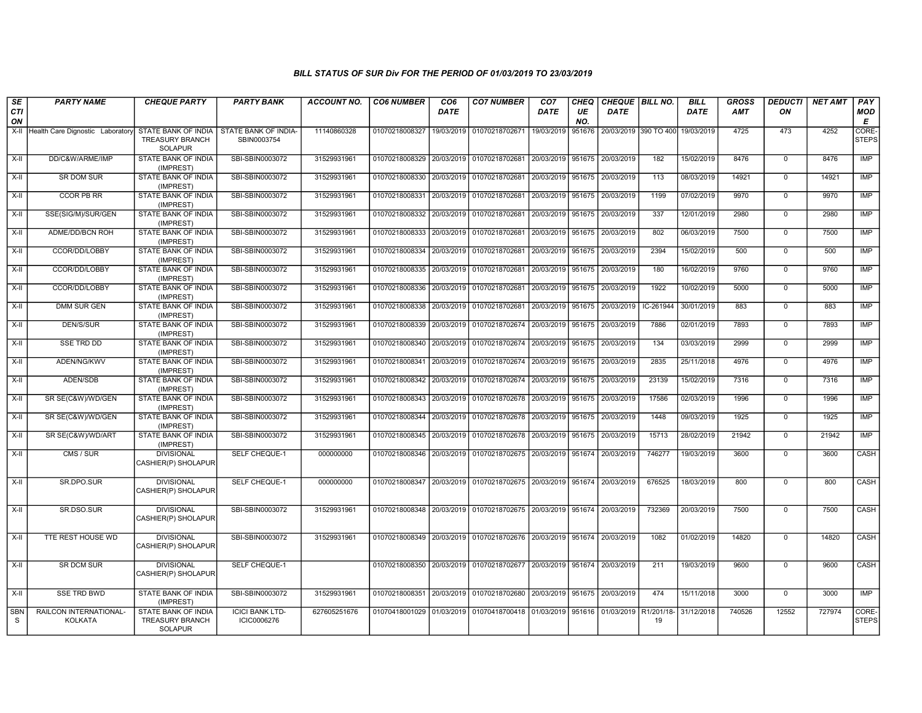| SE               | <b>PARTY NAME</b>                        | <b>CHEQUE PARTY</b>                                      | <b>PARTY BANK</b>                     | ACCOUNT NO.  | <b>CO6 NUMBER</b>                        | CO <sub>6</sub> | <b>CO7 NUMBER</b>                                                     | CO <sub>7</sub>              | <b>CHEQ</b> | CHEQUE   BILL NO.            |                  | <b>BILL</b> | GROSS  | <b>DEDUCTI</b> | NET AMT | PAY                   |
|------------------|------------------------------------------|----------------------------------------------------------|---------------------------------------|--------------|------------------------------------------|-----------------|-----------------------------------------------------------------------|------------------------------|-------------|------------------------------|------------------|-------------|--------|----------------|---------|-----------------------|
| <b>CTI</b><br>ON |                                          |                                                          |                                       |              |                                          | <b>DATE</b>     |                                                                       | <b>DATE</b>                  | UE<br>NO.   | <b>DATE</b>                  |                  | <b>DATE</b> | AMT    | ON             |         | <b>MOD</b><br>E       |
| X-II             | Health Care Dignostic Laboratory         | STATE BANK OF INDIA<br>TREASURY BRANCH<br><b>SOLAPUR</b> | STATE BANK OF INDIA<br>SBIN0003754    | 11140860328  | 01070218008327                           |                 | 19/03/2019 01070218702671                                             | 19/03/2019                   | 951676      | 20/03/2019 390 TO 400        |                  | 19/03/2019  | 4725   | 473            | 4252    | CORE-<br><b>STEPS</b> |
| $X-H$            | DD/C&W/ARME/IMP                          | <b>STATE BANK OF INDIA</b><br>(IMPREST)                  | SBI-SBIN0003072                       | 31529931961  |                                          |                 | 01070218008329 20/03/2019 01070218702681                              | 20/03/2019 951675            |             | 20/03/2019                   | 182              | 15/02/2019  | 8476   | $\overline{0}$ | 8476    | IMP                   |
| X-II             | <b>SR DOM SUR</b>                        | STATE BANK OF INDIA<br>(IMPREST)                         | SBI-SBIN0003072                       | 31529931961  |                                          |                 | 01070218008330 20/03/2019 01070218702681                              | 20/03/2019 951675            |             | 20/03/2019                   | 113              | 08/03/2019  | 14921  | $\mathbf 0$    | 14921   | IMP                   |
| X-II             | CCOR PB RR                               | STATE BANK OF INDIA<br>(IMPREST)                         | SBI-SBIN0003072                       | 31529931961  | 01070218008331 20/03/2019                |                 | 01070218702681                                                        | 20/03/2019                   | 951675      | 20/03/2019                   | 1199             | 07/02/2019  | 9970   | $\mathbf 0$    | 9970    | <b>IMP</b>            |
| $X-II$           | SSE(SIG/M)/SUR/GEN                       | STATE BANK OF INDIA<br>(IMPREST)                         | SBI-SBIN0003072                       | 31529931961  | 01070218008332                           | 20/03/2019      | 01070218702681                                                        | 20/03/2019 951675            |             | 20/03/2019                   | 337              | 12/01/2019  | 2980   | $\overline{0}$ | 2980    | <b>IMP</b>            |
| $X-H$            | ADME/DD/BCN ROH                          | <b>STATE BANK OF INDIA</b><br>(IMPREST)                  | SBI-SBIN0003072                       | 31529931961  | 01070218008333 20/03/2019 01070218702681 |                 |                                                                       | 20/03/2019 951675            |             | 20/03/2019                   | 802              | 06/03/2019  | 7500   | $\overline{0}$ | 7500    | IMP                   |
| $X-H$            | CCOR/DD/LOBBY                            | <b>STATE BANK OF INDIA</b><br>(IMPREST)                  | SBI-SBIN0003072                       | 31529931961  | 01070218008334 20/03/2019                |                 | 01070218702681                                                        | 20/03/2019 951675 20/03/2019 |             |                              | 2394             | 15/02/2019  | 500    | $\overline{0}$ | 500     | IMP                   |
| X-II             | CCOR/DD/LOBBY                            | STATE BANK OF INDIA<br>(IMPREST)                         | SBI-SBIN0003072                       | 31529931961  | 01070218008335 20/03/2019 01070218702681 |                 |                                                                       | 20/03/2019 951675            |             | 20/03/2019                   | 180              | 16/02/2019  | 9760   | $\mathbf 0$    | 9760    | <b>IMP</b>            |
| $X-H$            | CCOR/DD/LOBBY                            | STATE BANK OF INDIA<br>(IMPREST)                         | SBI-SBIN0003072                       | 31529931961  | 01070218008336 20/03/2019                |                 | 01070218702681                                                        | 20/03/2019                   | 951675      | 20/03/2019                   | 1922             | 10/02/2019  | 5000   | $\overline{0}$ | 5000    | <b>IMP</b>            |
| $X-H$            | <b>DMM SUR GEN</b>                       | <b>STATE BANK OF INDIA</b><br>(IMPREST)                  | SBI-SBIN0003072                       | 31529931961  |                                          |                 | 01070218008338 20/03/2019 01070218702681                              | 20/03/2019 951675            |             | 20/03/2019                   | IC-261944        | 30/01/2019  | 883    | $\mathbf 0$    | 883     | IMP                   |
| X-II             | <b>DEN/S/SUR</b>                         | <b>STATE BANK OF INDIA</b><br>(IMPREST)                  | SBI-SBIN0003072                       | 31529931961  |                                          |                 | 01070218008339 20/03/2019 01070218702674 20/03/2019 951675            |                              |             | 20/03/2019                   | 7886             | 02/01/2019  | 7893   | $\mathbf 0$    | 7893    | IMP                   |
| X-II             | <b>SSE TRD DD</b>                        | <b>STATE BANK OF INDIA</b><br>(IMPREST)                  | SBI-SBIN0003072                       | 31529931961  | 01070218008340 20/03/2019                |                 | 01070218702674                                                        | 20/03/2019                   | 951675      | 20/03/2019                   | 134              | 03/03/2019  | 2999   | $\mathbf 0$    | 2999    | IMP                   |
| X-II             | ADEN/NG/KWV                              | STATE BANK OF INDIA<br>(IMPREST)                         | SBI-SBIN0003072                       | 31529931961  | 01070218008341 20/03/2019                |                 | 01070218702674                                                        | 20/03/2019 951675            |             | 20/03/2019                   | 2835             | 25/11/2018  | 4976   | $\mathbf 0$    | 4976    | <b>IMP</b>            |
| $X-H$            | ADEN/SDB                                 | <b>STATE BANK OF INDIA</b><br>(IMPREST)                  | SBI-SBIN0003072                       | 31529931961  | 01070218008342 20/03/2019                |                 | 01070218702674 20/03/2019 951675                                      |                              |             | 20/03/2019                   | 23139            | 15/02/2019  | 7316   | $\overline{0}$ | 7316    | IMP                   |
| X-II             | SR SE(C&W)/WD/GEN                        | <b>STATE BANK OF INDIA</b><br>(IMPREST)                  | SBI-SBIN0003072                       | 31529931961  |                                          |                 | 01070218008343 20/03/2019 01070218702678 20/03/2019 951675 20/03/2019 |                              |             |                              | 17586            | 02/03/2019  | 1996   | $\Omega$       | 1996    | IMP                   |
| X-II             | SR SE(C&W)/WD/GEN                        | STATE BANK OF INDIA<br>(IMPREST)                         | SBI-SBIN0003072                       | 31529931961  | 01070218008344 20/03/2019                |                 | 01070218702678                                                        | 20/03/2019                   | 951675      | 20/03/2019                   | 1448             | 09/03/2019  | 1925   | $\mathsf 0$    | 1925    | IMP                   |
| $X-I$            | SR SE(C&W)/WD/ART                        | STATE BANK OF INDIA<br>(IMPREST)                         | SBI-SBIN0003072                       | 31529931961  |                                          |                 | 01070218008345 20/03/2019 01070218702678 20/03/2019                   |                              | 951675      | 20/03/2019                   | 15713            | 28/02/2019  | 21942  | $\overline{0}$ | 21942   | IMP                   |
| X-II             | CMS / SUR                                | <b>DIVISIONAL</b><br>CASHIER(P) SHOLAPUR                 | SELF CHEQUE-1                         | 000000000    |                                          |                 | 01070218008346 20/03/2019 01070218702675 20/03/2019 951674            |                              |             | 20/03/2019                   | 746277           | 19/03/2019  | 3600   | $\mathbf 0$    | 3600    | CASH                  |
| $X-H$            | SR.DPO.SUR                               | <b>DIVISIONAL</b><br>CASHIER(P) SHOLAPUR                 | SELF CHEQUE-1                         | 000000000    |                                          |                 | 01070218008347 20/03/2019 01070218702675 20/03/2019 951674            |                              |             | 20/03/2019                   | 676525           | 18/03/2019  | 800    | $\Omega$       | 800     | CASH                  |
| $X-H$            | SR.DSO.SUR                               | <b>DIVISIONAL</b><br>CASHIER(P) SHOLAPUR                 | SBI-SBIN0003072                       | 31529931961  |                                          |                 | 01070218008348 20/03/2019 01070218702675 20/03/2019 951674 20/03/2019 |                              |             |                              | 732369           | 20/03/2019  | 7500   | $\overline{0}$ | 7500    | CASH                  |
| $X-II$           | TTE REST HOUSE WD                        | <b>DIVISIONAL</b><br>CASHIER(P) SHOLAPUR                 | SBI-SBIN0003072                       | 31529931961  |                                          |                 | 01070218008349 20/03/2019 01070218702676 20/03/2019 951674 20/03/2019 |                              |             |                              | 1082             | 01/02/2019  | 14820  | $\Omega$       | 14820   | CASH                  |
| $X-H$            | <b>SR DCM SUR</b>                        | <b>DIVISIONAL</b><br>CASHIER(P) SHOLAPUR                 | <b>SELF CHEQUE-1</b>                  |              |                                          |                 | 01070218008350 20/03/2019 01070218702677 20/03/2019 951674            |                              |             | 20/03/2019                   | 211              | 19/03/2019  | 9600   | $\Omega$       | 9600    | CASH                  |
| X-II             | <b>SSE TRD BWD</b>                       | <b>STATE BANK OF INDIA</b><br>(IMPREST)                  | SBI-SBIN0003072                       | 31529931961  |                                          |                 | 01070218008351 20/03/2019 01070218702680                              |                              |             | 20/03/2019 951675 20/03/2019 | 474              | 15/11/2018  | 3000   | $\mathbf 0$    | 3000    | IMP                   |
| <b>SBN</b><br>S  | RAILCON INTERNATIONAL-<br><b>KOLKATA</b> | STATE BANK OF INDIA<br>TREASURY BRANCH<br><b>SOLAPUR</b> | <b>ICICI BANK LTD-</b><br>ICIC0006276 | 627605251676 | 01070418001029 01/03/2019                |                 | 01070418700418 01/03/2019                                             |                              | 951616      | 01/03/2019                   | R1/201/18-<br>19 | 31/12/2018  | 740526 | 12552          | 727974  | CORE-<br><b>STEPS</b> |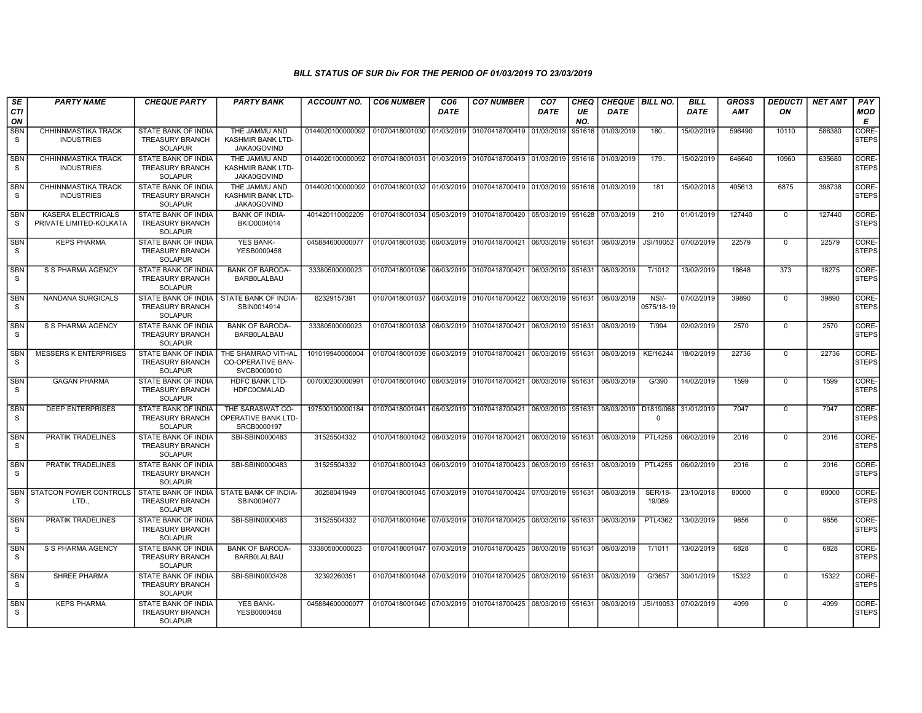| SE<br><b>CTI</b><br>ON     | <b>PARTY NAME</b>                                    | <b>CHEQUE PARTY</b>                                                    | <b>PARTY BANK</b>                                             | <b>ACCOUNT NO.</b>                                                                     | <b>CO6 NUMBER</b>         | CO <sub>6</sub><br><b>DATE</b> | <b>CO7 NUMBER</b>                                                               | CO <sub>7</sub><br><b>DATE</b> | CHEQ<br>UE<br>NO. | CHEQUE   BILL NO.<br><b>DATE</b> |                          | <b>BILL</b><br><b>DATE</b> | <b>GROSS</b><br><b>AMT</b> | DEDUCTI<br>ON  | <b>NET AMT</b> | <b>PAY</b><br><b>MOD</b><br>E |
|----------------------------|------------------------------------------------------|------------------------------------------------------------------------|---------------------------------------------------------------|----------------------------------------------------------------------------------------|---------------------------|--------------------------------|---------------------------------------------------------------------------------|--------------------------------|-------------------|----------------------------------|--------------------------|----------------------------|----------------------------|----------------|----------------|-------------------------------|
| <b>SBN</b><br>S.           | CHHINNMASTIKA TRACK<br><b>INDUSTRIES</b>             | STATE BANK OF INDIA<br><b>TREASURY BRANCH</b><br><b>SOLAPUR</b>        | THE JAMMU AND<br>KASHMIR BANK LTD-<br>JAKA0GOVIND             | 0144020100000092                                                                       | 01070418001030 01/03/2019 |                                | 01070418700419 01/03/2019                                                       |                                | 951616            | 01/03/2019                       | 180.                     | 15/02/2019                 | 596490                     | 10110          | 586380         | CORE-<br><b>STEPS</b>         |
| <b>SBN</b><br><b>S</b>     | CHHINNMASTIKA TRACK<br><b>INDUSTRIES</b>             | <b>STATE BANK OF INDIA</b><br><b>TREASURY BRANCH</b><br>SOLAPUR        | THE JAMMU AND<br><b>KASHMIR BANK LTD-</b><br>JAKA0GOVIND      | 0144020100000092 01070418001031 01/03/2019 01070418700419 01/03/2019 951616 01/03/2019 |                           |                                |                                                                                 |                                |                   |                                  | 179                      | 15/02/2019                 | 646640                     | 10960          | 635680         | <b>CORE</b><br><b>STEPS</b>   |
| <b>SBN</b><br>S            | CHHINNMASTIKA TRACK<br><b>INDUSTRIES</b>             | STATE BANK OF INDIA<br>TREASURY BRANCH<br><b>SOLAPUR</b>               | THE JAMMU AND<br>KASHMIR BANK LTD-<br>JAKA0GOVIND             | 0144020100000092                                                                       | 01070418001032 01/03/2019 |                                | 01070418700419 01/03/2019 951616 01/03/2019                                     |                                |                   |                                  | 181                      | 15/02/2018                 | 405613                     | 6875           | 398738         | CORE-<br>STEPS                |
| SBN<br>S                   | <b>KASERA ELECTRICALS</b><br>PRIVATE LIMITED-KOLKATA | <b>STATE BANK OF INDIA</b><br><b>TREASURY BRANCH</b><br><b>SOLAPUR</b> | <b>BANK OF INDIA-</b><br>BKID0004014                          | 401420110002209                                                                        |                           |                                | 01070418001034 05/03/2019 01070418700420 05/03/2019 951628 07/03/2019           |                                |                   |                                  | 210                      | 01/01/2019                 | 127440                     | $\mathbf 0$    | 127440         | CORE-<br><b>STEPS</b>         |
| <b>SBN</b><br>S            | <b>KEPS PHARMA</b>                                   | STATE BANK OF INDIA<br><b>TREASURY BRANCH</b><br><b>SOLAPUR</b>        | <b>YES BANK-</b><br>YESB0000458                               | 045884600000077                                                                        | 01070418001035            | 06/03/2019                     | 01070418700421 06/03/2019 951631 08/03/2019                                     |                                |                   |                                  | JSI/10052                | 07/02/2019                 | 22579                      | $\mathbf 0$    | 22579          | CORE-<br>STEPS                |
| <b>SBN</b><br>S            | S S PHARMA AGENCY                                    | STATE BANK OF INDIA<br><b>TREASURY BRANCH</b><br><b>SOLAPUR</b>        | <b>BANK OF BARODA-</b><br><b>BARBOLALBAU</b>                  | 33380500000023                                                                         | 01070418001036 06/03/2019 |                                | 01070418700421 06/03/2019 951631                                                |                                |                   | 08/03/2019                       | T/1012                   | 13/02/2019                 | 18648                      | 373            | 18275          | CORE-<br><b>STEPS</b>         |
| SBN<br>S.                  | NANDANA SURGICALS                                    | STATE BANK OF INDIA<br><b>TREASURY BRANCH</b><br><b>SOLAPUR</b>        | STATE BANK OF INDIA-<br>SBIN0014914                           | 62329157391                                                                            | 01070418001037 06/03/2019 |                                | 01070418700422 06/03/2019 951631                                                |                                |                   | 08/03/2019                       | NSI/-<br>0575/18-19      | 07/02/2019                 | 39890                      | $\mathbf 0$    | 39890          | CORE-<br><b>STEPS</b>         |
| <b>SBN</b><br><sub>S</sub> | S S PHARMA AGENCY                                    | <b>STATE BANK OF INDIA</b><br><b>TREASURY BRANCH</b><br><b>SOLAPUR</b> | <b>BANK OF BARODA-</b><br><b>BARBOLALBAU</b>                  | 33380500000023                                                                         |                           |                                | 01070418001038 06/03/2019 01070418700421 06/03/2019 951631 08/03/2019           |                                |                   |                                  | T/994                    | 02/02/2019                 | 2570                       | $\overline{0}$ | 2570           | CORE-<br><b>STEPS</b>         |
| <b>SBN</b><br>S.           | <b>MESSERS K ENTERPRISES</b>                         | STATE BANK OF INDIA<br><b>TREASURY BRANCH</b><br><b>SOLAPUR</b>        | THE SHAMRAO VITHAL<br><b>CO-OPERATIVE BAN-</b><br>SVCB0000010 | 101019940000004                                                                        | 01070418001039            | 06/03/2019                     | 01070418700421 06/03/2019 951631 08/03/2019                                     |                                |                   |                                  | KE/16244                 | 18/02/2019                 | 22736                      | 0              | 22736          | CORE-<br><b>STEPS</b>         |
| <b>SBN</b><br>S.           | <b>GAGAN PHARMA</b>                                  | <b>STATE BANK OF INDIA</b><br><b>TREASURY BRANCH</b><br>SOLAPUR        | <b>HDFC BANK LTD-</b><br><b>HDFC0CMALAD</b>                   | 007000200000991                                                                        |                           |                                | 01070418001040   06/03/2019   01070418700421   06/03/2019   951631   08/03/2019 |                                |                   |                                  | G/390                    | 14/02/2019                 | 1599                       | $\mathbf 0$    | 1599           | CORE-<br><b>STEPS</b>         |
| <b>SBN</b><br>S.           | <b>DEEP ENTERPRISES</b>                              | <b>STATE BANK OF INDIA</b><br><b>TREASURY BRANCH</b><br><b>SOLAPUR</b> | THE SARASWAT CO-<br>OPERATIVE BANK LTD-<br>SRCB0000197        | 197500100000184                                                                        |                           |                                | 01070418001041 06/03/2019 01070418700421 06/03/2019 951631                      |                                |                   | 08/03/2019 D1819/068             | $\Omega$                 | 31/01/2019                 | 7047                       | $\mathbf 0$    | 7047           | CORE-<br><b>STEPS</b>         |
| <b>SBN</b><br>S.           | PRATIK TRADELINES                                    | STATE BANK OF INDIA<br><b>TREASURY BRANCH</b><br>SOLAPUR               | SBI-SBIN0000483                                               | 31525504332                                                                            |                           |                                | 01070418001042 06/03/2019 01070418700421 06/03/2019 951631                      |                                |                   | 08/03/2019                       | <b>PTL4256</b>           | 06/02/2019                 | 2016                       | $\Omega$       | 2016           | CORE-<br><b>STEPS</b>         |
| <b>SBN</b><br>S.           | PRATIK TRADELINES                                    | STATE BANK OF INDIA<br><b>TREASURY BRANCH</b><br>SOLAPUR               | SBI-SBIN0000483                                               | 31525504332                                                                            | 01070418001043 06/03/2019 |                                | 01070418700423 06/03/2019 951631                                                |                                |                   | 08/03/2019                       | <b>PTL4255</b>           | 06/02/2019                 | 2016                       | $\mathbf 0$    | 2016           | CORE-<br><b>STEPS</b>         |
| <b>SBN</b><br>S            | <b>STATCON POWER CONTROLS</b><br>LTD.,               | STATE BANK OF INDIA<br><b>TREASURY BRANCH</b><br>SOLAPUR               | STATE BANK OF INDIA-<br>SBIN0004077                           | 30258041949                                                                            |                           |                                | 01070418001045 07/03/2019 01070418700424 07/03/2019 951631                      |                                |                   | 08/03/2019                       | <b>SER/18-</b><br>19/089 | 23/10/2018                 | 80000                      | $\mathbf 0$    | 80000          | CORE-<br>STEPS                |
| <b>SBN</b><br>S            | PRATIK TRADELINES                                    | STATE BANK OF INDIA<br><b>TREASURY BRANCH</b><br><b>SOLAPUR</b>        | SBI-SBIN0000483                                               | 31525504332                                                                            |                           |                                | 01070418001046 07/03/2019 01070418700425 08/03/2019 951631 08/03/2019           |                                |                   |                                  | <b>PTL4362</b>           | 13/02/2019                 | 9856                       | $\Omega$       | 9856           | CORE-<br>STEPS                |
| <b>SBN</b><br>S            | S S PHARMA AGENCY                                    | STATE BANK OF INDIA<br><b>TREASURY BRANCH</b><br>SOLAPUR               | <b>BANK OF BARODA-</b><br><b>BARBOLALBAU</b>                  | 33380500000023                                                                         |                           |                                | 01070418001047 07/03/2019 01070418700425 08/03/2019 951631                      |                                |                   | 08/03/2019                       | T/1011                   | 13/02/2019                 | 6828                       | $\Omega$       | 6828           | CORE-<br><b>STEPS</b>         |
| <b>SBN</b><br>S            | <b>SHREE PHARMA</b>                                  | <b>STATE BANK OF INDIA</b><br><b>TREASURY BRANCH</b><br><b>SOLAPUR</b> | SBI-SBIN0003428                                               | 32392260351                                                                            |                           |                                | 01070418001048 07/03/2019 01070418700425 08/03/2019 951631 08/03/2019           |                                |                   |                                  | G/3657                   | 30/01/2019                 | 15322                      | 0              | 15322          | CORE-<br><b>STEPS</b>         |
| <b>SBN</b><br>S.           | <b>KEPS PHARMA</b>                                   | <b>STATE BANK OF INDIA</b><br><b>TREASURY BRANCH</b><br><b>SOLAPUR</b> | <b>YES BANK-</b><br>YESB0000458                               | 045884600000077                                                                        |                           |                                | 01070418001049 07/03/2019 01070418700425 08/03/2019 951631 08/03/2019           |                                |                   |                                  | JSI/10053                | 07/02/2019                 | 4099                       | $\mathbf 0$    | 4099           | CORE-<br><b>STEPS</b>         |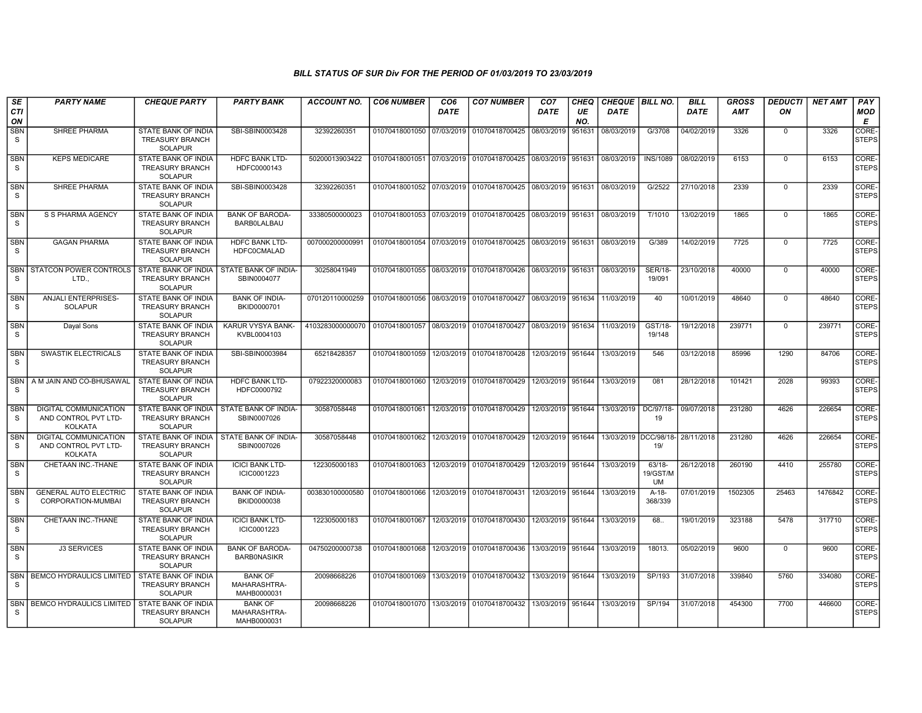| SE                         | <b>PARTY NAME</b>                                               | <b>CHEQUE PARTY</b>                                                    | <b>PARTY BANK</b>                                         | <b>ACCOUNT NO.</b>                                                          | <b>CO6 NUMBER</b>                        | CO <sub>6</sub> | <b>CO7 NUMBER</b>                                          | CO <sub>7</sub>     | CHEQ      | <b>CHEQUE   BILL NO.</b>         |                                   | <b>BILL</b> | <b>GROSS</b> | <b>DEDUCTI</b> | NET AMT | <b>PAY</b>            |
|----------------------------|-----------------------------------------------------------------|------------------------------------------------------------------------|-----------------------------------------------------------|-----------------------------------------------------------------------------|------------------------------------------|-----------------|------------------------------------------------------------|---------------------|-----------|----------------------------------|-----------------------------------|-------------|--------------|----------------|---------|-----------------------|
| <b>CTI</b><br>ON           |                                                                 |                                                                        |                                                           |                                                                             |                                          | <b>DATE</b>     |                                                            | <b>DATE</b>         | UE<br>NO. | <b>DATE</b>                      |                                   | DATE        | AMT          | ON             |         | MOD<br>Е              |
| SBN<br>S.                  | SHREE PHARMA                                                    | <b>STATE BANK OF INDIA</b><br><b>TREASURY BRANCH</b><br><b>SOLAPUR</b> | SBI-SBIN0003428                                           | 32392260351                                                                 | 01070418001050 07/03/2019                |                 | 01070418700425                                             | 08/03/2019          | 951631    | 08/03/2019                       | G/3708                            | 04/02/2019  | 3326         | $\mathbf 0$    | 3326    | CORE-<br><b>STEPS</b> |
| <b>SBN</b><br>S.           | <b>KEPS MEDICARE</b>                                            | STATE BANK OF INDIA<br><b>TREASURY BRANCH</b><br><b>SOLAPUR</b>        | HDFC BANK LTD-<br>HDFC0000143                             | 50200013903422                                                              |                                          |                 | 01070418001051 07/03/2019 01070418700425                   | 08/03/2019          | 951631    | 08/03/2019                       | <b>INS/1089</b>                   | 08/02/2019  | 6153         | $\mathbf 0$    | 6153    | CORE-<br><b>STEPS</b> |
| <b>SBN</b><br>S            | <b>SHREE PHARMA</b>                                             | <b>STATE BANK OF INDIA</b><br><b>TREASURY BRANCH</b><br><b>SOLAPUR</b> | SBI-SBIN0003428                                           | 32392260351                                                                 |                                          |                 | 01070418001052 07/03/2019 01070418700425                   | 08/03/2019          | 951631    | 08/03/2019                       | G/2522                            | 27/10/2018  | 2339         | $\mathbf 0$    | 2339    | CORE-<br>STEPS        |
| <b>SBN</b><br>S            | S S PHARMA AGENCY                                               | <b>STATE BANK OF INDIA</b><br><b>TREASURY BRANCH</b><br><b>SOLAPUR</b> | <b>BANK OF BARODA-</b><br><b>BARBOLALBAU</b>              | 33380500000023                                                              | 01070418001053 07/03/2019 01070418700425 |                 |                                                            | 08/03/2019          | 951631    | 08/03/2019                       | T/1010                            | 13/02/2019  | 1865         | $\mathbf 0$    | 1865    | CORE-<br>STEPS        |
| <b>SBN</b><br>S            | <b>GAGAN PHARMA</b>                                             | <b>STATE BANK OF INDIA</b><br><b>TREASURY BRANCH</b><br><b>SOLAPUR</b> | <b>HDFC BANK LTD-</b><br><b>HDFC0CMALAD</b>               | 007000200000991                                                             | 01070418001054 07/03/2019                |                 | 01070418700425                                             | 08/03/2019          | 951631    | 08/03/2019                       | G/389                             | 14/02/2019  | 7725         | $\Omega$       | 7725    | CORE-<br>STEPS        |
| S.                         | <b>SBN STATCON POWER CONTROLS</b><br>LTD.,                      | <b>STATE BANK OF INDIA</b><br><b>TREASURY BRANCH</b><br><b>SOLAPUR</b> | STATE BANK OF INDIA-<br>SBIN0004077                       | 30258041949                                                                 |                                          |                 | 01070418001055 08/03/2019 01070418700426                   | 08/03/2019          | 951631    | 08/03/2019                       | <b>SER/18-</b><br>19/091          | 23/10/2018  | 40000        | $\Omega$       | 40000   | CORE-<br><b>STEPS</b> |
| SBN<br>S                   | ANJALI ENTERPRISES-<br><b>SOLAPUR</b>                           | STATE BANK OF INDIA<br><b>TREASURY BRANCH</b><br><b>SOLAPUR</b>        | <b>BANK OF INDIA-</b><br>BKID0000701                      | 070120110000259                                                             |                                          |                 | 01070418001056 08/03/2019 01070418700427                   | 08/03/2019          | 951634    | 11/03/2019                       | 40                                | 10/01/2019  | 48640        | 0              | 48640   | CORE-<br><b>STEPS</b> |
| <b>SBN</b><br>S.           | Dayal Sons                                                      | <b>STATE BANK OF INDIA</b><br><b>TREASURY BRANCH</b><br><b>SOLAPUR</b> | KARUR VYSYA BANK-<br>KVBL0004103                          | 4103283000000070 01070418001057 08/03/2019 01070418700427 08/03/2019 951634 |                                          |                 |                                                            |                     |           | 11/03/2019                       | GST/18-<br>19/148                 | 19/12/2018  | 239771       | $\mathbf 0$    | 239771  | CORE-<br><b>STEPS</b> |
| <b>SBN</b><br>S.           | <b>SWASTIK ELECTRICALS</b>                                      | <b>STATE BANK OF INDIA</b><br><b>TREASURY BRANCH</b><br><b>SOLAPUR</b> | SBI-SBIN0003984                                           | 65218428357                                                                 | 01070418001059                           |                 | 12/03/2019 01070418700428                                  | 12/03/2019          | 951644    | 13/03/2019                       | 546                               | 03/12/2018  | 85996        | 1290           | 84706   | CORE-<br><b>STEPS</b> |
| <b>SBN</b><br>S.           | A M JAIN AND CO-BHUSAWAL                                        | STATE BANK OF INDIA<br><b>TREASURY BRANCH</b><br><b>SOLAPUR</b>        | <b>HDFC BANK LTD-</b><br>HDFC0000792                      | 07922320000083                                                              | 01070418001060                           |                 | 12/03/2019 01070418700429                                  | 12/03/2019          | 951644    | 13/03/2019                       | 081                               | 28/12/2018  | 101421       | 2028           | 99393   | CORE-<br><b>STEPS</b> |
| <b>SBN</b><br><sub>S</sub> | DIGITAL COMMUNICATION<br>AND CONTROL PVT LTD-<br><b>KOLKATA</b> | <b>TREASURY BRANCH</b><br><b>SOLAPUR</b>                               | STATE BANK OF INDIA   STATE BANK OF INDIA-<br>SBIN0007026 | 30587058448                                                                 |                                          |                 | 01070418001061 12/03/2019 01070418700429                   | 12/03/2019 951644   |           | 13/03/2019                       | DC/97/18-<br>19                   | 09/07/2018  | 231280       | 4626           | 226654  | CORE-<br><b>STEPS</b> |
| <b>SBN</b><br><sub>S</sub> | <b>DIGITAL COMMUNICATION</b><br>AND CONTROL PVT LTD-<br>KOLKATA | STATE BANK OF INDIA<br><b>TREASURY BRANCH</b><br><b>SOLAPUR</b>        | STATE BANK OF INDIA-<br>SBIN0007026                       | 30587058448                                                                 | 01070418001062 12/03/2019 01070418700429 |                 |                                                            | 12/03/2019          | 951644    | 13/03/2019 DCC/98/18- 28/11/2018 | 19/                               |             | 231280       | 4626           | 226654  | CORE-<br><b>STEPS</b> |
| <b>SBN</b><br>S.           | CHETAAN INC.-THANE                                              | STATE BANK OF INDIA<br><b>TREASURY BRANCH</b><br><b>SOLAPUR</b>        | <b>ICICI BANK LTD-</b><br>ICIC0001223                     | 122305000183                                                                | 01070418001063                           |                 | 12/03/2019 01070418700429                                  | 12/03/2019          | 951644    | 13/03/2019                       | $63/18-$<br>19/GST/M<br><b>UM</b> | 26/12/2018  | 260190       | 4410           | 255780  | CORE-<br>STEPS        |
| <b>SBN</b><br>S            | <b>GENERAL AUTO ELECTRIC</b><br>CORPORATION-MUMBAI              | <b>STATE BANK OF INDIA</b><br><b>TREASURY BRANCH</b><br><b>SOLAPUR</b> | <b>BANK OF INDIA-</b><br>BKID0000038                      | 003830100000580                                                             | 01070418001066 12/03/2019 01070418700431 |                 |                                                            | 12/03/2019   951644 |           | 13/03/2019                       | A-18-<br>368/339                  | 07/01/2019  | 1502305      | 25463          | 1476842 | CORE-<br><b>STEPS</b> |
| <b>SBN</b><br>S            | CHETAAN INC.-THANE                                              | <b>STATE BANK OF INDIA</b><br><b>TREASURY BRANCH</b><br><b>SOLAPUR</b> | <b>ICICI BANK LTD-</b><br>ICIC0001223                     | 122305000183                                                                | 01070418001067                           |                 | 12/03/2019 01070418700430                                  | 12/03/2019          | 951644    | 13/03/2019                       | 68.                               | 19/01/2019  | 323188       | 5478           | 317710  | CORE-<br><b>STEPS</b> |
| <b>SBN</b><br>S.           | <b>J3 SERVICES</b>                                              | STATE BANK OF INDIA<br><b>TREASURY BRANCH</b><br><b>SOLAPUR</b>        | <b>BANK OF BARODA-</b><br><b>BARBONASIKR</b>              | 04750200000738                                                              | 01070418001068                           |                 | 12/03/2019 01070418700436                                  | 13/03/2019          | 951644    | 13/03/2019                       | 18013.                            | 05/02/2019  | 9600         | $\mathbf 0$    | 9600    | CORE-<br><b>STEPS</b> |
| S.                         | SBN   BEMCO HYDRAULICS LIMITED                                  | STATE BANK OF INDIA<br><b>TREASURY BRANCH</b><br><b>SOLAPUR</b>        | <b>BANK OF</b><br>MAHARASHTRA-<br>MAHB0000031             | 20098668226                                                                 |                                          |                 | 01070418001069 13/03/2019 01070418700432 13/03/2019 951644 |                     |           | 13/03/2019                       | SP/193                            | 31/07/2018  | 339840       | 5760           | 334080  | CORE-<br><b>STEPS</b> |
| <b>SBN</b><br>S.           | <b>BEMCO HYDRAULICS LIMITED</b>                                 | <b>STATE BANK OF INDIA</b><br><b>TREASURY BRANCH</b><br><b>SOLAPUR</b> | <b>BANK OF</b><br>MAHARASHTRA-<br>MAHB0000031             | 20098668226                                                                 |                                          |                 | 01070418001070 13/03/2019 01070418700432                   | 13/03/2019          | 951644    | 13/03/2019                       | SP/194                            | 31/07/2018  | 454300       | 7700           | 446600  | CORE-<br><b>STEPS</b> |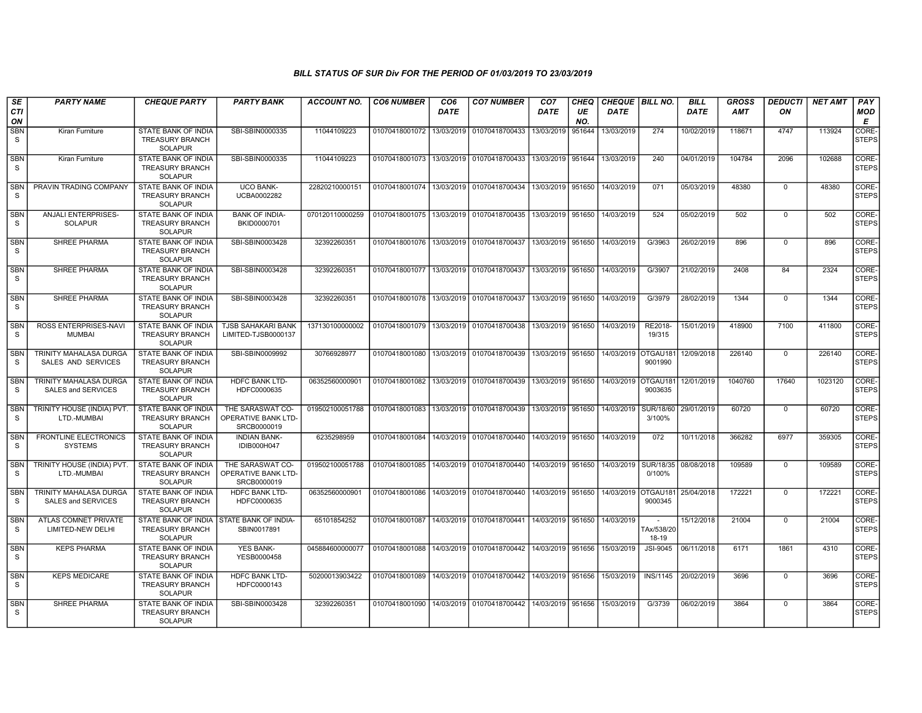| SE                         | <b>PARTY NAME</b>                                          | <b>CHEQUE PARTY</b>                                                                  | <b>PARTY BANK</b>                                      | <b>ACCOUNT NO.</b> | <b>CO6 NUMBER</b>                            | CO <sub>6</sub> | <b>CO7 NUMBER</b>                                          | CO <sub>7</sub>   | CHEQ      | <b>CHEQUE   BILL NO.</b> |                                                 | <b>BILL</b> | <b>GROSS</b> | <b>DEDUCTI</b> | NET AMT | <b>PAY</b>            |
|----------------------------|------------------------------------------------------------|--------------------------------------------------------------------------------------|--------------------------------------------------------|--------------------|----------------------------------------------|-----------------|------------------------------------------------------------|-------------------|-----------|--------------------------|-------------------------------------------------|-------------|--------------|----------------|---------|-----------------------|
| <b>CTI</b><br>ON           |                                                            |                                                                                      |                                                        |                    |                                              | <b>DATE</b>     |                                                            | <b>DATE</b>       | UE<br>NO. | <b>DATE</b>              |                                                 | <b>DATE</b> | AMT          | ON             |         | <b>MOD</b><br>Е       |
| SBN<br>S                   | Kiran Furniture                                            | <b>STATE BANK OF INDIA</b><br><b>TREASURY BRANCH</b><br><b>SOLAPUR</b>               | SBI-SBIN0000335                                        | 11044109223        | 01070418001072 13/03/2019                    |                 | 01070418700433                                             | 13/03/2019        | 951644    | 13/03/2019               | 274                                             | 10/02/2019  | 118671       | 4747           | 113924  | CORE-<br><b>STEPS</b> |
| <b>SBN</b><br>S            | Kiran Furniture                                            | STATE BANK OF INDIA<br><b>TREASURY BRANCH</b><br><b>SOLAPUR</b>                      | SBI-SBIN0000335                                        | 11044109223        |                                              |                 | 01070418001073 13/03/2019 01070418700433                   | 13/03/2019        | 951644    | 13/03/2019               | 240                                             | 04/01/2019  | 104784       | 2096           | 102688  | CORE-<br><b>STEPS</b> |
| <b>SBN</b><br>S            | PRAVIN TRADING COMPANY                                     | STATE BANK OF INDIA<br><b>TREASURY BRANCH</b><br><b>SOLAPUR</b>                      | <b>UCO BANK-</b><br>UCBA0002282                        | 22820210000151     |                                              |                 | 01070418001074 13/03/2019 01070418700434                   | 13/03/2019        | 951650    | 14/03/2019               | 071                                             | 05/03/2019  | 48380        | $\Omega$       | 48380   | CORE-<br><b>STEPS</b> |
| SBN<br>S                   | ANJALI ENTERPRISES-<br><b>SOLAPUR</b>                      | STATE BANK OF INDIA<br><b>TREASURY BRANCH</b><br><b>SOLAPUR</b>                      | <b>BANK OF INDIA-</b><br>BKID0000701                   | 070120110000259    |                                              |                 | 01070418001075 13/03/2019 01070418700435                   | 13/03/2019        | 951650    | 14/03/2019               | 524                                             | 05/02/2019  | 502          | $\mathsf 0$    | 502     | CORE-<br><b>STEPS</b> |
| <b>SBN</b><br>S.           | <b>SHREE PHARMA</b>                                        | <b>STATE BANK OF INDIA</b><br><b>TREASURY BRANCH</b><br><b>SOLAPUR</b>               | SBI-SBIN0003428                                        | 32392260351        |                                              |                 | 01070418001076 13/03/2019 01070418700437                   | 13/03/2019 951650 |           | 14/03/2019               | G/3963                                          | 26/02/2019  | 896          | $\mathbf 0$    | 896     | CORE-<br><b>STEPS</b> |
| <b>SBN</b><br>S.           | <b>SHREE PHARMA</b>                                        | STATE BANK OF INDIA<br><b>TREASURY BRANCH</b><br><b>SOLAPUR</b>                      | SBI-SBIN0003428                                        | 32392260351        |                                              |                 | 01070418001077 13/03/2019 01070418700437                   | 13/03/2019        | 951650    | 14/03/2019               | G/3907                                          | 21/02/2019  | 2408         | 84             | 2324    | CORE-<br><b>STEPS</b> |
| <b>SBN</b><br>S.           | SHREE PHARMA                                               | STATE BANK OF INDIA<br><b>TREASURY BRANCH</b><br><b>SOLAPUR</b>                      | SBI-SBIN0003428                                        | 32392260351        |                                              |                 | 01070418001078 13/03/2019 01070418700437                   | 13/03/2019        | 951650    | 14/03/2019               | G/3979                                          | 28/02/2019  | 1344         | $\mathbf 0$    | 1344    | CORE-<br><b>STEPS</b> |
| <b>SBN</b><br>S.           | <b>ROSS ENTERPRISES-NAVI</b><br><b>MUMBAI</b>              | <b>STATE BANK OF INDIA</b><br><b>TREASURY BRANCH</b><br><b>SOLAPUR</b>               | <b>TJSB SAHAKARI BANK</b><br>LIMITED-TJSB0000137       | 137130100000002    |                                              |                 | 01070418001079 13/03/2019 01070418700438                   | 13/03/2019 951650 |           | 14/03/2019               | RE2018-<br>19/315                               | 15/01/2019  | 418900       | 7100           | 411800  | CORE-<br>STEPS        |
| <b>SBN</b><br>S            | <b>TRINITY MAHALASA DURGA</b><br>SALES AND SERVICES        | STATE BANK OF INDIA<br><b>TREASURY BRANCH</b><br><b>SOLAPUR</b>                      | SBI-SBIN0009992                                        | 30766928977        | 01070418001080                               |                 | 13/03/2019 01070418700439                                  | 13/03/2019        | 951650    | 14/03/2019 OTGAU181      | 9001990                                         | 12/09/2018  | 226140       | $\mathbf 0$    | 226140  | CORE-<br><b>STEPS</b> |
| <b>SBN</b><br>S            | <b>TRINITY MAHALASA DURGA</b><br>SALES and SERVICES        | STATE BANK OF INDIA<br><b>TREASURY BRANCH</b><br><b>SOLAPUR</b>                      | <b>HDFC BANK LTD-</b><br>HDFC0000635                   | 06352560000901     |                                              |                 | 01070418001082 13/03/2019 01070418700439                   | 13/03/2019        | 951650    | 14/03/2019 OTGAU181      | 9003635                                         | 12/01/2019  | 1040760      | 17640          | 1023120 | CORE-<br><b>STEPS</b> |
| <b>SBN</b><br>S.           | TRINITY HOUSE (INDIA) PVT.<br>LTD.-MUMBAI                  | STATE BANK OF INDIA<br><b>TREASURY BRANCH</b><br><b>SOLAPUR</b>                      | THE SARASWAT CO-<br>OPERATIVE BANK LTD-<br>SRCB0000019 | 019502100051788    |                                              |                 | 01070418001083 13/03/2019 01070418700439                   | 13/03/2019 951650 |           | 14/03/2019               | SUR/18/60<br>3/100%                             | 29/01/2019  | 60720        | $\mathbf 0$    | 60720   | CORE-<br><b>STEPS</b> |
| <b>SBN</b><br>S            | <b>FRONTLINE ELECTRONICS</b><br><b>SYSTEMS</b>             | STATE BANK OF INDIA<br><b>TREASURY BRANCH</b><br><b>SOLAPUR</b>                      | <b>INDIAN BANK-</b><br>IDIB000H047                     | 6235298959         |                                              |                 | 01070418001084 14/03/2019 01070418700440                   | 14/03/2019        | 951650    | 14/03/2019               | 072                                             | 10/11/2018  | 366282       | 6977           | 359305  | CORE-<br><b>STEPS</b> |
| <b>SBN</b><br>S            | TRINITY HOUSE (INDIA) PVT.<br>LTD.-MUMBAI                  | STATE BANK OF INDIA<br><b>TREASURY BRANCH</b><br><b>SOLAPUR</b>                      | THE SARASWAT CO-<br>OPERATIVE BANK LTD-<br>SRCB0000019 | 019502100051788    | 01070418001085   14/03/2019   01070418700440 |                 |                                                            | 14/03/2019        | 951650    | 14/03/2019               | SUR/18/35   08/08/2018<br>0/100%                |             | 109589       | $\mathbf 0$    | 109589  | CORE-<br><b>STEPS</b> |
| <b>SBN</b><br>S.           | <b>TRINITY MAHALASA DURGA</b><br><b>SALES and SERVICES</b> | <b>STATE BANK OF INDIA</b><br><b>TREASURY BRANCH</b><br><b>SOLAPUR</b>               | <b>HDFC BANK LTD-</b><br>HDFC0000635                   | 06352560000901     |                                              |                 | 01070418001086 14/03/2019 01070418700440                   | 14/03/2019        | 951650    | 14/03/2019 OTGAU181      | 9000345                                         | 25/04/2018  | 172221       | $\mathbf 0$    | 172221  | CORE-<br><b>STEPS</b> |
| <b>SBN</b><br><sub>S</sub> | ATLAS COMNET PRIVATE<br>LIMITED-NEW DELHI                  | STATE BANK OF INDIA STATE BANK OF INDIA-<br><b>TREASURY BRANCH</b><br><b>SOLAPUR</b> | SBIN0017891                                            | 65101854252        | 01070418001087                               |                 | 14/03/2019 01070418700441 14/03/2019                       |                   | 951650    | 14/03/2019               | $\overline{\phantom{a}}$<br>FAx/538/20<br>18-19 | 15/12/2018  | 21004        | $\mathbf 0$    | 21004   | CORE-<br>STEPS        |
| <b>SBN</b><br><sub>S</sub> | <b>KEPS PHARMA</b>                                         | STATE BANK OF INDIA<br><b>TREASURY BRANCH</b><br><b>SOLAPUR</b>                      | <b>YES BANK-</b><br>YESB0000458                        | 045884600000077    |                                              |                 | 01070418001088 14/03/2019 01070418700442                   | 14/03/2019 951656 |           | 15/03/2019               | JSI-9045                                        | 06/11/2018  | 6171         | 1861           | 4310    | CORE-<br><b>STEPS</b> |
| <b>SBN</b><br>S            | <b>KEPS MEDICARE</b>                                       | <b>STATE BANK OF INDIA</b><br><b>TREASURY BRANCH</b><br><b>SOLAPUR</b>               | <b>HDFC BANK LTD-</b><br>HDFC0000143                   | 50200013903422     |                                              |                 | 01070418001089 14/03/2019 01070418700442 14/03/2019 951656 |                   |           | 15/03/2019               | <b>INS/1145</b>                                 | 20/02/2019  | 3696         | $\mathbf 0$    | 3696    | CORE-<br><b>STEPS</b> |
| <b>SBN</b><br>S            | SHREE PHARMA                                               | STATE BANK OF INDIA<br><b>TREASURY BRANCH</b><br><b>SOLAPUR</b>                      | SBI-SBIN0003428                                        | 32392260351        |                                              |                 | 01070418001090 14/03/2019 01070418700442                   | 14/03/2019 951656 |           | 15/03/2019               | G/3739                                          | 06/02/2019  | 3864         | 0              | 3864    | CORE-<br><b>STEPS</b> |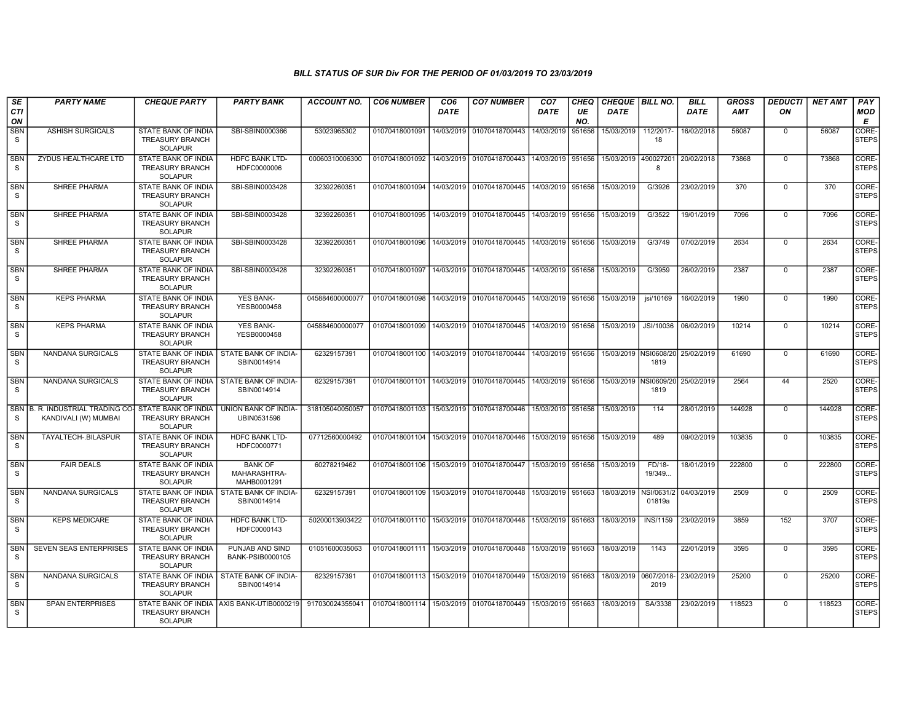| SE<br><b>CTI</b><br>ON     | <b>PARTY NAME</b>                                        | <b>CHEQUE PARTY</b>                                                    | <b>PARTY BANK</b>                                         | ACCOUNT NO.     | <b>CO6 NUMBER</b>                        | CO <sub>6</sub><br><b>DATE</b> | <b>CO7 NUMBER</b>                                          | CO <sub>7</sub><br><b>DATE</b> | <b>CHEQ</b><br>UE<br>NO. | CHEQUE   BILL NO.<br><b>DATE</b> |                                          | <b>BILL</b><br><b>DATE</b> | GROSS<br><b>AMT</b> | <b>DEDUCTI</b><br>ON | <b>NET AMT</b> | PAY<br>MOD<br>E             |
|----------------------------|----------------------------------------------------------|------------------------------------------------------------------------|-----------------------------------------------------------|-----------------|------------------------------------------|--------------------------------|------------------------------------------------------------|--------------------------------|--------------------------|----------------------------------|------------------------------------------|----------------------------|---------------------|----------------------|----------------|-----------------------------|
| SBN<br>S.                  | <b>ASHISH SURGICALS</b>                                  | STATE BANK OF INDIA<br><b>TREASURY BRANCH</b><br><b>SOLAPUR</b>        | SBI-SBIN0000366                                           | 53023965302     | 01070418001091                           | 14/03/2019                     | 01070418700443                                             | 14/03/2019                     | 951656                   | 15/03/2019                       | 112/2017-<br>18                          | 16/02/2018                 | 56087               | $\mathbf 0$          | 56087          | CORE-<br><b>STEPS</b>       |
| <b>SBN</b><br><sub>S</sub> | ZYDUS HEALTHCARE LTD                                     | <b>STATE BANK OF INDIA</b><br><b>TREASURY BRANCH</b><br><b>SOLAPUR</b> | <b>HDFC BANK LTD-</b><br>HDFC0000006                      | 00060310006300  | 01070418001092 14/03/2019 01070418700443 |                                |                                                            | 14/03/2019                     | 951656                   | 15/03/2019 490027201             | 8                                        | 20/02/2018                 | 73868               | $\mathbf 0$          | 73868          | <b>CORE</b><br><b>STEPS</b> |
| <b>SBN</b><br>S            | SHREE PHARMA                                             | STATE BANK OF INDIA<br>TREASURY BRANCH<br><b>SOLAPUR</b>               | SBI-SBIN0003428                                           | 32392260351     | 01070418001094                           |                                | 14/03/2019 01070418700445                                  | 14/03/2019                     | 951656                   | 15/03/2019                       | G/3926                                   | 23/02/2019                 | 370                 | $\mathbf 0$          | 370            | CORE-<br>STEPS              |
| SBN<br>S.                  | SHREE PHARMA                                             | <b>STATE BANK OF INDIA</b><br><b>TREASURY BRANCH</b><br><b>SOLAPUR</b> | SBI-SBIN0003428                                           | 32392260351     |                                          |                                | 01070418001095 14/03/2019 01070418700445                   | 14/03/2019 951656              |                          | 15/03/2019                       | G/3522                                   | 19/01/2019                 | 7096                | $\mathbf 0$          | 7096           | CORE-<br><b>STEPS</b>       |
| <b>SBN</b><br>S            | <b>SHREE PHARMA</b>                                      | <b>STATE BANK OF INDIA</b><br><b>TREASURY BRANCH</b><br><b>SOLAPUR</b> | SBI-SBIN0003428                                           | 32392260351     | 01070418001096                           |                                | 14/03/2019 01070418700445                                  | 14/03/2019                     | 951656                   | 15/03/2019                       | G/3749                                   | 07/02/2019                 | 2634                | $\mathbf 0$          | 2634           | CORE-<br><b>STEPS</b>       |
| SBN<br>S                   | SHREE PHARMA                                             | STATE BANK OF INDIA<br><b>TREASURY BRANCH</b><br><b>SOLAPUR</b>        | SBI-SBIN0003428                                           | 32392260351     | 01070418001097                           |                                | 14/03/2019 01070418700445                                  | 14/03/2019                     | 951656                   | 15/03/2019                       | G/3959                                   | 26/02/2019                 | 2387                | 0                    | 2387           | CORE-<br><b>STEPS</b>       |
| SBN<br>S                   | <b>KEPS PHARMA</b>                                       | STATE BANK OF INDIA<br><b>TREASURY BRANCH</b><br><b>SOLAPUR</b>        | YES BANK-<br>YESB0000458                                  | 045884600000077 | 01070418001098                           | 14/03/2019                     | 01070418700445                                             | 14/03/2019                     | 951656                   | 15/03/2019                       | jsi/10169                                | 16/02/2019                 | 1990                | $\mathbf 0$          | 1990           | CORE-<br><b>STEPS</b>       |
| <b>SBN</b><br>S.           | <b>KEPS PHARMA</b>                                       | STATE BANK OF INDIA<br><b>TREASURY BRANCH</b><br><b>SOLAPUR</b>        | <b>YES BANK-</b><br>YESB0000458                           | 045884600000077 |                                          |                                | 01070418001099 14/03/2019 01070418700445 14/03/2019        |                                | 951656                   | 15/03/2019                       | JSI/10036                                | 06/02/2019                 | 10214               | 0                    | 10214          | CORE-<br><b>STEPS</b>       |
| SBN<br>S                   | NANDANA SURGICALS                                        | STATE BANK OF INDIA<br><b>TREASURY BRANCH</b><br><b>SOLAPUR</b>        | STATE BANK OF INDIA-<br>SBIN0014914                       | 62329157391     | 01070418001100                           |                                | 14/03/2019 01070418700444                                  | 14/03/2019                     | 951656                   | 15/03/2019 NSI0608/20            | 1819                                     | 25/02/2019                 | 61690               | 0                    | 61690          | CORE-<br><b>STEPS</b>       |
| <b>SBN</b><br>S.           | NANDANA SURGICALS                                        | <b>STATE BANK OF INDIA</b><br><b>TREASURY BRANCH</b><br><b>SOLAPUR</b> | STATE BANK OF INDIA-<br>SBIN0014914                       | 62329157391     | 01070418001101                           |                                | 14/03/2019 01070418700445                                  | 14/03/2019 951656              |                          | 15/03/2019 INSI0609/20           | 1819                                     | 25/02/2019                 | 2564                | 44                   | 2520           | CORE-<br><b>STEPS</b>       |
| S.                         | SBN B. R. INDUSTRIAL TRADING CO-<br>KANDIVALI (W) MUMBAI | STATE BANK OF INDIA<br><b>TREASURY BRANCH</b><br><b>SOLAPUR</b>        | UNION BANK OF INDIA-<br>UBIN0531596                       | 318105040050057 |                                          |                                | 01070418001103 15/03/2019 01070418700446                   | 15/03/2019                     | 951656                   | 15/03/2019                       | 114                                      | 28/01/2019                 | 144928              | $\mathbf 0$          | 144928         | CORE-<br><b>STEPS</b>       |
| <b>SBN</b><br>S.           | TAYALTECH-.BILASPUR                                      | STATE BANK OF INDIA<br><b>TREASURY BRANCH</b><br><b>SOLAPUR</b>        | <b>HDFC BANK LTD-</b><br>HDFC0000771                      | 07712560000492  | 01070418001104                           |                                | 15/03/2019 01070418700446                                  | 15/03/2019 951656              |                          | 15/03/2019                       | 489                                      | 09/02/2019                 | 103835              | $\mathbf 0$          | 103835         | CORE-<br><b>STEPS</b>       |
| <b>SBN</b><br>S            | <b>FAIR DEALS</b>                                        | <b>STATE BANK OF INDIA</b><br><b>TREASURY BRANCH</b><br><b>SOLAPUR</b> | <b>BANK OF</b><br>MAHARASHTRA-<br>MAHB0001291             | 60278219462     |                                          |                                | 01070418001106 15/03/2019 01070418700447                   | 15/03/2019 951656              |                          | 15/03/2019                       | FD/18-<br>19/349                         | 18/01/2019                 | 222800              | $\mathbf 0$          | 222800         | CORE-<br><b>STEPS</b>       |
| <b>SBN</b><br>S            | NANDANA SURGICALS                                        | <b>TREASURY BRANCH</b><br><b>SOLAPUR</b>                               | STATE BANK OF INDIA   STATE BANK OF INDIA-<br>SBIN0014914 | 62329157391     |                                          |                                | 01070418001109 15/03/2019 01070418700448 15/03/2019 951663 |                                |                          | 18/03/2019                       | NSI/0631/2<br>01819a                     | 04/03/2019                 | 2509                | $\mathbf 0$          | 2509           | CORE-<br>STEPS              |
| <b>SBN</b><br>S.           | <b>KEPS MEDICARE</b>                                     | STATE BANK OF INDIA<br><b>TREASURY BRANCH</b><br><b>SOLAPUR</b>        | <b>HDFC BANK LTD-</b><br>HDFC0000143                      | 50200013903422  |                                          |                                | 01070418001110 15/03/2019 01070418700448 15/03/2019 951663 |                                |                          | 18/03/2019                       | <b>INS/1159</b>                          | 23/02/2019                 | 3859                | 152                  | 3707           | CORE-<br>STEPS              |
| <b>SBN</b><br>S            | SEVEN SEAS ENTERPRISES                                   | STATE BANK OF INDIA<br><b>TREASURY BRANCH</b><br><b>SOLAPUR</b>        | PUNJAB AND SIND<br>BANK-PSIB0000105                       | 01051600035063  |                                          |                                | 01070418001111 15/03/2019 01070418700448 15/03/2019 951663 |                                |                          | 18/03/2019                       | 1143                                     | 22/01/2019                 | 3595                | $\Omega$             | 3595           | CORE-<br><b>STEPS</b>       |
| SBN<br>S                   | <b>NANDANA SURGICALS</b>                                 | STATE BANK OF INDIA<br><b>TREASURY BRANCH</b><br><b>SOLAPUR</b>        | STATE BANK OF INDIA-<br>SBIN0014914                       | 62329157391     |                                          |                                | 01070418001113 15/03/2019 01070418700449 15/03/2019 951663 |                                |                          |                                  | 18/03/2019 0607/2018- 23/02/2019<br>2019 |                            | 25200               | 0                    | 25200          | CORE-<br><b>STEPS</b>       |
| <b>SBN</b><br>S.           | <b>SPAN ENTERPRISES</b>                                  | <b>TREASURY BRANCH</b><br><b>SOLAPUR</b>                               | STATE BANK OF INDIA AXIS BANK-UTIB0000219                 | 917030024355041 |                                          |                                | 01070418001114 15/03/2019 01070418700449 15/03/2019 951663 |                                |                          | 18/03/2019                       | SA/3338                                  | 23/02/2019                 | 118523              | $\Omega$             | 118523         | CORE-<br><b>STEPS</b>       |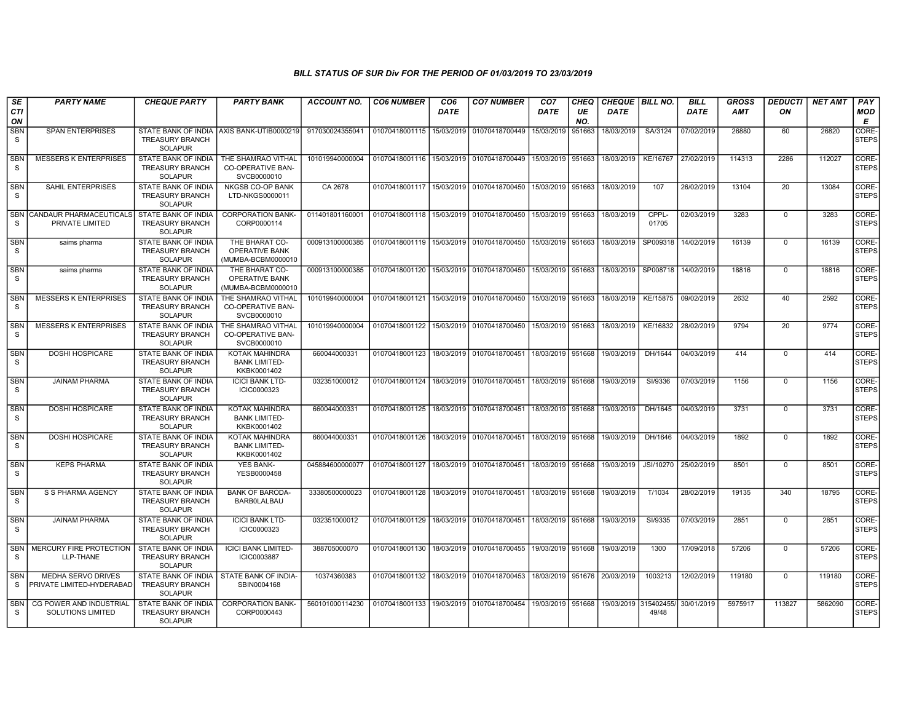| SE                         | <b>PARTY NAME</b>                                      | <b>CHEQUE PARTY</b>                                                    | <b>PARTY BANK</b>                                             | <b>ACCOUNT NO.</b> | <b>CO6 NUMBER</b>                            | CO <sub>6</sub> | <b>CO7 NUMBER</b>                        | CO <sub>7</sub>   | CHEQ      | <b>CHEQUE   BILL NO.</b> |                | <b>BILL</b>         | GROSS   | <b>DEDUCTI</b>  | <b>NET AMT</b> | PAY                         |
|----------------------------|--------------------------------------------------------|------------------------------------------------------------------------|---------------------------------------------------------------|--------------------|----------------------------------------------|-----------------|------------------------------------------|-------------------|-----------|--------------------------|----------------|---------------------|---------|-----------------|----------------|-----------------------------|
| <b>CTI</b><br>ON           |                                                        |                                                                        |                                                               |                    |                                              | <b>DATE</b>     |                                          | <b>DATE</b>       | UE<br>NO. | <b>DATE</b>              |                | <b>DATE</b>         | AMT     | ON              |                | <b>MOD</b><br>E             |
| <b>SBN</b><br>S            | <b>SPAN ENTERPRISES</b>                                | <b>TREASURY BRANCH</b><br><b>SOLAPUR</b>                               | STATE BANK OF INDIA AXIS BANK-UTIB0000219                     | 917030024355041    | 01070418001115 15/03/2019                    |                 | 01070418700449                           | 15/03/2019        | 951663    | 18/03/2019               | SA/3124        | 07/02/2019          | 26880   | 60              | 26820          | CORE-<br><b>STEPS</b>       |
| <b>SBN</b><br><sub>S</sub> | <b>MESSERS K ENTERPRISES</b>                           | <b>STATE BANK OF INDIA</b><br><b>TREASURY BRANCH</b><br><b>SOLAPUR</b> | THE SHAMRAO VITHAL<br><b>CO-OPERATIVE BAN-</b><br>SVCB0000010 | 101019940000004    | 01070418001116 15/03/2019 01070418700449     |                 |                                          | 15/03/2019        | 951663    | 18/03/2019               | KE/16767       | 27/02/2019          | 114313  | 2286            | 112027         | <b>CORE</b><br><b>STEPS</b> |
| <b>SBN</b><br>S            | <b>SAHIL ENTERPRISES</b>                               | STATE BANK OF INDIA<br><b>TREASURY BRANCH</b><br><b>SOLAPUR</b>        | <b>NKGSB CO-OP BANK</b><br>LTD-NKGS0000011                    | CA 2678            | 01070418001117 15/03/2019 01070418700450     |                 |                                          | 15/03/2019        | 951663    | 18/03/2019               | 107            | 26/02/2019          | 13104   | 20              | 13084          | CORE-<br>STEPS              |
| <sub>S</sub>               | SBN CANDAUR PHARMACEUTICALS<br>PRIVATE LIMITED         | STATE BANK OF INDIA<br><b>TREASURY BRANCH</b><br><b>SOLAPUR</b>        | <b>CORPORATION BANK-</b><br>CORP0000114                       | 011401801160001    | 01070418001118 15/03/2019 01070418700450     |                 |                                          | 15/03/2019        | 951663    | 18/03/2019               | CPPL-<br>01705 | 02/03/2019          | 3283    | $\mathbf 0$     | 3283           | CORE-<br><b>STEPS</b>       |
| <b>SBN</b><br>S.           | saims pharma                                           | <b>STATE BANK OF INDIA</b><br><b>TREASURY BRANCH</b><br><b>SOLAPUR</b> | THE BHARAT CO-<br>OPERATIVE BANK<br>MUMBA-BCBM0000010         | 000913100000385    | 01070418001119                               |                 | 15/03/2019 01070418700450                | 15/03/2019        | 951663    | 18/03/2019               | SP009318       | 14/02/2019          | 16139   | $\mathbf 0$     | 16139          | CORE-<br>STEPS              |
| <b>SBN</b><br>S            | saims pharma                                           | STATE BANK OF INDIA<br><b>TREASURY BRANCH</b><br><b>SOLAPUR</b>        | THE BHARAT CO-<br>OPERATIVE BANK<br>(MUMBA-BCBM0000010        | 000913100000385    | 01070418001120                               | 15/03/2019      | 01070418700450                           | 15/03/2019        | 951663    | 18/03/2019               |                | SP008718 14/02/2019 | 18816   | 0               | 18816          | CORE-<br><b>STEPS</b>       |
| SBN<br>S.                  | <b>MESSERS K ENTERPRISES</b>                           | STATE BANK OF INDIA<br><b>TREASURY BRANCH</b><br><b>SOLAPUR</b>        | THE SHAMRAO VITHAL<br><b>CO-OPERATIVE BAN-</b><br>SVCB0000010 | 101019940000004    | 01070418001121 15/03/2019                    |                 | 01070418700450                           | 15/03/2019        | 951663    | 18/03/2019               | KE/15875       | 09/02/2019          | 2632    | 40              | 2592           | CORE-<br><b>STEPS</b>       |
| <b>SBN</b><br>S.           | <b>MESSERS K ENTERPRISES</b>                           | <b>STATE BANK OF INDIA</b><br><b>TREASURY BRANCH</b><br><b>SOLAPUR</b> | THE SHAMRAO VITHAL<br>CO-OPERATIVE BAN-<br>SVCB0000010        | 101019940000004    | 01070418001122 15/03/2019 01070418700450     |                 |                                          | 15/03/2019        | 951663    | 18/03/2019               | KE/16832       | 28/02/2019          | 9794    | $\overline{20}$ | 9774           | CORE-<br><b>STEPS</b>       |
| <b>SBN</b><br>S            | <b>DOSHI HOSPICARE</b>                                 | STATE BANK OF INDIA<br><b>TREASURY BRANCH</b><br><b>SOLAPUR</b>        | KOTAK MAHINDRA<br><b>BANK LIMITED-</b><br>KKBK0001402         | 660044000331       | 01070418001123   18/03/2019   01070418700451 |                 |                                          | 18/03/2019        | 951668    | 19/03/2019               | DH/1644        | 04/03/2019          | 414     | 0               | 414            | CORE-<br><b>STEPS</b>       |
| <b>SBN</b><br>S.           | <b>JAINAM PHARMA</b>                                   | <b>STATE BANK OF INDIA</b><br><b>TREASURY BRANCH</b><br><b>SOLAPUR</b> | <b>ICICI BANK LTD-</b><br>ICIC0000323                         | 032351000012       | 01070418001124 18/03/2019 01070418700451     |                 |                                          | 18/03/2019        | 951668    | 19/03/2019               | SI/9336        | 07/03/2019          | 1156    | $\mathbf 0$     | 1156           | CORE-<br><b>STEPS</b>       |
| <b>SBN</b><br>S.           | <b>DOSHI HOSPICARE</b>                                 | <b>STATE BANK OF INDIA</b><br><b>TREASURY BRANCH</b><br><b>SOLAPUR</b> | KOTAK MAHINDRA<br><b>BANK LIMITED-</b><br>KKBK0001402         | 660044000331       | 01070418001125   18/03/2019   01070418700451 |                 |                                          | 18/03/2019        | 951668    | 19/03/2019               | DH/1645        | 04/03/2019          | 3731    | $\mathbf 0$     | 3731           | CORE-<br><b>STEPS</b>       |
| <b>SBN</b><br>S.           | <b>DOSHI HOSPICARE</b>                                 | <b>STATE BANK OF INDIA</b><br><b>TREASURY BRANCH</b><br><b>SOLAPUR</b> | <b>KOTAK MAHINDRA</b><br><b>BANK LIMITED-</b><br>KKBK0001402  | 660044000331       | 01070418001126 18/03/2019                    |                 | 01070418700451                           | 18/03/2019        | 951668    | 19/03/2019               | DH/1646        | 04/03/2019          | 1892    | $\mathbf 0$     | 1892           | CORE-<br><b>STEPS</b>       |
| <b>SBN</b><br>S            | <b>KEPS PHARMA</b>                                     | <b>STATE BANK OF INDIA</b><br><b>TREASURY BRANCH</b><br><b>SOLAPUR</b> | <b>YES BANK-</b><br>YESB0000458                               | 045884600000077    | 01070418001127   18/03/2019                  |                 | 01070418700451                           | 18/03/2019        | 951668    | 19/03/2019               | JSI/10270      | 25/02/2019          | 8501    | $\mathbf 0$     | 8501           | CORE-<br><b>STEPS</b>       |
| <b>SBN</b><br>S            | S S PHARMA AGENCY                                      | <b>STATE BANK OF INDIA</b><br><b>TREASURY BRANCH</b><br><b>SOLAPUR</b> | <b>BANK OF BARODA-</b><br><b>BARBOLALBAU</b>                  | 33380500000023     | 01070418001128 18/03/2019 01070418700451     |                 |                                          | 18/03/2019        | 951668    | 19/03/2019               | T/1034         | 28/02/2019          | 19135   | 340             | 18795          | CORE-<br>STEPS              |
| <b>SBN</b><br>S            | <b>JAINAM PHARMA</b>                                   | <b>STATE BANK OF INDIA</b><br><b>TREASURY BRANCH</b><br><b>SOLAPUR</b> | <b>ICICI BANK LTD-</b><br>ICIC0000323                         | 032351000012       | 01070418001129 18/03/2019 01070418700451     |                 |                                          | 18/03/2019        | 951668    | 19/03/2019               | SI/9335        | 07/03/2019          | 2851    | $\mathbf 0$     | 2851           | CORE-<br>STEPS              |
| <b>SBN</b><br>S.           | MERCURY FIRE PROTECTION<br>LLP-THANE                   | STATE BANK OF INDIA<br><b>TREASURY BRANCH</b><br><b>SOLAPUR</b>        | <b>ICICI BANK LIMITED-</b><br>ICIC0003887                     | 388705000070       |                                              |                 | 01070418001130 18/03/2019 01070418700455 | 19/03/2019        | 951668    | 19/03/2019               | 1300           | 17/09/2018          | 57206   | $\Omega$        | 57206          | CORE-<br><b>STEPS</b>       |
| <b>SBN</b><br>S            | <b>MEDHA SERVO DRIVES</b><br>PRIVATE LIMITED-HYDERABAD | STATE BANK OF INDIA<br><b>TREASURY BRANCH</b><br><b>SOLAPUR</b>        | STATE BANK OF INDIA-<br>SBIN0004168                           | 10374360383        |                                              |                 | 01070418001132 18/03/2019 01070418700453 | 18/03/2019        | 951676    | 20/03/2019               | 1003213        | 12/02/2019          | 119180  | 0               | 119180         | CORE-<br><b>STEPS</b>       |
| <b>SBN</b><br>S.           | CG POWER AND INDUSTRIAL<br><b>SOLUTIONS LIMITED</b>    | STATE BANK OF INDIA<br><b>TREASURY BRANCH</b><br><b>SOLAPUR</b>        | <b>CORPORATION BANK-</b><br>CORP0000443                       | 560101000114230    |                                              |                 | 01070418001133 19/03/2019 01070418700454 | 19/03/2019 951668 |           | 19/03/2019 315402455/    | 49/48          | 30/01/2019          | 5975917 | 113827          | 5862090        | CORE-<br><b>STEPS</b>       |